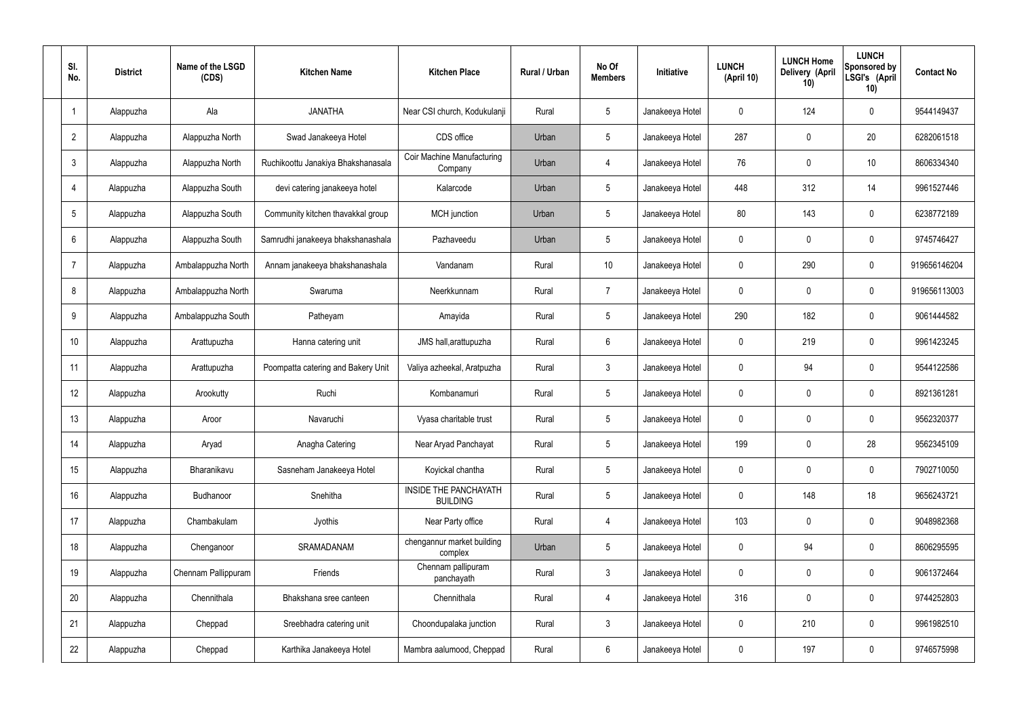| SI.<br>No.      | <b>District</b> | Name of the LSGD<br>(CDS) | <b>Kitchen Name</b>                | <b>Kitchen Place</b>                            | Rural / Urban | No Of<br><b>Members</b> | <b>Initiative</b> | <b>LUNCH</b><br>(April 10) | <b>LUNCH Home</b><br>Delivery (April<br>10) | <b>LUNCH</b><br>Sponsored by<br>LSGI's (April<br>10) | <b>Contact No</b> |
|-----------------|-----------------|---------------------------|------------------------------------|-------------------------------------------------|---------------|-------------------------|-------------------|----------------------------|---------------------------------------------|------------------------------------------------------|-------------------|
|                 | Alappuzha       | Ala                       | <b>JANATHA</b>                     | Near CSI church, Kodukulanji                    | Rural         | $5\phantom{.0}$         | Janakeeya Hotel   | $\mathbf 0$                | 124                                         | $\mathbf 0$                                          | 9544149437        |
| $\overline{2}$  | Alappuzha       | Alappuzha North           | Swad Janakeeya Hotel               | CDS office                                      | Urban         | $5\phantom{.0}$         | Janakeeya Hotel   | 287                        | $\mathbf 0$                                 | 20                                                   | 6282061518        |
| $\mathbf{3}$    | Alappuzha       | Alappuzha North           | Ruchikoottu Janakiya Bhakshanasala | <b>Coir Machine Manufacturing</b><br>Company    | Urban         | 4                       | Janakeeya Hotel   | 76                         | 0                                           | 10                                                   | 8606334340        |
| $\overline{4}$  | Alappuzha       | Alappuzha South           | devi catering janakeeya hotel      | Kalarcode                                       | Urban         | $5\phantom{.0}$         | Janakeeya Hotel   | 448                        | 312                                         | 14                                                   | 9961527446        |
| $5\overline{)}$ | Alappuzha       | Alappuzha South           | Community kitchen thavakkal group  | MCH junction                                    | Urban         | $5\phantom{.0}$         | Janakeeya Hotel   | 80                         | 143                                         | $\mathbf 0$                                          | 6238772189        |
| 6               | Alappuzha       | Alappuzha South           | Samrudhi janakeeya bhakshanashala  | Pazhaveedu                                      | Urban         | $5\phantom{.0}$         | Janakeeya Hotel   | $\mathbf 0$                | $\mathbf 0$                                 | $\mathbf 0$                                          | 9745746427        |
| $\overline{7}$  | Alappuzha       | Ambalappuzha North        | Annam janakeeya bhakshanashala     | Vandanam                                        | Rural         | 10 <sup>°</sup>         | Janakeeya Hotel   | $\mathbf 0$                | 290                                         | $\mathbf 0$                                          | 919656146204      |
| 8               | Alappuzha       | Ambalappuzha North        | Swaruma                            | Neerkkunnam                                     | Rural         | $\overline{7}$          | Janakeeya Hotel   | $\mathbf 0$                | $\mathbf 0$                                 | $\mathbf 0$                                          | 919656113003      |
| 9               | Alappuzha       | Ambalappuzha South        | Patheyam                           | Amayida                                         | Rural         | $5\phantom{.0}$         | Janakeeya Hotel   | 290                        | 182                                         | $\mathbf 0$                                          | 9061444582        |
| 10              | Alappuzha       | Arattupuzha               | Hanna catering unit                | JMS hall, arattupuzha                           | Rural         | $6\phantom{.}6$         | Janakeeya Hotel   | $\mathbf 0$                | 219                                         | $\mathbf 0$                                          | 9961423245        |
| 11              | Alappuzha       | Arattupuzha               | Poompatta catering and Bakery Unit | Valiya azheekal, Aratpuzha                      | Rural         | $\mathbf{3}$            | Janakeeya Hotel   | $\mathbf 0$                | 94                                          | $\mathbf 0$                                          | 9544122586        |
| 12              | Alappuzha       | Arookutty                 | Ruchi                              | Kombanamuri                                     | Rural         | $5\phantom{.0}$         | Janakeeya Hotel   | $\mathbf 0$                | $\mathbf 0$                                 | $\mathbf 0$                                          | 8921361281        |
| 13              | Alappuzha       | Aroor                     | Navaruchi                          | Vyasa charitable trust                          | Rural         | $5\phantom{.0}$         | Janakeeya Hotel   | $\mathbf 0$                | 0                                           | 0                                                    | 9562320377        |
| 14              | Alappuzha       | Aryad                     | Anagha Catering                    | Near Aryad Panchayat                            | Rural         | $5\phantom{.0}$         | Janakeeya Hotel   | 199                        | $\mathbf 0$                                 | 28                                                   | 9562345109        |
| 15              | Alappuzha       | Bharanikavu               | Sasneham Janakeeya Hotel           | Koyickal chantha                                | Rural         | $5\phantom{.0}$         | Janakeeya Hotel   | $\mathbf 0$                | $\mathbf 0$                                 | $\mathbf 0$                                          | 7902710050        |
| 16              | Alappuzha       | Budhanoor                 | Snehitha                           | <b>INSIDE THE PANCHAYATH</b><br><b>BUILDING</b> | Rural         | $5\phantom{.0}$         | Janakeeya Hotel   | $\mathbf 0$                | 148                                         | 18                                                   | 9656243721        |
| 17              | Alappuzha       | Chambakulam               | Jyothis                            | Near Party office                               | Rural         | 4                       | Janakeeya Hotel   | 103                        | $\mathbf 0$                                 | $\mathbf 0$                                          | 9048982368        |
| 18              | Alappuzha       | Chenganoor                | SRAMADANAM                         | chengannur market building<br>complex           | Urban         | $5\phantom{.0}$         | Janakeeya Hotel   | $\mathbf 0$                | 94                                          | $\mathbf 0$                                          | 8606295595        |
| 19              | Alappuzha       | Chennam Pallippuram       | Friends                            | Chennam pallipuram<br>panchayath                | Rural         | $\mathbf{3}$            | Janakeeya Hotel   | $\mathbf 0$                | 0                                           | $\mathbf 0$                                          | 9061372464        |
| 20              | Alappuzha       | Chennithala               | Bhakshana sree canteen             | Chennithala                                     | Rural         | $\overline{4}$          | Janakeeya Hotel   | 316                        | 0                                           | $\mathbf 0$                                          | 9744252803        |
| 21              | Alappuzha       | Cheppad                   | Sreebhadra catering unit           | Choondupalaka junction                          | Rural         | $\mathbf{3}$            | Janakeeya Hotel   | $\mathbf 0$                | 210                                         | $\mathbf 0$                                          | 9961982510        |
| 22              | Alappuzha       | Cheppad                   | Karthika Janakeeya Hotel           | Mambra aalumood, Cheppad                        | Rural         | $6\overline{6}$         | Janakeeya Hotel   | 0                          | 197                                         | $\mathbf 0$                                          | 9746575998        |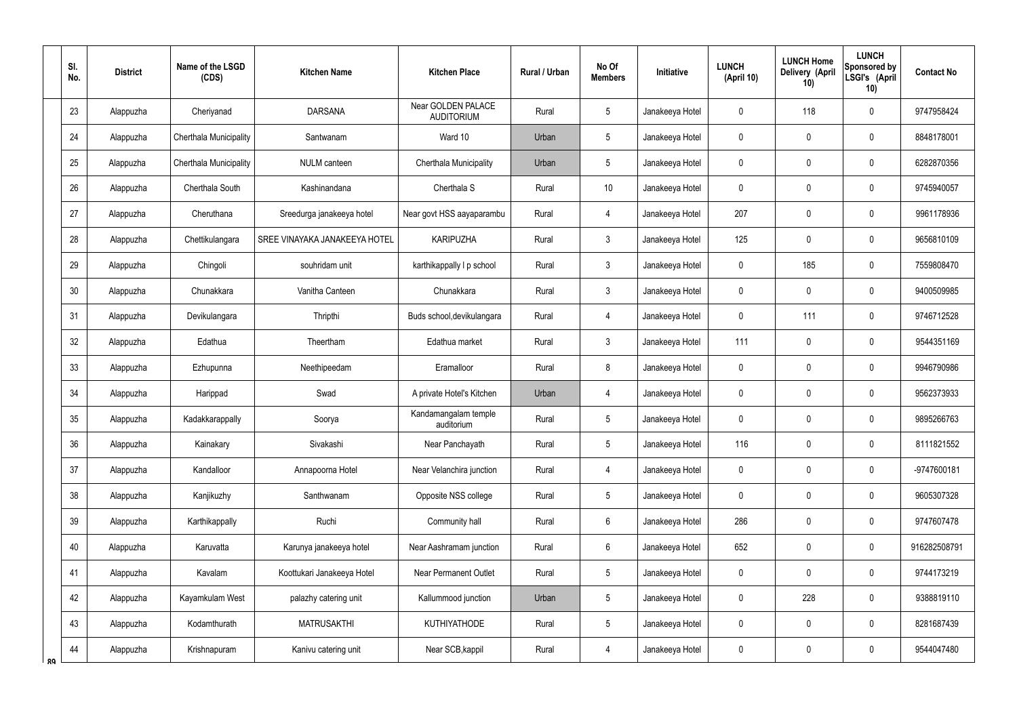|    | SI.<br>No.      | <b>District</b> | Name of the LSGD<br>(CDS)     | <b>Kitchen Name</b>           | <b>Kitchen Place</b>                    | Rural / Urban | No Of<br><b>Members</b> | <b>Initiative</b> | <b>LUNCH</b><br>(April 10) | <b>LUNCH Home</b><br>Delivery (April<br>10) | <b>LUNCH</b><br>Sponsored by<br>LSGI's (April<br>10) | <b>Contact No</b> |
|----|-----------------|-----------------|-------------------------------|-------------------------------|-----------------------------------------|---------------|-------------------------|-------------------|----------------------------|---------------------------------------------|------------------------------------------------------|-------------------|
|    | 23              | Alappuzha       | Cheriyanad                    | <b>DARSANA</b>                | Near GOLDEN PALACE<br><b>AUDITORIUM</b> | Rural         | 5                       | Janakeeya Hotel   | 0                          | 118                                         | $\mathbf 0$                                          | 9747958424        |
|    | 24              | Alappuzha       | <b>Cherthala Municipality</b> | Santwanam                     | Ward 10                                 | Urban         | 5                       | Janakeeya Hotel   | 0                          | $\mathbf 0$                                 | $\mathbf 0$                                          | 8848178001        |
|    | 25              | Alappuzha       | Cherthala Municipality        | <b>NULM</b> canteen           | Cherthala Municipality                  | Urban         | 5                       | Janakeeya Hotel   | 0                          | $\mathbf 0$                                 | $\mathbf 0$                                          | 6282870356        |
|    | 26              | Alappuzha       | Cherthala South               | Kashinandana                  | Cherthala S                             | Rural         | 10                      | Janakeeya Hotel   | 0                          | $\mathbf 0$                                 | $\mathbf 0$                                          | 9745940057        |
|    | 27              | Alappuzha       | Cheruthana                    | Sreedurga janakeeya hotel     | Near govt HSS aayaparambu               | Rural         | 4                       | Janakeeya Hotel   | 207                        | 0                                           | $\mathbf 0$                                          | 9961178936        |
|    | 28              | Alappuzha       | Chettikulangara               | SREE VINAYAKA JANAKEEYA HOTEL | <b>KARIPUZHA</b>                        | Rural         | $\mathfrak{Z}$          | Janakeeya Hotel   | 125                        | 0                                           | $\mathbf 0$                                          | 9656810109        |
|    | 29              | Alappuzha       | Chingoli                      | souhridam unit                | karthikappally I p school               | Rural         | $\mathfrak{Z}$          | Janakeeya Hotel   | 0                          | 185                                         | $\mathbf 0$                                          | 7559808470        |
|    | 30 <sup>°</sup> | Alappuzha       | Chunakkara                    | Vanitha Canteen               | Chunakkara                              | Rural         | $\mathfrak{Z}$          | Janakeeya Hotel   | 0                          | 0                                           | $\mathbf 0$                                          | 9400509985        |
|    | 31              | Alappuzha       | Devikulangara                 | Thripthi                      | Buds school, devikulangara              | Rural         | 4                       | Janakeeya Hotel   | 0                          | 111                                         | $\mathbf 0$                                          | 9746712528        |
|    | 32              | Alappuzha       | Edathua                       | Theertham                     | Edathua market                          | Rural         | $\mathfrak{Z}$          | Janakeeya Hotel   | 111                        | 0                                           | $\mathbf 0$                                          | 9544351169        |
|    | 33              | Alappuzha       | Ezhupunna                     | Neethipeedam                  | Eramalloor                              | Rural         | 8                       | Janakeeya Hotel   | 0                          | $\boldsymbol{0}$                            | $\pmb{0}$                                            | 9946790986        |
|    | 34              | Alappuzha       | Harippad                      | Swad                          | A private Hotel's Kitchen               | Urban         | $\overline{4}$          | Janakeeya Hotel   | 0                          | 0                                           | $\mathbf 0$                                          | 9562373933        |
|    | 35              | Alappuzha       | Kadakkarappally               | Soorya                        | Kandamangalam temple<br>auditorium      | Rural         | 5                       | Janakeeya Hotel   | 0                          | $\mathbf 0$                                 | $\mathbf 0$                                          | 9895266763        |
|    | 36              | Alappuzha       | Kainakary                     | Sivakashi                     | Near Panchayath                         | Rural         | 5                       | Janakeeya Hotel   | 116                        | $\pmb{0}$                                   | $\pmb{0}$                                            | 8111821552        |
|    | 37              | Alappuzha       | Kandalloor                    | Annapoorna Hotel              | Near Velanchira junction                | Rural         | $\overline{4}$          | Janakeeya Hotel   | $\mathbf 0$                | $\mathbf 0$                                 | $\pmb{0}$                                            | -9747600181       |
|    | 38              | Alappuzha       | Kanjikuzhy                    | Santhwanam                    | Opposite NSS college                    | Rural         | 5                       | Janakeeya Hotel   | 0                          | $\pmb{0}$                                   | $\pmb{0}$                                            | 9605307328        |
|    | 39              | Alappuzha       | Karthikappally                | Ruchi                         | Community hall                          | Rural         | $6\phantom{.0}$         | Janakeeya Hotel   | 286                        | $\pmb{0}$                                   | $\pmb{0}$                                            | 9747607478        |
|    | 40              | Alappuzha       | Karuvatta                     | Karunya janakeeya hotel       | Near Aashramam junction                 | Rural         | $6\phantom{.0}$         | Janakeeya Hotel   | 652                        | $\pmb{0}$                                   | $\pmb{0}$                                            | 916282508791      |
|    | 41              | Alappuzha       | Kavalam                       | Koottukari Janakeeya Hotel    | <b>Near Permanent Outlet</b>            | Rural         | 5                       | Janakeeya Hotel   | 0                          | $\overline{0}$                              | $\pmb{0}$                                            | 9744173219        |
|    | 42              | Alappuzha       | Kayamkulam West               | palazhy catering unit         | Kallummood junction                     | Urban         | 5                       | Janakeeya Hotel   | 0                          | 228                                         | $\pmb{0}$                                            | 9388819110        |
|    | 43              | Alappuzha       | Kodamthurath                  | <b>MATRUSAKTHI</b>            | <b>KUTHIYATHODE</b>                     | Rural         | $5\,$                   | Janakeeya Hotel   | 0                          | $\pmb{0}$                                   | $\pmb{0}$                                            | 8281687439        |
| ՋQ | 44              | Alappuzha       | Krishnapuram                  | Kanivu catering unit          | Near SCB, kappil                        | Rural         | $\overline{4}$          | Janakeeya Hotel   | 0                          | $\pmb{0}$                                   | $\pmb{0}$                                            | 9544047480        |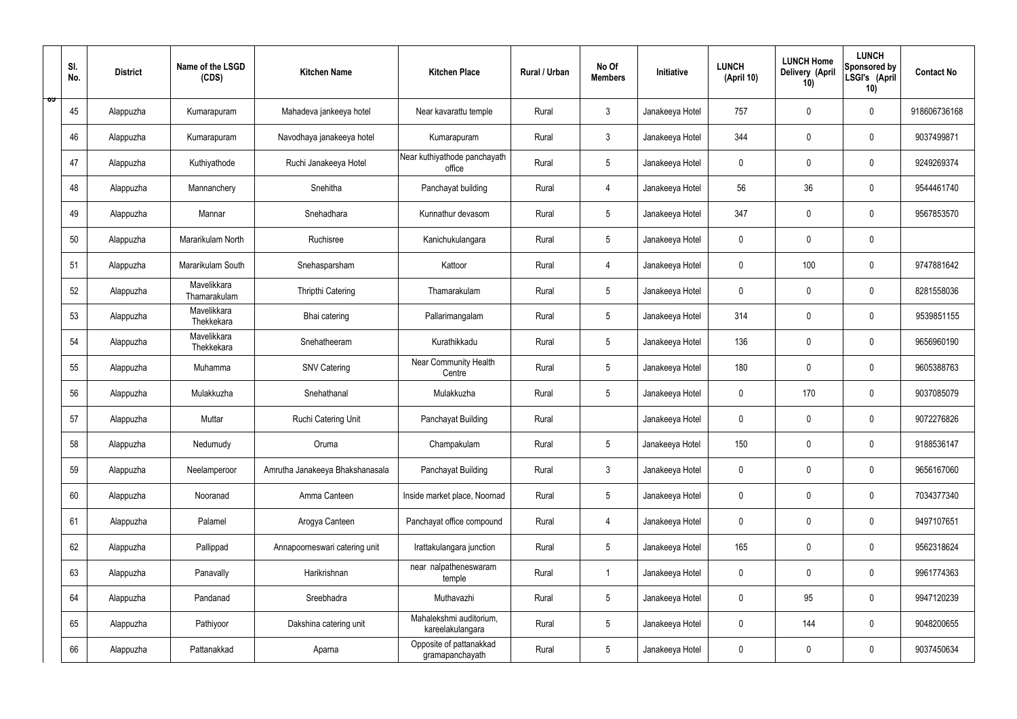|   | SI.<br>No. | <b>District</b> | Name of the LSGD<br>(CDS)   | <b>Kitchen Name</b>             | <b>Kitchen Place</b>                        | Rural / Urban | No Of<br><b>Members</b> | Initiative      | <b>LUNCH</b><br>(April 10) | <b>LUNCH Home</b><br>Delivery (April<br>10) | <b>LUNCH</b><br>Sponsored by<br>LSGI's (April<br>10) | <b>Contact No</b> |
|---|------------|-----------------|-----------------------------|---------------------------------|---------------------------------------------|---------------|-------------------------|-----------------|----------------------------|---------------------------------------------|------------------------------------------------------|-------------------|
| ಾ | 45         | Alappuzha       | Kumarapuram                 | Mahadeva jankeeya hotel         | Near kavarattu temple                       | Rural         | $\mathfrak{Z}$          | Janakeeya Hotel | 757                        | $\mathbf 0$                                 | $\mathbf 0$                                          | 918606736168      |
|   | 46         | Alappuzha       | Kumarapuram                 | Navodhaya janakeeya hotel       | Kumarapuram                                 | Rural         | $\mathbf{3}$            | Janakeeya Hotel | 344                        | $\mathbf 0$                                 | $\mathbf 0$                                          | 9037499871        |
|   | 47         | Alappuzha       | Kuthiyathode                | Ruchi Janakeeya Hotel           | Near kuthiyathode panchayath<br>office      | Rural         | $5\phantom{.0}$         | Janakeeya Hotel | $\mathbf 0$                | 0                                           | $\mathbf 0$                                          | 9249269374        |
|   | 48         | Alappuzha       | Mannanchery                 | Snehitha                        | Panchayat building                          | Rural         | 4                       | Janakeeya Hotel | 56                         | 36                                          | $\mathbf 0$                                          | 9544461740        |
|   | 49         | Alappuzha       | Mannar                      | Snehadhara                      | Kunnathur devasom                           | Rural         | $5\phantom{.0}$         | Janakeeya Hotel | 347                        | 0                                           | $\mathbf 0$                                          | 9567853570        |
|   | 50         | Alappuzha       | Mararikulam North           | Ruchisree                       | Kanichukulangara                            | Rural         | $5\phantom{.0}$         | Janakeeya Hotel | $\mathbf 0$                | $\mathbf 0$                                 | $\mathbf 0$                                          |                   |
|   | 51         | Alappuzha       | Mararikulam South           | Snehasparsham                   | Kattoor                                     | Rural         | 4                       | Janakeeya Hotel | $\mathbf 0$                | 100                                         | $\mathbf 0$                                          | 9747881642        |
|   | 52         | Alappuzha       | Mavelikkara<br>Thamarakulam | Thripthi Catering               | Thamarakulam                                | Rural         | $5\overline{)}$         | Janakeeya Hotel | $\mathbf 0$                | $\mathbf 0$                                 | $\mathbf 0$                                          | 8281558036        |
|   | 53         | Alappuzha       | Mavelikkara<br>Thekkekara   | Bhai catering                   | Pallarimangalam                             | Rural         | $5\phantom{.0}$         | Janakeeya Hotel | 314                        | $\mathbf 0$                                 | $\mathbf 0$                                          | 9539851155        |
|   | 54         | Alappuzha       | Mavelikkara<br>Thekkekara   | Snehatheeram                    | Kurathikkadu                                | Rural         | $5\overline{)}$         | Janakeeya Hotel | 136                        | $\mathbf 0$                                 | $\mathbf 0$                                          | 9656960190        |
|   | 55         | Alappuzha       | Muhamma                     | <b>SNV Catering</b>             | Near Community Health<br>Centre             | Rural         | $5\phantom{.0}$         | Janakeeya Hotel | 180                        | $\mathbf 0$                                 | $\mathbf 0$                                          | 9605388763        |
|   | 56         | Alappuzha       | Mulakkuzha                  | Snehathanal                     | Mulakkuzha                                  | Rural         | $5\phantom{.0}$         | Janakeeya Hotel | $\mathbf 0$                | 170                                         | $\mathbf 0$                                          | 9037085079        |
|   | 57         | Alappuzha       | Muttar                      | Ruchi Catering Unit             | Panchayat Building                          | Rural         |                         | Janakeeya Hotel | $\pmb{0}$                  | 0                                           | $\mathbf 0$                                          | 9072276826        |
|   | 58         | Alappuzha       | Nedumudy                    | Oruma                           | Champakulam                                 | Rural         | $5\phantom{.0}$         | Janakeeya Hotel | 150                        | $\pmb{0}$                                   | $\mathbf 0$                                          | 9188536147        |
|   | 59         | Alappuzha       | Neelamperoor                | Amrutha Janakeeya Bhakshanasala | Panchayat Building                          | Rural         | $\mathbf{3}$            | Janakeeya Hotel | $\mathbf 0$                | $\pmb{0}$                                   | $\mathbf 0$                                          | 9656167060        |
|   | 60         | Alappuzha       | Nooranad                    | Amma Canteen                    | Inside market place, Noornad                | Rural         | $5\phantom{.0}$         | Janakeeya Hotel | $\pmb{0}$                  | $\mathbf 0$                                 | $\mathbf 0$                                          | 7034377340        |
|   | 61         | Alappuzha       | Palamel                     | Arogya Canteen                  | Panchayat office compound                   | Rural         | $\overline{4}$          | Janakeeya Hotel | $\mathbf 0$                | $\mathbf 0$                                 | $\mathbf 0$                                          | 9497107651        |
|   | 62         | Alappuzha       | Pallippad                   | Annapoorneswari catering unit   | Irattakulangara junction                    | Rural         | $5\phantom{.0}$         | Janakeeya Hotel | 165                        | $\mathbf 0$                                 | $\mathbf 0$                                          | 9562318624        |
|   | 63         | Alappuzha       | Panavally                   | Harikrishnan                    | near nalpatheneswaram<br>temple             | Rural         | $\mathbf{1}$            | Janakeeya Hotel | $\mathbf 0$                | $\pmb{0}$                                   | $\mathbf 0$                                          | 9961774363        |
|   | 64         | Alappuzha       | Pandanad                    | Sreebhadra                      | Muthavazhi                                  | Rural         | $5\phantom{.0}$         | Janakeeya Hotel | $\pmb{0}$                  | 95                                          | $\mathbf 0$                                          | 9947120239        |
|   | 65         | Alappuzha       | Pathiyoor                   | Dakshina catering unit          | Mahalekshmi auditorium,<br>kareelakulangara | Rural         | $5\phantom{.0}$         | Janakeeya Hotel | $\mathbf 0$                | 144                                         | $\mathbf 0$                                          | 9048200655        |
|   | 66         | Alappuzha       | Pattanakkad                 | Aparna                          | Opposite of pattanakkad<br>gramapanchayath  | Rural         | $5\phantom{.0}$         | Janakeeya Hotel | 0                          | $\pmb{0}$                                   | $\mathbf 0$                                          | 9037450634        |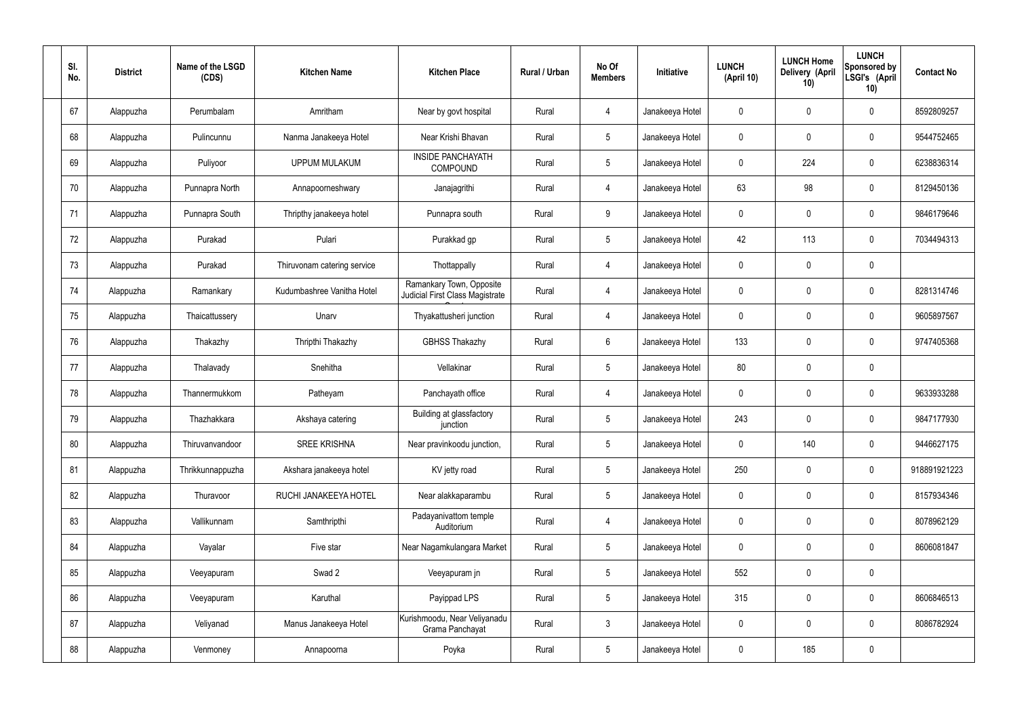| SI.<br>No. | <b>District</b> | Name of the LSGD<br>(CDS) | <b>Kitchen Name</b>         | <b>Kitchen Place</b>                                        | Rural / Urban | No Of<br><b>Members</b> | Initiative      | <b>LUNCH</b><br>(April 10) | <b>LUNCH Home</b><br>Delivery (April<br>10) | <b>LUNCH</b><br>Sponsored by<br>LSGI's (April<br>10) | <b>Contact No</b> |
|------------|-----------------|---------------------------|-----------------------------|-------------------------------------------------------------|---------------|-------------------------|-----------------|----------------------------|---------------------------------------------|------------------------------------------------------|-------------------|
| 67         | Alappuzha       | Perumbalam                | Amritham                    | Near by govt hospital                                       | Rural         | $\overline{4}$          | Janakeeya Hotel | $\mathbf 0$                | $\mathbf 0$                                 | $\pmb{0}$                                            | 8592809257        |
| 68         | Alappuzha       | Pulincunnu                | Nanma Janakeeya Hotel       | Near Krishi Bhavan                                          | Rural         | $5\phantom{.0}$         | Janakeeya Hotel | $\mathbf 0$                | $\mathbf 0$                                 | $\pmb{0}$                                            | 9544752465        |
| 69         | Alappuzha       | Puliyoor                  | <b>UPPUM MULAKUM</b>        | <b>INSIDE PANCHAYATH</b><br>COMPOUND                        | Rural         | $5\phantom{.0}$         | Janakeeya Hotel | $\mathbf 0$                | 224                                         | $\pmb{0}$                                            | 6238836314        |
| 70         | Alappuzha       | Punnapra North            | Annapoorneshwary            | Janajagrithi                                                | Rural         | $\overline{4}$          | Janakeeya Hotel | 63                         | 98                                          | $\pmb{0}$                                            | 8129450136        |
| 71         | Alappuzha       | Punnapra South            | Thripthy janakeeya hotel    | Punnapra south                                              | Rural         | 9                       | Janakeeya Hotel | $\mathbf 0$                | $\mathbf 0$                                 | $\pmb{0}$                                            | 9846179646        |
| 72         | Alappuzha       | Purakad                   | Pulari                      | Purakkad gp                                                 | Rural         | $5\phantom{.0}$         | Janakeeya Hotel | 42                         | 113                                         | $\pmb{0}$                                            | 7034494313        |
| 73         | Alappuzha       | Purakad                   | Thiruvonam catering service | Thottappally                                                | Rural         | $\overline{4}$          | Janakeeya Hotel | $\mathbf 0$                | $\mathbf 0$                                 | $\pmb{0}$                                            |                   |
| 74         | Alappuzha       | Ramankary                 | Kudumbashree Vanitha Hotel  | Ramankary Town, Opposite<br>Judicial First Class Magistrate | Rural         | 4                       | Janakeeya Hotel | $\mathbf 0$                | $\mathbf 0$                                 | $\pmb{0}$                                            | 8281314746        |
| 75         | Alappuzha       | Thaicattussery            | Unarv                       | Thyakattusheri junction                                     | Rural         | 4                       | Janakeeya Hotel | $\mathbf 0$                | $\mathbf 0$                                 | $\pmb{0}$                                            | 9605897567        |
| 76         | Alappuzha       | Thakazhy                  | Thripthi Thakazhy           | <b>GBHSS Thakazhy</b>                                       | Rural         | $6\overline{6}$         | Janakeeya Hotel | 133                        | $\mathbf 0$                                 | $\pmb{0}$                                            | 9747405368        |
| 77         | Alappuzha       | Thalavady                 | Snehitha                    | Vellakinar                                                  | Rural         | $5\phantom{.0}$         | Janakeeya Hotel | 80                         | $\pmb{0}$                                   | $\pmb{0}$                                            |                   |
| 78         | Alappuzha       | Thannermukkom             | Patheyam                    | Panchayath office                                           | Rural         | 4                       | Janakeeya Hotel | $\mathbf 0$                | $\mathbf 0$                                 | $\pmb{0}$                                            | 9633933288        |
| 79         | Alappuzha       | Thazhakkara               | Akshaya catering            | Building at glassfactory<br>junction                        | Rural         | 5                       | Janakeeya Hotel | 243                        | $\mathbf 0$                                 | $\mathbf 0$                                          | 9847177930        |
| 80         | Alappuzha       | Thiruvanvandoor           | <b>SREE KRISHNA</b>         | Near pravinkoodu junction,                                  | Rural         | 5 <sub>5</sub>          | Janakeeya Hotel | $\pmb{0}$                  | 140                                         | $\pmb{0}$                                            | 9446627175        |
| 81         | Alappuzha       | Thrikkunnappuzha          | Akshara janakeeya hotel     | KV jetty road                                               | Rural         | 5 <sup>5</sup>          | Janakeeya Hotel | 250                        | $\pmb{0}$                                   | $\mathbf 0$                                          | 918891921223      |
| 82         | Alappuzha       | Thuravoor                 | RUCHI JANAKEEYA HOTEL       | Near alakkaparambu                                          | Rural         | 5 <sup>5</sup>          | Janakeeya Hotel | $\pmb{0}$                  | $\pmb{0}$                                   | $\mathbf 0$                                          | 8157934346        |
| 83         | Alappuzha       | Vallikunnam               | Samthripthi                 | Padayanivattom temple<br>Auditorium                         | Rural         | $\overline{4}$          | Janakeeya Hotel | $\mathbf 0$                | $\pmb{0}$                                   | $\mathbf 0$                                          | 8078962129        |
| 84         | Alappuzha       | Vayalar                   | Five star                   | Near Nagamkulangara Market                                  | Rural         | 5 <sup>5</sup>          | Janakeeya Hotel | $\pmb{0}$                  | $\pmb{0}$                                   | $\mathbf 0$                                          | 8606081847        |
| 85         | Alappuzha       | Veeyapuram                | Swad 2                      | Veeyapuram jn                                               | Rural         | 5 <sup>5</sup>          | Janakeeya Hotel | 552                        | $\pmb{0}$                                   | $\mathbf 0$                                          |                   |
| 86         | Alappuzha       | Veeyapuram                | Karuthal                    | Payippad LPS                                                | Rural         | 5 <sub>5</sub>          | Janakeeya Hotel | 315                        | $\pmb{0}$                                   | $\mathbf 0$                                          | 8606846513        |
| 87         | Alappuzha       | Veliyanad                 | Manus Janakeeya Hotel       | Kurishmoodu, Near Veliyanadu<br>Grama Panchayat             | Rural         | $\mathbf{3}$            | Janakeeya Hotel | $\mathbf 0$                | $\pmb{0}$                                   | $\mathbf 0$                                          | 8086782924        |
| 88         | Alappuzha       | Venmoney                  | Annapoorna                  | Poyka                                                       | Rural         | 5 <sub>5</sub>          | Janakeeya Hotel | 0                          | 185                                         | $\pmb{0}$                                            |                   |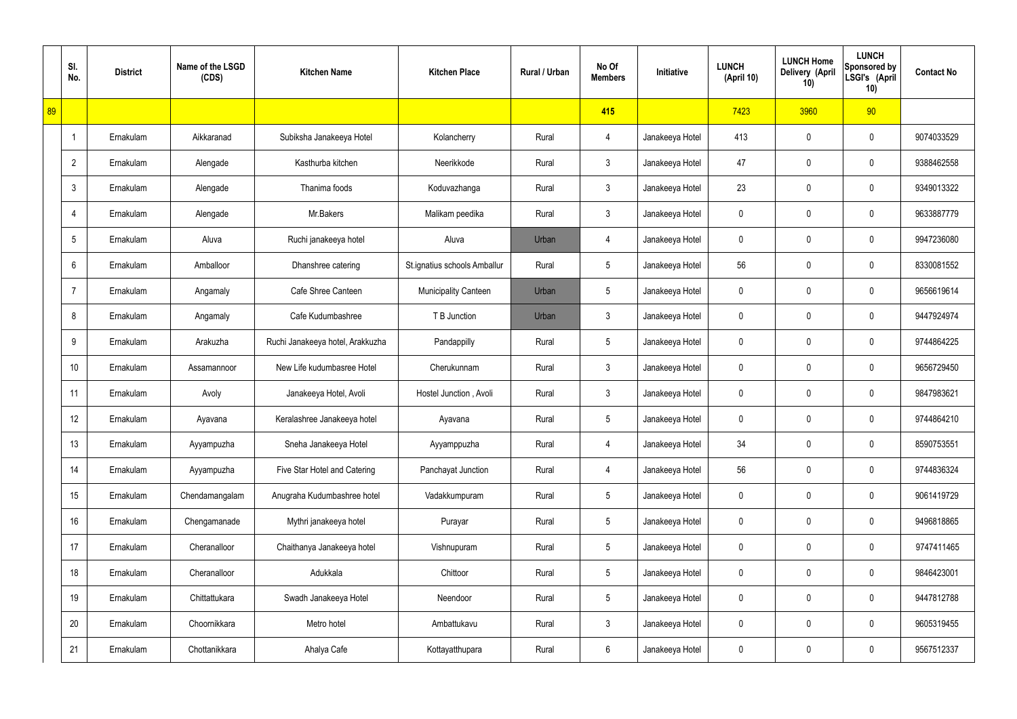|    | SI.<br>No.      | <b>District</b> | Name of the LSGD<br>(CDS) | <b>Kitchen Name</b>              | <b>Kitchen Place</b>         | Rural / Urban | No Of<br><b>Members</b> | Initiative      | <b>LUNCH</b><br>(April 10) | <b>LUNCH Home</b><br>Delivery (April<br>10) | <b>LUNCH</b><br>Sponsored by<br>LSGI's (April<br>10) | <b>Contact No</b> |
|----|-----------------|-----------------|---------------------------|----------------------------------|------------------------------|---------------|-------------------------|-----------------|----------------------------|---------------------------------------------|------------------------------------------------------|-------------------|
| 89 |                 |                 |                           |                                  |                              |               | 415                     |                 | 7423                       | 3960                                        | 90                                                   |                   |
|    | $\overline{1}$  | Ernakulam       | Aikkaranad                | Subiksha Janakeeya Hotel         | Kolancherry                  | Rural         | 4                       | Janakeeya Hotel | 413                        | 0                                           | $\boldsymbol{0}$                                     | 9074033529        |
|    | $\overline{2}$  | Ernakulam       | Alengade                  | Kasthurba kitchen                | Neerikkode                   | Rural         | $\mathfrak{Z}$          | Janakeeya Hotel | 47                         | 0                                           | $\boldsymbol{0}$                                     | 9388462558        |
|    | $\mathbf{3}$    | Ernakulam       | Alengade                  | Thanima foods                    | Koduvazhanga                 | Rural         | $\mathfrak{Z}$          | Janakeeya Hotel | 23                         | 0                                           | $\boldsymbol{0}$                                     | 9349013322        |
|    | 4               | Ernakulam       | Alengade                  | Mr.Bakers                        | Malikam peedika              | Rural         | $\mathbf{3}$            | Janakeeya Hotel | 0                          | 0                                           | $\boldsymbol{0}$                                     | 9633887779        |
|    | $5\phantom{.0}$ | Ernakulam       | Aluva                     | Ruchi janakeeya hotel            | Aluva                        | Urban         | $\overline{4}$          | Janakeeya Hotel | 0                          | 0                                           | $\boldsymbol{0}$                                     | 9947236080        |
|    | 6               | Ernakulam       | Amballoor                 | Dhanshree catering               | St.ignatius schools Amballur | Rural         | $5\phantom{.0}$         | Janakeeya Hotel | 56                         | 0                                           | $\boldsymbol{0}$                                     | 8330081552        |
|    | $\overline{7}$  | Ernakulam       | Angamaly                  | Cafe Shree Canteen               | <b>Municipality Canteen</b>  | Urban         | $5\phantom{.0}$         | Janakeeya Hotel | 0                          | 0                                           | $\boldsymbol{0}$                                     | 9656619614        |
|    | 8               | Ernakulam       | Angamaly                  | Cafe Kudumbashree                | T B Junction                 | Urban         | $\mathfrak{Z}$          | Janakeeya Hotel | 0                          | 0                                           | $\boldsymbol{0}$                                     | 9447924974        |
|    | 9               | Ernakulam       | Arakuzha                  | Ruchi Janakeeya hotel, Arakkuzha | Pandappilly                  | Rural         | $5\phantom{.0}$         | Janakeeya Hotel | 0                          | 0                                           | $\mathbf 0$                                          | 9744864225        |
|    | 10              | Ernakulam       | Assamannoor               | New Life kudumbasree Hotel       | Cherukunnam                  | Rural         | $\mathfrak{Z}$          | Janakeeya Hotel | 0                          | 0                                           | $\boldsymbol{0}$                                     | 9656729450        |
|    | 11              | Ernakulam       | Avoly                     | Janakeeya Hotel, Avoli           | Hostel Junction, Avoli       | Rural         | $\mathfrak{Z}$          | Janakeeya Hotel | 0                          | 0                                           | $\mathbf 0$                                          | 9847983621        |
|    | 12              | Ernakulam       | Ayavana                   | Keralashree Janakeeya hotel      | Ayavana                      | Rural         | $5\phantom{.0}$         | Janakeeya Hotel | 0                          | 0                                           | $\mathbf 0$                                          | 9744864210        |
|    | 13              | Ernakulam       | Ayyampuzha                | Sneha Janakeeya Hotel            | Ayyamppuzha                  | Rural         | $\overline{4}$          | Janakeeya Hotel | 34                         | 0                                           | $\mathbf 0$                                          | 8590753551        |
|    | 14              | Ernakulam       | Ayyampuzha                | Five Star Hotel and Catering     | Panchayat Junction           | Rural         | 4                       | Janakeeya Hotel | 56                         | 0                                           | $\mathbf 0$                                          | 9744836324        |
|    | 15              | Ernakulam       | Chendamangalam            | Anugraha Kudumbashree hotel      | Vadakkumpuram                | Rural         | $5\,$                   | Janakeeya Hotel | 0                          | 0                                           | $\mathbf 0$                                          | 9061419729        |
|    | 16              | Ernakulam       | Chengamanade              | Mythri janakeeya hotel           | Purayar                      | Rural         | $5\,$                   | Janakeeya Hotel | 0                          | 0                                           | $\mathbf 0$                                          | 9496818865        |
|    | 17              | Ernakulam       | Cheranalloor              | Chaithanya Janakeeya hotel       | Vishnupuram                  | Rural         | $5\,$                   | Janakeeya Hotel | 0                          | 0                                           | $\mathbf 0$                                          | 9747411465        |
|    | 18              | Ernakulam       | Cheranalloor              | Adukkala                         | Chittoor                     | Rural         | $5\,$                   | Janakeeya Hotel | 0                          | 0                                           | $\mathbf 0$                                          | 9846423001        |
|    | 19              | Ernakulam       | Chittattukara             | Swadh Janakeeya Hotel            | Neendoor                     | Rural         | $5\,$                   | Janakeeya Hotel | 0                          | 0                                           | $\mathbf 0$                                          | 9447812788        |
|    | 20              | Ernakulam       | Choornikkara              | Metro hotel                      | Ambattukavu                  | Rural         | $\mathbf{3}$            | Janakeeya Hotel | 0                          | 0                                           | $\mathbf 0$                                          | 9605319455        |
|    | 21              | Ernakulam       | Chottanikkara             | Ahalya Cafe                      | Kottayatthupara              | Rural         | $6\phantom{.}6$         | Janakeeya Hotel | 0                          | 0                                           | $\boldsymbol{0}$                                     | 9567512337        |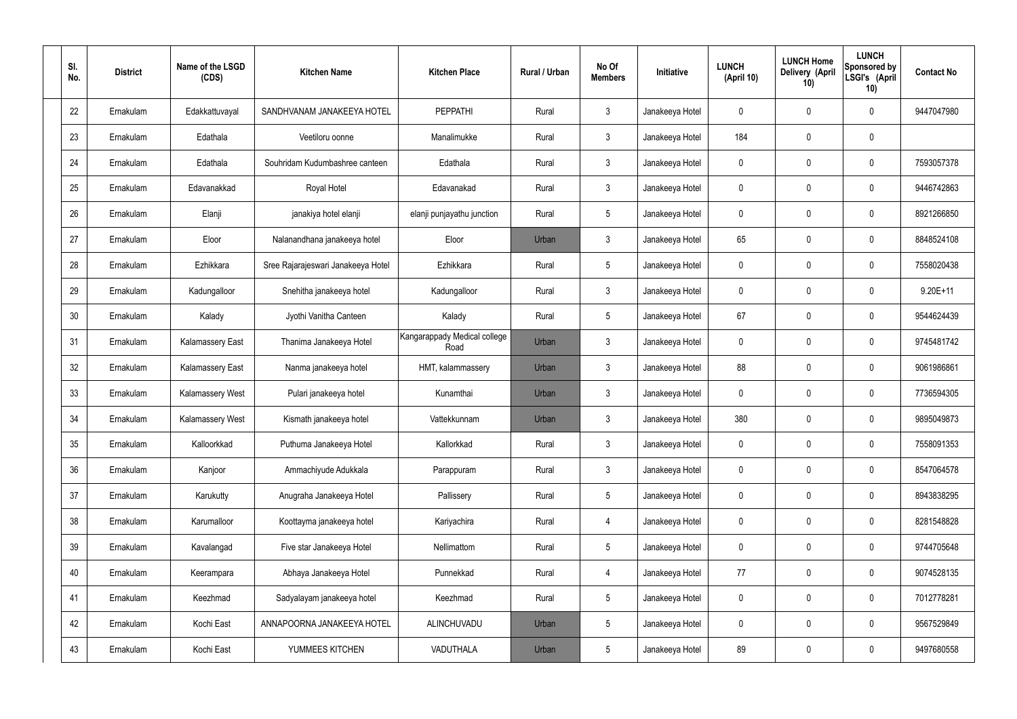| SI.<br>No. | <b>District</b> | Name of the LSGD<br>(CDS) | <b>Kitchen Name</b>                | <b>Kitchen Place</b>                 | Rural / Urban | No Of<br><b>Members</b> | Initiative      | <b>LUNCH</b><br>(April 10) | <b>LUNCH Home</b><br>Delivery (April<br>10) | <b>LUNCH</b><br>Sponsored by<br>LSGI's (April<br>10) | <b>Contact No</b> |
|------------|-----------------|---------------------------|------------------------------------|--------------------------------------|---------------|-------------------------|-----------------|----------------------------|---------------------------------------------|------------------------------------------------------|-------------------|
| 22         | Ernakulam       | Edakkattuvayal            | SANDHVANAM JANAKEEYA HOTEL         | <b>PEPPATHI</b>                      | Rural         | $\mathbf{3}$            | Janakeeya Hotel | 0                          | 0                                           | 0                                                    | 9447047980        |
| 23         | Ernakulam       | Edathala                  | Veetiloru oonne                    | Manalimukke                          | Rural         | $\mathbf{3}$            | Janakeeya Hotel | 184                        | 0                                           | $\mathbf 0$                                          |                   |
| 24         | Ernakulam       | Edathala                  | Souhridam Kudumbashree canteen     | Edathala                             | Rural         | 3 <sup>1</sup>          | Janakeeya Hotel | 0                          | 0                                           | $\mathbf 0$                                          | 7593057378        |
| 25         | Ernakulam       | Edavanakkad               | Royal Hotel                        | Edavanakad                           | Rural         | $\mathbf{3}$            | Janakeeya Hotel | $\mathbf 0$                | 0                                           | $\boldsymbol{0}$                                     | 9446742863        |
| 26         | Ernakulam       | Elanji                    | janakiya hotel elanji              | elanji punjayathu junction           | Rural         | $5\phantom{.0}$         | Janakeeya Hotel | 0                          | 0                                           | $\mathbf 0$                                          | 8921266850        |
| 27         | Ernakulam       | Eloor                     | Nalanandhana janakeeya hotel       | Eloor                                | Urban         | $\mathbf{3}$            | Janakeeya Hotel | 65                         | 0                                           | $\mathbf 0$                                          | 8848524108        |
| 28         | Ernakulam       | Ezhikkara                 | Sree Rajarajeswari Janakeeya Hotel | Ezhikkara                            | Rural         | $5\phantom{.0}$         | Janakeeya Hotel | $\mathbf 0$                | 0                                           | $\mathbf 0$                                          | 7558020438        |
| 29         | Ernakulam       | Kadungalloor              | Snehitha janakeeya hotel           | Kadungalloor                         | Rural         | $\mathbf{3}$            | Janakeeya Hotel | $\mathbf 0$                | 0                                           | $\mathbf 0$                                          | $9.20E + 11$      |
| 30         | Ernakulam       | Kalady                    | Jyothi Vanitha Canteen             | Kalady                               | Rural         | $5\phantom{.0}$         | Janakeeya Hotel | 67                         | 0                                           | $\mathbf 0$                                          | 9544624439        |
| 31         | Ernakulam       | <b>Kalamassery East</b>   | Thanima Janakeeya Hotel            | Kangarappady Medical college<br>Road | Urban         | $\mathfrak{Z}$          | Janakeeya Hotel | $\mathbf 0$                | 0                                           | $\mathbf 0$                                          | 9745481742        |
| 32         | Ernakulam       | <b>Kalamassery East</b>   | Nanma janakeeya hotel              | HMT, kalammassery                    | Urban         | $\mathbf{3}$            | Janakeeya Hotel | 88                         | 0                                           | $\mathbf 0$                                          | 9061986861        |
| 33         | Ernakulam       | Kalamassery West          | Pulari janakeeya hotel             | Kunamthai                            | Urban         | $\mathbf{3}$            | Janakeeya Hotel | $\mathbf 0$                | 0                                           | $\mathbf 0$                                          | 7736594305        |
| 34         | Ernakulam       | Kalamassery West          | Kismath janakeeya hotel            | Vattekkunnam                         | Urban         | 3                       | Janakeeya Hotel | 380                        | $\mathbf 0$                                 | 0                                                    | 9895049873        |
| 35         | Ernakulam       | Kalloorkkad               | Puthuma Janakeeya Hotel            | Kallorkkad                           | Rural         | $\mathbf{3}$            | Janakeeya Hotel | $\mathbf 0$                | $\mathsf{0}$                                | $\mathbf 0$                                          | 7558091353        |
| 36         | Ernakulam       | Kanjoor                   | Ammachiyude Adukkala               | Parappuram                           | Rural         | $\mathbf{3}$            | Janakeeya Hotel | $\pmb{0}$                  | 0                                           | $\mathbf 0$                                          | 8547064578        |
| 37         | Ernakulam       | Karukutty                 | Anugraha Janakeeya Hotel           | Pallissery                           | Rural         | $5\phantom{.0}$         | Janakeeya Hotel | 0                          | 0                                           | $\mathbf 0$                                          | 8943838295        |
| 38         | Ernakulam       | Karumalloor               | Koottayma janakeeya hotel          | Kariyachira                          | Rural         | $\overline{4}$          | Janakeeya Hotel | $\pmb{0}$                  | 0                                           | $\mathbf 0$                                          | 8281548828        |
| 39         | Ernakulam       | Kavalangad                | Five star Janakeeya Hotel          | Nellimattom                          | Rural         | $5\phantom{.0}$         | Janakeeya Hotel | 0                          | 0                                           | $\mathbf 0$                                          | 9744705648        |
| 40         | Ernakulam       | Keerampara                | Abhaya Janakeeya Hotel             | Punnekkad                            | Rural         | $\overline{4}$          | Janakeeya Hotel | 77                         | 0                                           | $\mathbf 0$                                          | 9074528135        |
| 41         | Ernakulam       | Keezhmad                  | Sadyalayam janakeeya hotel         | Keezhmad                             | Rural         | $5\phantom{.0}$         | Janakeeya Hotel | $\mathbf 0$                | 0                                           | $\mathbf 0$                                          | 7012778281        |
| 42         | Ernakulam       | Kochi East                | ANNAPOORNA JANAKEEYA HOTEL         | ALINCHUVADU                          | Urban         | $5\phantom{.0}$         | Janakeeya Hotel | $\pmb{0}$                  | 0                                           | $\mathbf 0$                                          | 9567529849        |
| 43         | Ernakulam       | Kochi East                | YUMMEES KITCHEN                    | VADUTHALA                            | Urban         | $\sqrt{5}$              | Janakeeya Hotel | 89                         | $\pmb{0}$                                   | $\pmb{0}$                                            | 9497680558        |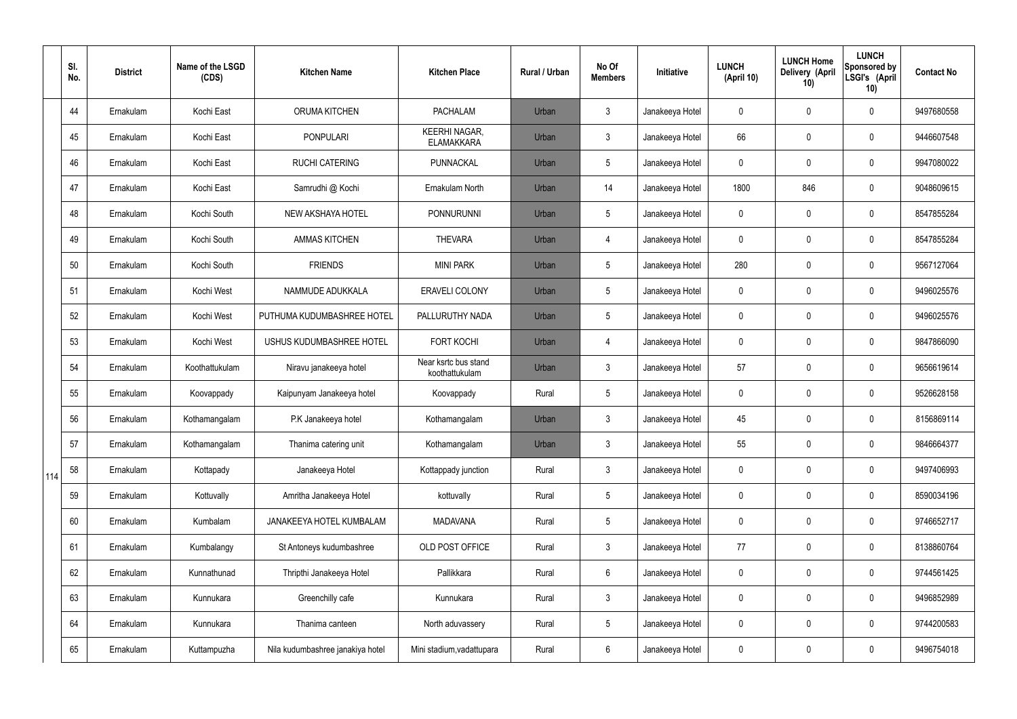|     | SI.<br>No. | <b>District</b> | Name of the LSGD<br>(CDS) | <b>Kitchen Name</b>              | <b>Kitchen Place</b>                      | <b>Rural / Urban</b> | No Of<br><b>Members</b> | Initiative      | <b>LUNCH</b><br>(April 10) | <b>LUNCH Home</b><br>Delivery (April<br>10) | <b>LUNCH</b><br>Sponsored by<br>LSGI's (April<br>10) | <b>Contact No</b> |
|-----|------------|-----------------|---------------------------|----------------------------------|-------------------------------------------|----------------------|-------------------------|-----------------|----------------------------|---------------------------------------------|------------------------------------------------------|-------------------|
|     | 44         | Ernakulam       | Kochi East                | ORUMA KITCHEN                    | <b>PACHALAM</b>                           | Urban                | $\mathbf{3}$            | Janakeeya Hotel | 0                          | 0                                           | $\mathbf 0$                                          | 9497680558        |
|     | 45         | Ernakulam       | Kochi East                | <b>PONPULARI</b>                 | <b>KEERHI NAGAR,</b><br><b>ELAMAKKARA</b> | Urban                | $\mathfrak{Z}$          | Janakeeya Hotel | 66                         | 0                                           | $\pmb{0}$                                            | 9446607548        |
|     | 46         | Ernakulam       | Kochi East                | <b>RUCHI CATERING</b>            | PUNNACKAL                                 | Urban                | 5                       | Janakeeya Hotel | 0                          | 0                                           | $\mathbf 0$                                          | 9947080022        |
|     | 47         | Ernakulam       | Kochi East                | Samrudhi @ Kochi                 | Ernakulam North                           | Urban                | 14                      | Janakeeya Hotel | 1800                       | 846                                         | $\pmb{0}$                                            | 9048609615        |
|     | 48         | Ernakulam       | Kochi South               | <b>NEW AKSHAYA HOTEL</b>         | <b>PONNURUNNI</b>                         | Urban                | 5                       | Janakeeya Hotel | 0                          | 0                                           | $\mathbf 0$                                          | 8547855284        |
|     | 49         | Ernakulam       | Kochi South               | <b>AMMAS KITCHEN</b>             | <b>THEVARA</b>                            | Urban                | $\overline{4}$          | Janakeeya Hotel | 0                          | 0                                           | $\pmb{0}$                                            | 8547855284        |
|     | 50         | Ernakulam       | Kochi South               | <b>FRIENDS</b>                   | <b>MINI PARK</b>                          | Urban                | $5\phantom{.0}$         | Janakeeya Hotel | 280                        | 0                                           | $\mathbf 0$                                          | 9567127064        |
|     | 51         | Ernakulam       | Kochi West                | NAMMUDE ADUKKALA                 | <b>ERAVELI COLONY</b>                     | Urban                | 5                       | Janakeeya Hotel | 0                          | 0                                           | $\mathbf 0$                                          | 9496025576        |
|     | 52         | Ernakulam       | Kochi West                | PUTHUMA KUDUMBASHREE HOTEL       | PALLURUTHY NADA                           | Urban                | $5\overline{)}$         | Janakeeya Hotel | 0                          | 0                                           | $\mathbf 0$                                          | 9496025576        |
|     | 53         | Ernakulam       | Kochi West                | USHUS KUDUMBASHREE HOTEL         | <b>FORT KOCHI</b>                         | Urban                | $\overline{4}$          | Janakeeya Hotel | 0                          | 0                                           | $\mathbf 0$                                          | 9847866090        |
|     | 54         | Ernakulam       | Koothattukulam            | Niravu janakeeya hotel           | Near ksrtc bus stand<br>koothattukulam    | Urban                | $\mathbf{3}$            | Janakeeya Hotel | 57                         | 0                                           | $\mathbf 0$                                          | 9656619614        |
|     | 55         | Ernakulam       | Koovappady                | Kaipunyam Janakeeya hotel        | Koovappady                                | Rural                | 5                       | Janakeeya Hotel | 0                          | 0                                           | $\boldsymbol{0}$                                     | 9526628158        |
|     | 56         | Ernakulam       | Kothamangalam             | P.K Janakeeya hotel              | Kothamangalam                             | Urban                | 3                       | Janakeeya Hotel | 45                         | 0                                           | $\mathbf 0$                                          | 8156869114        |
|     | 57         | Ernakulam       | Kothamangalam             | Thanima catering unit            | Kothamangalam                             | Urban                | $\mathfrak{Z}$          | Janakeeya Hotel | 55                         | 0                                           | $\pmb{0}$                                            | 9846664377        |
| 114 | 58         | Ernakulam       | Kottapady                 | Janakeeya Hotel                  | Kottappady junction                       | Rural                | $\mathbf{3}$            | Janakeeya Hotel | 0                          | 0                                           | $\pmb{0}$                                            | 9497406993        |
|     | 59         | Ernakulam       | Kottuvally                | Amritha Janakeeya Hotel          | kottuvally                                | Rural                | $5\phantom{.0}$         | Janakeeya Hotel | 0                          | 0                                           | $\mathbf 0$                                          | 8590034196        |
|     | 60         | Ernakulam       | Kumbalam                  | JANAKEEYA HOTEL KUMBALAM         | <b>MADAVANA</b>                           | Rural                | $5\phantom{.0}$         | Janakeeya Hotel | 0                          | 0                                           | $\pmb{0}$                                            | 9746652717        |
|     | 61         | Ernakulam       | Kumbalangy                | St Antoneys kudumbashree         | OLD POST OFFICE                           | Rural                | $\mathbf{3}$            | Janakeeya Hotel | 77                         | 0                                           | $\mathbf 0$                                          | 8138860764        |
|     | 62         | Ernakulam       | Kunnathunad               | Thripthi Janakeeya Hotel         | Pallikkara                                | Rural                | 6                       | Janakeeya Hotel | 0                          | 0                                           | $\mathbf 0$                                          | 9744561425        |
|     | 63         | Ernakulam       | Kunnukara                 | Greenchilly cafe                 | Kunnukara                                 | Rural                | $\mathbf{3}$            | Janakeeya Hotel | 0                          | 0                                           | $\mathbf 0$                                          | 9496852989        |
|     | 64         | Ernakulam       | Kunnukara                 | Thanima canteen                  | North aduvassery                          | Rural                | 5                       | Janakeeya Hotel | 0                          | 0                                           | $\pmb{0}$                                            | 9744200583        |
|     | 65         | Ernakulam       | Kuttampuzha               | Nila kudumbashree janakiya hotel | Mini stadium, vadattupara                 | Rural                | $6\phantom{.0}$         | Janakeeya Hotel | 0                          | 0                                           | $\pmb{0}$                                            | 9496754018        |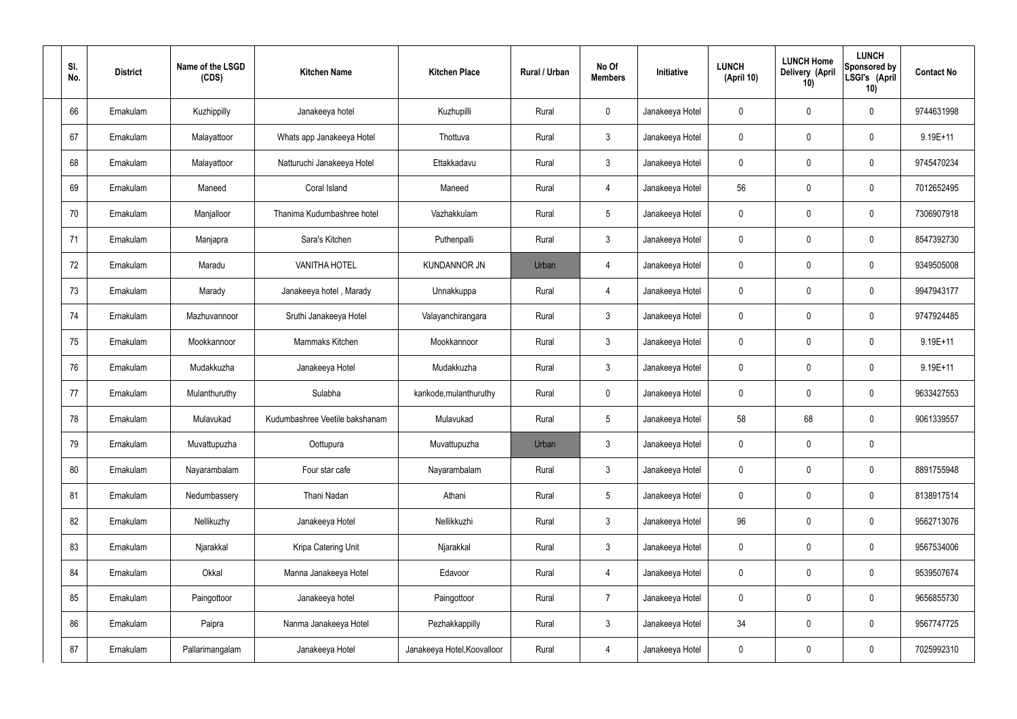| SI.<br>No. | <b>District</b> | Name of the LSGD<br>(CDS) | <b>Kitchen Name</b>            | <b>Kitchen Place</b>        | Rural / Urban | No Of<br><b>Members</b> | Initiative      | <b>LUNCH</b><br>(April 10) | <b>LUNCH Home</b><br>Delivery (April<br>10) | <b>LUNCH</b><br>Sponsored by<br>LSGI's (April<br>10) | <b>Contact No</b> |
|------------|-----------------|---------------------------|--------------------------------|-----------------------------|---------------|-------------------------|-----------------|----------------------------|---------------------------------------------|------------------------------------------------------|-------------------|
| 66         | Ernakulam       | Kuzhippilly               | Janakeeya hotel                | Kuzhupilli                  | Rural         | $\mathbf 0$             | Janakeeya Hotel | $\mathbf 0$                | 0                                           | $\mathbf 0$                                          | 9744631998        |
| 67         | Ernakulam       | Malayattoor               | Whats app Janakeeya Hotel      | Thottuva                    | Rural         | $\mathbf{3}$            | Janakeeya Hotel | $\mathbf 0$                | 0                                           | $\mathbf 0$                                          | 9.19E+11          |
| 68         | Ernakulam       | Malayattoor               | Natturuchi Janakeeya Hotel     | Ettakkadavu                 | Rural         | $\mathbf{3}$            | Janakeeya Hotel | $\mathbf 0$                | 0                                           | $\mathbf 0$                                          | 9745470234        |
| 69         | Ernakulam       | Maneed                    | Coral Island                   | Maneed                      | Rural         | $\overline{4}$          | Janakeeya Hotel | 56                         | 0                                           | $\mathbf 0$                                          | 7012652495        |
| 70         | Ernakulam       | Manjalloor                | Thanima Kudumbashree hotel     | Vazhakkulam                 | Rural         | $5\phantom{.0}$         | Janakeeya Hotel | $\mathbf 0$                | 0                                           | $\mathbf 0$                                          | 7306907918        |
| 71         | Ernakulam       | Manjapra                  | Sara's Kitchen                 | Puthenpalli                 | Rural         | $\mathbf{3}$            | Janakeeya Hotel | $\mathbf 0$                | 0                                           | $\mathbf 0$                                          | 8547392730        |
| 72         | Ernakulam       | Maradu                    | <b>VANITHA HOTEL</b>           | <b>KUNDANNOR JN</b>         | Urban         | 4                       | Janakeeya Hotel | $\mathbf 0$                | 0                                           | $\mathbf 0$                                          | 9349505008        |
| 73         | Ernakulam       | Marady                    | Janakeeya hotel, Marady        | Unnakkuppa                  | Rural         | $\overline{4}$          | Janakeeya Hotel | $\mathbf 0$                | 0                                           | $\mathbf 0$                                          | 9947943177        |
| 74         | Ernakulam       | Mazhuvannoor              | Sruthi Janakeeya Hotel         | Valayanchirangara           | Rural         | $\mathbf{3}$            | Janakeeya Hotel | $\mathbf 0$                | 0                                           | $\mathbf 0$                                          | 9747924485        |
| 75         | Ernakulam       | Mookkannoor               | Mammaks Kitchen                | Mookkannoor                 | Rural         | $\mathbf{3}$            | Janakeeya Hotel | $\mathbf 0$                | 0                                           | $\mathbf 0$                                          | $9.19E + 11$      |
| 76         | Ernakulam       | Mudakkuzha                | Janakeeya Hotel                | Mudakkuzha                  | Rural         | $\mathbf{3}$            | Janakeeya Hotel | $\mathbf 0$                | 0                                           | $\boldsymbol{0}$                                     | $9.19E + 11$      |
| 77         | Ernakulam       | Mulanthuruthy             | Sulabha                        | karikode, mulanthuruthy     | Rural         | $\mathbf 0$             | Janakeeya Hotel | $\mathbf 0$                | 0                                           | $\mathbf 0$                                          | 9633427553        |
| 78         | Ernakulam       | Mulavukad                 | Kudumbashree Veetile bakshanam | Mulavukad                   | Rural         | $5\phantom{.0}$         | Janakeeya Hotel | 58                         | 68                                          | $\boldsymbol{0}$                                     | 9061339557        |
| 79         | Ernakulam       | Muvattupuzha              | Oottupura                      | Muvattupuzha                | Urban         | $\mathfrak{Z}$          | Janakeeya Hotel | $\mathbf 0$                | $\mathbf 0$                                 | $\pmb{0}$                                            |                   |
| 80         | Ernakulam       | Nayarambalam              | Four star cafe                 | Nayarambalam                | Rural         | $3\phantom{a}$          | Janakeeya Hotel | $\mathbf 0$                | $\mathbf 0$                                 | $\mathbf 0$                                          | 8891755948        |
| 81         | Ernakulam       | Nedumbassery              | Thani Nadan                    | Athani                      | Rural         | $5\phantom{.0}$         | Janakeeya Hotel | $\mathbf 0$                | $\mathbf 0$                                 | $\mathbf 0$                                          | 8138917514        |
| 82         | Ernakulam       | Nellikuzhy                | Janakeeya Hotel                | Nellikkuzhi                 | Rural         | $\mathfrak{Z}$          | Janakeeya Hotel | 96                         | 0                                           | $\mathbf 0$                                          | 9562713076        |
| 83         | Ernakulam       | Njarakkal                 | Kripa Catering Unit            | Njarakkal                   | Rural         | $\mathfrak{Z}$          | Janakeeya Hotel | 0                          | 0                                           | $\mathbf 0$                                          | 9567534006        |
| 84         | Ernakulam       | Okkal                     | Manna Janakeeya Hotel          | Edavoor                     | Rural         | $\overline{4}$          | Janakeeya Hotel | $\mathbf 0$                | 0                                           | $\mathbf 0$                                          | 9539507674        |
| 85         | Ernakulam       | Paingottoor               | Janakeeya hotel                | Paingottoor                 | Rural         | $\overline{7}$          | Janakeeya Hotel | 0                          | 0                                           | $\mathbf 0$                                          | 9656855730        |
| 86         | Ernakulam       | Paipra                    | Nanma Janakeeya Hotel          | Pezhakkappilly              | Rural         | $\mathfrak{Z}$          | Janakeeya Hotel | 34                         | 0                                           | $\mathbf 0$                                          | 9567747725        |
| 87         | Ernakulam       | Pallarimangalam           | Janakeeya Hotel                | Janakeeya Hotel, Koovalloor | Rural         | 4                       | Janakeeya Hotel | 0                          | 0                                           | $\boldsymbol{0}$                                     | 7025992310        |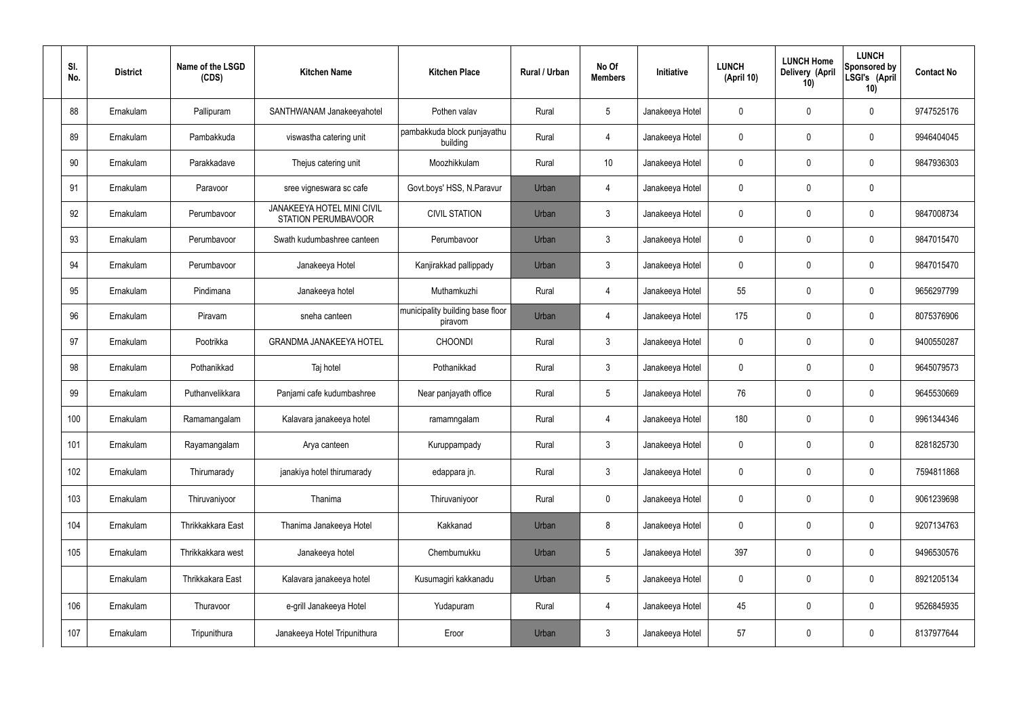| SI.<br>No. | <b>District</b> | Name of the LSGD<br>(CDS) | <b>Kitchen Name</b>                                             | <b>Kitchen Place</b>                        | Rural / Urban | No Of<br><b>Members</b> | Initiative      | <b>LUNCH</b><br>(April 10) | <b>LUNCH Home</b><br>Delivery (April<br>10) | <b>LUNCH</b><br>Sponsored by<br>LSGI's (April<br>10) | <b>Contact No</b> |
|------------|-----------------|---------------------------|-----------------------------------------------------------------|---------------------------------------------|---------------|-------------------------|-----------------|----------------------------|---------------------------------------------|------------------------------------------------------|-------------------|
| 88         | Ernakulam       | Pallipuram                | SANTHWANAM Janakeeyahotel                                       | Pothen valav                                | Rural         | $5\phantom{.0}$         | Janakeeya Hotel | 0                          | 0                                           | $\mathbf 0$                                          | 9747525176        |
| 89         | Ernakulam       | Pambakkuda                | viswastha catering unit                                         | pambakkuda block punjayathu<br>building     | Rural         | $\overline{4}$          | Janakeeya Hotel | 0                          | $\mathbf 0$                                 | $\pmb{0}$                                            | 9946404045        |
| 90         | Ernakulam       | Parakkadave               | Thejus catering unit                                            | Moozhikkulam                                | Rural         | 10                      | Janakeeya Hotel | 0                          | 0                                           | $\mathbf 0$                                          | 9847936303        |
| 91         | Ernakulam       | Paravoor                  | sree vigneswara sc cafe                                         | Govt.boys' HSS, N.Paravur                   | Urban         | $\overline{4}$          | Janakeeya Hotel | 0                          | $\mathbf 0$                                 | $\mathbf 0$                                          |                   |
| 92         | Ernakulam       | Perumbavoor               | <b>JANAKEEYA HOTEL MINI CIVIL</b><br><b>STATION PERUMBAVOOR</b> | <b>CIVIL STATION</b>                        | Urban         | $\mathbf{3}$            | Janakeeya Hotel | 0                          | 0                                           | $\mathbf 0$                                          | 9847008734        |
| 93         | Ernakulam       | Perumbavoor               | Swath kudumbashree canteen                                      | Perumbavoor                                 | Urban         | $\mathfrak{Z}$          | Janakeeya Hotel | 0                          | $\mathbf 0$                                 | $\mathbf 0$                                          | 9847015470        |
| 94         | Ernakulam       | Perumbavoor               | Janakeeya Hotel                                                 | Kanjirakkad pallippady                      | Urban         | $\mathbf{3}$            | Janakeeya Hotel | 0                          | 0                                           | $\mathbf 0$                                          | 9847015470        |
| 95         | Ernakulam       | Pindimana                 | Janakeeya hotel                                                 | Muthamkuzhi                                 | Rural         | $\overline{4}$          | Janakeeya Hotel | 55                         | $\mathbf 0$                                 | $\mathbf 0$                                          | 9656297799        |
| 96         | Ernakulam       | Piravam                   | sneha canteen                                                   | municipality building base floor<br>piravom | Urban         | $\overline{4}$          | Janakeeya Hotel | 175                        | 0                                           | $\mathbf 0$                                          | 8075376906        |
| 97         | Ernakulam       | Pootrikka                 | <b>GRANDMA JANAKEEYA HOTEL</b>                                  | <b>CHOONDI</b>                              | Rural         | $\mathfrak{Z}$          | Janakeeya Hotel | 0                          | 0                                           | $\mathbf 0$                                          | 9400550287        |
| 98         | Ernakulam       | Pothanikkad               | Taj hotel                                                       | Pothanikkad                                 | Rural         | $\mathbf{3}$            | Janakeeya Hotel | 0                          | 0                                           | $\mathbf 0$                                          | 9645079573        |
| 99         | Ernakulam       | Puthanvelikkara           | Panjami cafe kudumbashree                                       | Near panjayath office                       | Rural         | $5\phantom{.0}$         | Janakeeya Hotel | 76                         | 0                                           | $\mathbf 0$                                          | 9645530669        |
| 100        | Ernakulam       | Ramamangalam              | Kalavara janakeeya hotel                                        | ramamngalam                                 | Rural         | 4                       | Janakeeya Hotel | 180                        | 0                                           | $\mathbf 0$                                          | 9961344346        |
| 101        | Ernakulam       | Rayamangalam              | Arya canteen                                                    | Kuruppampady                                | Rural         | $\mathbf{3}$            | Janakeeya Hotel | 0                          | $\mathbf 0$                                 | $\mathbf 0$                                          | 8281825730        |
| 102        | Ernakulam       | Thirumarady               | janakiya hotel thirumarady                                      | edappara jn.                                | Rural         | $\mathbf{3}$            | Janakeeya Hotel | 0                          | $\mathbf 0$                                 | $\mathbf 0$                                          | 7594811868        |
| 103        | Ernakulam       | Thiruvaniyoor             | Thanima                                                         | Thiruvaniyoor                               | Rural         | $\mathbf 0$             | Janakeeya Hotel | 0                          | 0                                           | $\pmb{0}$                                            | 9061239698        |
| 104        | Ernakulam       | Thrikkakkara East         | Thanima Janakeeya Hotel                                         | Kakkanad                                    | Urban         | 8                       | Janakeeya Hotel | 0                          | $\mathbf 0$                                 | $\pmb{0}$                                            | 9207134763        |
| 105        | Ernakulam       | Thrikkakkara west         | Janakeeya hotel                                                 | Chembumukku                                 | Urban         | $5\phantom{.0}$         | Janakeeya Hotel | 397                        | 0                                           | $\pmb{0}$                                            | 9496530576        |
|            | Ernakulam       | Thrikkakara East          | Kalavara janakeeya hotel                                        | Kusumagiri kakkanadu                        | Urban         | $5\,$                   | Janakeeya Hotel | 0                          | $\mathbf 0$                                 | $\mathbf 0$                                          | 8921205134        |
| 106        | Ernakulam       | Thuravoor                 | e-grill Janakeeya Hotel                                         | Yudapuram                                   | Rural         | 4                       | Janakeeya Hotel | 45                         | 0                                           | $\pmb{0}$                                            | 9526845935        |
| 107        | Ernakulam       | Tripunithura              | Janakeeya Hotel Tripunithura                                    | Eroor                                       | Urban         | $\mathfrak{Z}$          | Janakeeya Hotel | 57                         | $\pmb{0}$                                   | $\pmb{0}$                                            | 8137977644        |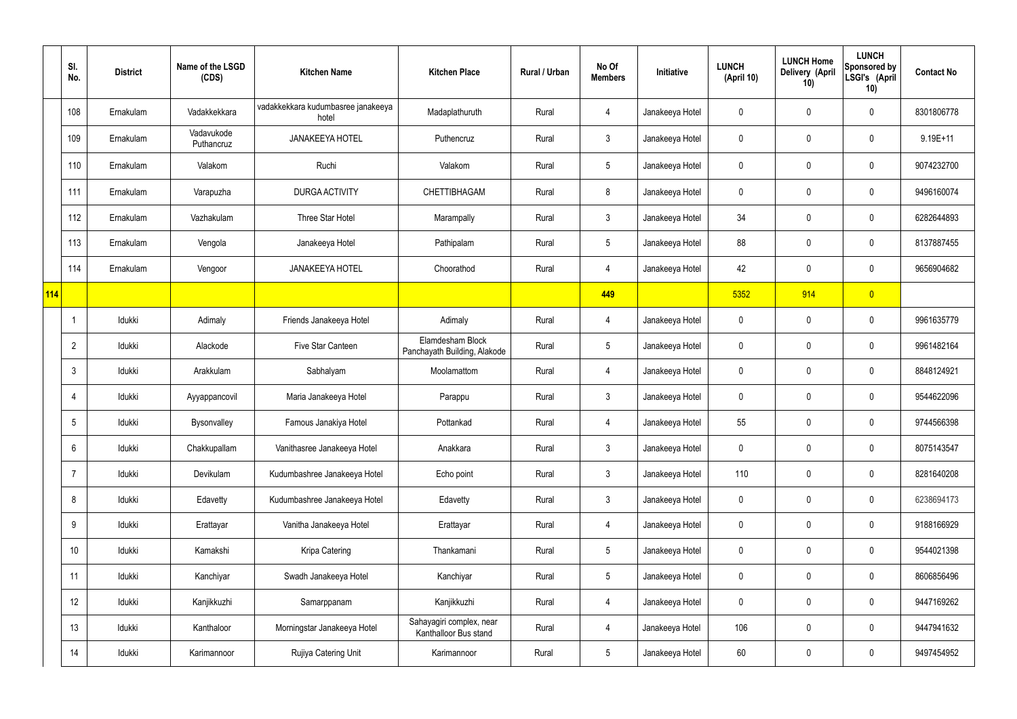|            | SI.<br>No.      | <b>District</b> | Name of the LSGD<br>(CDS) | <b>Kitchen Name</b>                         | <b>Kitchen Place</b>                              | Rural / Urban | No Of<br><b>Members</b> | Initiative      | <b>LUNCH</b><br>(April 10) | <b>LUNCH Home</b><br>Delivery (April<br>10) | <b>LUNCH</b><br>Sponsored by<br>LSGI's (April<br>10) | <b>Contact No</b> |
|------------|-----------------|-----------------|---------------------------|---------------------------------------------|---------------------------------------------------|---------------|-------------------------|-----------------|----------------------------|---------------------------------------------|------------------------------------------------------|-------------------|
|            | 108             | Ernakulam       | Vadakkekkara              | vadakkekkara kudumbasree janakeeya<br>hotel | Madaplathuruth                                    | Rural         | 4                       | Janakeeya Hotel | 0                          | 0                                           | 0                                                    | 8301806778        |
|            | 109             | Ernakulam       | Vadavukode<br>Puthancruz  | <b>JANAKEEYA HOTEL</b>                      | Puthencruz                                        | Rural         | $\mathbf{3}$            | Janakeeya Hotel | 0                          | 0                                           | 0                                                    | $9.19E + 11$      |
|            | 110             | Ernakulam       | Valakom                   | Ruchi                                       | Valakom                                           | Rural         | $5\phantom{.0}$         | Janakeeya Hotel | 0                          | 0                                           | $\pmb{0}$                                            | 9074232700        |
|            | 111             | Ernakulam       | Varapuzha                 | <b>DURGA ACTIVITY</b>                       | <b>CHETTIBHAGAM</b>                               | Rural         | 8                       | Janakeeya Hotel | 0                          | 0                                           | $\pmb{0}$                                            | 9496160074        |
|            | 112             | Ernakulam       | Vazhakulam                | Three Star Hotel                            | Marampally                                        | Rural         | $\mathfrak{Z}$          | Janakeeya Hotel | 34                         | $\mathbf 0$                                 | $\pmb{0}$                                            | 6282644893        |
|            | 113             | Ernakulam       | Vengola                   | Janakeeya Hotel                             | Pathipalam                                        | Rural         | $5\phantom{.0}$         | Janakeeya Hotel | 88                         | $\mathbf 0$                                 | $\pmb{0}$                                            | 8137887455        |
|            | 114             | Ernakulam       | Vengoor                   | <b>JANAKEEYA HOTEL</b>                      | Choorathod                                        | Rural         | 4                       | Janakeeya Hotel | 42                         | $\mathbf 0$                                 | $\pmb{0}$                                            | 9656904682        |
| <b>114</b> |                 |                 |                           |                                             |                                                   |               | 449                     |                 | 5352                       | 914                                         | $\overline{0}$                                       |                   |
|            | $\overline{1}$  | Idukki          | Adimaly                   | Friends Janakeeya Hotel                     | Adimaly                                           | Rural         | 4                       | Janakeeya Hotel | $\mathbf 0$                | $\mathbf 0$                                 | $\pmb{0}$                                            | 9961635779        |
|            | $\overline{2}$  | Idukki          | Alackode                  | Five Star Canteen                           | Elamdesham Block<br>Panchayath Building, Alakode  | Rural         | $5\phantom{.0}$         | Janakeeya Hotel | 0                          | 0                                           | $\pmb{0}$                                            | 9961482164        |
|            | $\mathbf{3}$    | Idukki          | Arakkulam                 | Sabhalyam                                   | Moolamattom                                       | Rural         | 4                       | Janakeeya Hotel | 0                          | $\mathbf 0$                                 | $\pmb{0}$                                            | 8848124921        |
|            | 4               | Idukki          | Ayyappancovil             | Maria Janakeeya Hotel                       | Parappu                                           | Rural         | $\mathfrak{Z}$          | Janakeeya Hotel | 0                          | 0                                           | $\pmb{0}$                                            | 9544622096        |
|            | 5               | Idukki          | Bysonvalley               | Famous Janakiya Hotel                       | Pottankad                                         | Rural         | 4                       | Janakeeya Hotel | 55                         | $\mathbf 0$                                 | $\pmb{0}$                                            | 9744566398        |
|            | $6\,$           | Idukki          | Chakkupallam              | Vanithasree Janakeeya Hotel                 | Anakkara                                          | Rural         | $\mathfrak{Z}$          | Janakeeya Hotel | $\mathbf 0$                | $\pmb{0}$                                   | $\pmb{0}$                                            | 8075143547        |
|            | $\overline{7}$  | Idukki          | Devikulam                 | Kudumbashree Janakeeya Hotel                | Echo point                                        | Rural         | $\mathfrak{Z}$          | Janakeeya Hotel | 110                        | $\mathbf 0$                                 | $\mathbf 0$                                          | 8281640208        |
|            | 8               | Idukki          | Edavetty                  | Kudumbashree Janakeeya Hotel                | Edavetty                                          | Rural         | $\mathbf{3}$            | Janakeeya Hotel | $\mathbf 0$                | $\pmb{0}$                                   | $\mathbf 0$                                          | 6238694173        |
|            | 9               | Idukki          | Erattayar                 | Vanitha Janakeeya Hotel                     | Erattayar                                         | Rural         | 4                       | Janakeeya Hotel | 0                          | $\mathbf 0$                                 | $\mathbf 0$                                          | 9188166929        |
|            | 10 <sup>°</sup> | Idukki          | Kamakshi                  | Kripa Catering                              | Thankamani                                        | Rural         | $5\phantom{.0}$         | Janakeeya Hotel | $\mathbf 0$                | 0                                           | $\mathbf 0$                                          | 9544021398        |
|            | 11              | Idukki          | Kanchiyar                 | Swadh Janakeeya Hotel                       | Kanchiyar                                         | Rural         | $5\phantom{.0}$         | Janakeeya Hotel | $\mathbf 0$                | $\mathbf 0$                                 | $\mathbf 0$                                          | 8606856496        |
|            | 12              | Idukki          | Kanjikkuzhi               | Samarppanam                                 | Kanjikkuzhi                                       | Rural         | 4                       | Janakeeya Hotel | $\mathbf 0$                | 0                                           | $\mathbf 0$                                          | 9447169262        |
|            | 13              | Idukki          | Kanthaloor                | Morningstar Janakeeya Hotel                 | Sahayagiri complex, near<br>Kanthalloor Bus stand | Rural         | 4                       | Janakeeya Hotel | 106                        | $\mathbf 0$                                 | $\mathbf 0$                                          | 9447941632        |
|            | 14              | Idukki          | Karimannoor               | Rujiya Catering Unit                        | Karimannoor                                       | Rural         | $\overline{5}$          | Janakeeya Hotel | 60                         | 0                                           | $\pmb{0}$                                            | 9497454952        |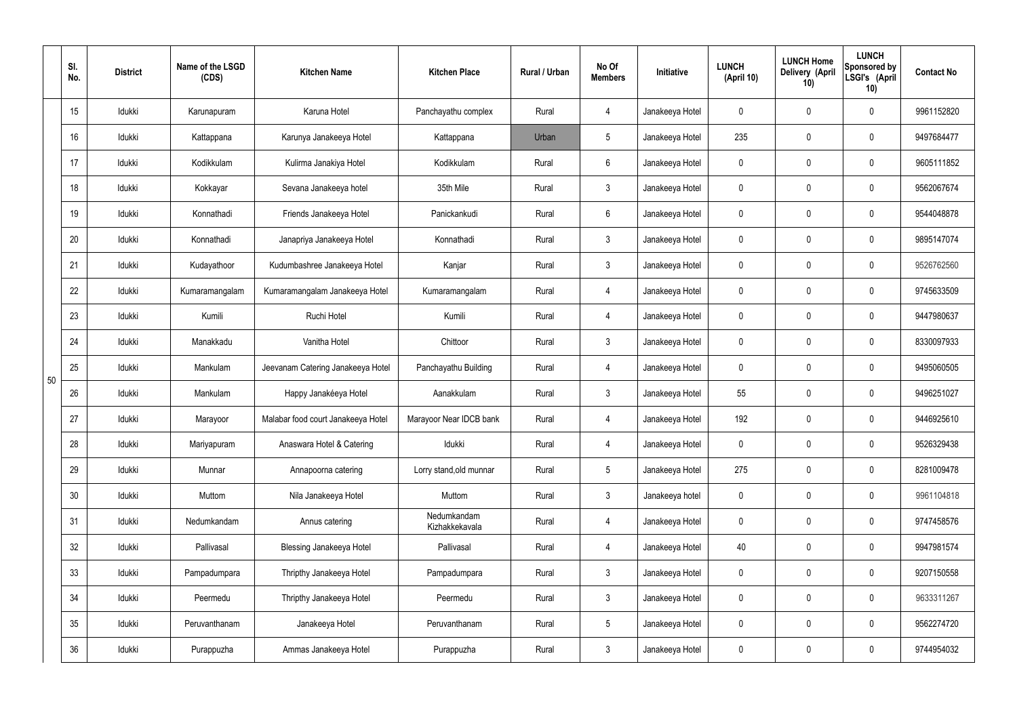|    | SI.<br>No. | <b>District</b> | Name of the LSGD<br>(CDS) | <b>Kitchen Name</b>                | <b>Kitchen Place</b>          | <b>Rural / Urban</b> | No Of<br><b>Members</b> | Initiative      | <b>LUNCH</b><br>(April 10) | <b>LUNCH Home</b><br>Delivery (April<br>10) | <b>LUNCH</b><br>Sponsored by<br>LSGI's (April<br>10) | <b>Contact No</b> |
|----|------------|-----------------|---------------------------|------------------------------------|-------------------------------|----------------------|-------------------------|-----------------|----------------------------|---------------------------------------------|------------------------------------------------------|-------------------|
|    | 15         | Idukki          | Karunapuram               | Karuna Hotel                       | Panchayathu complex           | Rural                | 4                       | Janakeeya Hotel | 0                          | 0                                           | $\mathbf 0$                                          | 9961152820        |
|    | 16         | Idukki          | Kattappana                | Karunya Janakeeya Hotel            | Kattappana                    | Urban                | 5                       | Janakeeya Hotel | 235                        | $\pmb{0}$                                   | $\pmb{0}$                                            | 9497684477        |
|    | 17         | Idukki          | Kodikkulam                | Kulirma Janakiya Hotel             | Kodikkulam                    | Rural                | $6\phantom{.}$          | Janakeeya Hotel | 0                          | 0                                           | $\pmb{0}$                                            | 9605111852        |
|    | 18         | Idukki          | Kokkayar                  | Sevana Janakeeya hotel             | 35th Mile                     | Rural                | $\mathfrak{Z}$          | Janakeeya Hotel | 0                          | 0                                           | $\pmb{0}$                                            | 9562067674        |
|    | 19         | Idukki          | Konnathadi                | Friends Janakeeya Hotel            | Panickankudi                  | Rural                | $6\overline{6}$         | Janakeeya Hotel | 0                          | 0                                           | $\pmb{0}$                                            | 9544048878        |
|    | 20         | Idukki          | Konnathadi                | Janapriya Janakeeya Hotel          | Konnathadi                    | Rural                | $\mathfrak{Z}$          | Janakeeya Hotel | 0                          | $\mathbf 0$                                 | $\pmb{0}$                                            | 9895147074        |
|    | 21         | Idukki          | Kudayathoor               | Kudumbashree Janakeeya Hotel       | Kanjar                        | Rural                | $\mathbf{3}$            | Janakeeya Hotel | 0                          | 0                                           | $\pmb{0}$                                            | 9526762560        |
|    | 22         | Idukki          | Kumaramangalam            | Kumaramangalam Janakeeya Hotel     | Kumaramangalam                | Rural                | $\overline{4}$          | Janakeeya Hotel | $\mathbf 0$                | $\mathbf 0$                                 | $\pmb{0}$                                            | 9745633509        |
|    | 23         | Idukki          | Kumili                    | Ruchi Hotel                        | Kumili                        | Rural                | 4                       | Janakeeya Hotel | 0                          | $\mathbf 0$                                 | $\mathbf 0$                                          | 9447980637        |
|    | 24         | Idukki          | Manakkadu                 | Vanitha Hotel                      | Chittoor                      | Rural                | $\mathbf{3}$            | Janakeeya Hotel | 0                          | $\mathbf 0$                                 | $\pmb{0}$                                            | 8330097933        |
| 50 | 25         | Idukki          | Mankulam                  | Jeevanam Catering Janakeeya Hotel  | Panchayathu Building          | Rural                | 4                       | Janakeeya Hotel | 0                          | 0                                           | $\pmb{0}$                                            | 9495060505        |
|    | 26         | Idukki          | Mankulam                  | Happy Janakéeya Hotel              | Aanakkulam                    | Rural                | $\mathfrak{Z}$          | Janakeeya Hotel | 55                         | $\mathbf 0$                                 | $\pmb{0}$                                            | 9496251027        |
|    | 27         | Idukki          | Marayoor                  | Malabar food court Janakeeya Hotel | Marayoor Near IDCB bank       | Rural                | 4                       | Janakeeya Hotel | 192                        | $\mathbf 0$                                 | $\mathbf 0$                                          | 9446925610        |
|    | 28         | Idukki          | Mariyapuram               | Anaswara Hotel & Catering          | Idukki                        | Rural                | 4                       | Janakeeya Hotel | $\mathbf 0$                | $\mathbf 0$                                 | $\mathbf 0$                                          | 9526329438        |
|    | 29         | Idukki          | Munnar                    | Annapoorna catering                | Lorry stand, old munnar       | Rural                | 5 <sub>5</sub>          | Janakeeya Hotel | 275                        | $\mathbf 0$                                 | $\mathbf 0$                                          | 8281009478        |
|    | 30         | Idukki          | Muttom                    | Nila Janakeeya Hotel               | Muttom                        | Rural                | $\mathbf{3}$            | Janakeeya hotel | $\mathbf 0$                | $\mathbf 0$                                 | $\mathbf 0$                                          | 9961104818        |
|    | 31         | Idukki          | Nedumkandam               | Annus catering                     | Nedumkandam<br>Kizhakkekavala | Rural                | $\overline{4}$          | Janakeeya Hotel | $\mathbf 0$                | $\mathbf 0$                                 | $\mathbf 0$                                          | 9747458576        |
|    | 32         | Idukki          | Pallivasal                | <b>Blessing Janakeeya Hotel</b>    | Pallivasal                    | Rural                | 4                       | Janakeeya Hotel | 40                         | $\mathbf 0$                                 | $\mathbf 0$                                          | 9947981574        |
|    | 33         | Idukki          | Pampadumpara              | Thripthy Janakeeya Hotel           | Pampadumpara                  | Rural                | $\mathbf{3}$            | Janakeeya Hotel | $\mathbf 0$                | $\mathbf 0$                                 | $\mathbf 0$                                          | 9207150558        |
|    | 34         | Idukki          | Peermedu                  | Thripthy Janakeeya Hotel           | Peermedu                      | Rural                | $\mathbf{3}$            | Janakeeya Hotel | $\mathbf 0$                | $\mathbf 0$                                 | $\mathbf 0$                                          | 9633311267        |
|    | 35         | Idukki          | Peruvanthanam             | Janakeeya Hotel                    | Peruvanthanam                 | Rural                | $5\phantom{.0}$         | Janakeeya Hotel | 0                          | $\mathbf 0$                                 | $\pmb{0}$                                            | 9562274720        |
|    | 36         | Idukki          | Purappuzha                | Ammas Janakeeya Hotel              | Purappuzha                    | Rural                | $\mathfrak{Z}$          | Janakeeya Hotel | 0                          | 0                                           | $\mathsf{0}$                                         | 9744954032        |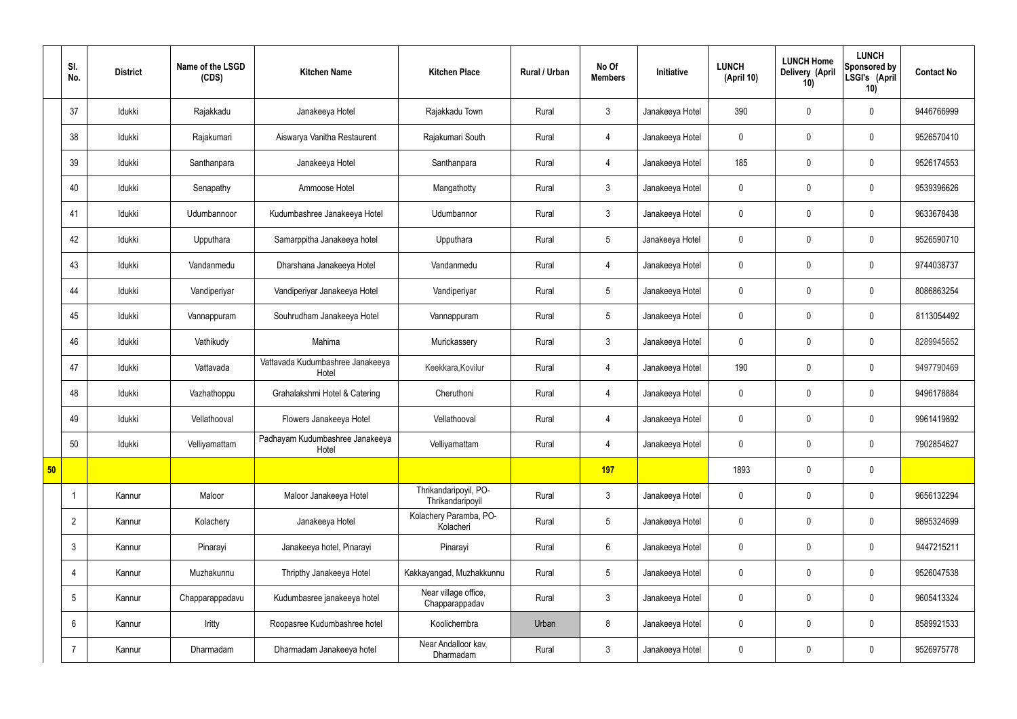|    | SI.<br>No.      | <b>District</b> | Name of the LSGD<br>(CDS) | <b>Kitchen Name</b>                       | <b>Kitchen Place</b>                      | Rural / Urban | No Of<br><b>Members</b> | <b>Initiative</b> | <b>LUNCH</b><br>(April 10) | <b>LUNCH Home</b><br>Delivery (April<br>10) | <b>LUNCH</b><br>Sponsored by<br>LSGI's (April<br>10) | <b>Contact No</b> |
|----|-----------------|-----------------|---------------------------|-------------------------------------------|-------------------------------------------|---------------|-------------------------|-------------------|----------------------------|---------------------------------------------|------------------------------------------------------|-------------------|
|    | 37              | Idukki          | Rajakkadu                 | Janakeeya Hotel                           | Rajakkadu Town                            | Rural         | $\mathbf{3}$            | Janakeeya Hotel   | 390                        | $\mathbf 0$                                 | $\mathbf 0$                                          | 9446766999        |
|    | 38              | Idukki          | Rajakumari                | Aiswarya Vanitha Restaurent               | Rajakumari South                          | Rural         | 4                       | Janakeeya Hotel   | $\mathbf 0$                | $\mathbf 0$                                 | $\mathbf 0$                                          | 9526570410        |
|    | 39              | Idukki          | Santhanpara               | Janakeeya Hotel                           | Santhanpara                               | Rural         | $\overline{4}$          | Janakeeya Hotel   | 185                        | $\mathbf 0$                                 | $\mathbf 0$                                          | 9526174553        |
|    | 40              | Idukki          | Senapathy                 | Ammoose Hotel                             | Mangathotty                               | Rural         | $\mathbf{3}$            | Janakeeya Hotel   | $\mathbf 0$                | $\mathbf 0$                                 | $\mathbf 0$                                          | 9539396626        |
|    | 41              | Idukki          | Udumbannoor               | Kudumbashree Janakeeya Hotel              | Udumbannor                                | Rural         | $\mathbf{3}$            | Janakeeya Hotel   | $\mathbf 0$                | $\mathbf 0$                                 | $\mathbf 0$                                          | 9633678438        |
|    | 42              | Idukki          | Upputhara                 | Samarppitha Janakeeya hotel               | Upputhara                                 | Rural         | $5\overline{)}$         | Janakeeya Hotel   | $\mathbf 0$                | $\mathbf 0$                                 | $\mathbf 0$                                          | 9526590710        |
|    | 43              | Idukki          | Vandanmedu                | Dharshana Janakeeya Hotel                 | Vandanmedu                                | Rural         | $\overline{4}$          | Janakeeya Hotel   | $\mathbf 0$                | $\mathbf 0$                                 | $\mathbf 0$                                          | 9744038737        |
|    | 44              | Idukki          | Vandiperiyar              | Vandiperiyar Janakeeya Hotel              | Vandiperiyar                              | Rural         | $5\phantom{.0}$         | Janakeeya Hotel   | $\mathbf 0$                | $\mathbf 0$                                 | $\mathbf 0$                                          | 8086863254        |
|    | 45              | Idukki          | Vannappuram               | Souhrudham Janakeeya Hotel                | Vannappuram                               | Rural         | $5\overline{)}$         | Janakeeya Hotel   | $\mathbf 0$                | $\mathbf 0$                                 | $\mathbf 0$                                          | 8113054492        |
|    | 46              | Idukki          | Vathikudy                 | Mahima                                    | Murickassery                              | Rural         | $\mathbf{3}$            | Janakeeya Hotel   | $\mathbf 0$                | $\mathbf 0$                                 | $\mathbf 0$                                          | 8289945652        |
|    | 47              | Idukki          | Vattavada                 | Vattavada Kudumbashree Janakeeya<br>Hotel | Keekkara, Kovilur                         | Rural         | $\overline{4}$          | Janakeeya Hotel   | 190                        | $\mathbf 0$                                 | $\mathbf 0$                                          | 9497790469        |
|    | 48              | Idukki          | Vazhathoppu               | Grahalakshmi Hotel & Catering             | Cheruthoni                                | Rural         | 4                       | Janakeeya Hotel   | $\mathbf 0$                | $\mathbf 0$                                 | $\mathbf 0$                                          | 9496178884        |
|    | 49              | Idukki          | Vellathooval              | Flowers Janakeeya Hotel                   | Vellathooval                              | Rural         | $\overline{4}$          | Janakeeya Hotel   | $\mathbf 0$                | $\mathbf 0$                                 | $\mathbf 0$                                          | 9961419892        |
|    | 50              | Idukki          | Velliyamattam             | Padhayam Kudumbashree Janakeeya<br>Hotel  | Velliyamattam                             | Rural         | $\overline{4}$          | Janakeeya Hotel   | $\mathbf 0$                | $\pmb{0}$                                   | $\mathbf 0$                                          | 7902854627        |
| 50 |                 |                 |                           |                                           |                                           |               | 197                     |                   | 1893                       | $\pmb{0}$                                   | $\mathbf 0$                                          |                   |
|    | $\overline{1}$  | Kannur          | Maloor                    | Maloor Janakeeya Hotel                    | Thrikandaripoyil, PO-<br>Thrikandaripoyil | Rural         | $\mathbf{3}$            | Janakeeya Hotel   | $\pmb{0}$                  | $\pmb{0}$                                   | $\mathbf 0$                                          | 9656132294        |
|    | $\overline{2}$  | Kannur          | Kolachery                 | Janakeeya Hotel                           | Kolachery Paramba, PO-<br>Kolacheri       | Rural         | $5\overline{)}$         | Janakeeya Hotel   | $\mathbf 0$                | $\pmb{0}$                                   | $\mathbf 0$                                          | 9895324699        |
|    | $\mathfrak{Z}$  | Kannur          | Pinarayi                  | Janakeeya hotel, Pinarayi                 | Pinarayi                                  | Rural         | $6\phantom{.}6$         | Janakeeya Hotel   | $\mathbf 0$                | $\pmb{0}$                                   | $\mathbf 0$                                          | 9447215211        |
|    | $\overline{4}$  | Kannur          | Muzhakunnu                | Thripthy Janakeeya Hotel                  | Kakkayangad, Muzhakkunnu                  | Rural         | $5\phantom{.0}$         | Janakeeya Hotel   | $\mathbf 0$                | $\pmb{0}$                                   | $\mathbf 0$                                          | 9526047538        |
|    | $5\phantom{.0}$ | Kannur          | Chapparappadavu           | Kudumbasree janakeeya hotel               | Near village office,<br>Chapparappadav    | Rural         | $\mathbf{3}$            | Janakeeya Hotel   | $\mathbf 0$                | $\mathbf 0$                                 | $\mathbf 0$                                          | 9605413324        |
|    | 6               | Kannur          | Iritty                    | Roopasree Kudumbashree hotel              | Koolichembra                              | Urban         | 8                       | Janakeeya Hotel   | $\mathbf 0$                | $\pmb{0}$                                   | $\mathbf 0$                                          | 8589921533        |
|    | $\overline{7}$  | Kannur          | Dharmadam                 | Dharmadam Janakeeya hotel                 | Near Andalloor kav,<br>Dharmadam          | Rural         | $\mathbf{3}$            | Janakeeya Hotel   | $\pmb{0}$                  | $\pmb{0}$                                   | $\mathbf 0$                                          | 9526975778        |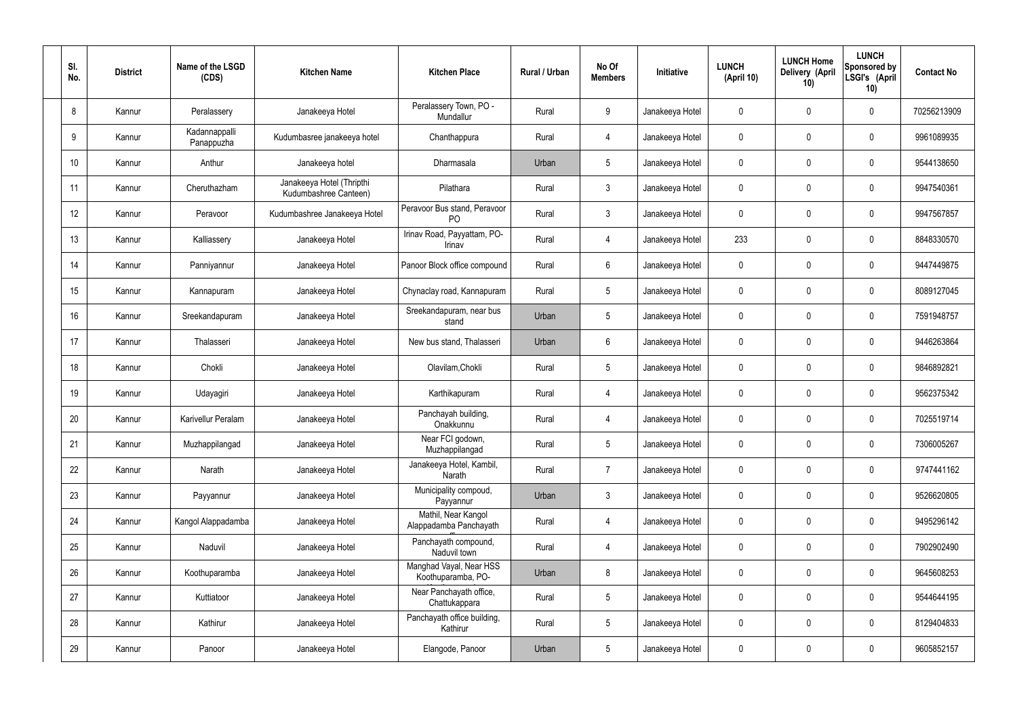| SI.<br>No. | <b>District</b> | Name of the LSGD<br>(CDS)   | <b>Kitchen Name</b>                                | <b>Kitchen Place</b>                           | Rural / Urban | No Of<br><b>Members</b> | Initiative      | <b>LUNCH</b><br>(April 10) | <b>LUNCH Home</b><br>Delivery (April<br>10) | <b>LUNCH</b><br>Sponsored by<br>LSGI's (April<br>10) | <b>Contact No</b> |
|------------|-----------------|-----------------------------|----------------------------------------------------|------------------------------------------------|---------------|-------------------------|-----------------|----------------------------|---------------------------------------------|------------------------------------------------------|-------------------|
| 8          | Kannur          | Peralassery                 | Janakeeya Hotel                                    | Peralassery Town, PO -<br>Mundallur            | Rural         | 9                       | Janakeeya Hotel | 0                          | 0                                           | $\mathbf 0$                                          | 70256213909       |
| 9          | Kannur          | Kadannappalli<br>Panappuzha | Kudumbasree janakeeya hotel                        | Chanthappura                                   | Rural         | 4                       | Janakeeya Hotel | 0                          | $\mathbf 0$                                 | $\mathbf 0$                                          | 9961089935        |
| 10         | Kannur          | Anthur                      | Janakeeya hotel                                    | Dharmasala                                     | Urban         | $5\phantom{.0}$         | Janakeeya Hotel | 0                          | 0                                           | $\mathbf 0$                                          | 9544138650        |
| 11         | Kannur          | Cheruthazham                | Janakeeya Hotel (Thripthi<br>Kudumbashree Canteen) | Pilathara                                      | Rural         | $\mathbf{3}$            | Janakeeya Hotel | 0                          | $\mathbf 0$                                 | $\mathbf 0$                                          | 9947540361        |
| 12         | Kannur          | Peravoor                    | Kudumbashree Janakeeya Hotel                       | Peravoor Bus stand, Peravoor<br>P <sub>O</sub> | Rural         | $\mathbf{3}$            | Janakeeya Hotel | 0                          | 0                                           | $\mathbf 0$                                          | 9947567857        |
| 13         | Kannur          | Kalliassery                 | Janakeeya Hotel                                    | Irinav Road, Payyattam, PO-<br>Irinav          | Rural         | $\overline{4}$          | Janakeeya Hotel | 233                        | $\mathbf 0$                                 | $\mathbf 0$                                          | 8848330570        |
| 14         | Kannur          | Panniyannur                 | Janakeeya Hotel                                    | Panoor Block office compound                   | Rural         | $6\phantom{.}6$         | Janakeeya Hotel | 0                          | 0                                           | $\mathbf 0$                                          | 9447449875        |
| 15         | Kannur          | Kannapuram                  | Janakeeya Hotel                                    | Chynaclay road, Kannapuram                     | Rural         | $5\phantom{.0}$         | Janakeeya Hotel | 0                          | 0                                           | $\mathbf 0$                                          | 8089127045        |
| 16         | Kannur          | Sreekandapuram              | Janakeeya Hotel                                    | Sreekandapuram, near bus<br>stand              | Urban         | $5\phantom{.0}$         | Janakeeya Hotel | 0                          | $\mathbf 0$                                 | $\mathbf 0$                                          | 7591948757        |
| 17         | Kannur          | Thalasseri                  | Janakeeya Hotel                                    | New bus stand, Thalasseri                      | Urban         | $6\phantom{.}6$         | Janakeeya Hotel | 0                          | 0                                           | $\mathbf 0$                                          | 9446263864        |
| 18         | Kannur          | Chokli                      | Janakeeya Hotel                                    | Olavilam, Chokli                               | Rural         | $5\phantom{.0}$         | Janakeeya Hotel | 0                          | 0                                           | $\mathbf 0$                                          | 9846892821        |
| 19         | Kannur          | Udayagiri                   | Janakeeya Hotel                                    | Karthikapuram                                  | Rural         | 4                       | Janakeeya Hotel | 0                          | 0                                           | $\mathbf 0$                                          | 9562375342        |
| 20         | Kannur          | Karivellur Peralam          | Janakeeya Hotel                                    | Panchayah building,<br>Onakkunnu               | Rural         | 4                       | Janakeeya Hotel | 0                          | 0                                           | $\mathbf 0$                                          | 7025519714        |
| 21         | Kannur          | Muzhappilangad              | Janakeeya Hotel                                    | Near FCI godown,<br>Muzhappilangad             | Rural         | $5\phantom{.0}$         | Janakeeya Hotel | $\mathbf 0$                | $\mathsf{0}$                                | $\mathbf 0$                                          | 7306005267        |
| 22         | Kannur          | Narath                      | Janakeeya Hotel                                    | Janakeeya Hotel, Kambil,<br>Narath             | Rural         | $\overline{7}$          | Janakeeya Hotel | $\mathbf 0$                | $\mathsf{0}$                                | $\mathbf 0$                                          | 9747441162        |
| 23         | Kannur          | Payyannur                   | Janakeeya Hotel                                    | Municipality compoud,<br>Payyannur             | Urban         | $\mathbf{3}$            | Janakeeya Hotel | 0                          | $\mathbf 0$                                 | $\mathbf 0$                                          | 9526620805        |
| 24         | Kannur          | Kangol Alappadamba          | Janakeeya Hotel                                    | Mathil, Near Kangol<br>Alappadamba Panchayath  | Rural         | $\overline{4}$          | Janakeeya Hotel | 0                          | $\mathbf 0$                                 | $\mathbf 0$                                          | 9495296142        |
| 25         | Kannur          | Naduvil                     | Janakeeya Hotel                                    | Panchayath compound,<br>Naduvil town           | Rural         | $\overline{4}$          | Janakeeya Hotel | 0                          | $\mathbf 0$                                 | $\mathbf 0$                                          | 7902902490        |
| 26         | Kannur          | Koothuparamba               | Janakeeya Hotel                                    | Manghad Vayal, Near HSS<br>Koothuparamba, PO-  | Urban         | 8                       | Janakeeya Hotel | $\mathbf 0$                | 0                                           | $\mathbf 0$                                          | 9645608253        |
| 27         | Kannur          | Kuttiatoor                  | Janakeeya Hotel                                    | Near Panchayath office,<br>Chattukappara       | Rural         | $5\phantom{.0}$         | Janakeeya Hotel | 0                          | $\mathsf{0}$                                | $\mathbf 0$                                          | 9544644195        |
| 28         | Kannur          | Kathirur                    | Janakeeya Hotel                                    | Panchayath office building,<br>Kathirur        | Rural         | $5\phantom{.0}$         | Janakeeya Hotel | 0                          | $\mathsf{0}$                                | $\mathbf 0$                                          | 8129404833        |
| 29         | Kannur          | Panoor                      | Janakeeya Hotel                                    | Elangode, Panoor                               | Urban         | $5\overline{)}$         | Janakeeya Hotel | 0                          | 0                                           | $\mathbf 0$                                          | 9605852157        |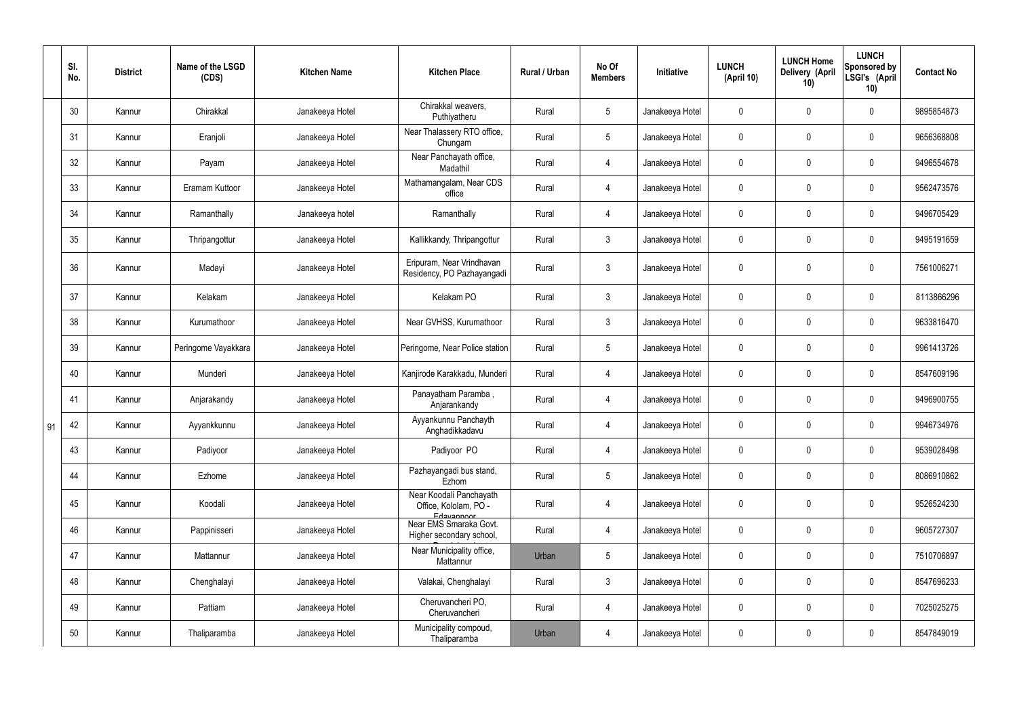|    | SI.<br>No. | <b>District</b> | Name of the LSGD<br>(CDS) | <b>Kitchen Name</b> | <b>Kitchen Place</b>                                           | Rural / Urban | No Of<br><b>Members</b> | Initiative      | <b>LUNCH</b><br>(April 10) | <b>LUNCH Home</b><br><b>Delivery (April</b><br>10) | <b>LUNCH</b><br>Sponsored by<br>LSGI's (April<br>10) | <b>Contact No</b> |
|----|------------|-----------------|---------------------------|---------------------|----------------------------------------------------------------|---------------|-------------------------|-----------------|----------------------------|----------------------------------------------------|------------------------------------------------------|-------------------|
|    | 30         | Kannur          | Chirakkal                 | Janakeeya Hotel     | Chirakkal weavers,<br>Puthiyatheru                             | Rural         | $5\overline{)}$         | Janakeeya Hotel | $\mathbf 0$                | 0                                                  | $\mathbf 0$                                          | 9895854873        |
|    | 31         | Kannur          | Eranjoli                  | Janakeeya Hotel     | Near Thalassery RTO office,<br>Chungam                         | Rural         | $5\overline{)}$         | Janakeeya Hotel | $\mathbf 0$                | $\mathbf 0$                                        | $\mathbf 0$                                          | 9656368808        |
|    | 32         | Kannur          | Payam                     | Janakeeya Hotel     | Near Panchayath office,<br>Madathil                            | Rural         | 4                       | Janakeeya Hotel | $\mathbf 0$                | $\mathbf 0$                                        | $\mathbf 0$                                          | 9496554678        |
|    | 33         | Kannur          | Eramam Kuttoor            | Janakeeya Hotel     | Mathamangalam, Near CDS<br>office                              | Rural         | 4                       | Janakeeya Hotel | $\mathbf 0$                | $\mathbf 0$                                        | $\mathbf 0$                                          | 9562473576        |
|    | 34         | Kannur          | Ramanthally               | Janakeeya hotel     | Ramanthally                                                    | Rural         | 4                       | Janakeeya Hotel | $\mathbf 0$                | $\mathbf 0$                                        | $\mathbf 0$                                          | 9496705429        |
|    | 35         | Kannur          | Thripangottur             | Janakeeya Hotel     | Kallikkandy, Thripangottur                                     | Rural         | 3                       | Janakeeya Hotel | $\mathbf 0$                | $\mathbf 0$                                        | $\mathbf 0$                                          | 9495191659        |
|    | 36         | Kannur          | Madayi                    | Janakeeya Hotel     | Eripuram, Near Vrindhavan<br>Residency, PO Pazhayangadi        | Rural         | $\mathbf{3}$            | Janakeeya Hotel | $\mathbf 0$                | $\mathbf 0$                                        | $\overline{0}$                                       | 7561006271        |
|    | 37         | Kannur          | Kelakam                   | Janakeeya Hotel     | Kelakam PO                                                     | Rural         | $\mathbf{3}$            | Janakeeya Hotel | $\mathbf 0$                | 0                                                  | $\mathbf 0$                                          | 8113866296        |
|    | 38         | Kannur          | Kurumathoor               | Janakeeya Hotel     | Near GVHSS, Kurumathoor                                        | Rural         | $\mathbf{3}$            | Janakeeya Hotel | $\mathbf 0$                | 0                                                  | $\mathbf 0$                                          | 9633816470        |
|    | 39         | Kannur          | Peringome Vayakkara       | Janakeeya Hotel     | Peringome, Near Police station                                 | Rural         | $5\phantom{.0}$         | Janakeeya Hotel | $\mathbf 0$                | 0                                                  | $\mathbf 0$                                          | 9961413726        |
|    | 40         | Kannur          | Munderi                   | Janakeeya Hotel     | Kanjirode Karakkadu, Munderi                                   | Rural         | 4                       | Janakeeya Hotel | $\mathbf 0$                | $\mathbf 0$                                        | $\mathbf 0$                                          | 8547609196        |
|    | 41         | Kannur          | Anjarakandy               | Janakeeya Hotel     | Panayatham Paramba,<br>Anjarankandy                            | Rural         | $\overline{4}$          | Janakeeya Hotel | $\mathbf 0$                | 0                                                  | $\mathbf 0$                                          | 9496900755        |
| 91 | 42         | Kannur          | Ayyankkunnu               | Janakeeya Hotel     | Ayyankunnu Panchayth<br>Anghadikkadavu                         | Rural         | 4                       | Janakeeya Hotel | $\mathbf 0$                | 0                                                  | $\mathbf{0}$                                         | 9946734976        |
|    | 43         | Kannur          | Padiyoor                  | Janakeeya Hotel     | Padiyoor PO                                                    | Rural         | $\overline{4}$          | Janakeeya Hotel | $\mathbf 0$                | $\pmb{0}$                                          | $\mathbf 0$                                          | 9539028498        |
|    | 44         | Kannur          | Ezhome                    | Janakeeya Hotel     | Pazhayangadi bus stand,<br>Ezhom                               | Rural         | $5\overline{)}$         | Janakeeya Hotel | $\mathbf 0$                | $\pmb{0}$                                          | $\mathbf 0$                                          | 8086910862        |
|    | 45         | Kannur          | Koodali                   | Janakeeya Hotel     | Near Koodali Panchayath<br>Office, Kololam, PO -<br>Edavannoor | Rural         | $\overline{4}$          | Janakeeya Hotel | $\pmb{0}$                  | 0                                                  | $\mathbf 0$                                          | 9526524230        |
|    | 46         | Kannur          | Pappinisseri              | Janakeeya Hotel     | Near EMS Smaraka Govt.<br>Higher secondary school,             | Rural         | $\overline{4}$          | Janakeeya Hotel | $\pmb{0}$                  | $\pmb{0}$                                          | $\mathbf 0$                                          | 9605727307        |
|    | 47         | Kannur          | Mattannur                 | Janakeeya Hotel     | Near Municipality office,<br>Mattannur                         | Urban         | $5\overline{)}$         | Janakeeya Hotel | $\pmb{0}$                  | $\pmb{0}$                                          | $\mathbf 0$                                          | 7510706897        |
|    | 48         | Kannur          | Chenghalayi               | Janakeeya Hotel     | Valakai, Chenghalayi                                           | Rural         | $\mathbf{3}$            | Janakeeya Hotel | $\pmb{0}$                  | $\pmb{0}$                                          | $\mathbf 0$                                          | 8547696233        |
|    | 49         | Kannur          | Pattiam                   | Janakeeya Hotel     | Cheruvancheri PO,<br>Cheruvancheri                             | Rural         | $\overline{4}$          | Janakeeya Hotel | $\pmb{0}$                  | $\pmb{0}$                                          | $\mathbf 0$                                          | 7025025275        |
|    | 50         | Kannur          | Thaliparamba              | Janakeeya Hotel     | Municipality compoud,<br>Thaliparamba                          | Urban         | 4                       | Janakeeya Hotel | $\pmb{0}$                  | $\pmb{0}$                                          | $\pmb{0}$                                            | 8547849019        |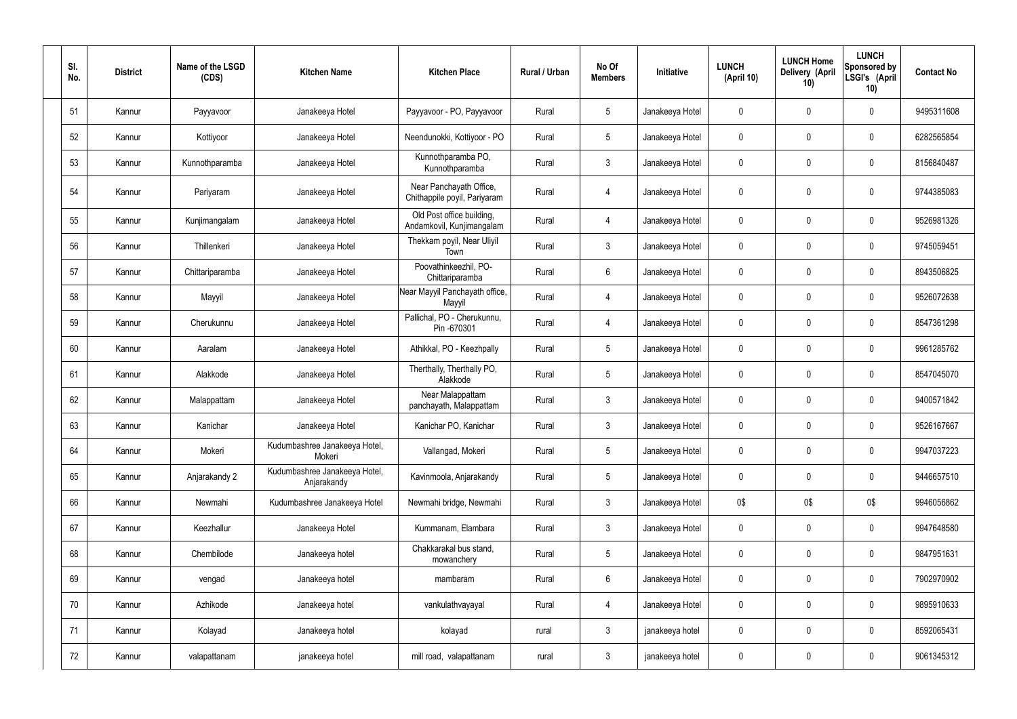| SI.<br>No. | <b>District</b> | Name of the LSGD<br>(CDS) | <b>Kitchen Name</b>                          | <b>Kitchen Place</b>                                    | Rural / Urban | No Of<br><b>Members</b> | Initiative      | <b>LUNCH</b><br>(April 10) | <b>LUNCH Home</b><br>Delivery (April<br>10) | <b>LUNCH</b><br>Sponsored by<br>LSGI's (April<br>10) | <b>Contact No</b> |
|------------|-----------------|---------------------------|----------------------------------------------|---------------------------------------------------------|---------------|-------------------------|-----------------|----------------------------|---------------------------------------------|------------------------------------------------------|-------------------|
| 51         | Kannur          | Payyavoor                 | Janakeeya Hotel                              | Payyavoor - PO, Payyavoor                               | Rural         | $5\phantom{.0}$         | Janakeeya Hotel | $\mathbf 0$                | $\mathbf 0$                                 | $\mathbf 0$                                          | 9495311608        |
| 52         | Kannur          | Kottiyoor                 | Janakeeya Hotel                              | Neendunokki, Kottiyoor - PO                             | Rural         | $5\overline{)}$         | Janakeeya Hotel | $\mathbf 0$                | $\mathbf 0$                                 | $\mathbf 0$                                          | 6282565854        |
| 53         | Kannur          | Kunnothparamba            | Janakeeya Hotel                              | Kunnothparamba PO,<br>Kunnothparamba                    | Rural         | $\mathbf{3}$            | Janakeeya Hotel | $\mathbf 0$                | $\mathbf 0$                                 | $\mathbf 0$                                          | 8156840487        |
| 54         | Kannur          | Pariyaram                 | Janakeeya Hotel                              | Near Panchayath Office,<br>Chithappile poyil, Pariyaram | Rural         | 4                       | Janakeeya Hotel | $\pmb{0}$                  | 0                                           | $\mathbf 0$                                          | 9744385083        |
| 55         | Kannur          | Kunjimangalam             | Janakeeya Hotel                              | Old Post office building,<br>Andamkovil, Kunjimangalam  | Rural         | $\overline{4}$          | Janakeeya Hotel | $\mathbf 0$                | $\pmb{0}$                                   | $\mathbf 0$                                          | 9526981326        |
| 56         | Kannur          | Thillenkeri               | Janakeeya Hotel                              | Thekkam poyil, Near Uliyil<br>Town                      | Rural         | $\mathbf{3}$            | Janakeeya Hotel | $\mathbf 0$                | $\pmb{0}$                                   | $\mathbf 0$                                          | 9745059451        |
| 57         | Kannur          | Chittariparamba           | Janakeeya Hotel                              | Poovathinkeezhil, PO-<br>Chittariparamba                | Rural         | $6\overline{6}$         | Janakeeya Hotel | $\mathbf 0$                | 0                                           | $\mathbf 0$                                          | 8943506825        |
| 58         | Kannur          | Mayyil                    | Janakeeya Hotel                              | Near Mayyil Panchayath office,<br>Mayyil                | Rural         | $\overline{4}$          | Janakeeya Hotel | $\mathbf 0$                | $\pmb{0}$                                   | $\mathbf 0$                                          | 9526072638        |
| 59         | Kannur          | Cherukunnu                | Janakeeya Hotel                              | Pallichal, PO - Cherukunnu,<br>Pin -670301              | Rural         | 4                       | Janakeeya Hotel | $\mathbf 0$                | 0                                           | $\mathbf 0$                                          | 8547361298        |
| 60         | Kannur          | Aaralam                   | Janakeeya Hotel                              | Athikkal, PO - Keezhpally                               | Rural         | $5\overline{)}$         | Janakeeya Hotel | $\mathbf 0$                | 0                                           | $\mathbf 0$                                          | 9961285762        |
| 61         | Kannur          | Alakkode                  | Janakeeya Hotel                              | Therthally, Therthally PO,<br>Alakkode                  | Rural         | $5\overline{)}$         | Janakeeya Hotel | $\mathbf 0$                | 0                                           | $\mathbf 0$                                          | 8547045070        |
| 62         | Kannur          | Malappattam               | Janakeeya Hotel                              | Near Malappattam<br>panchayath, Malappattam             | Rural         | $\mathbf{3}$            | Janakeeya Hotel | $\pmb{0}$                  | 0                                           | $\mathbf 0$                                          | 9400571842        |
| 63         | Kannur          | Kanichar                  | Janakeeya Hotel                              | Kanichar PO, Kanichar                                   | Rural         | 3                       | Janakeeya Hotel | $\mathbf{0}$               | 0                                           | 0                                                    | 9526167667        |
| 64         | Kannur          | Mokeri                    | Kudumbashree Janakeeya Hotel,<br>Mokeri      | Vallangad, Mokeri                                       | Rural         | $5\phantom{.0}$         | Janakeeya Hotel | $\mathbf 0$                | 0                                           | $\mathbf 0$                                          | 9947037223        |
| 65         | Kannur          | Anjarakandy 2             | Kudumbashree Janakeeya Hotel,<br>Anjarakandy | Kavinmoola, Anjarakandy                                 | Rural         | $5\phantom{.0}$         | Janakeeya Hotel | $\boldsymbol{0}$           | 0                                           | $\mathbf 0$                                          | 9446657510        |
| 66         | Kannur          | Newmahi                   | Kudumbashree Janakeeya Hotel                 | Newmahi bridge, Newmahi                                 | Rural         | $\mathbf{3}$            | Janakeeya Hotel | 0\$                        | 0\$                                         | 0\$                                                  | 9946056862        |
| 67         | Kannur          | Keezhallur                | Janakeeya Hotel                              | Kummanam, Elambara                                      | Rural         | $\mathbf{3}$            | Janakeeya Hotel | $\boldsymbol{0}$           | 0                                           | $\overline{0}$                                       | 9947648580        |
| 68         | Kannur          | Chembilode                | Janakeeya hotel                              | Chakkarakal bus stand,<br>mowanchery                    | Rural         | $5\overline{)}$         | Janakeeya Hotel | $\mathbf 0$                | 0                                           | $\overline{0}$                                       | 9847951631        |
| 69         | Kannur          | vengad                    | Janakeeya hotel                              | mambaram                                                | Rural         | $6\overline{6}$         | Janakeeya Hotel | $\boldsymbol{0}$           | 0                                           | $\overline{0}$                                       | 7902970902        |
| 70         | Kannur          | Azhikode                  | Janakeeya hotel                              | vankulathvayayal                                        | Rural         | 4                       | Janakeeya Hotel | $\pmb{0}$                  | 0                                           | $\mathbf 0$                                          | 9895910633        |
| 71         | Kannur          | Kolayad                   | Janakeeya hotel                              | kolayad                                                 | rural         | $\mathbf{3}$            | janakeeya hotel | $\boldsymbol{0}$           | 0                                           | $\overline{0}$                                       | 8592065431        |
| 72         | Kannur          | valapattanam              | janakeeya hotel                              | mill road, valapattanam                                 | rural         | $\mathbf{3}$            | janakeeya hotel | $\boldsymbol{0}$           | 0                                           | $\overline{0}$                                       | 9061345312        |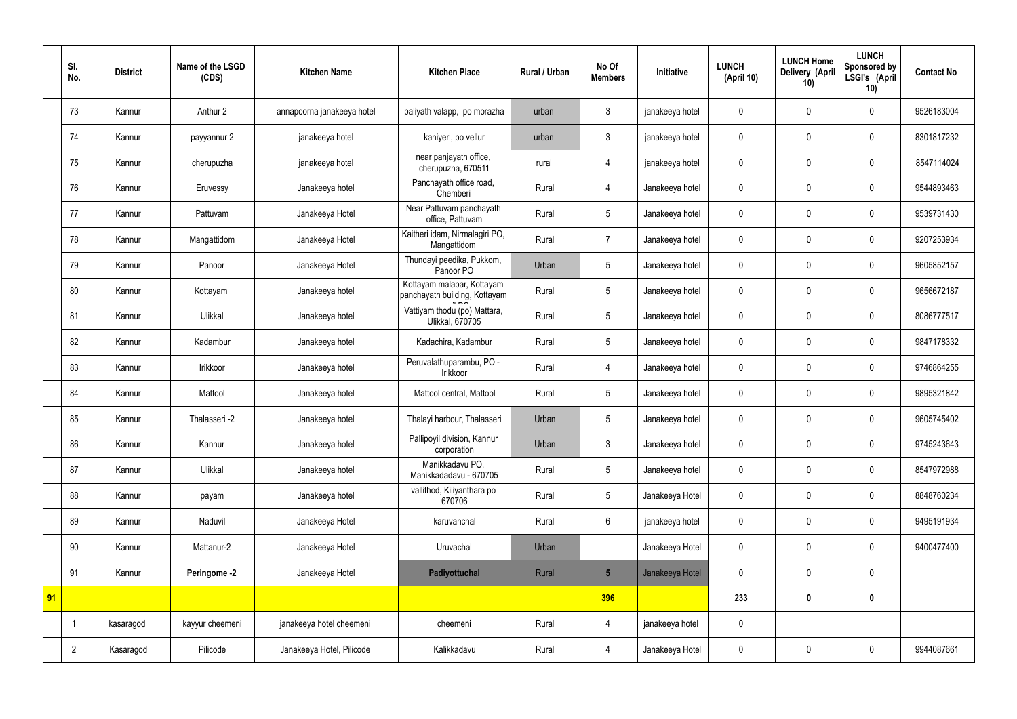|    | SI.<br>No.     | <b>District</b> | Name of the LSGD<br>(CDS) | <b>Kitchen Name</b>        | <b>Kitchen Place</b>                                        | Rural / Urban | No Of<br><b>Members</b> | Initiative      | <b>LUNCH</b><br>(April 10) | <b>LUNCH Home</b><br>Delivery (April<br>10) | <b>LUNCH</b><br>Sponsored by<br>LSGI's (April<br>10) | <b>Contact No</b> |
|----|----------------|-----------------|---------------------------|----------------------------|-------------------------------------------------------------|---------------|-------------------------|-----------------|----------------------------|---------------------------------------------|------------------------------------------------------|-------------------|
|    | 73             | Kannur          | Anthur 2                  | annapoorna janakeeya hotel | paliyath valapp, po morazha                                 | urban         | 3                       | janakeeya hotel | 0                          | $\mathbf 0$                                 | $\mathbf 0$                                          | 9526183004        |
|    | 74             | Kannur          | payyannur 2               | janakeeya hotel            | kaniyeri, po vellur                                         | urban         | 3                       | janakeeya hotel | $\mathbf 0$                | $\mathbf 0$                                 | $\pmb{0}$                                            | 8301817232        |
|    | 75             | Kannur          | cherupuzha                | janakeeya hotel            | near panjayath office,<br>cherupuzha, 670511                | rural         | $\overline{4}$          | janakeeya hotel | $\mathbf 0$                | $\mathbf 0$                                 | $\mathbf 0$                                          | 8547114024        |
|    | 76             | Kannur          | Eruvessy                  | Janakeeya hotel            | Panchayath office road,<br>Chemberi                         | Rural         | 4                       | Janakeeya hotel | $\mathbf 0$                | $\mathbf 0$                                 | $\pmb{0}$                                            | 9544893463        |
|    | 77             | Kannur          | Pattuvam                  | Janakeeya Hotel            | Near Pattuvam panchayath<br>office, Pattuvam                | Rural         | 5                       | Janakeeya hotel | $\mathbf 0$                | $\mathbf 0$                                 | $\mathbf 0$                                          | 9539731430        |
|    | 78             | Kannur          | Mangattidom               | Janakeeya Hotel            | Kaitheri idam, Nirmalagiri PO,<br>Mangattidom               | Rural         | $\overline{7}$          | Janakeeya hotel | $\mathbf 0$                | $\mathbf 0$                                 | $\pmb{0}$                                            | 9207253934        |
|    | 79             | Kannur          | Panoor                    | Janakeeya Hotel            | Thundayi peedika, Pukkom,<br>Panoor PO                      | Urban         | 5                       | Janakeeya hotel | $\mathbf 0$                | $\mathbf 0$                                 | $\mathbf 0$                                          | 9605852157        |
|    | 80             | Kannur          | Kottayam                  | Janakeeya hotel            | Kottayam malabar, Kottayam<br>panchayath building, Kottayam | Rural         | 5                       | Janakeeya hotel | $\mathbf 0$                | $\mathbf 0$                                 | $\pmb{0}$                                            | 9656672187        |
|    | 81             | Kannur          | Ulikkal                   | Janakeeya hotel            | Vattiyam thodu (po) Mattara,<br><b>Ulikkal, 670705</b>      | Rural         | 5                       | Janakeeya hotel | $\mathbf 0$                | $\mathbf 0$                                 | $\mathbf 0$                                          | 8086777517        |
|    | 82             | Kannur          | Kadambur                  | Janakeeya hotel            | Kadachira, Kadambur                                         | Rural         | 5                       | Janakeeya hotel | $\mathbf 0$                | $\mathbf 0$                                 | $\mathbf 0$                                          | 9847178332        |
|    | 83             | Kannur          | Irikkoor                  | Janakeeya hotel            | Peruvalathuparambu, PO -<br>Irikkoor                        | Rural         | 4                       | Janakeeya hotel | $\mathbf 0$                | $\mathbf 0$                                 | $\mathbf 0$                                          | 9746864255        |
|    | 84             | Kannur          | Mattool                   | Janakeeya hotel            | Mattool central, Mattool                                    | Rural         | 5                       | Janakeeya hotel | $\mathbf 0$                | $\mathbf 0$                                 | $\pmb{0}$                                            | 9895321842        |
|    | 85             | Kannur          | Thalasseri -2             | Janakeeya hotel            | Thalayi harbour, Thalasseri                                 | Urban         | 5                       | Janakeeya hotel | 0                          | $\mathbf 0$                                 | $\mathbf 0$                                          | 9605745402        |
|    | 86             | Kannur          | Kannur                    | Janakeeya hotel            | Pallipoyil division, Kannur<br>corporation                  | Urban         | $\mathfrak{Z}$          | Janakeeya hotel | $\mathbf 0$                | $\pmb{0}$                                   | $\pmb{0}$                                            | 9745243643        |
|    | 87             | Kannur          | Ulikkal                   | Janakeeya hotel            | Manikkadavu PO,<br>Manikkadadavu - 670705                   | Rural         | 5                       | Janakeeya hotel | $\mathbf 0$                | $\pmb{0}$                                   | $\mathbf 0$                                          | 8547972988        |
|    | 88             | Kannur          | payam                     | Janakeeya hotel            | vallithod, Kiliyanthara po<br>670706                        | Rural         | $5\phantom{.0}$         | Janakeeya Hotel | $\mathbf 0$                | $\pmb{0}$                                   | $\mathbf 0$                                          | 8848760234        |
|    | 89             | Kannur          | Naduvil                   | Janakeeya Hotel            | karuvanchal                                                 | Rural         | 6                       | janakeeya hotel | $\mathbf 0$                | $\pmb{0}$                                   | $\mathbf 0$                                          | 9495191934        |
|    | 90             | Kannur          | Mattanur-2                | Janakeeya Hotel            | Uruvachal                                                   | Urban         |                         | Janakeeya Hotel | $\mathbf 0$                | $\pmb{0}$                                   | $\mathbf 0$                                          | 9400477400        |
|    | 91             | Kannur          | Peringome -2              | Janakeeya Hotel            | Padiyottuchal                                               | Rural         | $5\overline{)}$         | Janakeeya Hotel | $\mathbf 0$                | $\pmb{0}$                                   | $\mathbf 0$                                          |                   |
| 91 |                |                 |                           |                            |                                                             |               | 396                     |                 | 233                        | $\boldsymbol{0}$                            | $\boldsymbol{0}$                                     |                   |
|    |                | kasaragod       | kayyur cheemeni           | janakeeya hotel cheemeni   | cheemeni                                                    | Rural         | $\overline{4}$          | janakeeya hotel | $\mathbf 0$                |                                             |                                                      |                   |
|    | $\overline{2}$ | Kasaragod       | Pilicode                  | Janakeeya Hotel, Pilicode  | Kalikkadavu                                                 | Rural         | 4                       | Janakeeya Hotel | $\pmb{0}$                  | $\pmb{0}$                                   | $\mathbf 0$                                          | 9944087661        |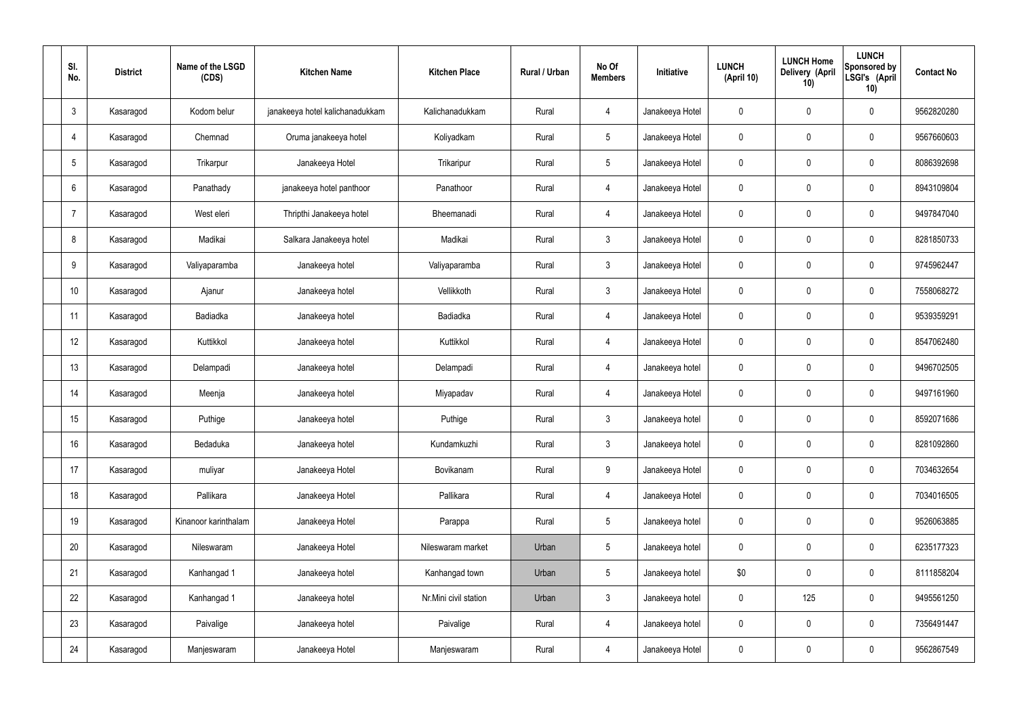| SI.<br>No.      | <b>District</b> | Name of the LSGD<br>(CDS) | <b>Kitchen Name</b>             | <b>Kitchen Place</b>  | <b>Rural / Urban</b> | No Of<br><b>Members</b> | Initiative      | <b>LUNCH</b><br>(April 10) | <b>LUNCH Home</b><br>Delivery (April<br>10) | <b>LUNCH</b><br>Sponsored by<br>LSGI's (April<br>10) | <b>Contact No</b> |
|-----------------|-----------------|---------------------------|---------------------------------|-----------------------|----------------------|-------------------------|-----------------|----------------------------|---------------------------------------------|------------------------------------------------------|-------------------|
| $\mathbf{3}$    | Kasaragod       | Kodom belur               | janakeeya hotel kalichanadukkam | Kalichanadukkam       | Rural                | $\overline{4}$          | Janakeeya Hotel | 0                          | $\mathbf 0$                                 | $\mathbf 0$                                          | 9562820280        |
| $\overline{4}$  | Kasaragod       | Chemnad                   | Oruma janakeeya hotel           | Koliyadkam            | Rural                | 5                       | Janakeeya Hotel | $\mathbf 0$                | $\mathbf 0$                                 | $\mathbf 0$                                          | 9567660603        |
| $5\phantom{.0}$ | Kasaragod       | Trikarpur                 | Janakeeya Hotel                 | Trikaripur            | Rural                | $5\phantom{.0}$         | Janakeeya Hotel | 0                          | $\mathbf 0$                                 | $\mathbf 0$                                          | 8086392698        |
| 6               | Kasaragod       | Panathady                 | janakeeya hotel panthoor        | Panathoor             | Rural                | $\overline{4}$          | Janakeeya Hotel | $\mathbf 0$                | $\mathbf 0$                                 | $\mathbf 0$                                          | 8943109804        |
| 7               | Kasaragod       | West eleri                | Thripthi Janakeeya hotel        | Bheemanadi            | Rural                | $\overline{4}$          | Janakeeya Hotel | 0                          | $\mathbf 0$                                 | $\mathbf 0$                                          | 9497847040        |
| 8               | Kasaragod       | Madikai                   | Salkara Janakeeya hotel         | Madikai               | Rural                | $\mathbf{3}$            | Janakeeya Hotel | $\mathbf 0$                | $\pmb{0}$                                   | $\mathbf 0$                                          | 8281850733        |
| 9               | Kasaragod       | Valiyaparamba             | Janakeeya hotel                 | Valiyaparamba         | Rural                | $\mathbf{3}$            | Janakeeya Hotel | 0                          | $\mathbf 0$                                 | $\mathbf 0$                                          | 9745962447        |
| 10              | Kasaragod       | Ajanur                    | Janakeeya hotel                 | Vellikkoth            | Rural                | $\mathbf{3}$            | Janakeeya Hotel | $\mathbf 0$                | $\mathbf 0$                                 | $\mathbf 0$                                          | 7558068272        |
| 11              | Kasaragod       | Badiadka                  | Janakeeya hotel                 | Badiadka              | Rural                | $\overline{4}$          | Janakeeya Hotel | $\mathbf 0$                | $\mathbf 0$                                 | $\mathbf 0$                                          | 9539359291        |
| 12              | Kasaragod       | Kuttikkol                 | Janakeeya hotel                 | Kuttikkol             | Rural                | $\overline{4}$          | Janakeeya Hotel | $\mathbf 0$                | $\mathbf 0$                                 | $\mathbf 0$                                          | 8547062480        |
| 13              | Kasaragod       | Delampadi                 | Janakeeya hotel                 | Delampadi             | Rural                | $\overline{4}$          | Janakeeya hotel | $\mathbf 0$                | $\pmb{0}$                                   | $\mathbf 0$                                          | 9496702505        |
| 14              | Kasaragod       | Meenja                    | Janakeeya hotel                 | Miyapadav             | Rural                | 4                       | Janakeeya Hotel | $\mathbf 0$                | $\mathbf 0$                                 | $\mathbf 0$                                          | 9497161960        |
| 15              | Kasaragod       | Puthige                   | Janakeeya hotel                 | Puthige               | Rural                | 3 <sup>1</sup>          | Janakeeya hotel | 0                          | $\mathbf 0$                                 | $\mathbf 0$                                          | 8592071686        |
| 16              | Kasaragod       | Bedaduka                  | Janakeeya hotel                 | Kundamkuzhi           | Rural                | $\mathbf{3}$            | Janakeeya hotel | $\mathbf 0$                | $\pmb{0}$                                   | $\mathbf 0$                                          | 8281092860        |
| 17              | Kasaragod       | muliyar                   | Janakeeya Hotel                 | Bovikanam             | Rural                | 9                       | Janakeeya Hotel | $\mathbf 0$                | $\pmb{0}$                                   | $\mathbf 0$                                          | 7034632654        |
| 18              | Kasaragod       | Pallikara                 | Janakeeya Hotel                 | Pallikara             | Rural                | $\overline{4}$          | Janakeeya Hotel | $\pmb{0}$                  | $\pmb{0}$                                   | $\mathbf 0$                                          | 7034016505        |
| 19              | Kasaragod       | Kinanoor karinthalam      | Janakeeya Hotel                 | Parappa               | Rural                | $5\phantom{.0}$         | Janakeeya hotel | $\mathbf 0$                | $\pmb{0}$                                   | $\mathbf 0$                                          | 9526063885        |
| 20              | Kasaragod       | Nileswaram                | Janakeeya Hotel                 | Nileswaram market     | Urban                | 5                       | Janakeeya hotel | $\pmb{0}$                  | $\pmb{0}$                                   | $\mathbf 0$                                          | 6235177323        |
| 21              | Kasaragod       | Kanhangad 1               | Janakeeya hotel                 | Kanhangad town        | Urban                | 5                       | Janakeeya hotel | \$0                        | $\pmb{0}$                                   | $\mathbf 0$                                          | 8111858204        |
| 22              | Kasaragod       | Kanhangad 1               | Janakeeya hotel                 | Nr.Mini civil station | Urban                | $\mathbf{3}$            | Janakeeya hotel | $\mathbf 0$                | 125                                         | $\mathbf 0$                                          | 9495561250        |
| 23              | Kasaragod       | Paivalige                 | Janakeeya hotel                 | Paivalige             | Rural                | $\overline{4}$          | Janakeeya hotel | $\pmb{0}$                  | $\pmb{0}$                                   | $\mathbf 0$                                          | 7356491447        |
| 24              | Kasaragod       | Manjeswaram               | Janakeeya Hotel                 | Manjeswaram           | Rural                | 4                       | Janakeeya Hotel | $\pmb{0}$                  | $\pmb{0}$                                   | $\mathbf 0$                                          | 9562867549        |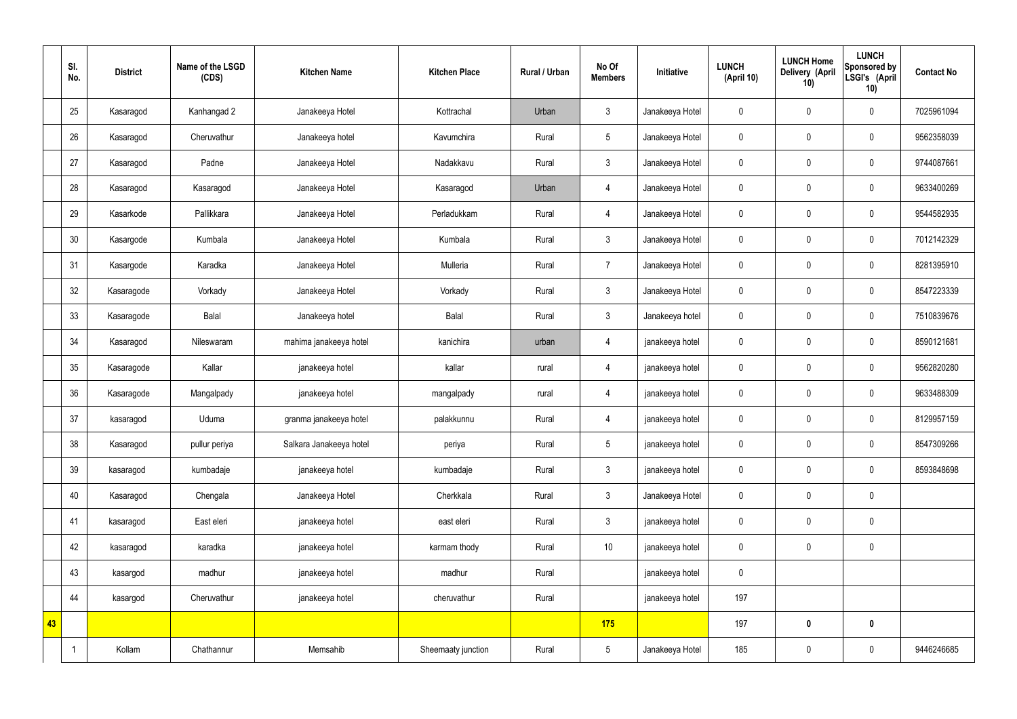|    | SI.<br>No. | <b>District</b> | Name of the LSGD<br>(CDS) | <b>Kitchen Name</b>     | <b>Kitchen Place</b> | <b>Rural / Urban</b> | No Of<br><b>Members</b> | Initiative      | <b>LUNCH</b><br>(April 10) | <b>LUNCH Home</b><br><b>Delivery (April</b><br>10) | <b>LUNCH</b><br>Sponsored by<br>LSGI's (April<br>10) | <b>Contact No</b> |
|----|------------|-----------------|---------------------------|-------------------------|----------------------|----------------------|-------------------------|-----------------|----------------------------|----------------------------------------------------|------------------------------------------------------|-------------------|
|    | 25         | Kasaragod       | Kanhangad 2               | Janakeeya Hotel         | Kottrachal           | Urban                | $\mathbf{3}$            | Janakeeya Hotel | 0                          | $\mathbf 0$                                        | $\mathbf 0$                                          | 7025961094        |
|    | 26         | Kasaragod       | Cheruvathur               | Janakeeya hotel         | Kavumchira           | Rural                | 5                       | Janakeeya Hotel | $\mathbf 0$                | $\mathbf 0$                                        | $\pmb{0}$                                            | 9562358039        |
|    | 27         | Kasaragod       | Padne                     | Janakeeya Hotel         | Nadakkavu            | Rural                | $\mathbf{3}$            | Janakeeya Hotel | 0                          | $\mathbf 0$                                        | $\mathbf 0$                                          | 9744087661        |
|    | 28         | Kasaragod       | Kasaragod                 | Janakeeya Hotel         | Kasaragod            | Urban                | $\overline{4}$          | Janakeeya Hotel | $\mathbf 0$                | $\mathbf 0$                                        | $\pmb{0}$                                            | 9633400269        |
|    | 29         | Kasarkode       | Pallikkara                | Janakeeya Hotel         | Perladukkam          | Rural                | $\overline{4}$          | Janakeeya Hotel | 0                          | $\pmb{0}$                                          | $\mathbf 0$                                          | 9544582935        |
|    | 30         | Kasargode       | Kumbala                   | Janakeeya Hotel         | Kumbala              | Rural                | $\mathbf{3}$            | Janakeeya Hotel | $\mathbf 0$                | $\pmb{0}$                                          | $\pmb{0}$                                            | 7012142329        |
|    | 31         | Kasargode       | Karadka                   | Janakeeya Hotel         | Mulleria             | Rural                | $\overline{7}$          | Janakeeya Hotel | 0                          | $\pmb{0}$                                          | $\mathbf 0$                                          | 8281395910        |
|    | 32         | Kasaragode      | Vorkady                   | Janakeeya Hotel         | Vorkady              | Rural                | $\mathbf{3}$            | Janakeeya Hotel | $\mathbf 0$                | $\mathbf 0$                                        | $\pmb{0}$                                            | 8547223339        |
|    | 33         | Kasaragode      | Balal                     | Janakeeya hotel         | Balal                | Rural                | $\mathbf{3}$            | Janakeeya hotel | 0                          | $\mathbf 0$                                        | $\mathbf 0$                                          | 7510839676        |
|    | 34         | Kasaragod       | Nileswaram                | mahima janakeeya hotel  | kanichira            | urban                | $\overline{4}$          | janakeeya hotel | $\mathbf 0$                | $\mathbf 0$                                        | $\mathbf 0$                                          | 8590121681        |
|    | 35         | Kasaragode      | Kallar                    | janakeeya hotel         | kallar               | rural                | $\overline{4}$          | janakeeya hotel | $\mathbf 0$                | $\pmb{0}$                                          | $\mathbf 0$                                          | 9562820280        |
|    | 36         | Kasaragode      | Mangalpady                | janakeeya hotel         | mangalpady           | rural                | $\overline{4}$          | janakeeya hotel | $\mathbf 0$                | $\mathbf 0$                                        | $\mathbf 0$                                          | 9633488309        |
|    | 37         | kasaragod       | Uduma                     | granma janakeeya hotel  | palakkunnu           | Rural                | $\overline{4}$          | janakeeya hotel | 0                          | $\mathbf 0$                                        | $\mathbf 0$                                          | 8129957159        |
|    | 38         | Kasaragod       | pullur periya             | Salkara Janakeeya hotel | periya               | Rural                | 5                       | janakeeya hotel | $\mathbf 0$                | $\pmb{0}$                                          | $\mathbf 0$                                          | 8547309266        |
|    | 39         | kasaragod       | kumbadaje                 | janakeeya hotel         | kumbadaje            | Rural                | $\mathbf{3}$            | janakeeya hotel | $\mathbf 0$                | $\mathbf 0$                                        | $\pmb{0}$                                            | 8593848698        |
|    | 40         | Kasaragod       | Chengala                  | Janakeeya Hotel         | Cherkkala            | Rural                | $\mathfrak{Z}$          | Janakeeya Hotel | $\mathbf 0$                | $\pmb{0}$                                          | $\pmb{0}$                                            |                   |
|    | 41         | kasaragod       | East eleri                | janakeeya hotel         | east eleri           | Rural                | $\mathfrak{Z}$          | janakeeya hotel | $\mathbf 0$                | $\mathbf 0$                                        | $\pmb{0}$                                            |                   |
|    | 42         | kasaragod       | karadka                   | janakeeya hotel         | karmam thody         | Rural                | $10$                    | janakeeya hotel | $\mathbf 0$                | $\pmb{0}$                                          | $\pmb{0}$                                            |                   |
|    | 43         | kasargod        | madhur                    | janakeeya hotel         | madhur               | Rural                |                         | janakeeya hotel | $\mathbf 0$                |                                                    |                                                      |                   |
|    | 44         | kasargod        | Cheruvathur               | janakeeya hotel         | cheruvathur          | Rural                |                         | janakeeya hotel | 197                        |                                                    |                                                      |                   |
| 43 |            |                 |                           |                         |                      |                      | 175                     |                 | 197                        | $\pmb{0}$                                          | $\mathbf 0$                                          |                   |
|    | -1         | Kollam          | Chathannur                | Memsahib                | Sheemaaty junction   | Rural                | $5\phantom{.0}$         | Janakeeya Hotel | 185                        | $\pmb{0}$                                          | $\pmb{0}$                                            | 9446246685        |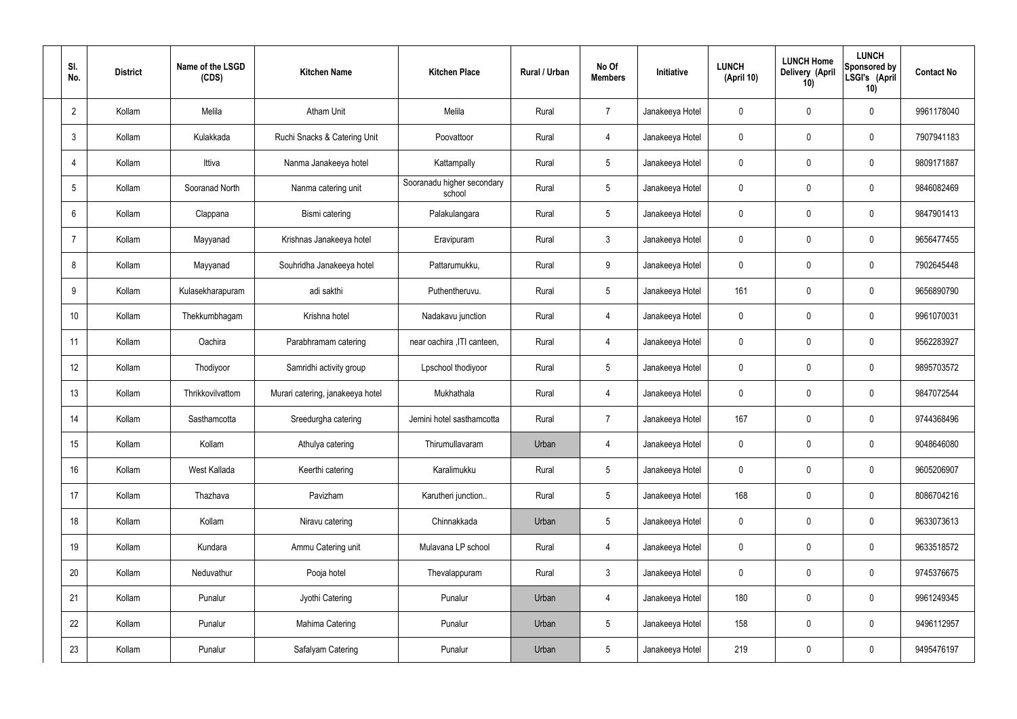| SI.<br>No.     | <b>District</b> | Name of the LSGD<br>(CDS) | <b>Kitchen Name</b>              | <b>Kitchen Place</b>                 | Rural / Urban | No Of<br><b>Members</b> | Initiative      | <b>LUNCH</b><br>(April 10) | <b>LUNCH Home</b><br>Delivery (April<br>10) | <b>LUNCH</b><br>Sponsored by<br>LSGI's (April<br>10) | <b>Contact No</b> |
|----------------|-----------------|---------------------------|----------------------------------|--------------------------------------|---------------|-------------------------|-----------------|----------------------------|---------------------------------------------|------------------------------------------------------|-------------------|
| $\overline{2}$ | Kollam          | Melila                    | <b>Atham Unit</b>                | Melila                               | Rural         | $\overline{7}$          | Janakeeya Hotel | 0                          | $\mathbf 0$                                 | $\mathbf 0$                                          | 9961178040        |
| 3              | Kollam          | Kulakkada                 | Ruchi Snacks & Catering Unit     | Poovattoor                           | Rural         | $\overline{4}$          | Janakeeya Hotel | 0                          | $\mathbf 0$                                 | $\mathbf 0$                                          | 7907941183        |
| $\overline{4}$ | Kollam          | Ittiva                    | Nanma Janakeeya hotel            | Kattampally                          | Rural         | $5\overline{)}$         | Janakeeya Hotel | 0                          | $\mathbf 0$                                 | $\mathbf 0$                                          | 9809171887        |
| 5              | Kollam          | Sooranad North            | Nanma catering unit              | Sooranadu higher secondary<br>school | Rural         | $5\overline{)}$         | Janakeeya Hotel | 0                          | $\mathbf 0$                                 | $\mathbf 0$                                          | 9846082469        |
| 6              | Kollam          | Clappana                  | Bismi catering                   | Palakulangara                        | Rural         | $5\overline{)}$         | Janakeeya Hotel | 0                          | $\mathbf 0$                                 | $\mathbf 0$                                          | 9847901413        |
| $\overline{7}$ | Kollam          | Mayyanad                  | Krishnas Janakeeya hotel         | Eravipuram                           | Rural         | $\mathbf{3}$            | Janakeeya Hotel | 0                          | $\mathbf 0$                                 | $\mathbf 0$                                          | 9656477455        |
| 8              | Kollam          | Mayyanad                  | Souhridha Janakeeya hotel        | Pattarumukku,                        | Rural         | 9                       | Janakeeya Hotel | 0                          | $\mathbf 0$                                 | $\mathbf 0$                                          | 7902645448        |
| 9              | Kollam          | Kulasekharapuram          | adi sakthi                       | Puthentheruvu.                       | Rural         | $5\phantom{.0}$         | Janakeeya Hotel | 161                        | $\mathbf 0$                                 | $\mathbf 0$                                          | 9656890790        |
| 10             | Kollam          | Thekkumbhagam             | Krishna hotel                    | Nadakavu junction                    | Rural         | $\overline{4}$          | Janakeeya Hotel | 0                          | $\mathbf 0$                                 | $\mathbf 0$                                          | 9961070031        |
| 11             | Kollam          | Oachira                   | Parabhramam catering             | near oachira , ITI canteen,          | Rural         | 4                       | Janakeeya Hotel | 0                          | $\mathbf 0$                                 | $\mathbf 0$                                          | 9562283927        |
| 12             | Kollam          | Thodiyoor                 | Samridhi activity group          | Lpschool thodiyoor                   | Rural         | $5\overline{)}$         | Janakeeya Hotel | 0                          | 0                                           | $\mathbf 0$                                          | 9895703572        |
| 13             | Kollam          | Thrikkovilvattom          | Murari catering, janakeeya hotel | Mukhathala                           | Rural         | 4                       | Janakeeya Hotel | 0                          | 0                                           | $\mathbf 0$                                          | 9847072544        |
| 14             | Kollam          | Sasthamcotta              | Sreedurgha catering              | Jemini hotel sasthamcotta            | Rural         | $\overline{7}$          | Janakeeya Hotel | 167                        | 0                                           | $\mathbf 0$                                          | 9744368496        |
| 15             | Kollam          | Kollam                    | Athulya catering                 | Thirumullavaram                      | Urban         | $\overline{4}$          | Janakeeya Hotel | $\mathbf 0$                | $\mathbf 0$                                 | $\mathbf 0$                                          | 9048646080        |
| 16             | Kollam          | West Kallada              | Keerthi catering                 | Karalimukku                          | Rural         | $5\phantom{.0}$         | Janakeeya Hotel | $\mathbf 0$                | 0                                           | $\mathbf 0$                                          | 9605206907        |
| 17             | Kollam          | Thazhava                  | Pavizham                         | Karutheri junction                   | Rural         | $5\overline{)}$         | Janakeeya Hotel | 168                        | 0                                           | $\mathbf 0$                                          | 8086704216        |
| 18             | Kollam          | Kollam                    | Niravu catering                  | Chinnakkada                          | Urban         | $5\overline{)}$         | Janakeeya Hotel | $\mathbf 0$                | 0                                           | $\mathbf 0$                                          | 9633073613        |
| 19             | Kollam          | Kundara                   | Ammu Catering unit               | Mulavana LP school                   | Rural         | $\overline{4}$          | Janakeeya Hotel | 0                          | 0                                           | $\mathbf 0$                                          | 9633518572        |
| 20             | Kollam          | Neduvathur                | Pooja hotel                      | Thevalappuram                        | Rural         | $\mathbf{3}$            | Janakeeya Hotel | $\mathbf 0$                | 0                                           | $\mathbf 0$                                          | 9745376675        |
| 21             | Kollam          | Punalur                   | Jyothi Catering                  | Punalur                              | Urban         | $\overline{4}$          | Janakeeya Hotel | 180                        | 0                                           | $\mathbf 0$                                          | 9961249345        |
| 22             | Kollam          | Punalur                   | Mahima Catering                  | Punalur                              | Urban         | $5\phantom{.0}$         | Janakeeya Hotel | 158                        | 0                                           | $\mathbf 0$                                          | 9496112957        |
| 23             | Kollam          | Punalur                   | Safalyam Catering                | Punalur                              | Urban         | $5\phantom{.0}$         | Janakeeya Hotel | 219                        | 0                                           | $\overline{0}$                                       | 9495476197        |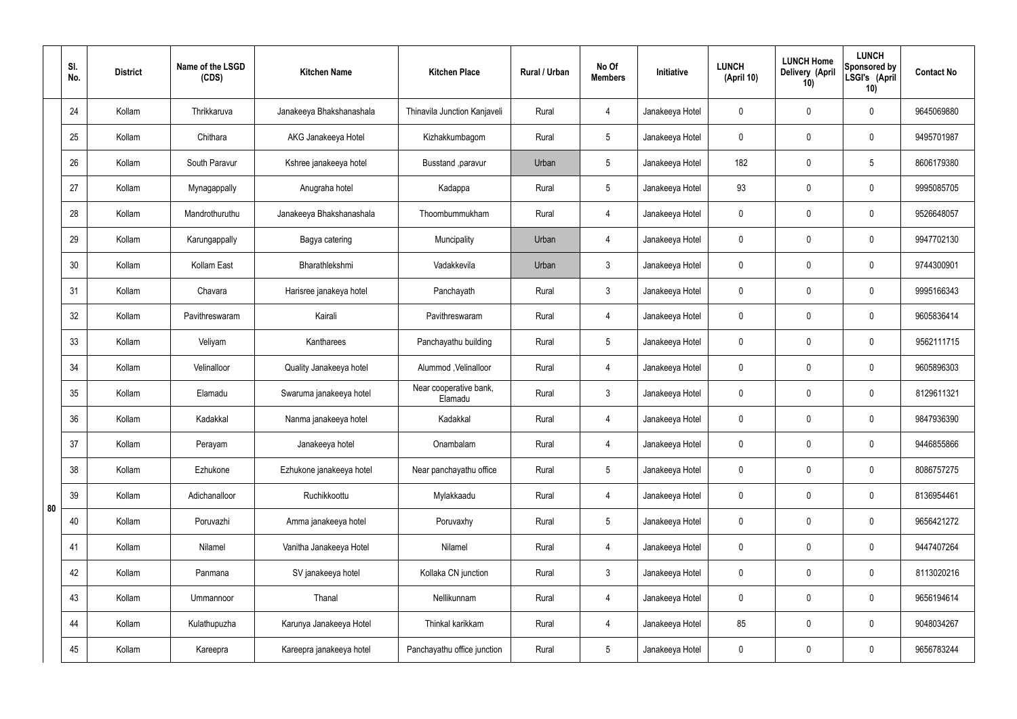|    | SI.<br>No. | <b>District</b> | Name of the LSGD<br>(CDS) | <b>Kitchen Name</b>      | <b>Kitchen Place</b>              | Rural / Urban | No Of<br><b>Members</b> | Initiative      | <b>LUNCH</b><br>(April 10) | <b>LUNCH Home</b><br>Delivery (April<br>10) | <b>LUNCH</b><br>Sponsored by<br>LSGI's (April<br>10) | <b>Contact No</b> |
|----|------------|-----------------|---------------------------|--------------------------|-----------------------------------|---------------|-------------------------|-----------------|----------------------------|---------------------------------------------|------------------------------------------------------|-------------------|
|    | 24         | Kollam          | Thrikkaruva               | Janakeeya Bhakshanashala | Thinavila Junction Kanjaveli      | Rural         | 4                       | Janakeeya Hotel | $\mathbf 0$                | $\mathbf 0$                                 | $\mathbf 0$                                          | 9645069880        |
|    | 25         | Kollam          | Chithara                  | AKG Janakeeya Hotel      | Kizhakkumbagom                    | Rural         | $5\overline{)}$         | Janakeeya Hotel | $\mathbf 0$                | $\mathbf 0$                                 | $\mathbf 0$                                          | 9495701987        |
|    | 26         | Kollam          | South Paravur             | Kshree janakeeya hotel   | Busstand , paravur                | Urban         | $5\phantom{.0}$         | Janakeeya Hotel | 182                        | $\mathbf 0$                                 | $5\phantom{.0}$                                      | 8606179380        |
|    | 27         | Kollam          | Mynagappally              | Anugraha hotel           | Kadappa                           | Rural         | $5\overline{)}$         | Janakeeya Hotel | 93                         | $\mathbf 0$                                 | $\mathbf 0$                                          | 9995085705        |
|    | 28         | Kollam          | Mandrothuruthu            | Janakeeya Bhakshanashala | Thoombummukham                    | Rural         | 4                       | Janakeeya Hotel | $\mathbf 0$                | $\mathbf 0$                                 | $\mathbf 0$                                          | 9526648057        |
|    | 29         | Kollam          | Karungappally             | Bagya catering           | Muncipality                       | Urban         | 4                       | Janakeeya Hotel | $\mathbf 0$                | $\mathbf 0$                                 | $\mathbf 0$                                          | 9947702130        |
|    | 30         | Kollam          | Kollam East               | Bharathlekshmi           | Vadakkevila                       | Urban         | $\mathbf{3}$            | Janakeeya Hotel | $\mathbf 0$                | $\mathbf 0$                                 | $\mathbf 0$                                          | 9744300901        |
|    | 31         | Kollam          | Chavara                   | Harisree janakeya hotel  | Panchayath                        | Rural         | $\mathbf{3}$            | Janakeeya Hotel | $\mathbf 0$                | $\mathbf 0$                                 | $\mathbf 0$                                          | 9995166343        |
|    | 32         | Kollam          | Pavithreswaram            | Kairali                  | Pavithreswaram                    | Rural         | 4                       | Janakeeya Hotel | $\mathbf 0$                | $\mathbf 0$                                 | $\mathbf 0$                                          | 9605836414        |
|    | 33         | Kollam          | Veliyam                   | Kantharees               | Panchayathu building              | Rural         | $5\overline{)}$         | Janakeeya Hotel | $\mathbf 0$                | $\mathbf 0$                                 | $\mathbf 0$                                          | 9562111715        |
|    | 34         | Kollam          | Velinalloor               | Quality Janakeeya hotel  | Alummod, Velinalloor              | Rural         | 4                       | Janakeeya Hotel | $\mathbf 0$                | $\mathbf 0$                                 | $\mathbf 0$                                          | 9605896303        |
|    | 35         | Kollam          | Elamadu                   | Swaruma janakeeya hotel  | Near cooperative bank,<br>Elamadu | Rural         | $\mathbf{3}$            | Janakeeya Hotel | $\mathbf 0$                | $\mathbf 0$                                 | $\mathbf 0$                                          | 8129611321        |
|    | 36         | Kollam          | Kadakkal                  | Nanma janakeeya hotel    | Kadakkal                          | Rural         | 4                       | Janakeeya Hotel | $\mathbf 0$                | $\mathbf 0$                                 | $\mathbf 0$                                          | 9847936390        |
|    | 37         | Kollam          | Perayam                   | Janakeeya hotel          | Onambalam                         | Rural         | $\overline{4}$          | Janakeeya Hotel | $\mathbf 0$                | $\pmb{0}$                                   | $\mathbf 0$                                          | 9446855866        |
|    | 38         | Kollam          | Ezhukone                  | Ezhukone janakeeya hotel | Near panchayathu office           | Rural         | $5\overline{)}$         | Janakeeya Hotel | $\pmb{0}$                  | $\pmb{0}$                                   | $\mathbf 0$                                          | 8086757275        |
| 80 | 39         | Kollam          | Adichanalloor             | Ruchikkoottu             | Mylakkaadu                        | Rural         | $\overline{4}$          | Janakeeya Hotel | $\mathbf 0$                | 0                                           | $\mathbf 0$                                          | 8136954461        |
|    | 40         | Kollam          | Poruvazhi                 | Amma janakeeya hotel     | Poruvaxhy                         | Rural         | $5\phantom{.0}$         | Janakeeya Hotel | $\mathbf 0$                | $\pmb{0}$                                   | $\mathbf 0$                                          | 9656421272        |
|    | 41         | Kollam          | Nilamel                   | Vanitha Janakeeya Hotel  | Nilamel                           | Rural         | $\overline{4}$          | Janakeeya Hotel | $\mathbf 0$                | 0                                           | $\mathbf 0$                                          | 9447407264        |
|    | 42         | Kollam          | Panmana                   | SV janakeeya hotel       | Kollaka CN junction               | Rural         | $\mathbf{3}$            | Janakeeya Hotel | $\mathbf 0$                | $\pmb{0}$                                   | $\mathbf 0$                                          | 8113020216        |
|    | 43         | Kollam          | Ummannoor                 | Thanal                   | Nellikunnam                       | Rural         | $\overline{4}$          | Janakeeya Hotel | $\mathbf 0$                | 0                                           | $\mathbf 0$                                          | 9656194614        |
|    | 44         | Kollam          | Kulathupuzha              | Karunya Janakeeya Hotel  | Thinkal karikkam                  | Rural         | $\overline{4}$          | Janakeeya Hotel | 85                         | 0                                           | $\mathbf 0$                                          | 9048034267        |
|    | 45         | Kollam          | Kareepra                  | Kareepra janakeeya hotel | Panchayathu office junction       | Rural         | $5\phantom{.0}$         | Janakeeya Hotel | $\pmb{0}$                  | $\pmb{0}$                                   | $\boldsymbol{0}$                                     | 9656783244        |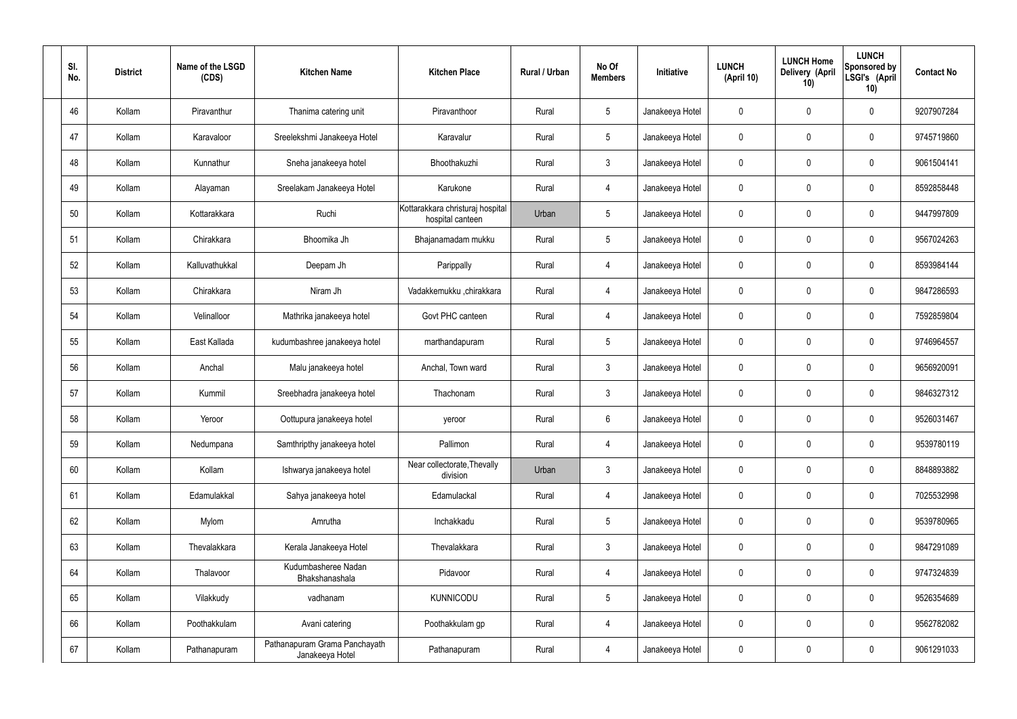| SI.<br>No. | <b>District</b> | Name of the LSGD<br>(CDS) | <b>Kitchen Name</b>                              | <b>Kitchen Place</b>                                 | Rural / Urban | No Of<br><b>Members</b> | Initiative      | <b>LUNCH</b><br>(April 10) | <b>LUNCH Home</b><br>Delivery (April<br>10) | <b>LUNCH</b><br>Sponsored by<br>LSGI's (April<br>10) | <b>Contact No</b> |
|------------|-----------------|---------------------------|--------------------------------------------------|------------------------------------------------------|---------------|-------------------------|-----------------|----------------------------|---------------------------------------------|------------------------------------------------------|-------------------|
| 46         | Kollam          | Piravanthur               | Thanima catering unit                            | Piravanthoor                                         | Rural         | $5\phantom{.0}$         | Janakeeya Hotel | 0                          | 0                                           | $\mathbf 0$                                          | 9207907284        |
| 47         | Kollam          | Karavaloor                | Sreelekshmi Janakeeya Hotel                      | Karavalur                                            | Rural         | $5\phantom{.0}$         | Janakeeya Hotel | $\mathbf 0$                | 0                                           | $\mathbf 0$                                          | 9745719860        |
| 48         | Kollam          | Kunnathur                 | Sneha janakeeya hotel                            | Bhoothakuzhi                                         | Rural         | $\mathbf{3}$            | Janakeeya Hotel | 0                          | 0                                           | $\mathbf 0$                                          | 9061504141        |
| 49         | Kollam          | Alayaman                  | Sreelakam Janakeeya Hotel                        | Karukone                                             | Rural         | $\overline{4}$          | Janakeeya Hotel | $\mathbf 0$                | 0                                           | $\mathbf 0$                                          | 8592858448        |
| 50         | Kollam          | Kottarakkara              | Ruchi                                            | Kottarakkara christuraj hospital<br>hospital canteen | Urban         | $5\phantom{.0}$         | Janakeeya Hotel | $\mathbf 0$                | 0                                           | $\mathbf 0$                                          | 9447997809        |
| 51         | Kollam          | Chirakkara                | Bhoomika Jh                                      | Bhajanamadam mukku                                   | Rural         | $5\phantom{.0}$         | Janakeeya Hotel | $\mathbf 0$                | 0                                           | $\mathbf 0$                                          | 9567024263        |
| 52         | Kollam          | Kalluvathukkal            | Deepam Jh                                        | Parippally                                           | Rural         | 4                       | Janakeeya Hotel | $\mathbf 0$                | 0                                           | $\mathbf 0$                                          | 8593984144        |
| 53         | Kollam          | Chirakkara                | Niram Jh                                         | Vadakkemukku ,chirakkara                             | Rural         | 4                       | Janakeeya Hotel | $\mathbf 0$                | 0                                           | $\mathbf 0$                                          | 9847286593        |
| 54         | Kollam          | Velinalloor               | Mathrika janakeeya hotel                         | Govt PHC canteen                                     | Rural         | $\overline{4}$          | Janakeeya Hotel | $\mathbf 0$                | 0                                           | $\mathbf 0$                                          | 7592859804        |
| 55         | Kollam          | East Kallada              | kudumbashree janakeeya hotel                     | marthandapuram                                       | Rural         | $5\phantom{.0}$         | Janakeeya Hotel | $\mathbf 0$                | 0                                           | $\mathbf 0$                                          | 9746964557        |
| 56         | Kollam          | Anchal                    | Malu janakeeya hotel                             | Anchal, Town ward                                    | Rural         | $\mathbf{3}$            | Janakeeya Hotel | $\mathbf 0$                | 0                                           | $\mathbf 0$                                          | 9656920091        |
| 57         | Kollam          | Kummil                    | Sreebhadra janakeeya hotel                       | Thachonam                                            | Rural         | $\mathbf{3}$            | Janakeeya Hotel | $\mathbf 0$                | 0                                           | $\mathbf 0$                                          | 9846327312        |
| 58         | Kollam          | Yeroor                    | Oottupura janakeeya hotel                        | yeroor                                               | Rural         | $6\phantom{.}6$         | Janakeeya Hotel | $\mathbf 0$                | 0                                           | 0                                                    | 9526031467        |
| 59         | Kollam          | Nedumpana                 | Samthripthy janakeeya hotel                      | Pallimon                                             | Rural         | $\overline{4}$          | Janakeeya Hotel | $\mathbf 0$                | $\mathsf{0}$                                | $\mathbf 0$                                          | 9539780119        |
| 60         | Kollam          | Kollam                    | Ishwarya janakeeya hotel                         | Near collectorate, Thevally<br>division              | Urban         | $\mathbf{3}$            | Janakeeya Hotel | $\pmb{0}$                  | $\mathsf{0}$                                | $\mathbf 0$                                          | 8848893882        |
| 61         | Kollam          | Edamulakkal               | Sahya janakeeya hotel                            | Edamulackal                                          | Rural         | $\overline{4}$          | Janakeeya Hotel | $\mathbf 0$                | $\boldsymbol{0}$                            | $\mathbf 0$                                          | 7025532998        |
| 62         | Kollam          | Mylom                     | Amrutha                                          | Inchakkadu                                           | Rural         | $5\phantom{.0}$         | Janakeeya Hotel | $\pmb{0}$                  | 0                                           | $\mathbf 0$                                          | 9539780965        |
| 63         | Kollam          | Thevalakkara              | Kerala Janakeeya Hotel                           | Thevalakkara                                         | Rural         | $\mathbf{3}$            | Janakeeya Hotel | $\mathbf 0$                | $\boldsymbol{0}$                            | $\mathbf 0$                                          | 9847291089        |
| 64         | Kollam          | Thalavoor                 | Kudumbasheree Nadan<br>Bhakshanashala            | Pidavoor                                             | Rural         | $\overline{4}$          | Janakeeya Hotel | $\mathbf 0$                | $\mathsf{0}$                                | $\mathbf 0$                                          | 9747324839        |
| 65         | Kollam          | Vilakkudy                 | vadhanam                                         | <b>KUNNICODU</b>                                     | Rural         | $5\phantom{.0}$         | Janakeeya Hotel | $\mathbf 0$                | $\mathbf 0$                                 | $\mathbf 0$                                          | 9526354689        |
| 66         | Kollam          | Poothakkulam              | Avani catering                                   | Poothakkulam gp                                      | Rural         | 4                       | Janakeeya Hotel | $\mathbf 0$                | 0                                           | $\mathbf 0$                                          | 9562782082        |
| 67         | Kollam          | Pathanapuram              | Pathanapuram Grama Panchayath<br>Janakeeya Hotel | Pathanapuram                                         | Rural         | 4                       | Janakeeya Hotel | 0                          | 0                                           | $\pmb{0}$                                            | 9061291033        |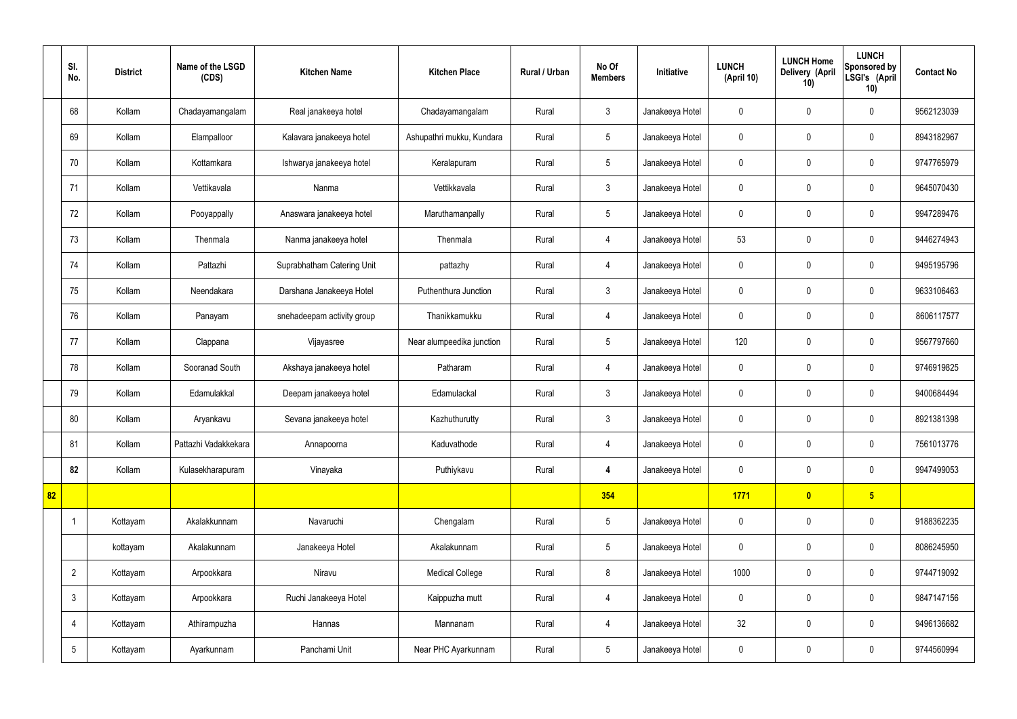|    | SI.<br>No.      | <b>District</b> | Name of the LSGD<br>(CDS) | <b>Kitchen Name</b>        | <b>Kitchen Place</b>      | Rural / Urban | No Of<br><b>Members</b> | <b>Initiative</b> | <b>LUNCH</b><br>(April 10) | <b>LUNCH Home</b><br>Delivery (April<br>10) | <b>LUNCH</b><br>Sponsored by<br>LSGI's (April<br>10) | <b>Contact No</b> |
|----|-----------------|-----------------|---------------------------|----------------------------|---------------------------|---------------|-------------------------|-------------------|----------------------------|---------------------------------------------|------------------------------------------------------|-------------------|
|    | 68              | Kollam          | Chadayamangalam           | Real janakeeya hotel       | Chadayamangalam           | Rural         | $\mathbf{3}$            | Janakeeya Hotel   | 0                          | $\mathbf 0$                                 | $\mathbf 0$                                          | 9562123039        |
|    | 69              | Kollam          | Elampalloor               | Kalavara janakeeya hotel   | Ashupathri mukku, Kundara | Rural         | $5\phantom{.0}$         | Janakeeya Hotel   | $\mathbf 0$                | $\mathbf 0$                                 | $\mathbf 0$                                          | 8943182967        |
|    | 70              | Kollam          | Kottamkara                | Ishwarya janakeeya hotel   | Keralapuram               | Rural         | $5\overline{)}$         | Janakeeya Hotel   | $\mathbf 0$                | $\mathbf 0$                                 | $\mathbf 0$                                          | 9747765979        |
|    | 71              | Kollam          | Vettikavala               | Nanma                      | Vettikkavala              | Rural         | $\mathbf{3}$            | Janakeeya Hotel   | $\mathbf 0$                | $\mathbf 0$                                 | $\mathbf 0$                                          | 9645070430        |
|    | 72              | Kollam          | Pooyappally               | Anaswara janakeeya hotel   | Maruthamanpally           | Rural         | $5\phantom{.0}$         | Janakeeya Hotel   | $\mathbf 0$                | $\mathbf 0$                                 | $\mathbf 0$                                          | 9947289476        |
|    | 73              | Kollam          | Thenmala                  | Nanma janakeeya hotel      | Thenmala                  | Rural         | $\overline{4}$          | Janakeeya Hotel   | 53                         | $\mathbf 0$                                 | $\mathbf 0$                                          | 9446274943        |
|    | 74              | Kollam          | Pattazhi                  | Suprabhatham Catering Unit | pattazhy                  | Rural         | $\overline{4}$          | Janakeeya Hotel   | $\mathbf 0$                | $\mathbf 0$                                 | $\mathbf 0$                                          | 9495195796        |
|    | 75              | Kollam          | Neendakara                | Darshana Janakeeya Hotel   | Puthenthura Junction      | Rural         | $\mathbf{3}$            | Janakeeya Hotel   | $\mathbf 0$                | $\mathbf 0$                                 | $\mathbf 0$                                          | 9633106463        |
|    | 76              | Kollam          | Panayam                   | snehadeepam activity group | Thanikkamukku             | Rural         | $\overline{4}$          | Janakeeya Hotel   | $\mathbf 0$                | $\mathbf 0$                                 | $\mathbf 0$                                          | 8606117577        |
|    | 77              | Kollam          | Clappana                  | Vijayasree                 | Near alumpeedika junction | Rural         | $5\phantom{.0}$         | Janakeeya Hotel   | 120                        | $\mathbf 0$                                 | $\mathbf 0$                                          | 9567797660        |
|    | 78              | Kollam          | Sooranad South            | Akshaya janakeeya hotel    | Patharam                  | Rural         | $\overline{4}$          | Janakeeya Hotel   | $\mathbf 0$                | $\mathbf 0$                                 | $\mathbf 0$                                          | 9746919825        |
|    | 79              | Kollam          | Edamulakkal               | Deepam janakeeya hotel     | Edamulackal               | Rural         | $\mathbf{3}$            | Janakeeya Hotel   | $\mathbf 0$                | $\mathbf 0$                                 | $\mathbf 0$                                          | 9400684494        |
|    | 80              | Kollam          | Aryankavu                 | Sevana janakeeya hotel     | Kazhuthurutty             | Rural         | $\mathfrak{Z}$          | Janakeeya Hotel   | $\mathbf 0$                | $\mathbf 0$                                 | $\mathbf 0$                                          | 8921381398        |
|    | 81              | Kollam          | Pattazhi Vadakkekara      | Annapoorna                 | Kaduvathode               | Rural         | 4                       | Janakeeya Hotel   | $\mathbf 0$                | $\pmb{0}$                                   | $\mathbf 0$                                          | 7561013776        |
|    | 82              | Kollam          | Kulasekharapuram          | Vinayaka                   | Puthiykavu                | Rural         | $\overline{4}$          | Janakeeya Hotel   | $\mathbf 0$                | $\pmb{0}$                                   | $\mathbf 0$                                          | 9947499053        |
| 82 |                 |                 |                           |                            |                           |               | 354                     |                   | 1771                       | $\bullet$                                   | $5\overline{)}$                                      |                   |
|    | -1              | Kottayam        | Akalakkunnam              | Navaruchi                  | Chengalam                 | Rural         | $5\phantom{.0}$         | Janakeeya Hotel   | $\pmb{0}$                  | $\pmb{0}$                                   | $\mathbf 0$                                          | 9188362235        |
|    |                 | kottayam        | Akalakunnam               | Janakeeya Hotel            | Akalakunnam               | Rural         | $5\phantom{.0}$         | Janakeeya Hotel   | $\pmb{0}$                  | $\pmb{0}$                                   | $\mathbf 0$                                          | 8086245950        |
|    | $\overline{2}$  | Kottayam        | Arpookkara                | Niravu                     | <b>Medical College</b>    | Rural         | 8                       | Janakeeya Hotel   | 1000                       | $\pmb{0}$                                   | $\mathbf 0$                                          | 9744719092        |
|    | $\mathbf{3}$    | Kottayam        | Arpookkara                | Ruchi Janakeeya Hotel      | Kaippuzha mutt            | Rural         | $\overline{4}$          | Janakeeya Hotel   | $\pmb{0}$                  | $\pmb{0}$                                   | $\mathbf 0$                                          | 9847147156        |
|    | $\overline{4}$  | Kottayam        | Athirampuzha              | Hannas                     | Mannanam                  | Rural         | $\overline{4}$          | Janakeeya Hotel   | 32                         | $\pmb{0}$                                   | $\mathbf 0$                                          | 9496136682        |
|    | $5\phantom{.0}$ | Kottayam        | Ayarkunnam                | Panchami Unit              | Near PHC Ayarkunnam       | Rural         | $5\phantom{.0}$         | Janakeeya Hotel   | $\pmb{0}$                  | $\pmb{0}$                                   | $\boldsymbol{0}$                                     | 9744560994        |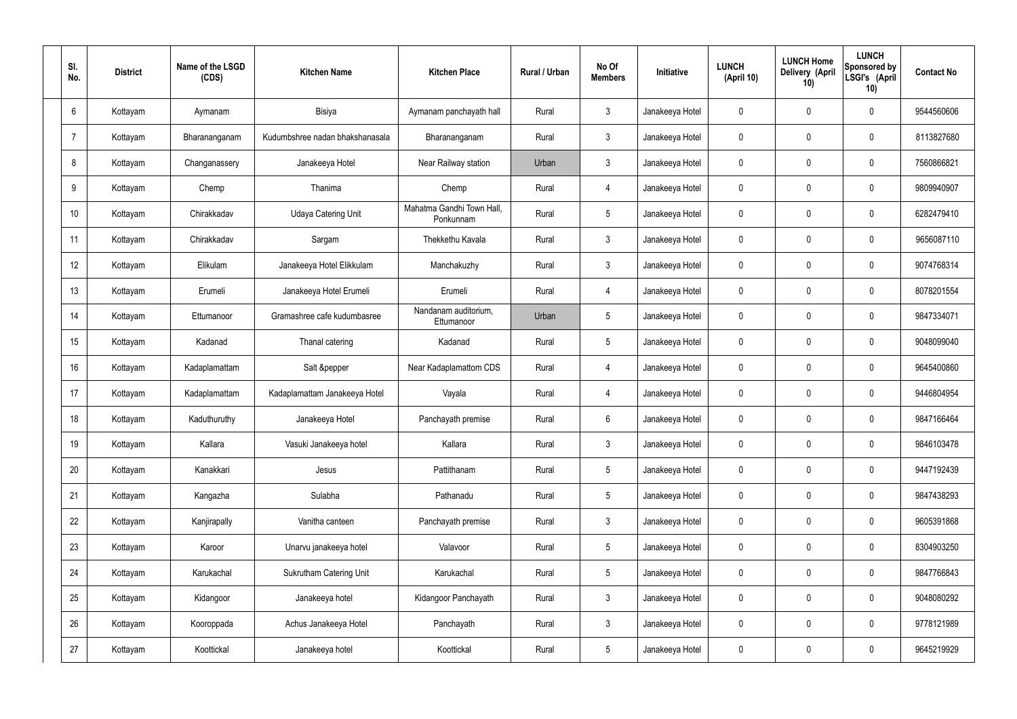| SI.<br>No.      | <b>District</b> | Name of the LSGD<br>(CDS) | <b>Kitchen Name</b>             | <b>Kitchen Place</b>                   | Rural / Urban | No Of<br><b>Members</b> | <b>Initiative</b> | <b>LUNCH</b><br>(April 10) | <b>LUNCH Home</b><br>Delivery (April<br>10) | <b>LUNCH</b><br>Sponsored by<br>LSGI's (April<br>10) | <b>Contact No</b> |
|-----------------|-----------------|---------------------------|---------------------------------|----------------------------------------|---------------|-------------------------|-------------------|----------------------------|---------------------------------------------|------------------------------------------------------|-------------------|
| $6\overline{6}$ | Kottayam        | Aymanam                   | Bisiya                          | Aymanam panchayath hall                | Rural         | $\mathbf{3}$            | Janakeeya Hotel   | $\mathbf 0$                | 0                                           | $\mathbf 0$                                          | 9544560606        |
| $\overline{7}$  | Kottayam        | Bharananganam             | Kudumbshree nadan bhakshanasala | Bharananganam                          | Rural         | $\mathbf{3}$            | Janakeeya Hotel   | $\mathbf 0$                | 0                                           | $\mathbf 0$                                          | 8113827680        |
| 8               | Kottayam        | Changanassery             | Janakeeya Hotel                 | Near Railway station                   | Urban         | $\mathbf{3}$            | Janakeeya Hotel   | $\mathbf 0$                | 0                                           | $\mathbf 0$                                          | 7560866821        |
| 9               | Kottayam        | Chemp                     | Thanima                         | Chemp                                  | Rural         | $\overline{4}$          | Janakeeya Hotel   | $\mathbf 0$                | 0                                           | $\mathbf 0$                                          | 9809940907        |
| 10              | Kottayam        | Chirakkadav               | <b>Udaya Catering Unit</b>      | Mahatma Gandhi Town Hall,<br>Ponkunnam | Rural         | $5\phantom{.0}$         | Janakeeya Hotel   | $\mathbf 0$                | 0                                           | $\mathbf 0$                                          | 6282479410        |
| 11              | Kottayam        | Chirakkadav               | Sargam                          | Thekkethu Kavala                       | Rural         | $\mathbf{3}$            | Janakeeya Hotel   | $\mathbf 0$                | 0                                           | $\mathbf 0$                                          | 9656087110        |
| 12              | Kottayam        | Elikulam                  | Janakeeya Hotel Elikkulam       | Manchakuzhy                            | Rural         | $\mathbf{3}$            | Janakeeya Hotel   | $\mathbf 0$                | 0                                           | $\mathbf 0$                                          | 9074768314        |
| 13              | Kottayam        | Erumeli                   | Janakeeya Hotel Erumeli         | Erumeli                                | Rural         | $\overline{4}$          | Janakeeya Hotel   | $\mathbf 0$                | 0                                           | $\mathbf 0$                                          | 8078201554        |
| 14              | Kottayam        | Ettumanoor                | Gramashree cafe kudumbasree     | Nandanam auditorium,<br>Ettumanoor     | Urban         | $5\phantom{.0}$         | Janakeeya Hotel   | $\mathbf 0$                | 0                                           | $\mathbf 0$                                          | 9847334071        |
| 15              | Kottayam        | Kadanad                   | Thanal catering                 | Kadanad                                | Rural         | $5\phantom{.0}$         | Janakeeya Hotel   | $\mathbf 0$                | 0                                           | $\mathbf 0$                                          | 9048099040        |
| 16              | Kottayam        | Kadaplamattam             | Salt &pepper                    | Near Kadaplamattom CDS                 | Rural         | $\overline{4}$          | Janakeeya Hotel   | $\mathbf 0$                | 0                                           | $\mathbf 0$                                          | 9645400860        |
| 17              | Kottayam        | Kadaplamattam             | Kadaplamattam Janakeeya Hotel   | Vayala                                 | Rural         | 4                       | Janakeeya Hotel   | $\mathbf 0$                | 0                                           | $\mathbf 0$                                          | 9446804954        |
| 18              | Kottayam        | Kaduthuruthy              | Janakeeya Hotel                 | Panchayath premise                     | Rural         | $6\phantom{.}6$         | Janakeeya Hotel   | $\mathbf 0$                | 0                                           | $\mathbf 0$                                          | 9847166464        |
| 19              | Kottayam        | Kallara                   | Vasuki Janakeeya hotel          | Kallara                                | Rural         | $\mathbf{3}$            | Janakeeya Hotel   | $\mathbf 0$                | $\mathbf 0$                                 | $\mathbf 0$                                          | 9846103478        |
| 20              | Kottayam        | Kanakkari                 | Jesus                           | Pattithanam                            | Rural         | $5\overline{)}$         | Janakeeya Hotel   | $\mathbf 0$                | $\mathbf 0$                                 | $\mathbf 0$                                          | 9447192439        |
| 21              | Kottayam        | Kangazha                  | Sulabha                         | Pathanadu                              | Rural         | $5\phantom{.0}$         | Janakeeya Hotel   | $\mathbf 0$                | $\mathbf 0$                                 | $\mathbf 0$                                          | 9847438293        |
| 22              | Kottayam        | Kanjirapally              | Vanitha canteen                 | Panchayath premise                     | Rural         | $\mathbf{3}$            | Janakeeya Hotel   | $\mathbf 0$                | 0                                           | $\mathbf 0$                                          | 9605391868        |
| 23              | Kottayam        | Karoor                    | Unarvu janakeeya hotel          | Valavoor                               | Rural         | $5\phantom{.0}$         | Janakeeya Hotel   | $\mathbf 0$                | 0                                           | $\mathbf 0$                                          | 8304903250        |
| 24              | Kottayam        | Karukachal                | Sukrutham Catering Unit         | Karukachal                             | Rural         | $5\phantom{.0}$         | Janakeeya Hotel   | $\mathbf 0$                | 0                                           | $\mathbf 0$                                          | 9847766843        |
| 25              | Kottayam        | Kidangoor                 | Janakeeya hotel                 | Kidangoor Panchayath                   | Rural         | $\mathfrak{Z}$          | Janakeeya Hotel   | $\mathbf 0$                | 0                                           | $\mathbf 0$                                          | 9048080292        |
| 26              | Kottayam        | Kooroppada                | Achus Janakeeya Hotel           | Panchayath                             | Rural         | $\mathfrak{Z}$          | Janakeeya Hotel   | $\mathbf 0$                | 0                                           | $\mathbf 0$                                          | 9778121989        |
| 27              | Kottayam        | Koottickal                | Janakeeya hotel                 | Koottickal                             | Rural         | $5\,$                   | Janakeeya Hotel   | 0                          | 0                                           | $\mathbf 0$                                          | 9645219929        |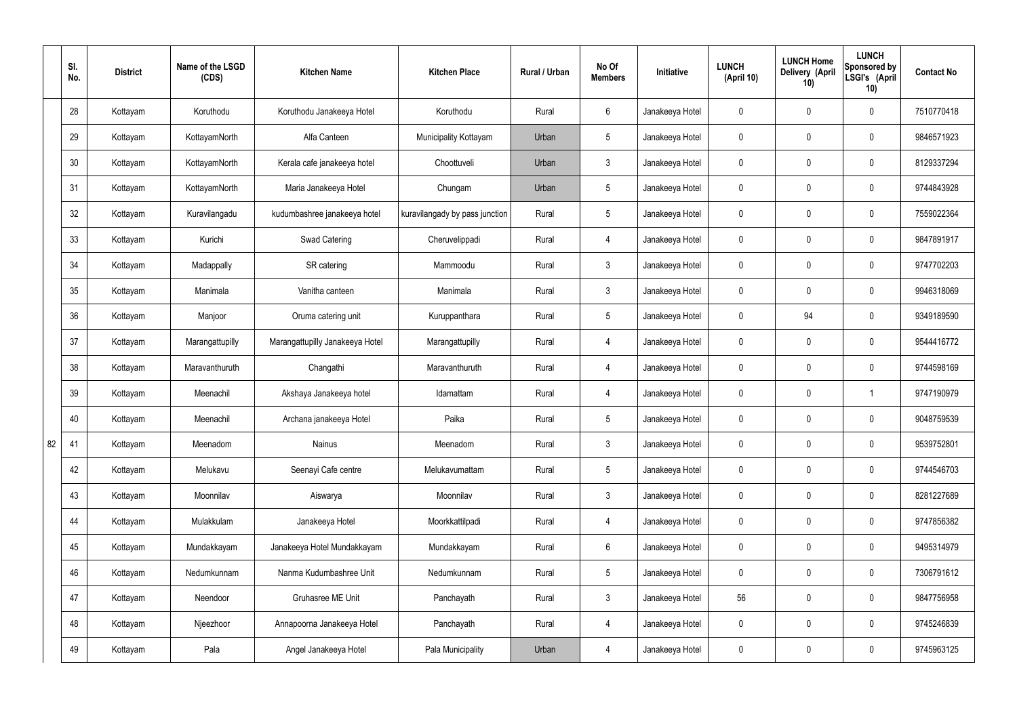|    | SI.<br>No. | <b>District</b> | Name of the LSGD<br>(CDS) | <b>Kitchen Name</b>             | <b>Kitchen Place</b>           | Rural / Urban | No Of<br><b>Members</b> | Initiative      | <b>LUNCH</b><br>(April 10) | <b>LUNCH Home</b><br>Delivery (April<br>10) | <b>LUNCH</b><br>Sponsored by<br>LSGI's (April<br>10) | <b>Contact No</b> |
|----|------------|-----------------|---------------------------|---------------------------------|--------------------------------|---------------|-------------------------|-----------------|----------------------------|---------------------------------------------|------------------------------------------------------|-------------------|
|    | 28         | Kottayam        | Koruthodu                 | Koruthodu Janakeeya Hotel       | Koruthodu                      | Rural         | $6\overline{6}$         | Janakeeya Hotel | $\mathbf 0$                | $\mathbf 0$                                 | $\mathbf 0$                                          | 7510770418        |
|    | 29         | Kottayam        | KottayamNorth             | Alfa Canteen                    | Municipality Kottayam          | Urban         | $5\overline{)}$         | Janakeeya Hotel | $\mathbf 0$                | $\mathbf 0$                                 | $\mathbf 0$                                          | 9846571923        |
|    | 30         | Kottayam        | KottayamNorth             | Kerala cafe janakeeya hotel     | Choottuveli                    | Urban         | $\mathbf{3}$            | Janakeeya Hotel | $\mathbf 0$                | $\mathbf 0$                                 | $\mathbf 0$                                          | 8129337294        |
|    | 31         | Kottayam        | KottayamNorth             | Maria Janakeeya Hotel           | Chungam                        | Urban         | $5\overline{)}$         | Janakeeya Hotel | $\mathbf 0$                | $\mathbf 0$                                 | $\mathbf 0$                                          | 9744843928        |
|    | 32         | Kottayam        | Kuravilangadu             | kudumbashree janakeeya hotel    | kuravilangady by pass junction | Rural         | $5\overline{)}$         | Janakeeya Hotel | $\mathbf 0$                | $\mathbf 0$                                 | $\mathbf 0$                                          | 7559022364        |
|    | 33         | Kottayam        | Kurichi                   | <b>Swad Catering</b>            | Cheruvelippadi                 | Rural         | 4                       | Janakeeya Hotel | $\mathbf 0$                | $\mathbf 0$                                 | $\mathbf 0$                                          | 9847891917        |
|    | 34         | Kottayam        | Madappally                | SR catering                     | Mammoodu                       | Rural         | 3                       | Janakeeya Hotel | $\mathbf 0$                | $\mathbf 0$                                 | $\mathbf 0$                                          | 9747702203        |
|    | 35         | Kottayam        | Manimala                  | Vanitha canteen                 | Manimala                       | Rural         | $\mathbf{3}$            | Janakeeya Hotel | $\mathbf 0$                | $\mathbf 0$                                 | $\mathbf 0$                                          | 9946318069        |
|    | 36         | Kottayam        | Manjoor                   | Oruma catering unit             | Kuruppanthara                  | Rural         | $5\phantom{.0}$         | Janakeeya Hotel | $\mathbf 0$                | 94                                          | $\mathbf 0$                                          | 9349189590        |
|    | 37         | Kottayam        | Marangattupilly           | Marangattupilly Janakeeya Hotel | Marangattupilly                | Rural         | 4                       | Janakeeya Hotel | $\mathbf 0$                | $\mathbf 0$                                 | $\mathbf 0$                                          | 9544416772        |
|    | 38         | Kottayam        | Maravanthuruth            | Changathi                       | Maravanthuruth                 | Rural         | 4                       | Janakeeya Hotel | $\mathbf 0$                | $\mathbf 0$                                 | $\mathbf 0$                                          | 9744598169        |
|    | 39         | Kottayam        | Meenachil                 | Akshaya Janakeeya hotel         | Idamattam                      | Rural         | 4                       | Janakeeya Hotel | $\mathbf 0$                | $\mathbf 0$                                 | -1                                                   | 9747190979        |
|    | 40         | Kottayam        | Meenachil                 | Archana janakeeya Hotel         | Paika                          | Rural         | 5                       | Janakeeya Hotel | $\mathbf 0$                | $\mathbf 0$                                 | $\mathbf 0$                                          | 9048759539        |
| 82 | 41         | Kottayam        | Meenadom                  | Nainus                          | Meenadom                       | Rural         | $\mathbf{3}$            | Janakeeya Hotel | $\mathbf 0$                | $\pmb{0}$                                   | $\mathbf 0$                                          | 9539752801        |
|    | 42         | Kottayam        | Melukavu                  | Seenayi Cafe centre             | Melukavumattam                 | Rural         | $5\overline{)}$         | Janakeeya Hotel | $\mathbf 0$                | $\pmb{0}$                                   | $\mathbf 0$                                          | 9744546703        |
|    | 43         | Kottayam        | Moonnilav                 | Aiswarya                        | Moonnilav                      | Rural         | $\mathbf{3}$            | Janakeeya Hotel | $\mathbf 0$                | $\mathbf 0$                                 | $\mathbf 0$                                          | 8281227689        |
|    | 44         | Kottayam        | Mulakkulam                | Janakeeya Hotel                 | Moorkkattilpadi                | Rural         | $\overline{4}$          | Janakeeya Hotel | $\mathbf 0$                | $\pmb{0}$                                   | $\mathbf 0$                                          | 9747856382        |
|    | 45         | Kottayam        | Mundakkayam               | Janakeeya Hotel Mundakkayam     | Mundakkayam                    | Rural         | $6\overline{6}$         | Janakeeya Hotel | $\mathbf 0$                | 0                                           | $\mathbf 0$                                          | 9495314979        |
|    | 46         | Kottayam        | Nedumkunnam               | Nanma Kudumbashree Unit         | Nedumkunnam                    | Rural         | 5 <sup>5</sup>          | Janakeeya Hotel | $\mathbf 0$                | $\pmb{0}$                                   | $\mathbf 0$                                          | 7306791612        |
|    | 47         | Kottayam        | Neendoor                  | Gruhasree ME Unit               | Panchayath                     | Rural         | $\mathbf{3}$            | Janakeeya Hotel | 56                         | 0                                           | $\mathbf 0$                                          | 9847756958        |
|    | 48         | Kottayam        | Njeezhoor                 | Annapoorna Janakeeya Hotel      | Panchayath                     | Rural         | $\overline{4}$          | Janakeeya Hotel | $\mathbf 0$                | 0                                           | $\mathbf 0$                                          | 9745246839        |
|    | 49         | Kottayam        | Pala                      | Angel Janakeeya Hotel           | Pala Municipality              | Urban         | 4                       | Janakeeya Hotel | $\pmb{0}$                  | 0                                           | $\boldsymbol{0}$                                     | 9745963125        |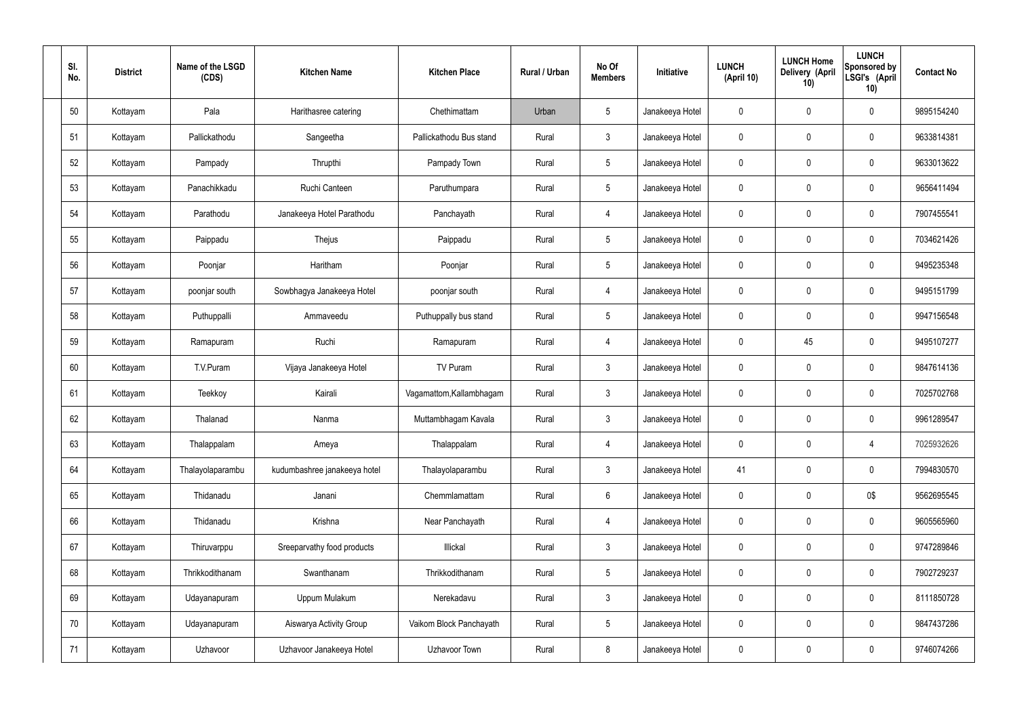| SI.<br>No. | <b>District</b> | Name of the LSGD<br>(CDS) | <b>Kitchen Name</b>          | <b>Kitchen Place</b>     | Rural / Urban | No Of<br><b>Members</b> | Initiative      | <b>LUNCH</b><br>(April 10) | <b>LUNCH Home</b><br>Delivery (April<br>10) | <b>LUNCH</b><br>Sponsored by<br>LSGI's (April<br>10) | <b>Contact No</b> |
|------------|-----------------|---------------------------|------------------------------|--------------------------|---------------|-------------------------|-----------------|----------------------------|---------------------------------------------|------------------------------------------------------|-------------------|
| 50         | Kottayam        | Pala                      | Harithasree catering         | Chethimattam             | Urban         | $5\phantom{.0}$         | Janakeeya Hotel | $\mathbf{0}$               | $\mathbf 0$                                 | 0                                                    | 9895154240        |
| 51         | Kottayam        | Pallickathodu             | Sangeetha                    | Pallickathodu Bus stand  | Rural         | $\mathbf{3}$            | Janakeeya Hotel | $\mathbf 0$                | $\mathbf 0$                                 | 0                                                    | 9633814381        |
| 52         | Kottayam        | Pampady                   | Thrupthi                     | Pampady Town             | Rural         | $5\phantom{.0}$         | Janakeeya Hotel | 0                          | $\mathbf 0$                                 | 0                                                    | 9633013622        |
| 53         | Kottayam        | Panachikkadu              | Ruchi Canteen                | Paruthumpara             | Rural         | $5\phantom{.0}$         | Janakeeya Hotel | $\mathbf 0$                | $\mathbf 0$                                 | 0                                                    | 9656411494        |
| 54         | Kottayam        | Parathodu                 | Janakeeya Hotel Parathodu    | Panchayath               | Rural         | $\overline{4}$          | Janakeeya Hotel | 0                          | $\mathbf 0$                                 | 0                                                    | 7907455541        |
| 55         | Kottayam        | Paippadu                  | Thejus                       | Paippadu                 | Rural         | $5\phantom{.0}$         | Janakeeya Hotel | $\mathbf 0$                | $\mathbf 0$                                 | 0                                                    | 7034621426        |
| 56         | Kottayam        | Poonjar                   | Haritham                     | Poonjar                  | Rural         | $5\phantom{.0}$         | Janakeeya Hotel | 0                          | $\mathbf 0$                                 | 0                                                    | 9495235348        |
| 57         | Kottayam        | poonjar south             | Sowbhagya Janakeeya Hotel    | poonjar south            | Rural         | $\overline{4}$          | Janakeeya Hotel | $\mathbf 0$                | $\mathbf 0$                                 | 0                                                    | 9495151799        |
| 58         | Kottayam        | Puthuppalli               | Ammaveedu                    | Puthuppally bus stand    | Rural         | $5\phantom{.0}$         | Janakeeya Hotel | $\mathbf 0$                | $\mathbf 0$                                 | 0                                                    | 9947156548        |
| 59         | Kottayam        | Ramapuram                 | Ruchi                        | Ramapuram                | Rural         | $\overline{4}$          | Janakeeya Hotel | $\mathbf 0$                | 45                                          | 0                                                    | 9495107277        |
| 60         | Kottayam        | T.V.Puram                 | Vijaya Janakeeya Hotel       | TV Puram                 | Rural         | $\mathbf{3}$            | Janakeeya Hotel | $\mathbf 0$                | 0                                           | 0                                                    | 9847614136        |
| 61         | Kottayam        | Teekkoy                   | Kairali                      | Vagamattom, Kallambhagam | Rural         | $\mathbf{3}$            | Janakeeya Hotel | $\mathbf 0$                | 0                                           | 0                                                    | 7025702768        |
| 62         | Kottayam        | Thalanad                  | Nanma                        | Muttambhagam Kavala      | Rural         | $\mathbf{3}$            | Janakeeya Hotel | 0                          | 0                                           | 0                                                    | 9961289547        |
| 63         | Kottayam        | Thalappalam               | Ameya                        | Thalappalam              | Rural         | $\overline{4}$          | Janakeeya Hotel | $\mathbf 0$                | $\mathbf 0$                                 | 4                                                    | 7025932626        |
| 64         | Kottayam        | Thalayolaparambu          | kudumbashree janakeeya hotel | Thalayolaparambu         | Rural         | $\mathbf{3}$            | Janakeeya Hotel | 41                         | $\mathbf 0$                                 | 0                                                    | 7994830570        |
| 65         | Kottayam        | Thidanadu                 | Janani                       | Chemmlamattam            | Rural         | $6\overline{6}$         | Janakeeya Hotel | 0                          | $\mathbf 0$                                 | 0\$                                                  | 9562695545        |
| 66         | Kottayam        | Thidanadu                 | Krishna                      | Near Panchayath          | Rural         | $\overline{4}$          | Janakeeya Hotel | $\mathbf 0$                | $\pmb{0}$                                   | 0                                                    | 9605565960        |
| 67         | Kottayam        | Thiruvarppu               | Sreeparvathy food products   | Illickal                 | Rural         | $\mathbf{3}$            | Janakeeya Hotel | $\mathbf 0$                | $\mathbf 0$                                 | 0                                                    | 9747289846        |
| 68         | Kottayam        | Thrikkodithanam           | Swanthanam                   | Thrikkodithanam          | Rural         | $5\phantom{.0}$         | Janakeeya Hotel | $\mathbf 0$                | $\mathbf 0$                                 | 0                                                    | 7902729237        |
| 69         | Kottayam        | Udayanapuram              | Uppum Mulakum                | Nerekadavu               | Rural         | $\mathbf{3}$            | Janakeeya Hotel | $\mathbf 0$                | $\mathbf 0$                                 | 0                                                    | 8111850728        |
| 70         | Kottayam        | Udayanapuram              | Aiswarya Activity Group      | Vaikom Block Panchayath  | Rural         | $5\phantom{.0}$         | Janakeeya Hotel | $\mathbf 0$                | $\mathbf 0$                                 | 0                                                    | 9847437286        |
| 71         | Kottayam        | Uzhavoor                  | Uzhavoor Janakeeya Hotel     | Uzhavoor Town            | Rural         | $\boldsymbol{8}$        | Janakeeya Hotel | $\boldsymbol{0}$           | 0                                           | 0                                                    | 9746074266        |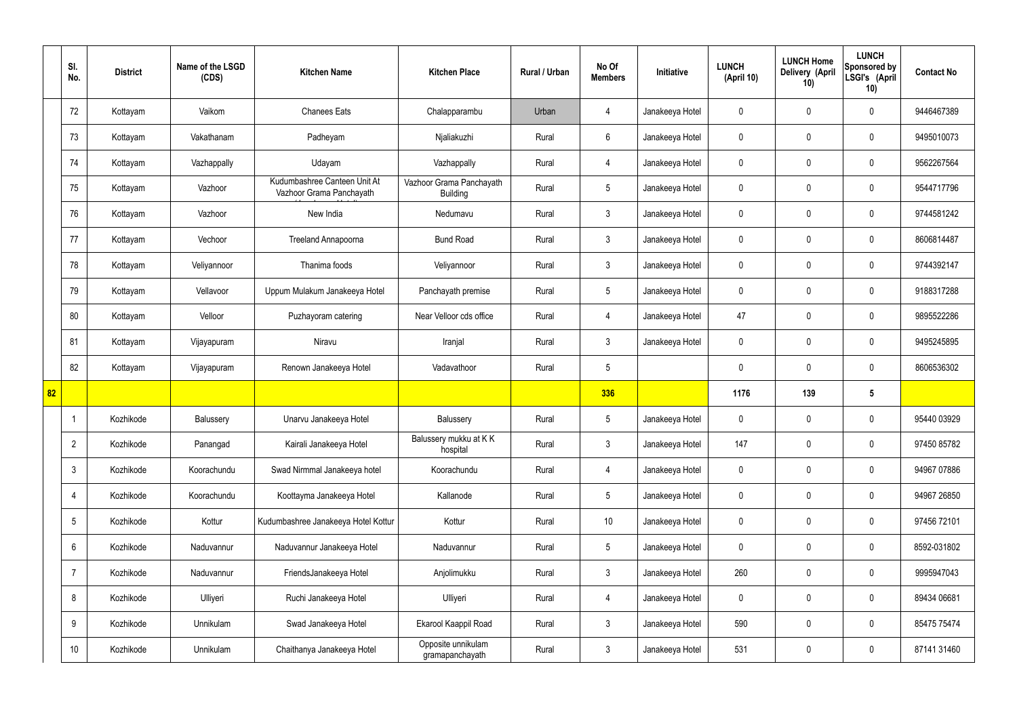|    | SI.<br>No.      | <b>District</b> | Name of the LSGD<br>(CDS) | <b>Kitchen Name</b>                                      | <b>Kitchen Place</b>                        | <b>Rural / Urban</b> | No Of<br><b>Members</b> | Initiative      | <b>LUNCH</b><br>(April 10) | <b>LUNCH Home</b><br>Delivery (April<br>10) | <b>LUNCH</b><br>Sponsored by<br>LSGI's (April<br>10) | <b>Contact No</b> |
|----|-----------------|-----------------|---------------------------|----------------------------------------------------------|---------------------------------------------|----------------------|-------------------------|-----------------|----------------------------|---------------------------------------------|------------------------------------------------------|-------------------|
|    | 72              | Kottayam        | Vaikom                    | <b>Chanees Eats</b>                                      | Chalapparambu                               | Urban                | $\overline{4}$          | Janakeeya Hotel | $\mathbf 0$                | $\mathbf 0$                                 | $\mathbf 0$                                          | 9446467389        |
|    | 73              | Kottayam        | Vakathanam                | Padheyam                                                 | Njaliakuzhi                                 | Rural                | $6\phantom{.}6$         | Janakeeya Hotel | $\mathbf 0$                | $\mathbf 0$                                 | $\mathbf 0$                                          | 9495010073        |
|    | 74              | Kottayam        | Vazhappally               | Udayam                                                   | Vazhappally                                 | Rural                | $\overline{4}$          | Janakeeya Hotel | $\mathbf 0$                | $\mathbf 0$                                 | $\mathbf 0$                                          | 9562267564        |
|    | 75              | Kottayam        | Vazhoor                   | Kudumbashree Canteen Unit At<br>Vazhoor Grama Panchayath | Vazhoor Grama Panchayath<br><b>Building</b> | Rural                | $5\overline{)}$         | Janakeeya Hotel | $\mathbf 0$                | $\mathbf 0$                                 | $\mathbf 0$                                          | 9544717796        |
|    | 76              | Kottayam        | Vazhoor                   | New India                                                | Nedumavu                                    | Rural                | 3                       | Janakeeya Hotel | $\mathbf 0$                | $\mathbf 0$                                 | $\mathbf 0$                                          | 9744581242        |
|    | 77              | Kottayam        | Vechoor                   | <b>Treeland Annapoorna</b>                               | <b>Bund Road</b>                            | Rural                | 3                       | Janakeeya Hotel | $\mathbf 0$                | $\mathbf 0$                                 | $\mathbf 0$                                          | 8606814487        |
|    | 78              | Kottayam        | Veliyannoor               | Thanima foods                                            | Veliyannoor                                 | Rural                | 3                       | Janakeeya Hotel | $\mathbf 0$                | $\mathbf 0$                                 | $\mathbf 0$                                          | 9744392147        |
|    | 79              | Kottayam        | Vellavoor                 | Uppum Mulakum Janakeeya Hotel                            | Panchayath premise                          | Rural                | $5\overline{)}$         | Janakeeya Hotel | $\mathbf 0$                | $\mathbf 0$                                 | $\mathbf 0$                                          | 9188317288        |
|    | 80              | Kottayam        | Velloor                   | Puzhayoram catering                                      | Near Velloor cds office                     | Rural                | 4                       | Janakeeya Hotel | 47                         | $\mathbf 0$                                 | $\mathbf 0$                                          | 9895522286        |
|    | 81              | Kottayam        | Vijayapuram               | Niravu                                                   | Iranjal                                     | Rural                | $\mathbf{3}$            | Janakeeya Hotel | $\mathbf 0$                | $\mathbf 0$                                 | $\mathbf 0$                                          | 9495245895        |
|    | 82              | Kottayam        | Vijayapuram               | Renown Janakeeya Hotel                                   | Vadavathoor                                 | Rural                | $5\overline{)}$         |                 | $\mathbf 0$                | $\mathbf 0$                                 | $\mathbf 0$                                          | 8606536302        |
| 82 |                 |                 |                           |                                                          |                                             |                      | 336                     |                 | 1176                       | 139                                         | $5\phantom{.0}$                                      |                   |
|    |                 | Kozhikode       | Balussery                 | Unarvu Janakeeya Hotel                                   | Balussery                                   | Rural                | $5\phantom{.0}$         | Janakeeya Hotel | $\mathbf 0$                | $\mathbf 0$                                 | $\mathbf 0$                                          | 95440 03929       |
|    | $\overline{2}$  | Kozhikode       | Panangad                  | Kairali Janakeeya Hotel                                  | Balussery mukku at KK<br>hospital           | Rural                | 3 <sup>1</sup>          | Janakeeya Hotel | 147                        | $\mathbf 0$                                 | $\mathbf 0$                                          | 97450 85782       |
|    | 3               | Kozhikode       | Koorachundu               | Swad Nirmmal Janakeeya hotel                             | Koorachundu                                 | Rural                | $\overline{4}$          | Janakeeya Hotel | $\mathbf 0$                | $\pmb{0}$                                   | $\mathbf 0$                                          | 94967 07886       |
|    | 4               | Kozhikode       | Koorachundu               | Koottayma Janakeeya Hotel                                | Kallanode                                   | Rural                | 5 <sub>5</sub>          | Janakeeya Hotel | $\mathbf 0$                | $\mathbf 0$                                 | $\mathbf 0$                                          | 94967 26850       |
|    | $5\phantom{.0}$ | Kozhikode       | Kottur                    | Kudumbashree Janakeeya Hotel Kottur                      | Kottur                                      | Rural                | 10                      | Janakeeya Hotel | $\mathbf 0$                | $\mathbf 0$                                 | $\mathbf 0$                                          | 97456 72101       |
|    | 6               | Kozhikode       | Naduvannur                | Naduvannur Janakeeya Hotel                               | Naduvannur                                  | Rural                | $5\overline{)}$         | Janakeeya Hotel | $\mathbf 0$                | $\mathbf 0$                                 | $\mathbf 0$                                          | 8592-031802       |
|    | 7               | Kozhikode       | Naduvannur                | FriendsJanakeeya Hotel                                   | Anjolimukku                                 | Rural                | $\mathbf{3}$            | Janakeeya Hotel | 260                        | $\pmb{0}$                                   | $\mathbf 0$                                          | 9995947043        |
|    | 8               | Kozhikode       | Ulliyeri                  | Ruchi Janakeeya Hotel                                    | Ulliyeri                                    | Rural                | $\overline{4}$          | Janakeeya Hotel | $\pmb{0}$                  | $\mathbf 0$                                 | $\mathbf 0$                                          | 89434 06681       |
|    | 9               | Kozhikode       | Unnikulam                 | Swad Janakeeya Hotel                                     | Ekarool Kaappil Road                        | Rural                | $\mathbf{3}$            | Janakeeya Hotel | 590                        | $\pmb{0}$                                   | $\mathbf 0$                                          | 85475 75474       |
|    | 10              | Kozhikode       | Unnikulam                 | Chaithanya Janakeeya Hotel                               | Opposite unnikulam<br>gramapanchayath       | Rural                | $\mathfrak{Z}$          | Janakeeya Hotel | 531                        | $\pmb{0}$                                   | $\boldsymbol{0}$                                     | 87141 31460       |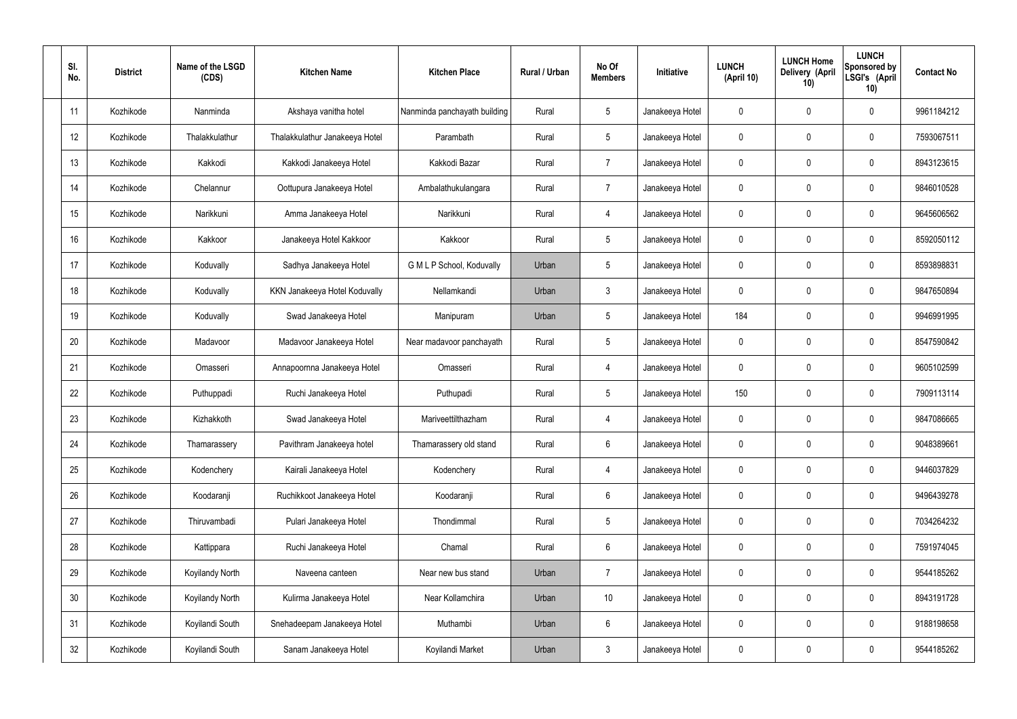| SI.<br>No.      | <b>District</b> | Name of the LSGD<br>(CDS) | <b>Kitchen Name</b>            | <b>Kitchen Place</b>         | Rural / Urban | No Of<br><b>Members</b> | Initiative      | <b>LUNCH</b><br>(April 10) | <b>LUNCH Home</b><br>Delivery (April<br>10) | <b>LUNCH</b><br>Sponsored by<br>LSGI's (April<br>10) | <b>Contact No</b> |
|-----------------|-----------------|---------------------------|--------------------------------|------------------------------|---------------|-------------------------|-----------------|----------------------------|---------------------------------------------|------------------------------------------------------|-------------------|
| 11              | Kozhikode       | Nanminda                  | Akshaya vanitha hotel          | Nanminda panchayath building | Rural         | $5\,$                   | Janakeeya Hotel | 0                          | 0                                           | 0                                                    | 9961184212        |
| 12              | Kozhikode       | Thalakkulathur            | Thalakkulathur Janakeeya Hotel | Parambath                    | Rural         | $5\overline{)}$         | Janakeeya Hotel | $\mathbf 0$                | 0                                           | 0                                                    | 7593067511        |
| 13              | Kozhikode       | Kakkodi                   | Kakkodi Janakeeya Hotel        | Kakkodi Bazar                | Rural         | $\overline{7}$          | Janakeeya Hotel | 0                          | 0                                           | $\mathbf 0$                                          | 8943123615        |
| 14              | Kozhikode       | Chelannur                 | Oottupura Janakeeya Hotel      | Ambalathukulangara           | Rural         | $\overline{7}$          | Janakeeya Hotel | $\mathbf 0$                | 0                                           | $\mathbf 0$                                          | 9846010528        |
| 15              | Kozhikode       | Narikkuni                 | Amma Janakeeya Hotel           | Narikkuni                    | Rural         | $\overline{4}$          | Janakeeya Hotel | 0                          | 0                                           | $\mathbf 0$                                          | 9645606562        |
| 16              | Kozhikode       | Kakkoor                   | Janakeeya Hotel Kakkoor        | Kakkoor                      | Rural         | $5\,$                   | Janakeeya Hotel | $\mathbf 0$                | 0                                           | $\mathbf 0$                                          | 8592050112        |
| 17              | Kozhikode       | Koduvally                 | Sadhya Janakeeya Hotel         | G M L P School, Koduvally    | Urban         | $\sqrt{5}$              | Janakeeya Hotel | $\mathbf 0$                | 0                                           | $\mathbf 0$                                          | 8593898831        |
| 18              | Kozhikode       | Koduvally                 | KKN Janakeeya Hotel Koduvally  | Nellamkandi                  | Urban         | $\mathfrak{Z}$          | Janakeeya Hotel | $\mathbf 0$                | 0                                           | $\mathbf 0$                                          | 9847650894        |
| 19              | Kozhikode       | Koduvally                 | Swad Janakeeya Hotel           | Manipuram                    | Urban         | $\sqrt{5}$              | Janakeeya Hotel | 184                        | 0                                           | $\mathbf 0$                                          | 9946991995        |
| 20              | Kozhikode       | Madavoor                  | Madavoor Janakeeya Hotel       | Near madavoor panchayath     | Rural         | $5\phantom{.0}$         | Janakeeya Hotel | $\mathbf 0$                | 0                                           | $\mathbf 0$                                          | 8547590842        |
| 21              | Kozhikode       | Omasseri                  | Annapoornna Janakeeya Hotel    | Omasseri                     | Rural         | 4                       | Janakeeya Hotel | $\mathbf 0$                | 0                                           | $\mathbf 0$                                          | 9605102599        |
| 22              | Kozhikode       | Puthuppadi                | Ruchi Janakeeya Hotel          | Puthupadi                    | Rural         | $5\phantom{.0}$         | Janakeeya Hotel | 150                        | 0                                           | $\mathbf 0$                                          | 7909113114        |
| 23              | Kozhikode       | Kizhakkoth                | Swad Janakeeya Hotel           | Mariveettilthazham           | Rural         | 4                       | Janakeeya Hotel | 0                          | 0                                           | 0                                                    | 9847086665        |
| 24              | Kozhikode       | Thamarassery              | Pavithram Janakeeya hotel      | Thamarassery old stand       | Rural         | $6\,$                   | Janakeeya Hotel | $\mathbf 0$                | $\mathsf{0}$                                | $\pmb{0}$                                            | 9048389661        |
| 25              | Kozhikode       | Kodenchery                | Kairali Janakeeya Hotel        | Kodenchery                   | Rural         | $\overline{4}$          | Janakeeya Hotel | $\pmb{0}$                  | 0                                           | $\mathbf 0$                                          | 9446037829        |
| 26              | Kozhikode       | Koodaranji                | Ruchikkoot Janakeeya Hotel     | Koodaranji                   | Rural         | $6\phantom{.}6$         | Janakeeya Hotel | 0                          | $\boldsymbol{0}$                            | $\mathbf 0$                                          | 9496439278        |
| 27              | Kozhikode       | Thiruvambadi              | Pulari Janakeeya Hotel         | Thondimmal                   | Rural         | $5\phantom{.0}$         | Janakeeya Hotel | $\pmb{0}$                  | 0                                           | $\mathbf 0$                                          | 7034264232        |
| 28              | Kozhikode       | Kattippara                | Ruchi Janakeeya Hotel          | Chamal                       | Rural         | $6\phantom{.}6$         | Janakeeya Hotel | 0                          | $\boldsymbol{0}$                            | $\mathbf 0$                                          | 7591974045        |
| 29              | Kozhikode       | Koyilandy North           | Naveena canteen                | Near new bus stand           | Urban         | $\overline{7}$          | Janakeeya Hotel | $\mathbf 0$                | 0                                           | $\mathbf 0$                                          | 9544185262        |
| 30 <sup>°</sup> | Kozhikode       | Koyilandy North           | Kulirma Janakeeya Hotel        | Near Kollamchira             | Urban         | 10 <sup>°</sup>         | Janakeeya Hotel | $\mathbf 0$                | 0                                           | $\mathbf 0$                                          | 8943191728        |
| 31              | Kozhikode       | Koyilandi South           | Snehadeepam Janakeeya Hotel    | Muthambi                     | Urban         | $6\,$                   | Janakeeya Hotel | $\mathbf 0$                | 0                                           | $\mathbf 0$                                          | 9188198658        |
| 32              | Kozhikode       | Koyilandi South           | Sanam Janakeeya Hotel          | Koyilandi Market             | Urban         | $\mathfrak{Z}$          | Janakeeya Hotel | 0                          | 0                                           | $\pmb{0}$                                            | 9544185262        |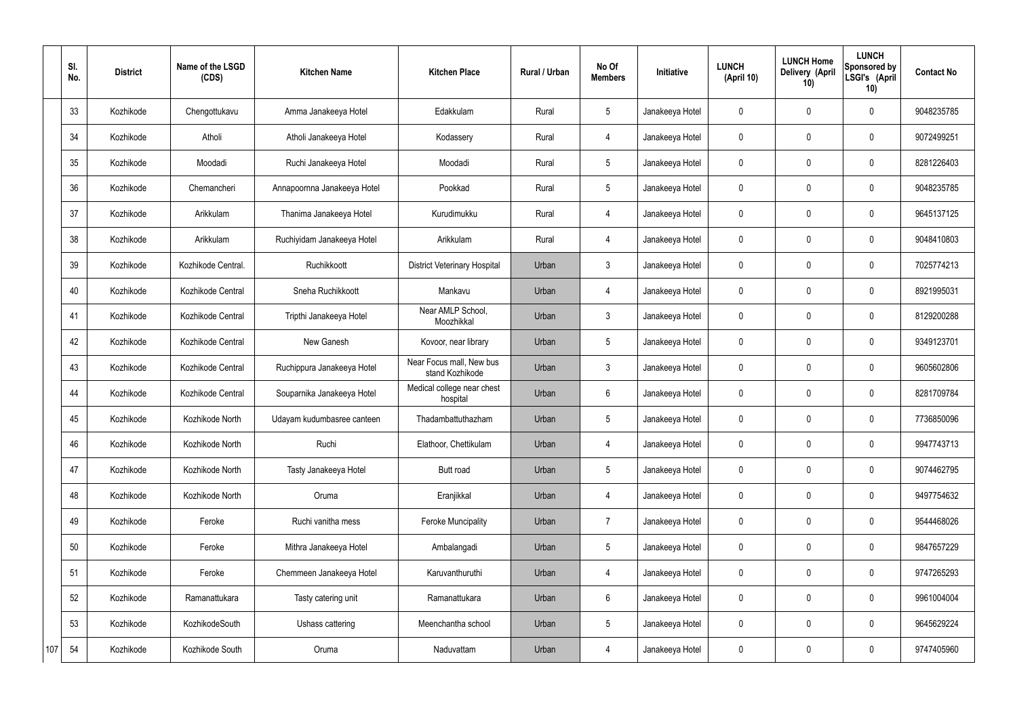|     | SI.<br>No. | <b>District</b> | Name of the LSGD<br>(CDS) | <b>Kitchen Name</b>         | <b>Kitchen Place</b>                        | <b>Rural / Urban</b> | No Of<br><b>Members</b> | Initiative      | <b>LUNCH</b><br>(April 10) | <b>LUNCH Home</b><br>Delivery (April<br>10) | <b>LUNCH</b><br>Sponsored by<br>LSGI's (April<br>10) | <b>Contact No</b> |
|-----|------------|-----------------|---------------------------|-----------------------------|---------------------------------------------|----------------------|-------------------------|-----------------|----------------------------|---------------------------------------------|------------------------------------------------------|-------------------|
|     | 33         | Kozhikode       | Chengottukavu             | Amma Janakeeya Hotel        | Edakkulam                                   | Rural                | $5\phantom{.0}$         | Janakeeya Hotel | $\mathbf 0$                | $\mathbf 0$                                 | $\mathbf 0$                                          | 9048235785        |
|     | 34         | Kozhikode       | Atholi                    | Atholi Janakeeya Hotel      | Kodassery                                   | Rural                | $\overline{4}$          | Janakeeya Hotel | $\mathbf 0$                | $\mathbf 0$                                 | $\mathbf 0$                                          | 9072499251        |
|     | 35         | Kozhikode       | Moodadi                   | Ruchi Janakeeya Hotel       | Moodadi                                     | Rural                | $5\phantom{.0}$         | Janakeeya Hotel | $\mathbf 0$                | $\mathbf 0$                                 | $\mathbf 0$                                          | 8281226403        |
|     | 36         | Kozhikode       | Chemancheri               | Annapoornna Janakeeya Hotel | Pookkad                                     | Rural                | $5\phantom{.0}$         | Janakeeya Hotel | $\mathbf 0$                | $\mathbf 0$                                 | $\mathbf 0$                                          | 9048235785        |
|     | 37         | Kozhikode       | Arikkulam                 | Thanima Janakeeya Hotel     | Kurudimukku                                 | Rural                | $\overline{4}$          | Janakeeya Hotel | $\mathbf 0$                | $\mathbf 0$                                 | $\mathbf 0$                                          | 9645137125        |
|     | 38         | Kozhikode       | Arikkulam                 | Ruchiyidam Janakeeya Hotel  | Arikkulam                                   | Rural                | $\overline{4}$          | Janakeeya Hotel | $\mathbf 0$                | $\mathbf 0$                                 | $\mathbf 0$                                          | 9048410803        |
|     | 39         | Kozhikode       | Kozhikode Central.        | Ruchikkoott                 | <b>District Veterinary Hospital</b>         | Urban                | $\mathbf{3}$            | Janakeeya Hotel | $\mathbf 0$                | $\mathbf 0$                                 | $\mathbf 0$                                          | 7025774213        |
|     | 40         | Kozhikode       | Kozhikode Central         | Sneha Ruchikkoott           | Mankavu                                     | Urban                | $\overline{4}$          | Janakeeya Hotel | $\mathbf 0$                | $\mathbf 0$                                 | $\mathbf 0$                                          | 8921995031        |
|     | 41         | Kozhikode       | Kozhikode Central         | Tripthi Janakeeya Hotel     | Near AMLP School,<br>Moozhikkal             | Urban                | $\mathbf{3}$            | Janakeeya Hotel | $\mathbf 0$                | $\mathbf 0$                                 | $\mathbf 0$                                          | 8129200288        |
|     | 42         | Kozhikode       | Kozhikode Central         | New Ganesh                  | Kovoor, near library                        | Urban                | $5\overline{)}$         | Janakeeya Hotel | $\mathbf 0$                | $\mathbf 0$                                 | $\mathbf 0$                                          | 9349123701        |
|     | 43         | Kozhikode       | Kozhikode Central         | Ruchippura Janakeeya Hotel  | Near Focus mall, New bus<br>stand Kozhikode | Urban                | 3                       | Janakeeya Hotel | $\mathbf 0$                | $\mathbf 0$                                 | $\mathbf 0$                                          | 9605602806        |
|     | 44         | Kozhikode       | Kozhikode Central         | Souparnika Janakeeya Hotel  | Medical college near chest<br>hospital      | Urban                | $6\phantom{.}6$         | Janakeeya Hotel | $\mathbf 0$                | $\mathbf 0$                                 | $\mathbf 0$                                          | 8281709784        |
|     | 45         | Kozhikode       | Kozhikode North           | Udayam kudumbasree canteen  | Thadambattuthazham                          | Urban                | $5\overline{)}$         | Janakeeya Hotel | $\mathbf 0$                | $\mathbf 0$                                 | $\mathbf 0$                                          | 7736850096        |
|     | 46         | Kozhikode       | Kozhikode North           | Ruchi                       | Elathoor, Chettikulam                       | Urban                | $\overline{4}$          | Janakeeya Hotel | $\mathbf 0$                | $\mathbf 0$                                 | $\mathbf 0$                                          | 9947743713        |
|     | 47         | Kozhikode       | Kozhikode North           | Tasty Janakeeya Hotel       | Butt road                                   | Urban                | $5\phantom{.0}$         | Janakeeya Hotel | $\mathbf 0$                | $\pmb{0}$                                   | $\mathbf 0$                                          | 9074462795        |
|     | 48         | Kozhikode       | Kozhikode North           | Oruma                       | Eranjikkal                                  | Urban                | $\overline{4}$          | Janakeeya Hotel | $\mathbf 0$                | $\pmb{0}$                                   | $\mathbf 0$                                          | 9497754632        |
|     | 49         | Kozhikode       | Feroke                    | Ruchi vanitha mess          | <b>Feroke Muncipality</b>                   | Urban                | $\overline{7}$          | Janakeeya Hotel | $\mathbf 0$                | $\pmb{0}$                                   | $\mathbf 0$                                          | 9544468026        |
|     | 50         | Kozhikode       | Feroke                    | Mithra Janakeeya Hotel      | Ambalangadi                                 | Urban                | 5 <sup>5</sup>          | Janakeeya Hotel | $\mathbf 0$                | $\mathbf 0$                                 | $\mathbf 0$                                          | 9847657229        |
|     | 51         | Kozhikode       | Feroke                    | Chemmeen Janakeeya Hotel    | Karuvanthuruthi                             | Urban                | $\overline{4}$          | Janakeeya Hotel | $\mathbf 0$                | $\pmb{0}$                                   | $\mathbf 0$                                          | 9747265293        |
|     | 52         | Kozhikode       | Ramanattukara             | Tasty catering unit         | Ramanattukara                               | Urban                | $6\overline{6}$         | Janakeeya Hotel | $\pmb{0}$                  | $\pmb{0}$                                   | $\mathbf 0$                                          | 9961004004        |
|     | 53         | Kozhikode       | KozhikodeSouth            | Ushass cattering            | Meenchantha school                          | Urban                | $5\phantom{.0}$         | Janakeeya Hotel | $\mathbf 0$                | $\pmb{0}$                                   | $\mathbf 0$                                          | 9645629224        |
| 107 | 54         | Kozhikode       | Kozhikode South           | Oruma                       | Naduvattam                                  | Urban                | 4                       | Janakeeya Hotel | $\boldsymbol{0}$           | $\pmb{0}$                                   | $\boldsymbol{0}$                                     | 9747405960        |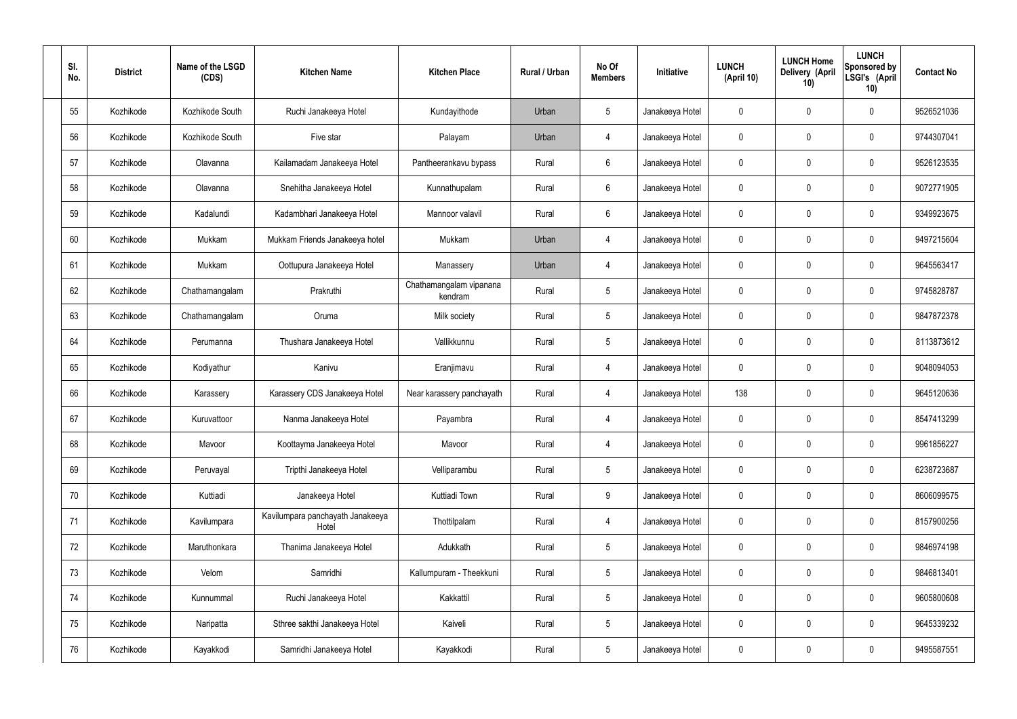| SI.<br>No. | <b>District</b> | Name of the LSGD<br>(CDS) | <b>Kitchen Name</b>                       | <b>Kitchen Place</b>               | Rural / Urban | No Of<br><b>Members</b> | <b>Initiative</b> | <b>LUNCH</b><br>(April 10) | <b>LUNCH Home</b><br>Delivery (April<br>10) | <b>LUNCH</b><br>Sponsored by<br>LSGI's (April<br>10) | <b>Contact No</b> |
|------------|-----------------|---------------------------|-------------------------------------------|------------------------------------|---------------|-------------------------|-------------------|----------------------------|---------------------------------------------|------------------------------------------------------|-------------------|
| 55         | Kozhikode       | Kozhikode South           | Ruchi Janakeeya Hotel                     | Kundayithode                       | Urban         | $5\phantom{.0}$         | Janakeeya Hotel   | 0                          | 0                                           | $\mathbf 0$                                          | 9526521036        |
| 56         | Kozhikode       | Kozhikode South           | Five star                                 | Palayam                            | Urban         | $\overline{4}$          | Janakeeya Hotel   | $\mathbf 0$                | 0                                           | $\mathbf 0$                                          | 9744307041        |
| 57         | Kozhikode       | Olavanna                  | Kailamadam Janakeeya Hotel                | Pantheerankavu bypass              | Rural         | $6\phantom{.}6$         | Janakeeya Hotel   | $\mathbf 0$                | 0                                           | $\mathbf 0$                                          | 9526123535        |
| 58         | Kozhikode       | Olavanna                  | Snehitha Janakeeya Hotel                  | Kunnathupalam                      | Rural         | $6\phantom{.}6$         | Janakeeya Hotel   | $\mathbf 0$                | 0                                           | $\mathbf 0$                                          | 9072771905        |
| 59         | Kozhikode       | Kadalundi                 | Kadambhari Janakeeya Hotel                | Mannoor valavil                    | Rural         | $6\phantom{.}6$         | Janakeeya Hotel   | $\mathbf 0$                | 0                                           | $\mathbf 0$                                          | 9349923675        |
| 60         | Kozhikode       | Mukkam                    | Mukkam Friends Janakeeya hotel            | Mukkam                             | Urban         | $\overline{4}$          | Janakeeya Hotel   | $\mathbf 0$                | 0                                           | $\mathbf 0$                                          | 9497215604        |
| 61         | Kozhikode       | Mukkam                    | Oottupura Janakeeya Hotel                 | Manassery                          | Urban         | $\overline{4}$          | Janakeeya Hotel   | $\mathbf 0$                | 0                                           | $\mathbf 0$                                          | 9645563417        |
| 62         | Kozhikode       | Chathamangalam            | Prakruthi                                 | Chathamangalam vipanana<br>kendram | Rural         | $5\phantom{.0}$         | Janakeeya Hotel   | $\mathbf 0$                | 0                                           | $\mathbf 0$                                          | 9745828787        |
| 63         | Kozhikode       | Chathamangalam            | Oruma                                     | Milk society                       | Rural         | $5\phantom{.0}$         | Janakeeya Hotel   | $\mathbf 0$                | 0                                           | $\mathbf 0$                                          | 9847872378        |
| 64         | Kozhikode       | Perumanna                 | Thushara Janakeeya Hotel                  | Vallikkunnu                        | Rural         | $5\phantom{.0}$         | Janakeeya Hotel   | $\mathbf 0$                | 0                                           | $\mathbf 0$                                          | 8113873612        |
| 65         | Kozhikode       | Kodiyathur                | Kanivu                                    | Eranjimavu                         | Rural         | 4                       | Janakeeya Hotel   | $\mathbf 0$                | 0                                           | $\mathbf 0$                                          | 9048094053        |
| 66         | Kozhikode       | Karassery                 | Karassery CDS Janakeeya Hotel             | Near karassery panchayath          | Rural         | 4                       | Janakeeya Hotel   | 138                        | 0                                           | $\mathbf 0$                                          | 9645120636        |
| 67         | Kozhikode       | Kuruvattoor               | Nanma Janakeeya Hotel                     | Payambra                           | Rural         | 4                       | Janakeeya Hotel   | $\mathbf 0$                | 0                                           | 0                                                    | 8547413299        |
| 68         | Kozhikode       | Mavoor                    | Koottayma Janakeeya Hotel                 | Mavoor                             | Rural         | $\overline{4}$          | Janakeeya Hotel   | $\mathbf 0$                | $\mathbf 0$                                 | $\mathbf 0$                                          | 9961856227        |
| 69         | Kozhikode       | Peruvayal                 | Tripthi Janakeeya Hotel                   | Velliparambu                       | Rural         | $5\phantom{.0}$         | Janakeeya Hotel   | $\mathbf 0$                | $\mathbf 0$                                 | $\mathbf 0$                                          | 6238723687        |
| 70         | Kozhikode       | Kuttiadi                  | Janakeeya Hotel                           | Kuttiadi Town                      | Rural         | 9                       | Janakeeya Hotel   | $\mathbf 0$                | $\mathbf 0$                                 | $\mathbf 0$                                          | 8606099575        |
| 71         | Kozhikode       | Kavilumpara               | Kavilumpara panchayath Janakeeya<br>Hotel | Thottilpalam                       | Rural         | $\overline{4}$          | Janakeeya Hotel   | $\mathbf 0$                | $\mathbf 0$                                 | $\mathbf 0$                                          | 8157900256        |
| 72         | Kozhikode       | Maruthonkara              | Thanima Janakeeya Hotel                   | Adukkath                           | Rural         | $5\phantom{.0}$         | Janakeeya Hotel   | $\mathbf 0$                | $\mathbf 0$                                 | $\mathbf 0$                                          | 9846974198        |
| 73         | Kozhikode       | Velom                     | Samridhi                                  | Kallumpuram - Theekkuni            | Rural         | $5\phantom{.0}$         | Janakeeya Hotel   | $\mathbf 0$                | 0                                           | $\mathbf 0$                                          | 9846813401        |
| 74         | Kozhikode       | Kunnummal                 | Ruchi Janakeeya Hotel                     | Kakkattil                          | Rural         | $5\phantom{.0}$         | Janakeeya Hotel   | $\mathbf 0$                | 0                                           | $\mathbf 0$                                          | 9605800608        |
| 75         | Kozhikode       | Naripatta                 | Sthree sakthi Janakeeya Hotel             | Kaiveli                            | Rural         | $5\phantom{.0}$         | Janakeeya Hotel   | $\mathbf 0$                | $\mathbf 0$                                 | $\mathbf 0$                                          | 9645339232        |
| 76         | Kozhikode       | Kayakkodi                 | Samridhi Janakeeya Hotel                  | Kayakkodi                          | Rural         | $5\,$                   | Janakeeya Hotel   | 0                          | 0                                           | $\mathbf 0$                                          | 9495587551        |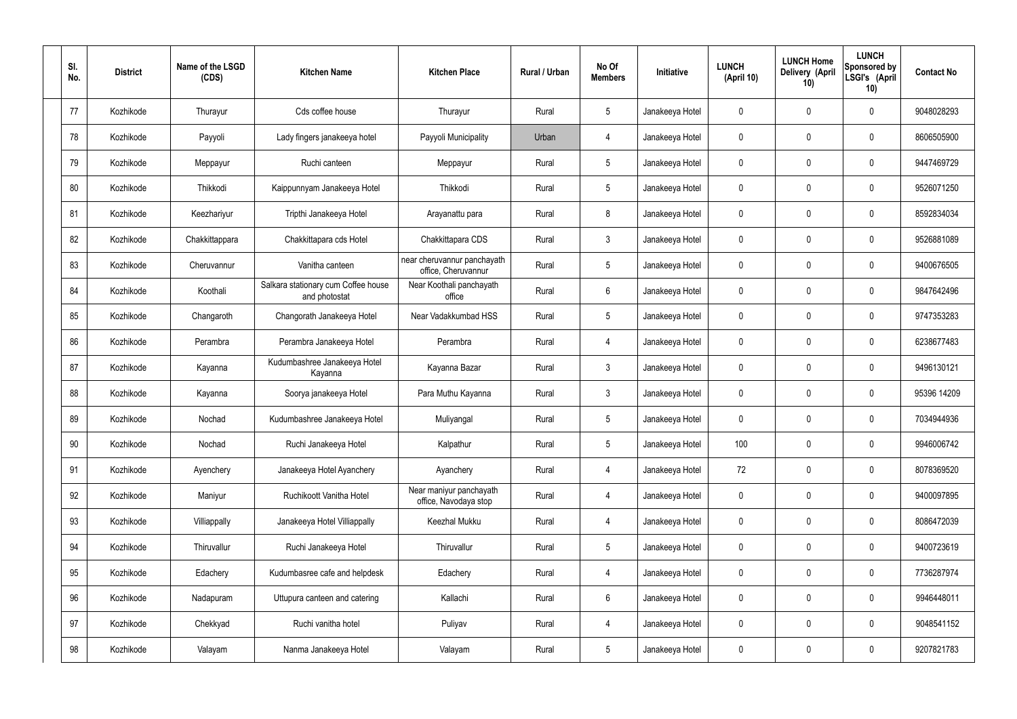| SI.<br>No. | <b>District</b> | Name of the LSGD<br>(CDS) | <b>Kitchen Name</b>                                  | <b>Kitchen Place</b>                               | Rural / Urban | No Of<br><b>Members</b> | Initiative      | <b>LUNCH</b><br>(April 10) | <b>LUNCH Home</b><br><b>Delivery (April</b><br>10) | <b>LUNCH</b><br>Sponsored by<br>LSGI's (April<br>10) | <b>Contact No</b> |
|------------|-----------------|---------------------------|------------------------------------------------------|----------------------------------------------------|---------------|-------------------------|-----------------|----------------------------|----------------------------------------------------|------------------------------------------------------|-------------------|
| 77         | Kozhikode       | Thurayur                  | Cds coffee house                                     | Thurayur                                           | Rural         | -5                      | Janakeeya Hotel | 0                          | $\mathbf 0$                                        | 0                                                    | 9048028293        |
| 78         | Kozhikode       | Payyoli                   | Lady fingers janakeeya hotel                         | Payyoli Municipality                               | Urban         | 4                       | Janakeeya Hotel | $\mathbf 0$                | $\mathbf 0$                                        | 0                                                    | 8606505900        |
| 79         | Kozhikode       | Meppayur                  | Ruchi canteen                                        | Meppayur                                           | Rural         | $5\phantom{.0}$         | Janakeeya Hotel | 0                          | $\mathbf 0$                                        | 0                                                    | 9447469729        |
| 80         | Kozhikode       | Thikkodi                  | Kaippunnyam Janakeeya Hotel                          | Thikkodi                                           | Rural         | $5\phantom{.0}$         | Janakeeya Hotel | $\mathbf 0$                | $\mathbf 0$                                        | 0                                                    | 9526071250        |
| 81         | Kozhikode       | Keezhariyur               | Tripthi Janakeeya Hotel                              | Arayanattu para                                    | Rural         | 8                       | Janakeeya Hotel | 0                          | $\mathbf 0$                                        | 0                                                    | 8592834034        |
| 82         | Kozhikode       | Chakkittappara            | Chakkittapara cds Hotel                              | Chakkittapara CDS                                  | Rural         | $\mathbf{3}$            | Janakeeya Hotel | $\mathbf 0$                | $\mathbf 0$                                        | 0                                                    | 9526881089        |
| 83         | Kozhikode       | Cheruvannur               | Vanitha canteen                                      | near cheruvannur panchayath<br>office, Cheruvannur | Rural         | 5                       | Janakeeya Hotel | 0                          | 0                                                  | 0                                                    | 9400676505        |
| 84         | Kozhikode       | Koothali                  | Salkara stationary cum Coffee house<br>and photostat | Near Koothali panchayath<br>office                 | Rural         | $6\phantom{.}6$         | Janakeeya Hotel | $\mathbf 0$                | $\mathbf 0$                                        | 0                                                    | 9847642496        |
| 85         | Kozhikode       | Changaroth                | Changorath Janakeeya Hotel                           | Near Vadakkumbad HSS                               | Rural         | $5\phantom{.0}$         | Janakeeya Hotel | $\mathbf 0$                | $\mathbf 0$                                        | 0                                                    | 9747353283        |
| 86         | Kozhikode       | Perambra                  | Perambra Janakeeya Hotel                             | Perambra                                           | Rural         | 4                       | Janakeeya Hotel | $\mathbf 0$                | $\mathbf 0$                                        | 0                                                    | 6238677483        |
| 87         | Kozhikode       | Kayanna                   | Kudumbashree Janakeeya Hotel<br>Kayanna              | Kayanna Bazar                                      | Rural         | $\mathbf{3}$            | Janakeeya Hotel | 0                          | $\mathbf 0$                                        | 0                                                    | 9496130121        |
| 88         | Kozhikode       | Kayanna                   | Soorya janakeeya Hotel                               | Para Muthu Kayanna                                 | Rural         | $\mathbf{3}$            | Janakeeya Hotel | $\mathbf 0$                | 0                                                  | 0                                                    | 95396 14209       |
| 89         | Kozhikode       | Nochad                    | Kudumbashree Janakeeya Hotel                         | Muliyangal                                         | Rural         | $5\phantom{.0}$         | Janakeeya Hotel | 0                          | $\mathbf 0$                                        | 0                                                    | 7034944936        |
| 90         | Kozhikode       | Nochad                    | Ruchi Janakeeya Hotel                                | Kalpathur                                          | Rural         | $5\phantom{.0}$         | Janakeeya Hotel | 100                        | $\pmb{0}$                                          | 0                                                    | 9946006742        |
| 91         | Kozhikode       | Ayenchery                 | Janakeeya Hotel Ayanchery                            | Ayanchery                                          | Rural         | $\overline{4}$          | Janakeeya Hotel | 72                         | $\pmb{0}$                                          | 0                                                    | 8078369520        |
| 92         | Kozhikode       | Maniyur                   | Ruchikoott Vanitha Hotel                             | Near maniyur panchayath<br>office, Navodaya stop   | Rural         | $\overline{4}$          | Janakeeya Hotel | $\mathbf 0$                | $\boldsymbol{0}$                                   | 0                                                    | 9400097895        |
| 93         | Kozhikode       | Villiappally              | Janakeeya Hotel Villiappally                         | Keezhal Mukku                                      | Rural         | $\overline{4}$          | Janakeeya Hotel | $\mathbf 0$                | $\pmb{0}$                                          | 0                                                    | 8086472039        |
| 94         | Kozhikode       | Thiruvallur               | Ruchi Janakeeya Hotel                                | Thiruvallur                                        | Rural         | $5\phantom{.0}$         | Janakeeya Hotel | 0                          | $\boldsymbol{0}$                                   | 0                                                    | 9400723619        |
| 95         | Kozhikode       | Edachery                  | Kudumbasree cafe and helpdesk                        | Edachery                                           | Rural         | $\overline{4}$          | Janakeeya Hotel | $\mathbf 0$                | $\pmb{0}$                                          | 0                                                    | 7736287974        |
| 96         | Kozhikode       | Nadapuram                 | Uttupura canteen and catering                        | Kallachi                                           | Rural         | $6\overline{6}$         | Janakeeya Hotel | $\mathbf 0$                | $\boldsymbol{0}$                                   | 0                                                    | 9946448011        |
| 97         | Kozhikode       | Chekkyad                  | Ruchi vanitha hotel                                  | Puliyav                                            | Rural         | $\overline{4}$          | Janakeeya Hotel | $\mathbf 0$                | $\mathbf 0$                                        | 0                                                    | 9048541152        |
| 98         | Kozhikode       | Valayam                   | Nanma Janakeeya Hotel                                | Valayam                                            | Rural         | $5\phantom{.0}$         | Janakeeya Hotel | 0                          | 0                                                  | 0                                                    | 9207821783        |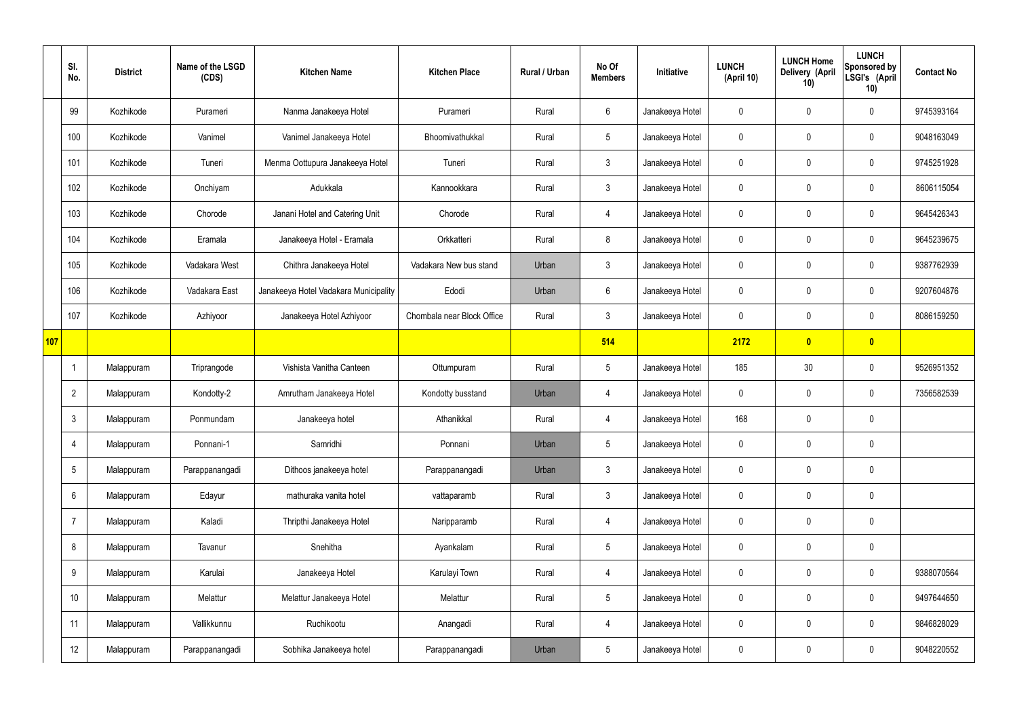|     | SI.<br>No.      | <b>District</b> | Name of the LSGD<br>(CDS) | <b>Kitchen Name</b>                   | <b>Kitchen Place</b>       | Rural / Urban | No Of<br><b>Members</b> | Initiative      | <b>LUNCH</b><br>(April 10) | <b>LUNCH Home</b><br>Delivery (April<br>10) | <b>LUNCH</b><br>Sponsored by<br>LSGI's (April<br>10) | <b>Contact No</b> |
|-----|-----------------|-----------------|---------------------------|---------------------------------------|----------------------------|---------------|-------------------------|-----------------|----------------------------|---------------------------------------------|------------------------------------------------------|-------------------|
|     | 99              | Kozhikode       | Purameri                  | Nanma Janakeeya Hotel                 | Purameri                   | Rural         | 6                       | Janakeeya Hotel | $\mathbf 0$                | $\mathbf 0$                                 | $\mathbf 0$                                          | 9745393164        |
|     | 100             | Kozhikode       | Vanimel                   | Vanimel Janakeeya Hotel               | Bhoomivathukkal            | Rural         | $5\phantom{.0}$         | Janakeeya Hotel | $\mathbf 0$                | $\mathbf 0$                                 | $\mathbf 0$                                          | 9048163049        |
|     | 101             | Kozhikode       | Tuneri                    | Menma Oottupura Janakeeya Hotel       | Tuneri                     | Rural         | $\mathbf{3}$            | Janakeeya Hotel | $\mathbf 0$                | $\mathbf 0$                                 | $\mathbf 0$                                          | 9745251928        |
|     | 102             | Kozhikode       | Onchiyam                  | Adukkala                              | Kannookkara                | Rural         | $\mathbf{3}$            | Janakeeya Hotel | $\mathbf 0$                | $\mathbf 0$                                 | $\mathbf 0$                                          | 8606115054        |
|     | 103             | Kozhikode       | Chorode                   | Janani Hotel and Catering Unit        | Chorode                    | Rural         | $\overline{4}$          | Janakeeya Hotel | $\mathbf 0$                | $\mathbf 0$                                 | $\mathbf 0$                                          | 9645426343        |
|     | 104             | Kozhikode       | Eramala                   | Janakeeya Hotel - Eramala             | Orkkatteri                 | Rural         | 8                       | Janakeeya Hotel | $\mathbf 0$                | $\mathbf 0$                                 | $\mathbf 0$                                          | 9645239675        |
|     | 105             | Kozhikode       | Vadakara West             | Chithra Janakeeya Hotel               | Vadakara New bus stand     | Urban         | $\mathbf{3}$            | Janakeeya Hotel | $\mathbf 0$                | $\mathbf 0$                                 | $\mathbf 0$                                          | 9387762939        |
|     | 106             | Kozhikode       | Vadakara East             | Janakeeya Hotel Vadakara Municipality | Edodi                      | Urban         | 6                       | Janakeeya Hotel | $\mathbf 0$                | $\mathbf 0$                                 | $\mathbf 0$                                          | 9207604876        |
|     | 107             | Kozhikode       | Azhiyoor                  | Janakeeya Hotel Azhiyoor              | Chombala near Block Office | Rural         | $\mathbf{3}$            | Janakeeya Hotel | $\mathbf 0$                | $\mathbf 0$                                 | $\mathbf 0$                                          | 8086159250        |
| 107 |                 |                 |                           |                                       |                            |               | 514                     |                 | 2172                       | $\overline{\mathbf{0}}$                     | $\overline{\mathbf{0}}$                              |                   |
|     | -1              | Malappuram      | Triprangode               | Vishista Vanitha Canteen              | Ottumpuram                 | Rural         | $5\overline{)}$         | Janakeeya Hotel | 185                        | 30                                          | $\mathbf 0$                                          | 9526951352        |
|     | $\overline{2}$  | Malappuram      | Kondotty-2                | Amrutham Janakeeya Hotel              | Kondotty busstand          | Urban         | 4                       | Janakeeya Hotel | $\mathbf 0$                | $\mathbf 0$                                 | $\mathbf 0$                                          | 7356582539        |
|     | $\mathbf{3}$    | Malappuram      | Ponmundam                 | Janakeeya hotel                       | Athanikkal                 | Rural         | 4                       | Janakeeya Hotel | 168                        | $\mathbf 0$                                 | $\mathbf 0$                                          |                   |
|     | $\overline{4}$  | Malappuram      | Ponnani-1                 | Samridhi                              | Ponnani                    | Urban         | $5\phantom{.0}$         | Janakeeya Hotel | $\mathbf 0$                | $\pmb{0}$                                   | $\mathbf 0$                                          |                   |
|     | $5\phantom{.0}$ | Malappuram      | Parappanangadi            | Dithoos janakeeya hotel               | Parappanangadi             | Urban         | $\mathbf{3}$            | Janakeeya Hotel | $\mathbf 0$                | $\pmb{0}$                                   | $\mathbf 0$                                          |                   |
|     | 6               | Malappuram      | Edayur                    | mathuraka vanita hotel                | vattaparamb                | Rural         | $\mathbf{3}$            | Janakeeya Hotel | $\mathbf 0$                | $\pmb{0}$                                   | $\mathbf 0$                                          |                   |
|     | $\overline{7}$  | Malappuram      | Kaladi                    | Thripthi Janakeeya Hotel              | Naripparamb                | Rural         | $\overline{4}$          | Janakeeya Hotel | $\mathbf 0$                | $\pmb{0}$                                   | $\mathbf 0$                                          |                   |
|     | 8               | Malappuram      | Tavanur                   | Snehitha                              | Ayankalam                  | Rural         | $5\phantom{.0}$         | Janakeeya Hotel | $\mathbf 0$                | 0                                           | $\mathbf 0$                                          |                   |
|     | 9               | Malappuram      | Karulai                   | Janakeeya Hotel                       | Karulayi Town              | Rural         | $\overline{4}$          | Janakeeya Hotel | $\mathbf 0$                | $\pmb{0}$                                   | $\mathbf 0$                                          | 9388070564        |
|     | 10              | Malappuram      | Melattur                  | Melattur Janakeeya Hotel              | Melattur                   | Rural         | $5\phantom{.0}$         | Janakeeya Hotel | $\mathbf 0$                | 0                                           | $\mathbf 0$                                          | 9497644650        |
|     | 11              | Malappuram      | Vallikkunnu               | Ruchikootu                            | Anangadi                   | Rural         | $\overline{4}$          | Janakeeya Hotel | $\mathbf 0$                | 0                                           | $\mathbf 0$                                          | 9846828029        |
|     | 12              | Malappuram      | Parappanangadi            | Sobhika Janakeeya hotel               | Parappanangadi             | Urban         | 5                       | Janakeeya Hotel | $\pmb{0}$                  | $\pmb{0}$                                   | $\boldsymbol{0}$                                     | 9048220552        |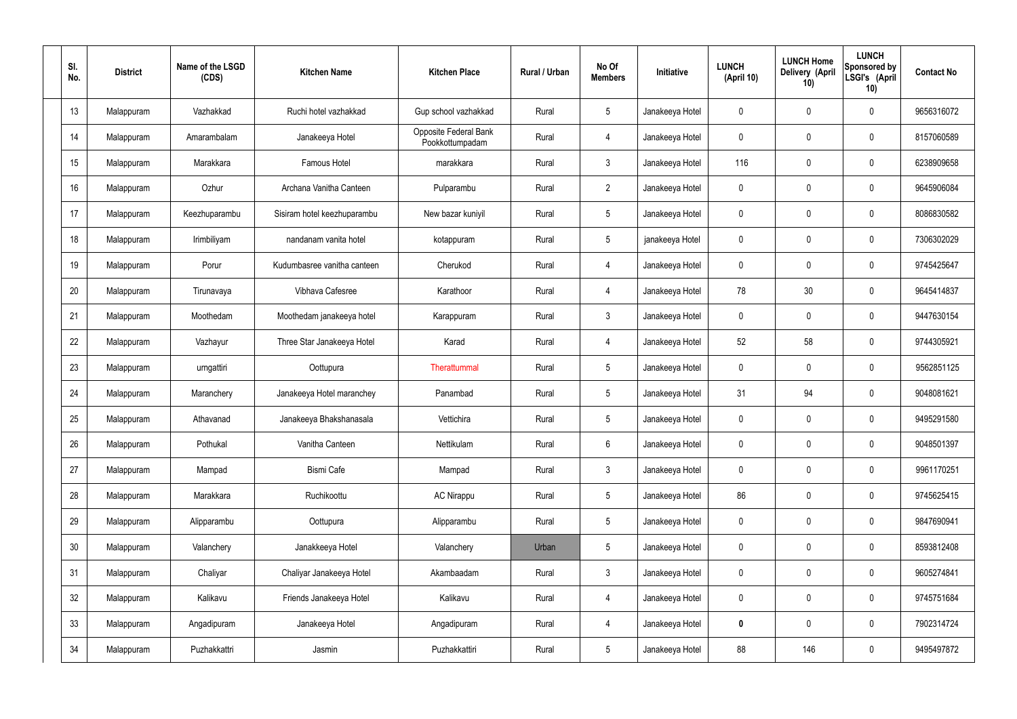| SI.<br>No. | <b>District</b> | Name of the LSGD<br>(CDS) | <b>Kitchen Name</b>         | <b>Kitchen Place</b>                     | Rural / Urban | No Of<br><b>Members</b> | Initiative      | <b>LUNCH</b><br>(April 10) | <b>LUNCH Home</b><br>Delivery (April<br>10) | <b>LUNCH</b><br>Sponsored by<br>LSGI's (April<br>10) | <b>Contact No</b> |
|------------|-----------------|---------------------------|-----------------------------|------------------------------------------|---------------|-------------------------|-----------------|----------------------------|---------------------------------------------|------------------------------------------------------|-------------------|
| 13         | Malappuram      | Vazhakkad                 | Ruchi hotel vazhakkad       | Gup school vazhakkad                     | Rural         | $5\phantom{.0}$         | Janakeeya Hotel | 0                          | 0                                           | $\mathbf 0$                                          | 9656316072        |
| 14         | Malappuram      | Amarambalam               | Janakeeya Hotel             | Opposite Federal Bank<br>Pookkottumpadam | Rural         | $\overline{4}$          | Janakeeya Hotel | $\mathbf 0$                | 0                                           | $\mathbf 0$                                          | 8157060589        |
| 15         | Malappuram      | Marakkara                 | <b>Famous Hotel</b>         | marakkara                                | Rural         | $\mathbf{3}$            | Janakeeya Hotel | 116                        | 0                                           | $\mathbf 0$                                          | 6238909658        |
| 16         | Malappuram      | Ozhur                     | Archana Vanitha Canteen     | Pulparambu                               | Rural         | $\overline{2}$          | Janakeeya Hotel | $\mathbf 0$                | 0                                           | $\mathbf 0$                                          | 9645906084        |
| 17         | Malappuram      | Keezhuparambu             | Sisiram hotel keezhuparambu | New bazar kuniyil                        | Rural         | $5\overline{)}$         | Janakeeya Hotel | $\mathbf 0$                | 0                                           | $\mathbf 0$                                          | 8086830582        |
| 18         | Malappuram      | Irimbiliyam               | nandanam vanita hotel       | kotappuram                               | Rural         | $5\overline{)}$         | janakeeya Hotel | $\mathbf 0$                | 0                                           | $\mathbf 0$                                          | 7306302029        |
| 19         | Malappuram      | Porur                     | Kudumbasree vanitha canteen | Cherukod                                 | Rural         | $\overline{4}$          | Janakeeya Hotel | $\mathbf 0$                | 0                                           | $\mathbf 0$                                          | 9745425647        |
| 20         | Malappuram      | Tirunavaya                | Vibhava Cafesree            | Karathoor                                | Rural         | $\overline{4}$          | Janakeeya Hotel | 78                         | 30                                          | $\mathbf 0$                                          | 9645414837        |
| 21         | Malappuram      | Moothedam                 | Moothedam janakeeya hotel   | Karappuram                               | Rural         | $\mathbf{3}$            | Janakeeya Hotel | $\mathbf 0$                | 0                                           | $\mathbf 0$                                          | 9447630154        |
| 22         | Malappuram      | Vazhayur                  | Three Star Janakeeya Hotel  | Karad                                    | Rural         | 4                       | Janakeeya Hotel | 52                         | 58                                          | $\mathbf 0$                                          | 9744305921        |
| 23         | Malappuram      | urngattiri                | Oottupura                   | Therattummal                             | Rural         | $5\phantom{.0}$         | Janakeeya Hotel | $\mathbf 0$                | 0                                           | $\mathbf 0$                                          | 9562851125        |
| 24         | Malappuram      | Maranchery                | Janakeeya Hotel maranchey   | Panambad                                 | Rural         | $5\phantom{.0}$         | Janakeeya Hotel | 31                         | 94                                          | $\mathbf 0$                                          | 9048081621        |
| 25         | Malappuram      | Athavanad                 | Janakeeya Bhakshanasala     | Vettichira                               | Rural         | $5\phantom{.0}$         | Janakeeya Hotel | 0                          | 0                                           | $\mathbf 0$                                          | 9495291580        |
| 26         | Malappuram      | Pothukal                  | Vanitha Canteen             | Nettikulam                               | Rural         | $6\phantom{.}$          | Janakeeya Hotel | $\mathbf 0$                | $\mathbf 0$                                 | $\mathbf 0$                                          | 9048501397        |
| 27         | Malappuram      | Mampad                    | <b>Bismi Cafe</b>           | Mampad                                   | Rural         | $\mathbf{3}$            | Janakeeya Hotel | $\mathbf 0$                | $\mathbf 0$                                 | $\mathbf 0$                                          | 9961170251        |
| 28         | Malappuram      | Marakkara                 | Ruchikoottu                 | AC Nirappu                               | Rural         | $5\phantom{.0}$         | Janakeeya Hotel | 86                         | $\mathbf 0$                                 | $\mathbf 0$                                          | 9745625415        |
| 29         | Malappuram      | Alipparambu               | Oottupura                   | Alipparambu                              | Rural         | $5\phantom{.0}$         | Janakeeya Hotel | $\mathbf 0$                | $\mathbf 0$                                 | $\mathbf 0$                                          | 9847690941        |
| 30         | Malappuram      | Valanchery                | Janakkeeya Hotel            | Valanchery                               | Urban         | $5\,$                   | Janakeeya Hotel | $\mathbf 0$                | 0                                           | $\mathbf 0$                                          | 8593812408        |
| 31         | Malappuram      | Chaliyar                  | Chaliyar Janakeeya Hotel    | Akambaadam                               | Rural         | $\mathfrak{Z}$          | Janakeeya Hotel | $\mathbf 0$                | 0                                           | $\mathbf 0$                                          | 9605274841        |
| 32         | Malappuram      | Kalikavu                  | Friends Janakeeya Hotel     | Kalikavu                                 | Rural         | $\overline{4}$          | Janakeeya Hotel | 0                          | 0                                           | $\mathbf 0$                                          | 9745751684        |
| 33         | Malappuram      | Angadipuram               | Janakeeya Hotel             | Angadipuram                              | Rural         | 4                       | Janakeeya Hotel | $\mathbf 0$                | 0                                           | $\mathbf 0$                                          | 7902314724        |
| 34         | Malappuram      | Puzhakkattri              | Jasmin                      | Puzhakkattiri                            | Rural         | $5\,$                   | Janakeeya Hotel | 88                         | 146                                         | $\boldsymbol{0}$                                     | 9495497872        |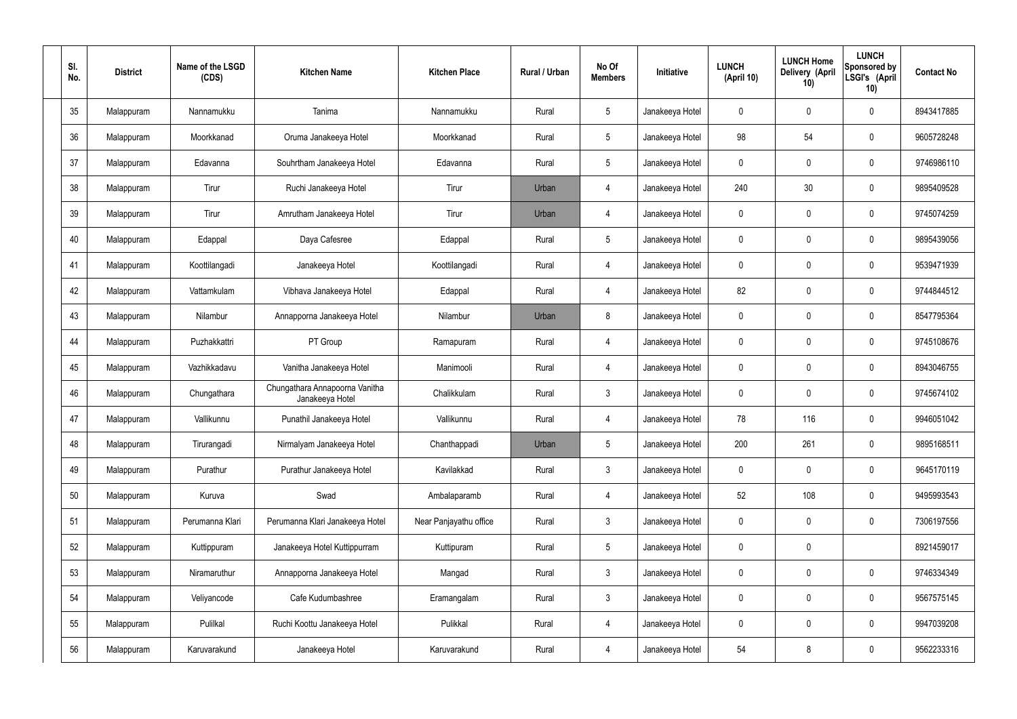| SI.<br>No. | <b>District</b> | Name of the LSGD<br>(CDS) | <b>Kitchen Name</b>                               | <b>Kitchen Place</b>   | Rural / Urban | No Of<br><b>Members</b> | Initiative      | <b>LUNCH</b><br>(April 10) | <b>LUNCH Home</b><br>Delivery (April<br>10) | <b>LUNCH</b><br>Sponsored by<br>LSGI's (April<br>10) | <b>Contact No</b> |
|------------|-----------------|---------------------------|---------------------------------------------------|------------------------|---------------|-------------------------|-----------------|----------------------------|---------------------------------------------|------------------------------------------------------|-------------------|
| 35         | Malappuram      | Nannamukku                | Tanima                                            | Nannamukku             | Rural         | $5\,$                   | Janakeeya Hotel | $\mathbf 0$                | 0                                           | $\mathbf 0$                                          | 8943417885        |
| 36         | Malappuram      | Moorkkanad                | Oruma Janakeeya Hotel                             | Moorkkanad             | Rural         | $5\overline{)}$         | Janakeeya Hotel | 98                         | 54                                          | $\mathbf 0$                                          | 9605728248        |
| 37         | Malappuram      | Edavanna                  | Souhrtham Janakeeya Hotel                         | Edavanna               | Rural         | $5\phantom{.0}$         | Janakeeya Hotel | $\mathbf 0$                | 0                                           | $\mathbf 0$                                          | 9746986110        |
| 38         | Malappuram      | Tirur                     | Ruchi Janakeeya Hotel                             | Tirur                  | Urban         | 4                       | Janakeeya Hotel | 240                        | 30                                          | $\mathbf 0$                                          | 9895409528        |
| 39         | Malappuram      | Tirur                     | Amrutham Janakeeya Hotel                          | Tirur                  | Urban         | 4                       | Janakeeya Hotel | $\mathbf 0$                | 0                                           | $\mathbf 0$                                          | 9745074259        |
| 40         | Malappuram      | Edappal                   | Daya Cafesree                                     | Edappal                | Rural         | $5\overline{)}$         | Janakeeya Hotel | $\mathbf 0$                | 0                                           | $\mathbf 0$                                          | 9895439056        |
| 41         | Malappuram      | Koottilangadi             | Janakeeya Hotel                                   | Koottilangadi          | Rural         | $\overline{4}$          | Janakeeya Hotel | $\mathbf 0$                | 0                                           | $\mathbf 0$                                          | 9539471939        |
| 42         | Malappuram      | Vattamkulam               | Vibhava Janakeeya Hotel                           | Edappal                | Rural         | $\overline{4}$          | Janakeeya Hotel | 82                         | 0                                           | $\mathbf 0$                                          | 9744844512        |
| 43         | Malappuram      | Nilambur                  | Annapporna Janakeeya Hotel                        | Nilambur               | Urban         | 8                       | Janakeeya Hotel | $\mathbf 0$                | 0                                           | $\mathbf 0$                                          | 8547795364        |
| 44         | Malappuram      | Puzhakkattri              | PT Group                                          | Ramapuram              | Rural         | 4                       | Janakeeya Hotel | $\mathbf 0$                | 0                                           | $\mathbf 0$                                          | 9745108676        |
| 45         | Malappuram      | Vazhikkadavu              | Vanitha Janakeeya Hotel                           | Manimooli              | Rural         | 4                       | Janakeeya Hotel | $\mathbf 0$                | 0                                           | $\mathbf 0$                                          | 8943046755        |
| 46         | Malappuram      | Chungathara               | Chungathara Annapoorna Vanitha<br>Janakeeya Hotel | Chalikkulam            | Rural         | $\mathbf{3}$            | Janakeeya Hotel | $\mathbf 0$                | 0                                           | $\boldsymbol{0}$                                     | 9745674102        |
| 47         | Malappuram      | Vallikunnu                | Punathil Janakeeya Hotel                          | Vallikunnu             | Rural         | 4                       | Janakeeya Hotel | 78                         | 116                                         | 0                                                    | 9946051042        |
| 48         | Malappuram      | Tirurangadi               | Nirmalyam Janakeeya Hotel                         | Chanthappadi           | Urban         | 5                       | Janakeeya Hotel | 200                        | 261                                         | $\mathbf 0$                                          | 9895168511        |
| 49         | Malappuram      | Purathur                  | Purathur Janakeeya Hotel                          | Kavilakkad             | Rural         | $\mathbf{3}$            | Janakeeya Hotel | $\mathbf 0$                | $\mathsf{0}$                                | $\mathbf 0$                                          | 9645170119        |
| 50         | Malappuram      | Kuruva                    | Swad                                              | Ambalaparamb           | Rural         | $\overline{4}$          | Janakeeya Hotel | 52                         | 108                                         | $\mathbf 0$                                          | 9495993543        |
| 51         | Malappuram      | Perumanna Klari           | Perumanna Klari Janakeeya Hotel                   | Near Panjayathu office | Rural         | $\mathbf{3}$            | Janakeeya Hotel | $\mathbf 0$                | $\mathsf{0}$                                | $\mathbf 0$                                          | 7306197556        |
| 52         | Malappuram      | Kuttippuram               | Janakeeya Hotel Kuttippurram                      | Kuttipuram             | Rural         | $5\phantom{.0}$         | Janakeeya Hotel | $\mathbf 0$                | 0                                           |                                                      | 8921459017        |
| 53         | Malappuram      | Niramaruthur              | Annapporna Janakeeya Hotel                        | Mangad                 | Rural         | $\mathfrak{Z}$          | Janakeeya Hotel | $\mathbf 0$                | 0                                           | $\mathbf 0$                                          | 9746334349        |
| 54         | Malappuram      | Veliyancode               | Cafe Kudumbashree                                 | Eramangalam            | Rural         | $\mathfrak{Z}$          | Janakeeya Hotel | 0                          | 0                                           | $\mathbf 0$                                          | 9567575145        |
| 55         | Malappuram      | Pulilkal                  | Ruchi Koottu Janakeeya Hotel                      | Pulikkal               | Rural         | 4                       | Janakeeya Hotel | $\mathbf 0$                | $\mathbf 0$                                 | $\mathbf 0$                                          | 9947039208        |
| 56         | Malappuram      | Karuvarakund              | Janakeeya Hotel                                   | Karuvarakund           | Rural         | 4                       | Janakeeya Hotel | 54                         | 8                                           | $\boldsymbol{0}$                                     | 9562233316        |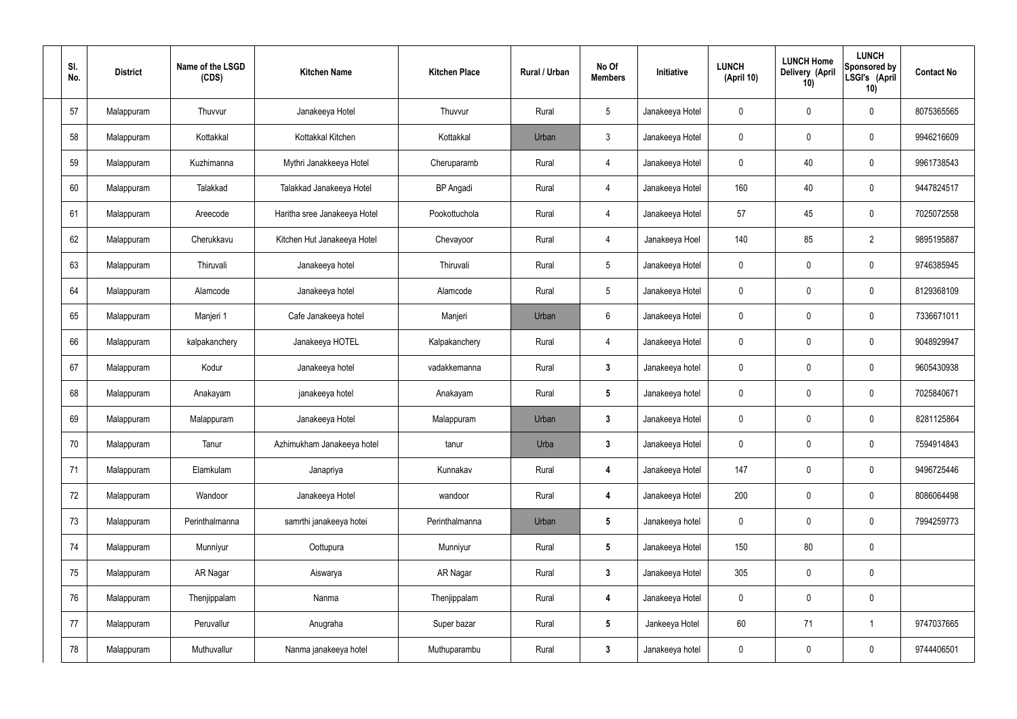| SI.<br>No. | <b>District</b> | Name of the LSGD<br>(CDS) | <b>Kitchen Name</b>          | <b>Kitchen Place</b> | Rural / Urban | No Of<br><b>Members</b> | Initiative      | <b>LUNCH</b><br>(April 10) | <b>LUNCH Home</b><br><b>Delivery (April</b><br>10) | <b>LUNCH</b><br>Sponsored by<br>LSGI's (April<br>10) | <b>Contact No</b> |
|------------|-----------------|---------------------------|------------------------------|----------------------|---------------|-------------------------|-----------------|----------------------------|----------------------------------------------------|------------------------------------------------------|-------------------|
| 57         | Malappuram      | Thuvvur                   | Janakeeya Hotel              | Thuvvur              | Rural         | $5\phantom{.0}$         | Janakeeya Hotel | $\mathbf{0}$               | $\mathbf 0$                                        | 0                                                    | 8075365565        |
| 58         | Malappuram      | Kottakkal                 | Kottakkal Kitchen            | Kottakkal            | Urban         | $\mathbf{3}$            | Janakeeya Hotel | $\mathbf 0$                | $\mathbf 0$                                        | 0                                                    | 9946216609        |
| 59         | Malappuram      | Kuzhimanna                | Mythri Janakkeeya Hotel      | Cheruparamb          | Rural         | 4                       | Janakeeya Hotel | 0                          | 40                                                 | 0                                                    | 9961738543        |
| 60         | Malappuram      | Talakkad                  | Talakkad Janakeeya Hotel     | <b>BP</b> Angadi     | Rural         | 4                       | Janakeeya Hotel | 160                        | 40                                                 | 0                                                    | 9447824517        |
| 61         | Malappuram      | Areecode                  | Haritha sree Janakeeya Hotel | Pookottuchola        | Rural         | 4                       | Janakeeya Hotel | 57                         | 45                                                 | 0                                                    | 7025072558        |
| 62         | Malappuram      | Cherukkavu                | Kitchen Hut Janakeeya Hotel  | Chevayoor            | Rural         | $\overline{4}$          | Janakeeya Hoel  | 140                        | 85                                                 | $\overline{2}$                                       | 9895195887        |
| 63         | Malappuram      | Thiruvali                 | Janakeeya hotel              | Thiruvali            | Rural         | $5\phantom{.0}$         | Janakeeya Hotel | 0                          | $\mathbf 0$                                        | 0                                                    | 9746385945        |
| 64         | Malappuram      | Alamcode                  | Janakeeya hotel              | Alamcode             | Rural         | $5\phantom{.0}$         | Janakeeya Hotel | $\mathbf 0$                | $\mathbf 0$                                        | 0                                                    | 8129368109        |
| 65         | Malappuram      | Manjeri 1                 | Cafe Janakeeya hotel         | Manjeri              | Urban         | 6                       | Janakeeya Hotel | $\mathbf 0$                | $\mathbf 0$                                        | 0                                                    | 7336671011        |
| 66         | Malappuram      | kalpakanchery             | Janakeeya HOTEL              | Kalpakanchery        | Rural         | $\overline{4}$          | Janakeeya Hotel | $\mathbf 0$                | $\mathbf 0$                                        | 0                                                    | 9048929947        |
| 67         | Malappuram      | Kodur                     | Janakeeya hotel              | vadakkemanna         | Rural         | $\mathbf{3}$            | Janakeeya hotel | $\mathbf 0$                | 0                                                  | 0                                                    | 9605430938        |
| 68         | Malappuram      | Anakayam                  | janakeeya hotel              | Anakayam             | Rural         | $\sqrt{5}$              | Janakeeya hotel | $\mathbf 0$                | 0                                                  | 0                                                    | 7025840671        |
| 69         | Malappuram      | Malappuram                | Janakeeya Hotel              | Malappuram           | Urban         | 3                       | Janakeeya Hotel | 0                          | 0                                                  | 0                                                    | 8281125864        |
| 70         | Malappuram      | Tanur                     | Azhimukham Janakeeya hotel   | tanur                | Urba          | $\mathbf{3}$            | Janakeeya Hotel | $\mathbf 0$                | $\pmb{0}$                                          | 0                                                    | 7594914843        |
| 71         | Malappuram      | Elamkulam                 | Janapriya                    | Kunnakav             | Rural         | $\boldsymbol{4}$        | Janakeeya Hotel | 147                        | $\pmb{0}$                                          | $\mathbf 0$                                          | 9496725446        |
| 72         | Malappuram      | Wandoor                   | Janakeeya Hotel              | wandoor              | Rural         | 4                       | Janakeeya Hotel | 200                        | $\boldsymbol{0}$                                   | 0                                                    | 8086064498        |
| 73         | Malappuram      | Perinthalmanna            | samrthi janakeeya hotei      | Perinthalmanna       | Urban         | $5\phantom{.0}$         | Janakeeya hotel | $\mathbf 0$                | $\pmb{0}$                                          | 0                                                    | 7994259773        |
| 74         | Malappuram      | Munniyur                  | Oottupura                    | Munniyur             | Rural         | $5\phantom{.0}$         | Janakeeya Hotel | 150                        | 80                                                 | 0                                                    |                   |
| 75         | Malappuram      | AR Nagar                  | Aiswarya                     | AR Nagar             | Rural         | $\mathbf{3}$            | Janakeeya Hotel | 305                        | $\mathbf 0$                                        | 0                                                    |                   |
| 76         | Malappuram      | Thenjippalam              | Nanma                        | Thenjippalam         | Rural         | $\boldsymbol{4}$        | Janakeeya Hotel | $\mathbf 0$                | $\pmb{0}$                                          | 0                                                    |                   |
| 77         | Malappuram      | Peruvallur                | Anugraha                     | Super bazar          | Rural         | $5\phantom{.0}$         | Jankeeya Hotel  | 60                         | 71                                                 | $\overline{\mathbf{1}}$                              | 9747037665        |
| 78         | Malappuram      | Muthuvallur               | Nanma janakeeya hotel        | Muthuparambu         | Rural         | $\boldsymbol{3}$        | Janakeeya hotel | $\overline{0}$             | $\pmb{0}$                                          | 0                                                    | 9744406501        |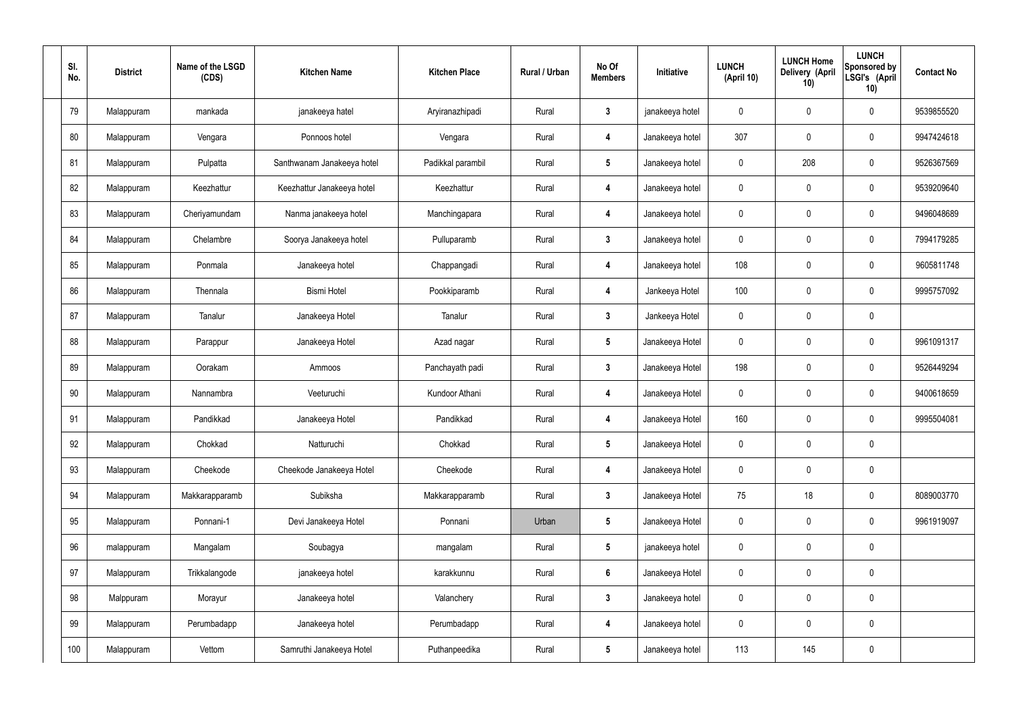| SI.<br>No. | <b>District</b> | Name of the LSGD<br>(CDS) | <b>Kitchen Name</b>        | <b>Kitchen Place</b> | Rural / Urban | No Of<br><b>Members</b> | Initiative      | <b>LUNCH</b><br>(April 10) | <b>LUNCH Home</b><br><b>Delivery (April</b><br>10) | <b>LUNCH</b><br>Sponsored by<br>LSGI's (April<br>10) | <b>Contact No</b> |
|------------|-----------------|---------------------------|----------------------------|----------------------|---------------|-------------------------|-----------------|----------------------------|----------------------------------------------------|------------------------------------------------------|-------------------|
| 79         | Malappuram      | mankada                   | janakeeya hatel            | Aryiranazhipadi      | Rural         | $\boldsymbol{3}$        | janakeeya hotel | $\mathbf 0$                | $\mathbf 0$                                        | 0                                                    | 9539855520        |
| 80         | Malappuram      | Vengara                   | Ponnoos hotel              | Vengara              | Rural         | 4                       | Janakeeya hotel | 307                        | $\mathbf 0$                                        | 0                                                    | 9947424618        |
| 81         | Malappuram      | Pulpatta                  | Santhwanam Janakeeya hotel | Padikkal parambil    | Rural         | $\sqrt{5}$              | Janakeeya hotel | $\mathbf 0$                | 208                                                | 0                                                    | 9526367569        |
| 82         | Malappuram      | Keezhattur                | Keezhattur Janakeeya hotel | Keezhattur           | Rural         | 4                       | Janakeeya hotel | $\mathbf 0$                | $\mathbf 0$                                        | 0                                                    | 9539209640        |
| 83         | Malappuram      | Cheriyamundam             | Nanma janakeeya hotel      | Manchingapara        | Rural         | 4                       | Janakeeya hotel | 0                          | $\mathbf 0$                                        | 0                                                    | 9496048689        |
| 84         | Malappuram      | Chelambre                 | Soorya Janakeeya hotel     | Pulluparamb          | Rural         | $\mathbf{3}$            | Janakeeya hotel | $\mathbf 0$                | $\mathbf 0$                                        | 0                                                    | 7994179285        |
| 85         | Malappuram      | Ponmala                   | Janakeeya hotel            | Chappangadi          | Rural         | 4                       | Janakeeya hotel | 108                        | 0                                                  | 0                                                    | 9605811748        |
| 86         | Malappuram      | Thennala                  | <b>Bismi Hotel</b>         | Pookkiparamb         | Rural         | 4                       | Jankeeya Hotel  | 100                        | $\boldsymbol{0}$                                   | 0                                                    | 9995757092        |
| 87         | Malappuram      | Tanalur                   | Janakeeya Hotel            | Tanalur              | Rural         | $\mathbf{3}$            | Jankeeya Hotel  | $\mathbf 0$                | $\boldsymbol{0}$                                   | 0                                                    |                   |
| 88         | Malappuram      | Parappur                  | Janakeeya Hotel            | Azad nagar           | Rural         | $\sqrt{5}$              | Janakeeya Hotel | $\mathbf 0$                | $\mathbf 0$                                        | 0                                                    | 9961091317        |
| 89         | Malappuram      | Oorakam                   | Ammoos                     | Panchayath padi      | Rural         | $\mathbf{3}$            | Janakeeya Hotel | 198                        | $\mathbf 0$                                        | 0                                                    | 9526449294        |
| 90         | Malappuram      | Nannambra                 | Veeturuchi                 | Kundoor Athani       | Rural         | 4                       | Janakeeya Hotel | $\mathbf 0$                | $\mathbf 0$                                        | 0                                                    | 9400618659        |
| 91         | Malappuram      | Pandikkad                 | Janakeeya Hotel            | Pandikkad            | Rural         | 4                       | Janakeeya Hotel | 160                        | $\boldsymbol{0}$                                   | 0                                                    | 9995504081        |
| 92         | Malappuram      | Chokkad                   | Natturuchi                 | Chokkad              | Rural         | $5\phantom{.0}$         | Janakeeya Hotel | $\mathbf 0$                | $\pmb{0}$                                          | 0                                                    |                   |
| 93         | Malappuram      | Cheekode                  | Cheekode Janakeeya Hotel   | Cheekode             | Rural         | 4                       | Janakeeya Hotel | $\mathbf 0$                | $\overline{0}$                                     | $\mathbf 0$                                          |                   |
| 94         | Malappuram      | Makkarapparamb            | Subiksha                   | Makkarapparamb       | Rural         | $\mathbf{3}$            | Janakeeya Hotel | 75                         | 18                                                 | 0                                                    | 8089003770        |
| 95         | Malappuram      | Ponnani-1                 | Devi Janakeeya Hotel       | Ponnani              | Urban         | $5\phantom{.0}$         | Janakeeya Hotel | $\mathbf 0$                | $\overline{0}$                                     | $\mathbf 0$                                          | 9961919097        |
| 96         | malappuram      | Mangalam                  | Soubagya                   | mangalam             | Rural         | $5\phantom{.0}$         | janakeeya hotel | 0                          | $\pmb{0}$                                          | 0                                                    |                   |
| 97         | Malappuram      | Trikkalangode             | janakeeya hotel            | karakkunnu           | Rural         | $6\phantom{.}6$         | Janakeeya Hotel | $\mathbf 0$                | $\pmb{0}$                                          | 0                                                    |                   |
| 98         | Malppuram       | Morayur                   | Janakeeya hotel            | Valanchery           | Rural         | $\mathbf{3}$            | Janakeeya hotel | $\mathbf 0$                | $\pmb{0}$                                          | 0                                                    |                   |
| 99         | Malappuram      | Perumbadapp               | Janakeeya hotel            | Perumbadapp          | Rural         | $\overline{\mathbf{4}}$ | Janakeeya hotel | $\mathbf 0$                | $\pmb{0}$                                          | 0                                                    |                   |
| 100        | Malappuram      | Vettom                    | Samruthi Janakeeya Hotel   | Puthanpeedika        | Rural         | $5\phantom{.0}$         | Janakeeya hotel | 113                        | 145                                                | 0                                                    |                   |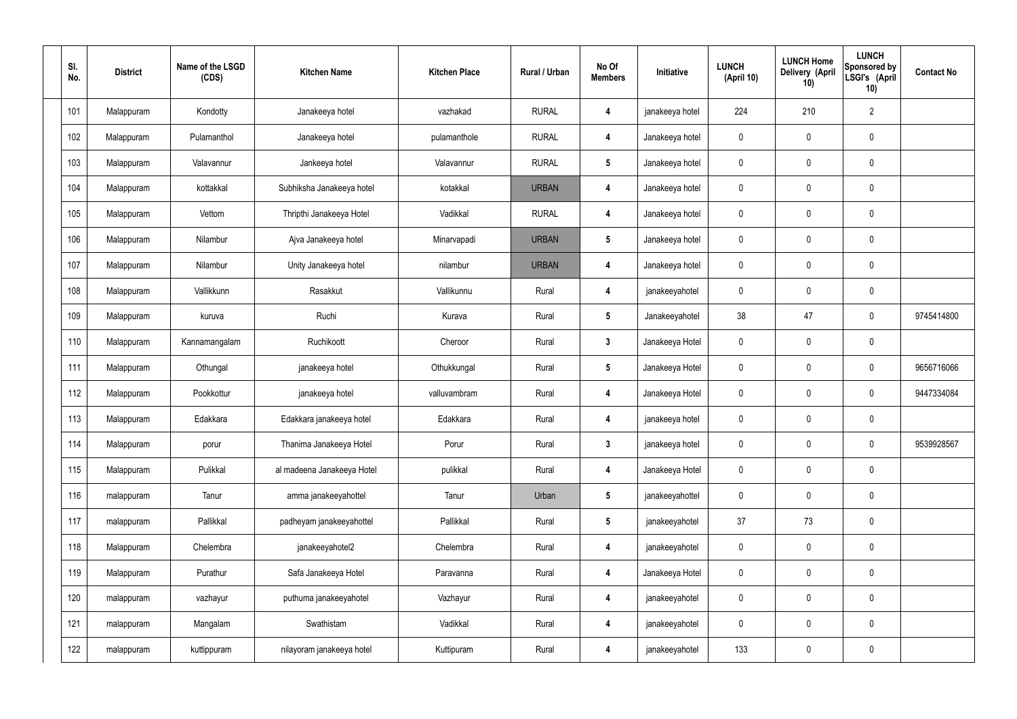| SI.<br>No. | <b>District</b> | Name of the LSGD<br>(CDS) | <b>Kitchen Name</b>        | <b>Kitchen Place</b> | Rural / Urban | No Of<br><b>Members</b> | Initiative      | <b>LUNCH</b><br>(April 10) | <b>LUNCH Home</b><br>Delivery (April<br>10) | <b>LUNCH</b><br>Sponsored by<br>LSGI's (April<br>10) | <b>Contact No</b> |
|------------|-----------------|---------------------------|----------------------------|----------------------|---------------|-------------------------|-----------------|----------------------------|---------------------------------------------|------------------------------------------------------|-------------------|
| 101        | Malappuram      | Kondotty                  | Janakeeya hotel            | vazhakad             | <b>RURAL</b>  | 4                       | janakeeya hotel | 224                        | 210                                         | $\overline{2}$                                       |                   |
| 102        | Malappuram      | Pulamanthol               | Janakeeya hotel            | pulamanthole         | <b>RURAL</b>  | 4                       | Janakeeya hotel | 0                          | $\mathbf 0$                                 | $\pmb{0}$                                            |                   |
| 103        | Malappuram      | Valavannur                | Jankeeya hotel             | Valavannur           | <b>RURAL</b>  | $5\phantom{.0}$         | Janakeeya hotel | 0                          | 0                                           | $\pmb{0}$                                            |                   |
| 104        | Malappuram      | kottakkal                 | Subhiksha Janakeeya hotel  | kotakkal             | <b>URBAN</b>  | 4                       | Janakeeya hotel | 0                          | $\mathbf 0$                                 | $\pmb{0}$                                            |                   |
| 105        | Malappuram      | Vettom                    | Thripthi Janakeeya Hotel   | Vadikkal             | <b>RURAL</b>  | 4                       | Janakeeya hotel | 0                          | 0                                           | $\mathbf 0$                                          |                   |
| 106        | Malappuram      | Nilambur                  | Ajva Janakeeya hotel       | Minarvapadi          | <b>URBAN</b>  | $5\phantom{.0}$         | Janakeeya hotel | 0                          | $\mathbf 0$                                 | $\pmb{0}$                                            |                   |
| 107        | Malappuram      | Nilambur                  | Unity Janakeeya hotel      | nilambur             | <b>URBAN</b>  | 4                       | Janakeeya hotel | 0                          | 0                                           | $\mathbf 0$                                          |                   |
| 108        | Malappuram      | Vallikkunn                | Rasakkut                   | Vallikunnu           | Rural         | 4                       | janakeeyahotel  | 0                          | $\mathbf 0$                                 | $\pmb{0}$                                            |                   |
| 109        | Malappuram      | kuruva                    | Ruchi                      | Kurava               | Rural         | $5\phantom{.0}$         | Janakeeyahotel  | 38                         | 47                                          | $\pmb{0}$                                            | 9745414800        |
| 110        | Malappuram      | Kannamangalam             | Ruchikoott                 | Cheroor              | Rural         | $\mathbf{3}$            | Janakeeya Hotel | 0                          | $\mathbf 0$                                 | $\pmb{0}$                                            |                   |
| 111        | Malappuram      | Othungal                  | janakeeya hotel            | Othukkungal          | Rural         | $5\phantom{.0}$         | Janakeeya Hotel | 0                          | 0                                           | $\pmb{0}$                                            | 9656716066        |
| 112        | Malappuram      | Pookkottur                | janakeeya hotel            | valluvambram         | Rural         | 4                       | Janakeeya Hotel | 0                          | 0                                           | $\mathbf 0$                                          | 9447334084        |
| 113        | Malappuram      | Edakkara                  | Edakkara janakeeya hotel   | Edakkara             | Rural         | 4                       | janakeeya hotel | 0                          | 0                                           | $\mathbf 0$                                          |                   |
| 114        | Malappuram      | porur                     | Thanima Janakeeya Hotel    | Porur                | Rural         | $\mathbf{3}$            | janakeeya hotel | 0                          | 0                                           | $\mathbf 0$                                          | 9539928567        |
| 115        | Malappuram      | Pulikkal                  | al madeena Janakeeya Hotel | pulikkal             | Rural         | 4                       | Janakeeya Hotel | 0                          | 0                                           | $\mathbf 0$                                          |                   |
| 116        | malappuram      | Tanur                     | amma janakeeyahottel       | Tanur                | Urban         | $5\phantom{.0}$         | janakeeyahottel | 0                          | 0                                           | $\mathbf 0$                                          |                   |
| 117        | malappuram      | Pallikkal                 | padheyam janakeeyahottel   | Pallikkal            | Rural         | $5\phantom{.0}$         | janakeeyahotel  | 37                         | 73                                          | $\mathbf 0$                                          |                   |
| 118        | Malappuram      | Chelembra                 | janakeeyahotel2            | Chelembra            | Rural         | 4                       | janakeeyahotel  | 0                          | 0                                           | $\mathbf 0$                                          |                   |
| 119        | Malappuram      | Purathur                  | Safa Janakeeya Hotel       | Paravanna            | Rural         | 4                       | Janakeeya Hotel | 0                          | 0                                           | $\mathbf 0$                                          |                   |
| 120        | malappuram      | vazhayur                  | puthuma janakeeyahotel     | Vazhayur             | Rural         | 4                       | janakeeyahotel  | 0                          | 0                                           | $\pmb{0}$                                            |                   |
| 121        | malappuram      | Mangalam                  | Swathistam                 | Vadikkal             | Rural         | 4                       | janakeeyahotel  | 0                          | 0                                           | $\mathbf 0$                                          |                   |
| 122        | malappuram      | kuttippuram               | nilayoram janakeeya hotel  | Kuttipuram           | Rural         | 4                       | janakeeyahotel  | 133                        | 0                                           | $\pmb{0}$                                            |                   |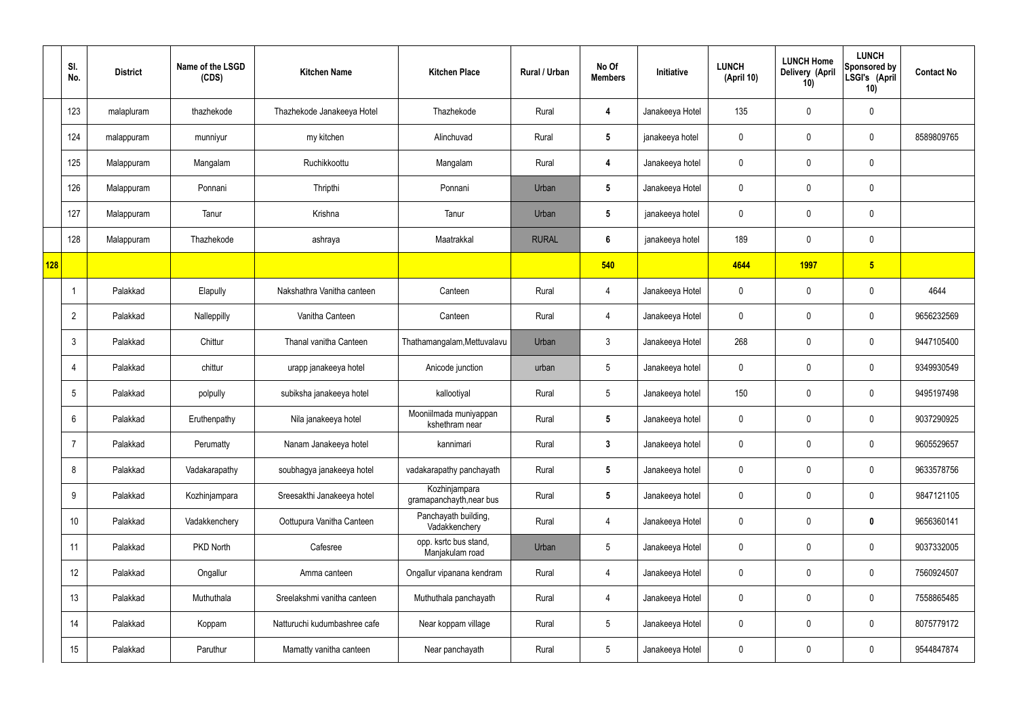|     | SI.<br>No.     | <b>District</b> | Name of the LSGD<br>(CDS) | <b>Kitchen Name</b>          | <b>Kitchen Place</b>                      | Rural / Urban | No Of<br><b>Members</b> | Initiative      | <b>LUNCH</b><br>(April 10) | <b>LUNCH Home</b><br>Delivery (April<br>10) | <b>LUNCH</b><br>Sponsored by<br>LSGI's (April<br>10) | <b>Contact No</b> |
|-----|----------------|-----------------|---------------------------|------------------------------|-------------------------------------------|---------------|-------------------------|-----------------|----------------------------|---------------------------------------------|------------------------------------------------------|-------------------|
|     | 123            | malapluram      | thazhekode                | Thazhekode Janakeeya Hotel   | Thazhekode                                | Rural         | 4                       | Janakeeya Hotel | 135                        | 0                                           | $\mathbf 0$                                          |                   |
|     | 124            | malappuram      | munniyur                  | my kitchen                   | Alinchuvad                                | Rural         | $5\phantom{.0}$         | janakeeya hotel | $\mathbf 0$                | $\mathbf 0$                                 | $\mathbf 0$                                          | 8589809765        |
|     | 125            | Malappuram      | Mangalam                  | Ruchikkoottu                 | Mangalam                                  | Rural         | 4                       | Janakeeya hotel | $\mathbf 0$                | $\mathbf 0$                                 | $\mathbf 0$                                          |                   |
|     | 126            | Malappuram      | Ponnani                   | Thripthi                     | Ponnani                                   | Urban         | $5\phantom{.0}$         | Janakeeya Hotel | $\mathbf 0$                | $\mathbf 0$                                 | $\mathbf 0$                                          |                   |
|     | 127            | Malappuram      | Tanur                     | Krishna                      | Tanur                                     | Urban         | $5\phantom{.0}$         | janakeeya hotel | $\mathbf 0$                | $\mathbf 0$                                 | $\mathbf 0$                                          |                   |
|     | 128            | Malappuram      | Thazhekode                | ashraya                      | Maatrakkal                                | <b>RURAL</b>  | $6\phantom{1}$          | janakeeya hotel | 189                        | $\mathbf 0$                                 | $\mathbf 0$                                          |                   |
| 128 |                |                 |                           |                              |                                           |               | 540                     |                 | 4644                       | <b>1997</b>                                 | $5\overline{)}$                                      |                   |
|     | -1             | Palakkad        | Elapully                  | Nakshathra Vanitha canteen   | Canteen                                   | Rural         | 4                       | Janakeeya Hotel | $\mathbf 0$                | $\mathbf 0$                                 | $\mathbf 0$                                          | 4644              |
|     | $\overline{2}$ | Palakkad        | Nalleppilly               | Vanitha Canteen              | Canteen                                   | Rural         | 4                       | Janakeeya Hotel | $\mathbf 0$                | $\mathbf 0$                                 | $\mathbf 0$                                          | 9656232569        |
|     | 3              | Palakkad        | Chittur                   | Thanal vanitha Canteen       | Thathamangalam, Mettuvalavu               | Urban         | $\mathbf{3}$            | Janakeeya Hotel | 268                        | $\mathbf 0$                                 | $\mathbf 0$                                          | 9447105400        |
|     | $\overline{4}$ | Palakkad        | chittur                   | urapp janakeeya hotel        | Anicode junction                          | urban         | $5\phantom{.0}$         | Janakeeya hotel | $\mathbf 0$                | 0                                           | $\mathbf 0$                                          | 9349930549        |
|     | 5              | Palakkad        | polpully                  | subiksha janakeeya hotel     | kallootiyal                               | Rural         | $5\phantom{.0}$         | Janakeeya hotel | 150                        | $\mathbf 0$                                 | $\mathbf 0$                                          | 9495197498        |
|     | 6              | Palakkad        | Eruthenpathy              | Nila janakeeya hotel         | Mooniilmada muniyappan<br>kshethram near  | Rural         | $5\overline{)}$         | Janakeeya hotel | $\mathbf 0$                | $\mathbf 0$                                 | $\mathbf 0$                                          | 9037290925        |
|     | $\overline{7}$ | Palakkad        | Perumatty                 | Nanam Janakeeya hotel        | kannimari                                 | Rural         | $3\phantom{a}$          | Janakeeya hotel | $\mathbf 0$                | $\mathbf 0$                                 | $\mathbf 0$                                          | 9605529657        |
|     | 8              | Palakkad        | Vadakarapathy             | soubhagya janakeeya hotel    | vadakarapathy panchayath                  | Rural         | $5\phantom{.0}$         | Janakeeya hotel | $\mathbf 0$                | $\mathbf 0$                                 | $\mathbf 0$                                          | 9633578756        |
|     | 9              | Palakkad        | Kozhinjampara             | Sreesakthi Janakeeya hotel   | Kozhinjampara<br>gramapanchayth, near bus | Rural         | $5\overline{)}$         | Janakeeya hotel | $\mathbf 0$                | $\mathbf 0$                                 | $\mathbf 0$                                          | 9847121105        |
|     | 10             | Palakkad        | Vadakkenchery             | Oottupura Vanitha Canteen    | Panchayath building,<br>Vadakkenchery     | Rural         | $\overline{4}$          | Janakeeya Hotel | $\mathbf 0$                | $\mathbf 0$                                 | $\bf{0}$                                             | 9656360141        |
|     | 11             | Palakkad        | PKD North                 | Cafesree                     | opp. ksrtc bus stand,<br>Manjakulam road  | Urban         | $5\phantom{.0}$         | Janakeeya Hotel | $\mathbf 0$                | $\mathbf 0$                                 | $\mathbf 0$                                          | 9037332005        |
|     | 12             | Palakkad        | Ongallur                  | Amma canteen                 | Ongallur vipanana kendram                 | Rural         | $\overline{4}$          | Janakeeya Hotel | $\mathbf 0$                | 0                                           | $\mathbf 0$                                          | 7560924507        |
|     | 13             | Palakkad        | Muthuthala                | Sreelakshmi vanitha canteen  | Muthuthala panchayath                     | Rural         | 4                       | Janakeeya Hotel | $\mathbf 0$                | 0                                           | $\mathbf 0$                                          | 7558865485        |
|     | 14             | Palakkad        | Koppam                    | Natturuchi kudumbashree cafe | Near koppam village                       | Rural         | $5\overline{)}$         | Janakeeya Hotel | $\mathbf 0$                | $\mathbf 0$                                 | $\mathbf 0$                                          | 8075779172        |
|     | 15             | Palakkad        | Paruthur                  | Mamatty vanitha canteen      | Near panchayath                           | Rural         | $5\phantom{.0}$         | Janakeeya Hotel | $\pmb{0}$                  | 0                                           | $\overline{0}$                                       | 9544847874        |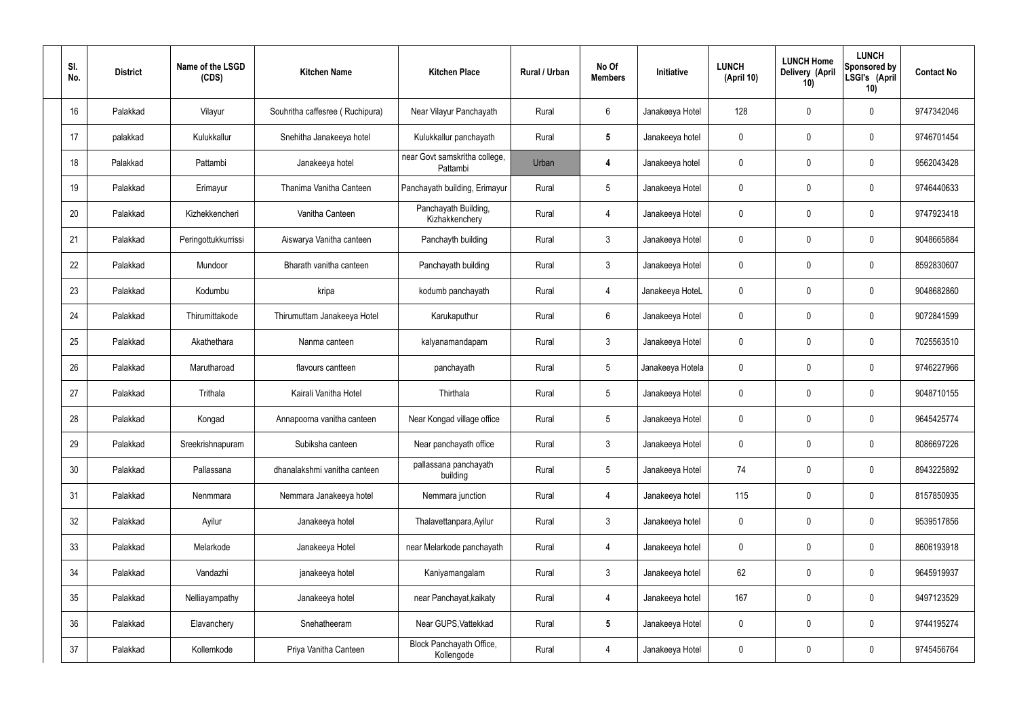| SI.<br>No. | <b>District</b> | Name of the LSGD<br>(CDS) | <b>Kitchen Name</b>             | <b>Kitchen Place</b>                      | Rural / Urban | No Of<br><b>Members</b> | Initiative       | <b>LUNCH</b><br>(April 10) | <b>LUNCH Home</b><br>Delivery (April<br>10) | <b>LUNCH</b><br>Sponsored by<br>LSGI's (April<br>10) | <b>Contact No</b> |
|------------|-----------------|---------------------------|---------------------------------|-------------------------------------------|---------------|-------------------------|------------------|----------------------------|---------------------------------------------|------------------------------------------------------|-------------------|
| 16         | Palakkad        | Vilayur                   | Souhritha caffesree (Ruchipura) | Near Vilayur Panchayath                   | Rural         | 6                       | Janakeeya Hotel  | 128                        | 0                                           | 0                                                    | 9747342046        |
| 17         | palakkad        | Kulukkallur               | Snehitha Janakeeya hotel        | Kulukkallur panchayath                    | Rural         | $5\phantom{.0}$         | Janakeeya hotel  | $\mathbf 0$                | 0                                           | $\boldsymbol{0}$                                     | 9746701454        |
| 18         | Palakkad        | Pattambi                  | Janakeeya hotel                 | near Govt samskritha college,<br>Pattambi | Urban         | 4                       | Janakeeya hotel  | 0                          | 0                                           | $\mathbf 0$                                          | 9562043428        |
| 19         | Palakkad        | Erimayur                  | Thanima Vanitha Canteen         | Panchayath building, Erimayur             | Rural         | $5\phantom{.0}$         | Janakeeya Hotel  | $\mathbf 0$                | 0                                           | $\mathbf 0$                                          | 9746440633        |
| 20         | Palakkad        | Kizhekkencheri            | Vanitha Canteen                 | Panchayath Building,<br>Kizhakkenchery    | Rural         | 4                       | Janakeeya Hotel  | $\mathbf 0$                | 0                                           | $\mathbf 0$                                          | 9747923418        |
| 21         | Palakkad        | Peringottukkurrissi       | Aiswarya Vanitha canteen        | Panchayth building                        | Rural         | $\mathbf{3}$            | Janakeeya Hotel  | $\mathbf 0$                | 0                                           | $\mathbf 0$                                          | 9048665884        |
| 22         | Palakkad        | Mundoor                   | Bharath vanitha canteen         | Panchayath building                       | Rural         | $\mathbf{3}$            | Janakeeya Hotel  | $\mathbf 0$                | 0                                           | $\mathbf 0$                                          | 8592830607        |
| 23         | Palakkad        | Kodumbu                   | kripa                           | kodumb panchayath                         | Rural         | $\overline{4}$          | Janakeeya HoteL  | $\mathbf 0$                | 0                                           | $\mathbf 0$                                          | 9048682860        |
| 24         | Palakkad        | Thirumittakode            | Thirumuttam Janakeeya Hotel     | Karukaputhur                              | Rural         | $6\phantom{.}6$         | Janakeeya Hotel  | $\mathbf 0$                | 0                                           | $\mathbf 0$                                          | 9072841599        |
| 25         | Palakkad        | Akathethara               | Nanma canteen                   | kalyanamandapam                           | Rural         | $\mathbf{3}$            | Janakeeya Hotel  | $\mathbf 0$                | 0                                           | $\mathbf 0$                                          | 7025563510        |
| 26         | Palakkad        | Marutharoad               | flavours cantteen               | panchayath                                | Rural         | $5\phantom{.0}$         | Janakeeya Hotela | $\mathbf 0$                | 0                                           | $\mathbf 0$                                          | 9746227966        |
| 27         | Palakkad        | Trithala                  | Kairali Vanitha Hotel           | Thirthala                                 | Rural         | $5\phantom{.0}$         | Janakeeya Hotel  | $\mathbf 0$                | 0                                           | $\mathbf 0$                                          | 9048710155        |
| 28         | Palakkad        | Kongad                    | Annapoorna vanitha canteen      | Near Kongad village office                | Rural         | $5\overline{)}$         | Janakeeya Hotel  | 0                          | 0                                           | 0                                                    | 9645425774        |
| 29         | Palakkad        | Sreekrishnapuram          | Subiksha canteen                | Near panchayath office                    | Rural         | $\mathfrak{Z}$          | Janakeeya Hotel  | $\mathbf 0$                | $\mathbf 0$                                 | $\pmb{0}$                                            | 8086697226        |
| 30         | Palakkad        | Pallassana                | dhanalakshmi vanitha canteen    | pallassana panchayath<br>building         | Rural         | $5\phantom{.0}$         | Janakeeya Hotel  | 74                         | 0                                           | $\mathbf 0$                                          | 8943225892        |
| 31         | Palakkad        | Nenmmara                  | Nemmara Janakeeya hotel         | Nemmara junction                          | Rural         | $\overline{4}$          | Janakeeya hotel  | 115                        | 0                                           | $\mathbf 0$                                          | 8157850935        |
| 32         | Palakkad        | Ayilur                    | Janakeeya hotel                 | Thalavettanpara, Ayilur                   | Rural         | $\mathfrak{Z}$          | Janakeeya hotel  | $\pmb{0}$                  | 0                                           | $\mathbf 0$                                          | 9539517856        |
| 33         | Palakkad        | Melarkode                 | Janakeeya Hotel                 | near Melarkode panchayath                 | Rural         | $\overline{4}$          | Janakeeya hotel  | 0                          | 0                                           | $\mathbf 0$                                          | 8606193918        |
| 34         | Palakkad        | Vandazhi                  | janakeeya hotel                 | Kaniyamangalam                            | Rural         | $\mathbf{3}$            | Janakeeya hotel  | 62                         | 0                                           | $\mathbf 0$                                          | 9645919937        |
| 35         | Palakkad        | Nelliayampathy            | Janakeeya hotel                 | near Panchayat, kaikaty                   | Rural         | $\overline{4}$          | Janakeeya hotel  | 167                        | 0                                           | $\mathbf 0$                                          | 9497123529        |
| 36         | Palakkad        | Elavanchery               | Snehatheeram                    | Near GUPS, Vattekkad                      | Rural         | $5\phantom{.0}$         | Janakeeya Hotel  | $\mathbf 0$                | 0                                           | $\mathbf 0$                                          | 9744195274        |
| 37         | Palakkad        | Kollemkode                | Priya Vanitha Canteen           | Block Panchayath Office,<br>Kollengode    | Rural         | $\overline{4}$          | Janakeeya Hotel  | 0                          | 0                                           | $\pmb{0}$                                            | 9745456764        |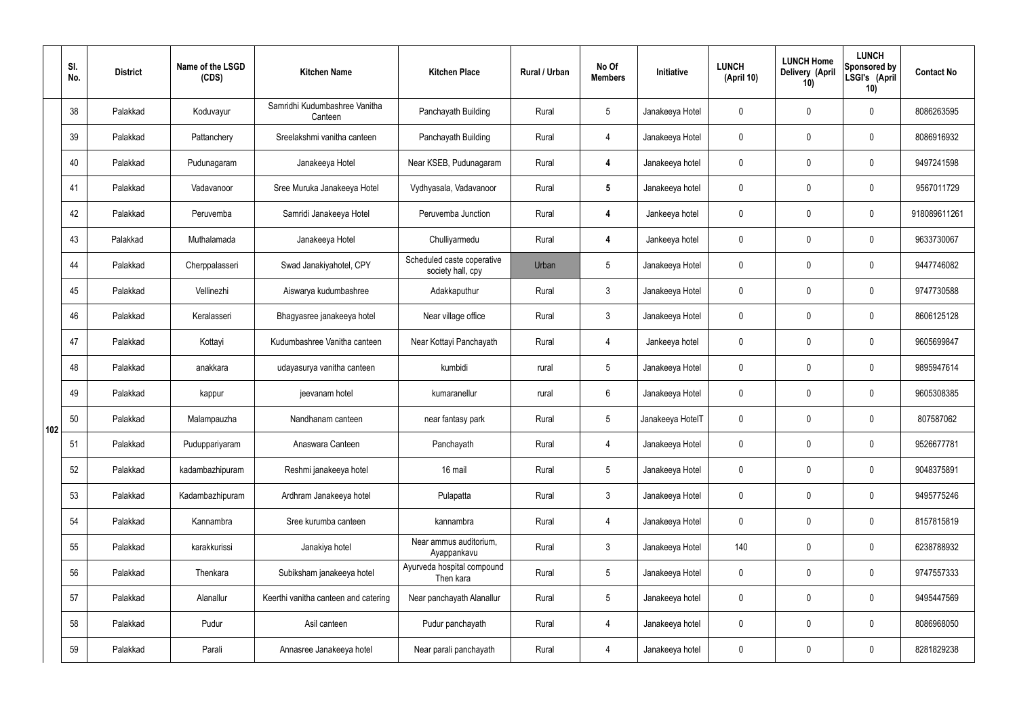|     | SI.<br>No. | <b>District</b> | Name of the LSGD<br>(CDS) | <b>Kitchen Name</b>                      | <b>Kitchen Place</b>                            | Rural / Urban | No Of<br><b>Members</b> | Initiative       | <b>LUNCH</b><br>(April 10) | <b>LUNCH Home</b><br>Delivery (April<br>10) | <b>LUNCH</b><br>Sponsored by<br>LSGI's (April<br>10) | <b>Contact No</b> |
|-----|------------|-----------------|---------------------------|------------------------------------------|-------------------------------------------------|---------------|-------------------------|------------------|----------------------------|---------------------------------------------|------------------------------------------------------|-------------------|
|     | 38         | Palakkad        | Koduvayur                 | Samridhi Kudumbashree Vanitha<br>Canteen | Panchayath Building                             | Rural         | $5\overline{)}$         | Janakeeya Hotel  | $\mathbf 0$                | $\mathbf 0$                                 | $\mathbf 0$                                          | 8086263595        |
|     | 39         | Palakkad        | Pattanchery               | Sreelakshmi vanitha canteen              | Panchayath Building                             | Rural         | $\overline{4}$          | Janakeeya Hotel  | $\mathbf 0$                | $\mathbf 0$                                 | $\mathbf 0$                                          | 8086916932        |
|     | 40         | Palakkad        | Pudunagaram               | Janakeeya Hotel                          | Near KSEB, Pudunagaram                          | Rural         | $\overline{\mathbf{4}}$ | Janakeeya hotel  | $\mathbf 0$                | $\mathbf 0$                                 | $\mathbf 0$                                          | 9497241598        |
|     | 41         | Palakkad        | Vadavanoor                | Sree Muruka Janakeeya Hotel              | Vydhyasala, Vadavanoor                          | Rural         | $5\phantom{.0}$         | Janakeeya hotel  | $\mathbf 0$                | $\mathbf 0$                                 | $\mathbf 0$                                          | 9567011729        |
|     | 42         | Palakkad        | Peruvemba                 | Samridi Janakeeya Hotel                  | Peruvemba Junction                              | Rural         | $\overline{\mathbf{4}}$ | Jankeeya hotel   | $\mathbf 0$                | $\mathbf 0$                                 | $\mathbf 0$                                          | 918089611261      |
|     | 43         | Palakkad        | Muthalamada               | Janakeeya Hotel                          | Chulliyarmedu                                   | Rural         | $\overline{\mathbf{4}}$ | Jankeeya hotel   | $\mathbf 0$                | $\mathbf 0$                                 | $\mathbf 0$                                          | 9633730067        |
|     | 44         | Palakkad        | Cherppalasseri            | Swad Janakiyahotel, CPY                  | Scheduled caste coperative<br>society hall, cpy | Urban         | $5\overline{)}$         | Janakeeya Hotel  | $\mathbf 0$                | $\mathbf 0$                                 | $\mathbf 0$                                          | 9447746082        |
|     | 45         | Palakkad        | Vellinezhi                | Aiswarya kudumbashree                    | Adakkaputhur                                    | Rural         | $\mathbf{3}$            | Janakeeya Hotel  | $\mathbf 0$                | $\mathbf 0$                                 | $\mathbf 0$                                          | 9747730588        |
|     | 46         | Palakkad        | Keralasseri               | Bhagyasree janakeeya hotel               | Near village office                             | Rural         | $\mathbf{3}$            | Janakeeya Hotel  | $\mathbf 0$                | $\mathbf 0$                                 | $\mathbf 0$                                          | 8606125128        |
|     | 47         | Palakkad        | Kottayi                   | Kudumbashree Vanitha canteen             | Near Kottayi Panchayath                         | Rural         | $\overline{4}$          | Jankeeya hotel   | $\mathbf 0$                | $\mathbf 0$                                 | $\mathbf 0$                                          | 9605699847        |
|     | 48         | Palakkad        | anakkara                  | udayasurya vanitha canteen               | kumbidi                                         | rural         | $5\overline{)}$         | Janakeeya Hotel  | $\mathbf 0$                | $\mathbf 0$                                 | $\mathbf 0$                                          | 9895947614        |
|     | 49         | Palakkad        | kappur                    | jeevanam hotel                           | kumaranellur                                    | rural         | $6\overline{6}$         | Janakeeya Hotel  | $\mathbf 0$                | $\mathbf 0$                                 | $\mathbf 0$                                          | 9605308385        |
| 102 | 50         | Palakkad        | Malampauzha               | Nandhanam canteen                        | near fantasy park                               | Rural         | $5\overline{)}$         | Janakeeya HotelT | $\mathbf 0$                | $\mathbf 0$                                 | $\mathbf 0$                                          | 807587062         |
|     | 51         | Palakkad        | Puduppariyaram            | Anaswara Canteen                         | Panchayath                                      | Rural         | 4                       | Janakeeya Hotel  | $\mathbf 0$                | $\pmb{0}$                                   | $\mathbf 0$                                          | 9526677781        |
|     | 52         | Palakkad        | kadambazhipuram           | Reshmi janakeeya hotel                   | 16 mail                                         | Rural         | $5\overline{)}$         | Janakeeya Hotel  | $\mathbf 0$                | $\pmb{0}$                                   | $\mathbf 0$                                          | 9048375891        |
|     | 53         | Palakkad        | Kadambazhipuram           | Ardhram Janakeeya hotel                  | Pulapatta                                       | Rural         | 3 <sup>5</sup>          | Janakeeya Hotel  | $\pmb{0}$                  | 0                                           | $\mathbf 0$                                          | 9495775246        |
|     | 54         | Palakkad        | Kannambra                 | Sree kurumba canteen                     | kannambra                                       | Rural         | $\overline{4}$          | Janakeeya Hotel  | $\mathbf 0$                | $\pmb{0}$                                   | $\mathbf 0$                                          | 8157815819        |
|     | 55         | Palakkad        | karakkurissi              | Janakiya hotel                           | Near ammus auditorium,<br>Ayappankavu           | Rural         | 3                       | Janakeeya Hotel  | 140                        | 0                                           | $\mathbf 0$                                          | 6238788932        |
|     | 56         | Palakkad        | Thenkara                  | Subiksham janakeeya hotel                | Ayurveda hospital compound<br>Then kara         | Rural         | $5\overline{)}$         | Janakeeya Hotel  | $\mathbf 0$                | $\pmb{0}$                                   | $\mathbf 0$                                          | 9747557333        |
|     | 57         | Palakkad        | Alanallur                 | Keerthi vanitha canteen and catering     | Near panchayath Alanallur                       | Rural         | $5\overline{)}$         | Janakeeya hotel  | $\mathbf 0$                | 0                                           | $\mathbf 0$                                          | 9495447569        |
|     | 58         | Palakkad        | Pudur                     | Asil canteen                             | Pudur panchayath                                | Rural         | $\overline{4}$          | Janakeeya hotel  | $\mathbf 0$                | 0                                           | $\mathbf 0$                                          | 8086968050        |
|     | 59         | Palakkad        | Parali                    | Annasree Janakeeya hotel                 | Near parali panchayath                          | Rural         | 4                       | Janakeeya hotel  | $\pmb{0}$                  | $\pmb{0}$                                   | $\boldsymbol{0}$                                     | 8281829238        |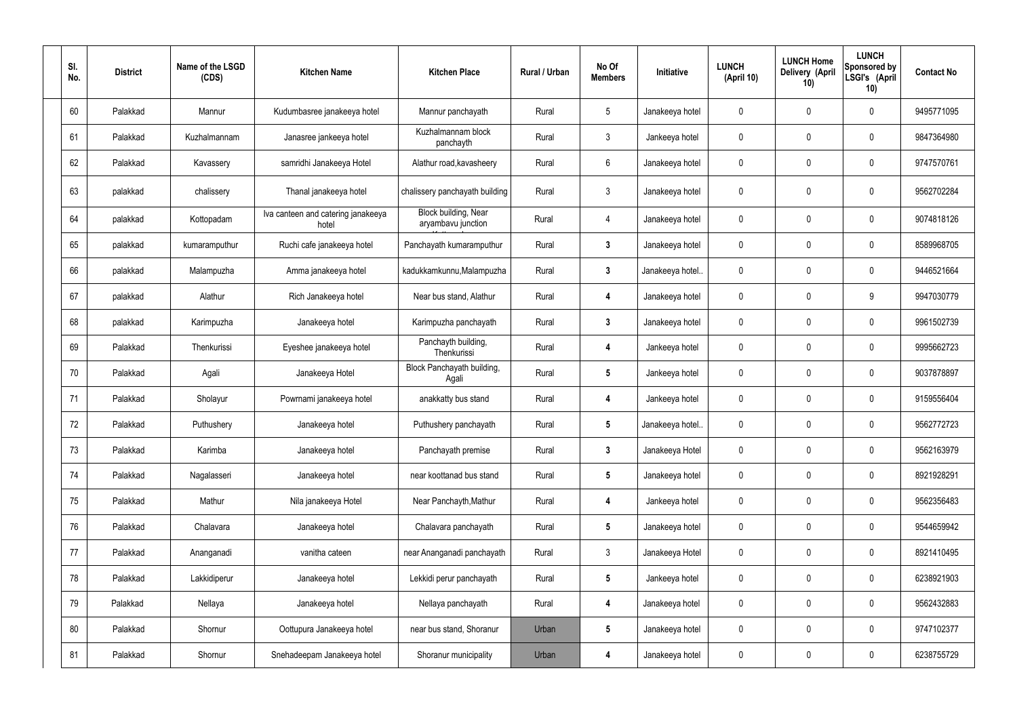| SI.<br>No. | <b>District</b> | Name of the LSGD<br>(CDS) | <b>Kitchen Name</b>                         | <b>Kitchen Place</b>                       | Rural / Urban | No Of<br><b>Members</b> | Initiative       | <b>LUNCH</b><br>(April 10) | <b>LUNCH Home</b><br>Delivery (April<br>10) | <b>LUNCH</b><br>Sponsored by<br>LSGI's (April<br>10) | <b>Contact No</b> |
|------------|-----------------|---------------------------|---------------------------------------------|--------------------------------------------|---------------|-------------------------|------------------|----------------------------|---------------------------------------------|------------------------------------------------------|-------------------|
| 60         | Palakkad        | Mannur                    | Kudumbasree janakeeya hotel                 | Mannur panchayath                          | Rural         | $\sqrt{5}$              | Janakeeya hotel  | 0                          | 0                                           | $\mathbf 0$                                          | 9495771095        |
| 61         | Palakkad        | Kuzhalmannam              | Janasree jankeeya hotel                     | Kuzhalmannam block<br>panchayth            | Rural         | $\mathbf{3}$            | Jankeeya hotel   | 0                          | 0                                           | $\pmb{0}$                                            | 9847364980        |
| 62         | Palakkad        | Kavassery                 | samridhi Janakeeya Hotel                    | Alathur road, kavasheery                   | Rural         | 6                       | Janakeeya hotel  | 0                          | 0                                           | $\mathbf 0$                                          | 9747570761        |
| 63         | palakkad        | chalissery                | Thanal janakeeya hotel                      | chalissery panchayath building             | Rural         | $\mathfrak{Z}$          | Janakeeya hotel  | 0                          | 0                                           | $\mathbf 0$                                          | 9562702284        |
| 64         | palakkad        | Kottopadam                | Iva canteen and catering janakeeya<br>hotel | Block building, Near<br>aryambavu junction | Rural         | $\overline{4}$          | Janakeeya hotel  | 0                          | 0                                           | $\pmb{0}$                                            | 9074818126        |
| 65         | palakkad        | kumaramputhur             | Ruchi cafe janakeeya hotel                  | Panchayath kumaramputhur                   | Rural         | $\mathbf{3}$            | Janakeeya hotel  | 0                          | 0                                           | $\pmb{0}$                                            | 8589968705        |
| 66         | palakkad        | Malampuzha                | Amma janakeeya hotel                        | kadukkamkunnu, Malampuzha                  | Rural         | $\mathbf{3}$            | Janakeeya hotel. | 0                          | 0                                           | $\pmb{0}$                                            | 9446521664        |
| 67         | palakkad        | Alathur                   | Rich Janakeeya hotel                        | Near bus stand, Alathur                    | Rural         | 4                       | Janakeeya hotel  | 0                          | 0                                           | 9                                                    | 9947030779        |
| 68         | palakkad        | Karimpuzha                | Janakeeya hotel                             | Karimpuzha panchayath                      | Rural         | $\mathbf{3}$            | Janakeeya hotel  | 0                          | 0                                           | $\pmb{0}$                                            | 9961502739        |
| 69         | Palakkad        | Thenkurissi               | Eyeshee janakeeya hotel                     | Panchayth building,<br>Thenkurissi         | Rural         | 4                       | Jankeeya hotel   | 0                          | 0                                           | $\pmb{0}$                                            | 9995662723        |
| 70         | Palakkad        | Agali                     | Janakeeya Hotel                             | Block Panchayath building,<br>Agali        | Rural         | $5\phantom{.0}$         | Jankeeya hotel   | 0                          | 0                                           | $\pmb{0}$                                            | 9037878897        |
| 71         | Palakkad        | Sholayur                  | Powrnami janakeeya hotel                    | anakkatty bus stand                        | Rural         | 4                       | Jankeeya hotel   | 0                          | 0                                           | $\pmb{0}$                                            | 9159556404        |
| 72         | Palakkad        | Puthushery                | Janakeeya hotel                             | Puthushery panchayath                      | Rural         |                         | Janakeeya hotel. | $\Omega$                   |                                             | 0                                                    | 9562772723        |
| 73         | Palakkad        | Karimba                   | Janakeeya hotel                             | Panchayath premise                         | Rural         | $\mathbf{3}$            | Janakeeya Hotel  | 0                          | 0                                           | $\pmb{0}$                                            | 9562163979        |
| 74         | Palakkad        | Nagalasseri               | Janakeeya hotel                             | near koottanad bus stand                   | Rural         | $5\phantom{.0}$         | Janakeeya hotel  | 0                          | 0                                           | $\pmb{0}$                                            | 8921928291        |
| 75         | Palakkad        | Mathur                    | Nila janakeeya Hotel                        | Near Panchayth, Mathur                     | Rural         | $\boldsymbol{4}$        | Jankeeya hotel   | 0                          | 0                                           | $\pmb{0}$                                            | 9562356483        |
| 76         | Palakkad        | Chalavara                 | Janakeeya hotel                             | Chalavara panchayath                       | Rural         | $5\phantom{.0}$         | Janakeeya hotel  | 0                          | 0                                           | $\pmb{0}$                                            | 9544659942        |
| 77         | Palakkad        | Ananganadi                | vanitha cateen                              | near Ananganadi panchayath                 | Rural         | $\mathfrak{Z}$          | Janakeeya Hotel  | 0                          | 0                                           | $\pmb{0}$                                            | 8921410495        |
| 78         | Palakkad        | Lakkidiperur              | Janakeeya hotel                             | Lekkidi perur panchayath                   | Rural         | $5\phantom{.0}$         | Jankeeya hotel   | 0                          | 0                                           | $\pmb{0}$                                            | 6238921903        |
| 79         | Palakkad        | Nellaya                   | Janakeeya hotel                             | Nellaya panchayath                         | Rural         | 4                       | Janakeeya hotel  | 0                          | 0                                           | $\pmb{0}$                                            | 9562432883        |
| 80         | Palakkad        | Shornur                   | Oottupura Janakeeya hotel                   | near bus stand, Shoranur                   | Urban         | $5\phantom{.0}$         | Janakeeya hotel  | 0                          | 0                                           | $\pmb{0}$                                            | 9747102377        |
| 81         | Palakkad        | Shornur                   | Snehadeepam Janakeeya hotel                 | Shoranur municipality                      | Urban         | 4                       | Janakeeya hotel  | 0                          | 0                                           | $\pmb{0}$                                            | 6238755729        |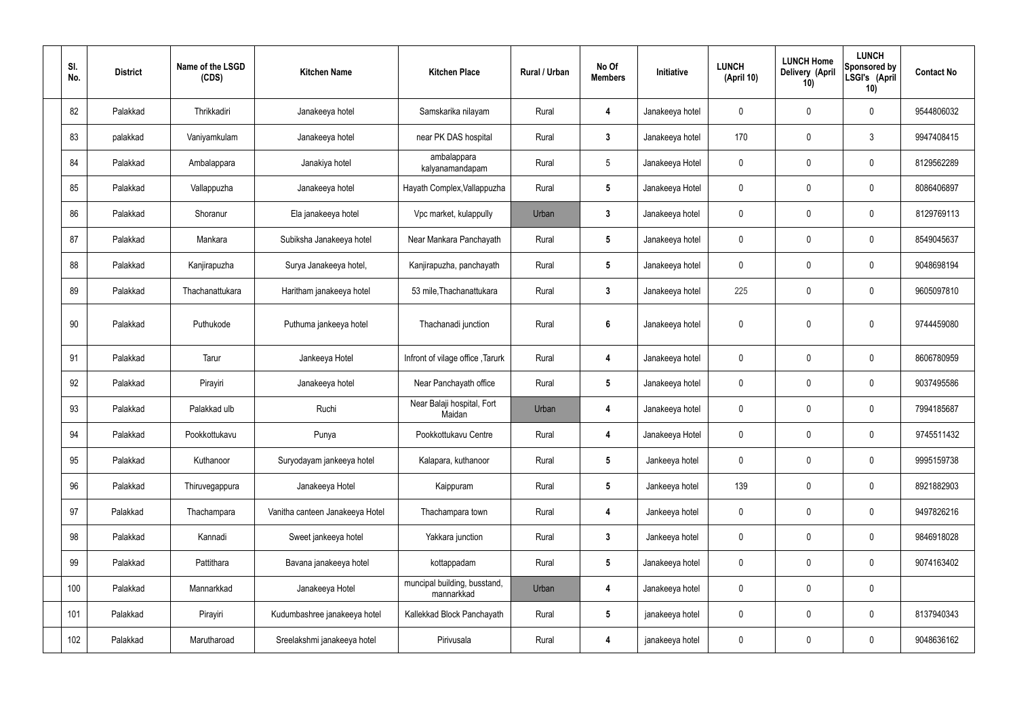| SI.<br>No. | <b>District</b> | Name of the LSGD<br>(CDS) | <b>Kitchen Name</b>             | <b>Kitchen Place</b>                       | Rural / Urban | No Of<br><b>Members</b> | Initiative      | <b>LUNCH</b><br>(April 10) | <b>LUNCH Home</b><br>Delivery (April<br>10) | <b>LUNCH</b><br>Sponsored by<br>LSGI's (April<br>10) | <b>Contact No</b> |
|------------|-----------------|---------------------------|---------------------------------|--------------------------------------------|---------------|-------------------------|-----------------|----------------------------|---------------------------------------------|------------------------------------------------------|-------------------|
| 82         | Palakkad        | Thrikkadiri               | Janakeeya hotel                 | Samskarika nilayam                         | Rural         | $\overline{4}$          | Janakeeya hotel | 0                          | $\mathbf 0$                                 | $\mathbf 0$                                          | 9544806032        |
| 83         | palakkad        | Vaniyamkulam              | Janakeeya hotel                 | near PK DAS hospital                       | Rural         | $\mathbf{3}$            | Janakeeya hotel | 170                        | $\mathbf 0$                                 | $\mathbf{3}$                                         | 9947408415        |
| 84         | Palakkad        | Ambalappara               | Janakiya hotel                  | ambalappara<br>kalyanamandapam             | Rural         | 5                       | Janakeeya Hotel | 0                          | $\mathbf 0$                                 | $\mathbf 0$                                          | 8129562289        |
| 85         | Palakkad        | Vallappuzha               | Janakeeya hotel                 | Hayath Complex, Vallappuzha                | Rural         | $5\phantom{.0}$         | Janakeeya Hotel | 0                          | $\mathbf 0$                                 | $\mathbf 0$                                          | 8086406897        |
| 86         | Palakkad        | Shoranur                  | Ela janakeeya hotel             | Vpc market, kulappully                     | Urban         | $\mathbf{3}$            | Janakeeya hotel | 0                          | $\mathbf 0$                                 | $\mathbf 0$                                          | 8129769113        |
| 87         | Palakkad        | Mankara                   | Subiksha Janakeeya hotel        | Near Mankara Panchayath                    | Rural         | $5\phantom{.0}$         | Janakeeya hotel | 0                          | $\mathbf 0$                                 | $\mathbf 0$                                          | 8549045637        |
| 88         | Palakkad        | Kanjirapuzha              | Surya Janakeeya hotel,          | Kanjirapuzha, panchayath                   | Rural         | $5\phantom{.0}$         | Janakeeya hotel | 0                          | $\mathbf 0$                                 | $\mathbf 0$                                          | 9048698194        |
| 89         | Palakkad        | Thachanattukara           | Haritham janakeeya hotel        | 53 mile, Thachanattukara                   | Rural         | $\mathbf{3}$            | Janakeeya hotel | 225                        | $\mathbf 0$                                 | $\mathbf 0$                                          | 9605097810        |
| 90         | Palakkad        | Puthukode                 | Puthuma jankeeya hotel          | Thachanadi junction                        | Rural         | $6\phantom{1}$          | Janakeeya hotel | 0                          | $\mathbf 0$                                 | $\mathbf 0$                                          | 9744459080        |
| 91         | Palakkad        | Tarur                     | Jankeeya Hotel                  | Infront of vilage office, Tarurk           | Rural         | $\overline{4}$          | Janakeeya hotel | $\boldsymbol{0}$           | $\mathbf 0$                                 | $\mathbf 0$                                          | 8606780959        |
| 92         | Palakkad        | Pirayiri                  | Janakeeya hotel                 | Near Panchayath office                     | Rural         | $5\phantom{.0}$         | Janakeeya hotel | $\mathbf 0$                | $\mathbf 0$                                 | $\mathbf 0$                                          | 9037495586        |
| 93         | Palakkad        | Palakkad ulb              | Ruchi                           | Near Balaji hospital, Fort<br>Maidan       | Urban         | 4                       | Janakeeya hotel | $\boldsymbol{0}$           | $\mathbf 0$                                 | $\mathbf 0$                                          | 7994185687        |
| 94         | Palakkad        | Pookkottukavu             | Punya                           | Pookkottukavu Centre                       | Rural         | 4                       | Janakeeya Hotel | $\boldsymbol{0}$           | $\mathbf 0$                                 | $\mathbf 0$                                          | 9745511432        |
| 95         | Palakkad        | Kuthanoor                 | Suryodayam jankeeya hotel       | Kalapara, kuthanoor                        | Rural         | $5\phantom{.0}$         | Jankeeya hotel  | $\pmb{0}$                  | $\pmb{0}$                                   | $\mathbf 0$                                          | 9995159738        |
| 96         | Palakkad        | Thiruvegappura            | Janakeeya Hotel                 | Kaippuram                                  | Rural         | $5\phantom{.0}$         | Jankeeya hotel  | 139                        | $\pmb{0}$                                   | $\mathbf 0$                                          | 8921882903        |
| 97         | Palakkad        | Thachampara               | Vanitha canteen Janakeeya Hotel | Thachampara town                           | Rural         | $\boldsymbol{4}$        | Jankeeya hotel  | $\pmb{0}$                  | $\pmb{0}$                                   | $\mathbf 0$                                          | 9497826216        |
| 98         | Palakkad        | Kannadi                   | Sweet jankeeya hotel            | Yakkara junction                           | Rural         | $3\phantom{a}$          | Jankeeya hotel  | $\pmb{0}$                  | $\pmb{0}$                                   | $\mathbf 0$                                          | 9846918028        |
| 99         | Palakkad        | Pattithara                | Bavana janakeeya hotel          | kottappadam                                | Rural         | $5\phantom{.0}$         | Janakeeya hotel | $\pmb{0}$                  | $\pmb{0}$                                   | $\mathbf 0$                                          | 9074163402        |
| 100        | Palakkad        | Mannarkkad                | Janakeeya Hotel                 | muncipal building, busstand,<br>mannarkkad | Urban         | $\overline{4}$          | Janakeeya hotel | $\pmb{0}$                  | $\pmb{0}$                                   | $\mathbf 0$                                          |                   |
| 101        | Palakkad        | Pirayiri                  | Kudumbashree janakeeya hotel    | Kallekkad Block Panchayath                 | Rural         | $5\phantom{.0}$         | janakeeya hotel | $\pmb{0}$                  | $\pmb{0}$                                   | $\mathbf 0$                                          | 8137940343        |
| 102        | Palakkad        | Marutharoad               | Sreelakshmi janakeeya hotel     | Pirivusala                                 | Rural         | 4                       | janakeeya hotel | $\pmb{0}$                  | $\pmb{0}$                                   | $\mathbf 0$                                          | 9048636162        |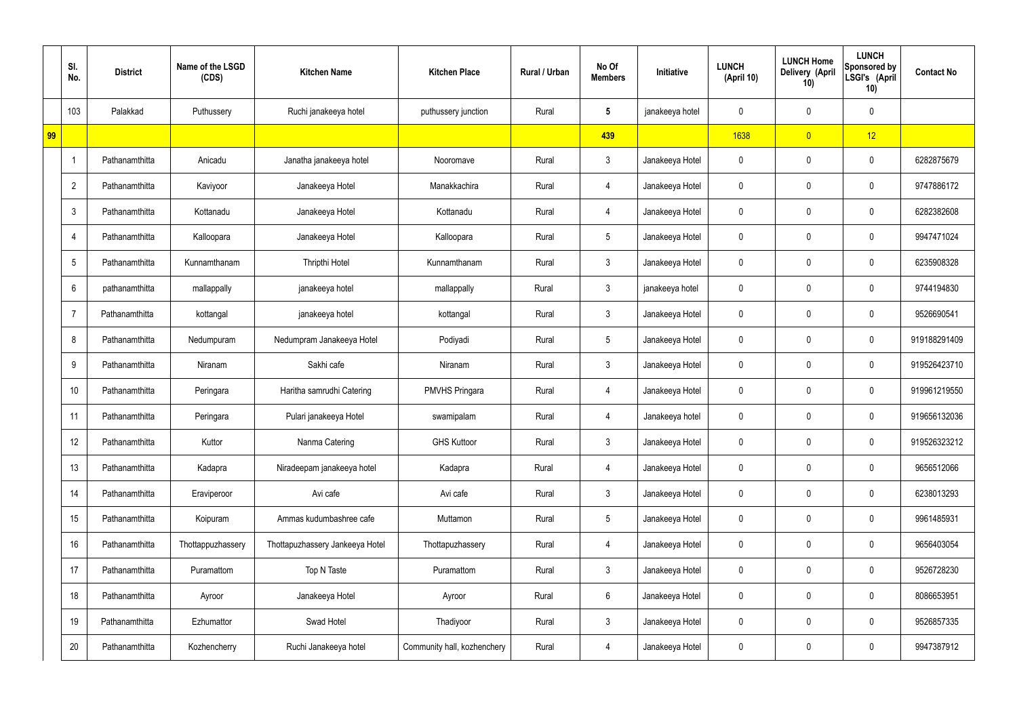|    | SI.<br>No.               | <b>District</b> | Name of the LSGD<br>(CDS) | <b>Kitchen Name</b>             | <b>Kitchen Place</b>        | Rural / Urban | No Of<br><b>Members</b> | Initiative      | <b>LUNCH</b><br>(April 10) | <b>LUNCH Home</b><br>Delivery (April<br>10) | <b>LUNCH</b><br>Sponsored by<br>LSGI's (April<br>10) | <b>Contact No</b> |
|----|--------------------------|-----------------|---------------------------|---------------------------------|-----------------------------|---------------|-------------------------|-----------------|----------------------------|---------------------------------------------|------------------------------------------------------|-------------------|
|    | 103                      | Palakkad        | Puthussery                | Ruchi janakeeya hotel           | puthussery junction         | Rural         | $\sqrt{5}$              | janakeeya hotel | 0                          | 0                                           | $\pmb{0}$                                            |                   |
| 99 |                          |                 |                           |                                 |                             |               | 439                     |                 | 1638                       | $\overline{0}$                              | 12                                                   |                   |
|    | $\overline{\phantom{a}}$ | Pathanamthitta  | Anicadu                   | Janatha janakeeya hotel         | Nooromave                   | Rural         | 3                       | Janakeeya Hotel | 0                          | 0                                           | $\mathbf 0$                                          | 6282875679        |
|    | $\overline{2}$           | Pathanamthitta  | Kaviyoor                  | Janakeeya Hotel                 | Manakkachira                | Rural         | 4                       | Janakeeya Hotel | 0                          | 0                                           | $\mathbf 0$                                          | 9747886172        |
|    | 3                        | Pathanamthitta  | Kottanadu                 | Janakeeya Hotel                 | Kottanadu                   | Rural         | 4                       | Janakeeya Hotel | 0                          | 0                                           | $\mathbf 0$                                          | 6282382608        |
|    | $\overline{4}$           | Pathanamthitta  | Kalloopara                | Janakeeya Hotel                 | Kalloopara                  | Rural         | $\overline{5}$          | Janakeeya Hotel | 0                          | 0                                           | $\pmb{0}$                                            | 9947471024        |
|    | 5                        | Pathanamthitta  | Kunnamthanam              | Thripthi Hotel                  | Kunnamthanam                | Rural         | 3                       | Janakeeya Hotel | 0                          | 0                                           | $\mathbf 0$                                          | 6235908328        |
|    | 6                        | pathanamthitta  | mallappally               | janakeeya hotel                 | mallappally                 | Rural         | 3                       | janakeeya hotel | $\mathbf 0$                | 0                                           | 0                                                    | 9744194830        |
|    | $\overline{7}$           | Pathanamthitta  | kottangal                 | janakeeya hotel                 | kottangal                   | Rural         | 3                       | Janakeeya Hotel | 0                          | 0                                           | $\mathbf 0$                                          | 9526690541        |
|    | 8                        | Pathanamthitta  | Nedumpuram                | Nedumpram Janakeeya Hotel       | Podiyadi                    | Rural         | 5                       | Janakeeya Hotel | 0                          | 0                                           | $\mathbf 0$                                          | 919188291409      |
|    | 9                        | Pathanamthitta  | Niranam                   | Sakhi cafe                      | Niranam                     | Rural         | 3                       | Janakeeya Hotel | 0                          | 0                                           | $\mathbf 0$                                          | 919526423710      |
|    | 10                       | Pathanamthitta  | Peringara                 | Haritha samrudhi Catering       | <b>PMVHS Pringara</b>       | Rural         | 4                       | Janakeeya Hotel | 0                          | 0                                           | $\mathbf 0$                                          | 919961219550      |
|    | 11                       | Pathanamthitta  | Peringara                 | Pulari janakeeya Hotel          | swamipalam                  | Rural         | 4                       | Janakeeya hotel | 0                          | 0                                           | $\mathbf 0$                                          | 919656132036      |
|    | 12                       | Pathanamthitta  | Kuttor                    | Nanma Catering                  | <b>GHS Kuttoor</b>          | Rural         | 3                       | Janakeeya Hotel | 0                          | 0                                           | $\pmb{0}$                                            | 919526323212      |
|    | 13                       | Pathanamthitta  | Kadapra                   | Niradeepam janakeeya hotel      | Kadapra                     | Rural         | 4                       | Janakeeya Hotel | $\mathbf 0$                | 0                                           | $\mathbf 0$                                          | 9656512066        |
|    | 14                       | Pathanamthitta  | Eraviperoor               | Avi cafe                        | Avi cafe                    | Rural         | $\mathfrak{Z}$          | Janakeeya Hotel | 0                          | 0                                           | $\mathbf 0$                                          | 6238013293        |
|    | 15                       | Pathanamthitta  | Koipuram                  | Ammas kudumbashree cafe         | Muttamon                    | Rural         | $5\phantom{.0}$         | Janakeeya Hotel | $\mathbf 0$                | 0                                           | $\mathbf 0$                                          | 9961485931        |
|    | 16                       | Pathanamthitta  | Thottappuzhassery         | Thottapuzhassery Jankeeya Hotel | Thottapuzhassery            | Rural         | 4                       | Janakeeya Hotel | $\mathbf 0$                | 0                                           | $\mathbf 0$                                          | 9656403054        |
|    | 17                       | Pathanamthitta  | Puramattom                | Top N Taste                     | Puramattom                  | Rural         | $\mathbf{3}$            | Janakeeya Hotel | $\mathbf 0$                | $\mathbf 0$                                 | $\mathsf{0}$                                         | 9526728230        |
|    | 18                       | Pathanamthitta  | Ayroor                    | Janakeeya Hotel                 | Ayroor                      | Rural         | $6\phantom{.}6$         | Janakeeya Hotel | $\mathbf 0$                | 0                                           | $\mathbf 0$                                          | 8086653951        |
|    | 19                       | Pathanamthitta  | Ezhumattor                | Swad Hotel                      | Thadiyoor                   | Rural         | $\mathbf{3}$            | Janakeeya Hotel | $\mathbf 0$                | $\mathbf 0$                                 | $\mathsf{0}$                                         | 9526857335        |
|    | 20                       | Pathanamthitta  | Kozhencherry              | Ruchi Janakeeya hotel           | Community hall, kozhenchery | Rural         | 4                       | Janakeeya Hotel | 0                          | 0                                           | $\pmb{0}$                                            | 9947387912        |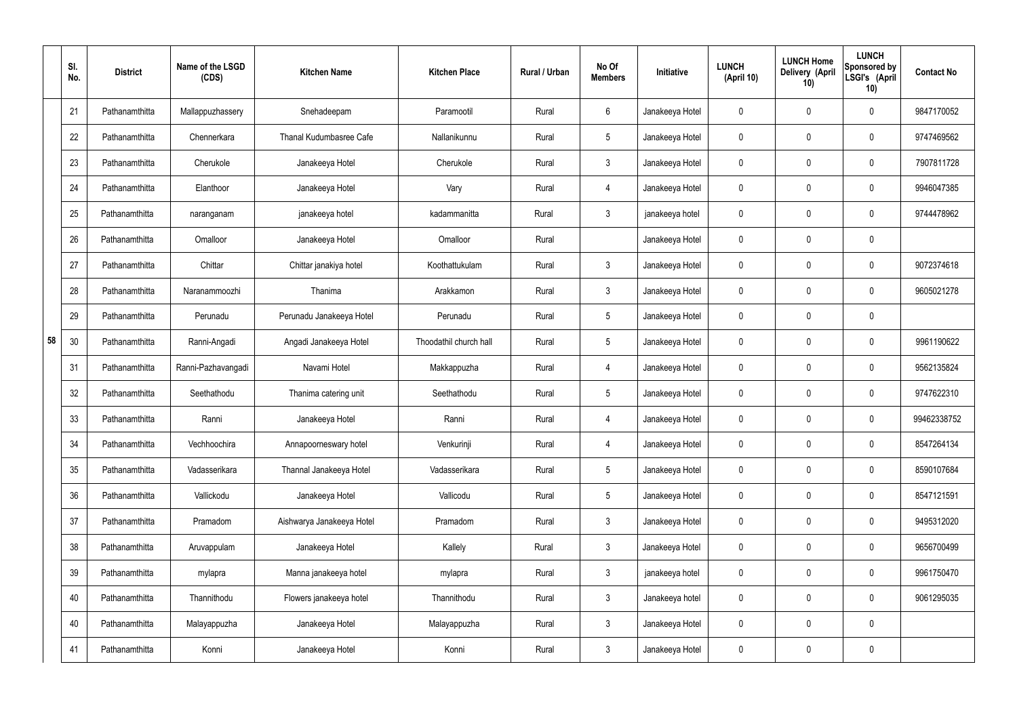|    | SI.<br>No. | <b>District</b> | Name of the LSGD<br>(CDS) | <b>Kitchen Name</b>       | <b>Kitchen Place</b>   | Rural / Urban | No Of<br><b>Members</b> | Initiative      | <b>LUNCH</b><br>(April 10) | <b>LUNCH Home</b><br>Delivery (April<br>10) | <b>LUNCH</b><br>Sponsored by<br>LSGI's (April<br>10) | <b>Contact No</b> |
|----|------------|-----------------|---------------------------|---------------------------|------------------------|---------------|-------------------------|-----------------|----------------------------|---------------------------------------------|------------------------------------------------------|-------------------|
|    | 21         | Pathanamthitta  | Mallappuzhassery          | Snehadeepam               | Paramootil             | Rural         | 6                       | Janakeeya Hotel | 0                          | 0                                           | $\mathbf 0$                                          | 9847170052        |
|    | 22         | Pathanamthitta  | Chennerkara               | Thanal Kudumbasree Cafe   | Nallanikunnu           | Rural         | $5\phantom{.0}$         | Janakeeya Hotel | $\mathbf 0$                | 0                                           | $\mathbf 0$                                          | 9747469562        |
|    | 23         | Pathanamthitta  | Cherukole                 | Janakeeya Hotel           | Cherukole              | Rural         | 3 <sup>1</sup>          | Janakeeya Hotel | 0                          | 0                                           | $\mathbf 0$                                          | 7907811728        |
|    | 24         | Pathanamthitta  | Elanthoor                 | Janakeeya Hotel           | Vary                   | Rural         | $\overline{4}$          | Janakeeya Hotel | $\mathbf 0$                | 0                                           | $\mathbf 0$                                          | 9946047385        |
|    | 25         | Pathanamthitta  | naranganam                | janakeeya hotel           | kadammanitta           | Rural         | $\mathbf{3}$            | janakeeya hotel | $\mathbf 0$                | 0                                           | $\mathbf 0$                                          | 9744478962        |
|    | 26         | Pathanamthitta  | Omalloor                  | Janakeeya Hotel           | Omalloor               | Rural         |                         | Janakeeya Hotel | $\mathbf 0$                | 0                                           | $\mathbf 0$                                          |                   |
|    | 27         | Pathanamthitta  | Chittar                   | Chittar janakiya hotel    | Koothattukulam         | Rural         | 3 <sup>1</sup>          | Janakeeya Hotel | $\mathbf 0$                | 0                                           | $\mathbf 0$                                          | 9072374618        |
|    | 28         | Pathanamthitta  | Naranammoozhi             | Thanima                   | Arakkamon              | Rural         | $\mathbf{3}$            | Janakeeya Hotel | $\mathbf 0$                | 0                                           | $\mathbf 0$                                          | 9605021278        |
|    | 29         | Pathanamthitta  | Perunadu                  | Perunadu Janakeeya Hotel  | Perunadu               | Rural         | $5\phantom{.0}$         | Janakeeya Hotel | $\mathbf 0$                | $\boldsymbol{0}$                            | $\mathbf 0$                                          |                   |
| 58 | 30         | Pathanamthitta  | Ranni-Angadi              | Angadi Janakeeya Hotel    | Thoodathil church hall | Rural         | $5\phantom{.0}$         | Janakeeya Hotel | $\mathbf 0$                | 0                                           | $\mathbf 0$                                          | 9961190622        |
|    | 31         | Pathanamthitta  | Ranni-Pazhavangadi        | Navami Hotel              | Makkappuzha            | Rural         | 4                       | Janakeeya Hotel | $\mathbf 0$                | 0                                           | $\mathbf 0$                                          | 9562135824        |
|    | 32         | Pathanamthitta  | Seethathodu               | Thanima catering unit     | Seethathodu            | Rural         | $5\phantom{.0}$         | Janakeeya Hotel | $\mathbf 0$                | 0                                           | $\mathbf 0$                                          | 9747622310        |
|    | 33         | Pathanamthitta  | Ranni                     | Janakeeya Hotel           | Ranni                  | Rural         | 4                       | Janakeeya Hotel | $\mathbf 0$                | $\mathbf 0$                                 | $\mathbf 0$                                          | 99462338752       |
|    | 34         | Pathanamthitta  | Vechhoochira              | Annapoorneswary hotel     | Venkurinji             | Rural         | $\overline{4}$          | Janakeeya Hotel | $\mathbf 0$                | 0                                           | $\mathbf 0$                                          | 8547264134        |
|    | 35         | Pathanamthitta  | Vadasserikara             | Thannal Janakeeya Hotel   | Vadasserikara          | Rural         | $5\overline{)}$         | Janakeeya Hotel | $\pmb{0}$                  | 0                                           | $\mathbf 0$                                          | 8590107684        |
|    | 36         | Pathanamthitta  | Vallickodu                | Janakeeya Hotel           | Vallicodu              | Rural         | $5\phantom{.0}$         | Janakeeya Hotel | $\pmb{0}$                  | 0                                           | $\mathbf 0$                                          | 8547121591        |
|    | 37         | Pathanamthitta  | Pramadom                  | Aishwarya Janakeeya Hotel | Pramadom               | Rural         | $\mathbf{3}$            | Janakeeya Hotel | $\pmb{0}$                  | 0                                           | $\mathbf 0$                                          | 9495312020        |
|    | 38         | Pathanamthitta  | Aruvappulam               | Janakeeya Hotel           | Kallely                | Rural         | 3 <sup>1</sup>          | Janakeeya Hotel | $\mathbf 0$                | 0                                           | $\mathbf 0$                                          | 9656700499        |
|    | 39         | Pathanamthitta  | mylapra                   | Manna janakeeya hotel     | mylapra                | Rural         | $\mathbf{3}$            | janakeeya hotel | $\pmb{0}$                  | 0                                           | $\mathbf 0$                                          | 9961750470        |
|    | 40         | Pathanamthitta  | Thannithodu               | Flowers janakeeya hotel   | Thannithodu            | Rural         | 3 <sup>1</sup>          | Janakeeya hotel | $\mathbf 0$                | 0                                           | $\mathbf 0$                                          | 9061295035        |
|    | 40         | Pathanamthitta  | Malayappuzha              | Janakeeya Hotel           | Malayappuzha           | Rural         | $\mathfrak{Z}$          | Janakeeya Hotel | $\mathbf 0$                | 0                                           | $\mathbf 0$                                          |                   |
|    | 41         | Pathanamthitta  | Konni                     | Janakeeya Hotel           | Konni                  | Rural         | $\mathfrak{Z}$          | Janakeeya Hotel | 0                          | 0                                           | $\mathbf 0$                                          |                   |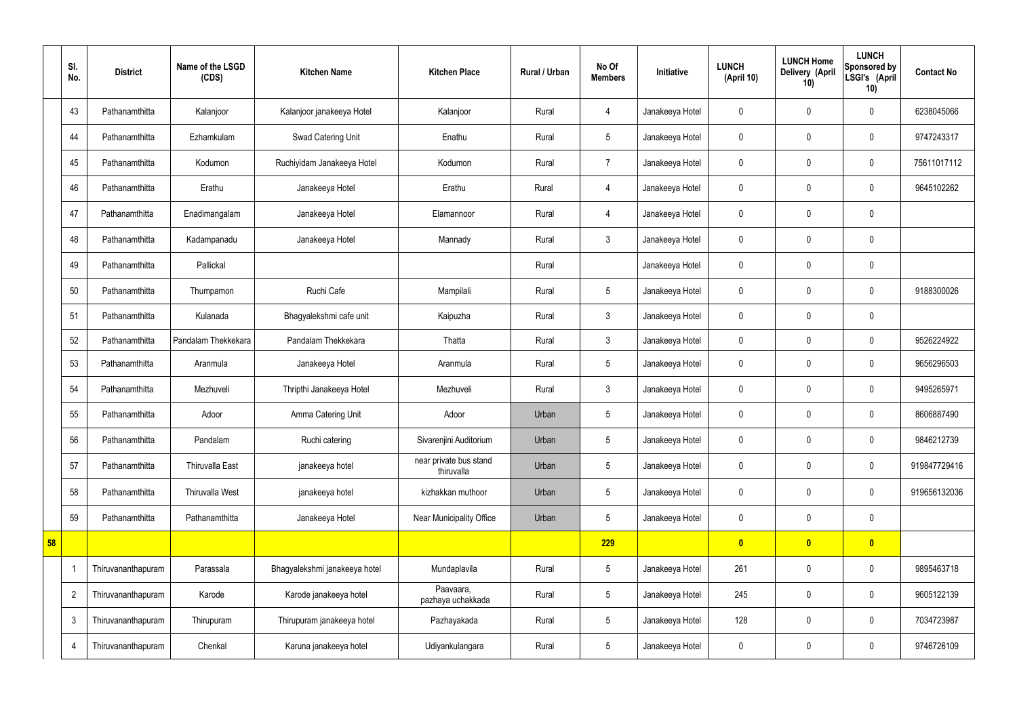|    | SI.<br>No.     | <b>District</b>    | Name of the LSGD<br>(CDS) | <b>Kitchen Name</b>           | <b>Kitchen Place</b>                 | Rural / Urban | No Of<br><b>Members</b> | Initiative      | <b>LUNCH</b><br>(April 10) | <b>LUNCH Home</b><br>Delivery (April<br>10) | <b>LUNCH</b><br>Sponsored by<br>LSGI's (April<br>10) | <b>Contact No</b> |
|----|----------------|--------------------|---------------------------|-------------------------------|--------------------------------------|---------------|-------------------------|-----------------|----------------------------|---------------------------------------------|------------------------------------------------------|-------------------|
|    | 43             | Pathanamthitta     | Kalanjoor                 | Kalanjoor janakeeya Hotel     | Kalanjoor                            | Rural         | 4                       | Janakeeya Hotel | $\mathbf 0$                | $\mathbf 0$                                 | $\mathbf 0$                                          | 6238045066        |
|    | 44             | Pathanamthitta     | Ezhamkulam                | Swad Catering Unit            | Enathu                               | Rural         | $5\phantom{.0}$         | Janakeeya Hotel | $\mathbf 0$                | $\mathbf 0$                                 | $\mathbf 0$                                          | 9747243317        |
|    | 45             | Pathanamthitta     | Kodumon                   | Ruchiyidam Janakeeya Hotel    | Kodumon                              | Rural         | $\overline{7}$          | Janakeeya Hotel | $\mathbf 0$                | $\mathbf 0$                                 | $\mathbf 0$                                          | 75611017112       |
|    | 46             | Pathanamthitta     | Erathu                    | Janakeeya Hotel               | Erathu                               | Rural         | $\overline{4}$          | Janakeeya Hotel | $\mathbf 0$                | $\mathbf 0$                                 | $\mathbf 0$                                          | 9645102262        |
|    | 47             | Pathanamthitta     | Enadimangalam             | Janakeeya Hotel               | Elamannoor                           | Rural         | $\overline{4}$          | Janakeeya Hotel | $\mathbf 0$                | $\mathbf 0$                                 | $\mathbf 0$                                          |                   |
|    | 48             | Pathanamthitta     | Kadampanadu               | Janakeeya Hotel               | Mannady                              | Rural         | $\mathbf{3}$            | Janakeeya Hotel | $\mathbf 0$                | $\mathbf 0$                                 | $\mathbf 0$                                          |                   |
|    | 49             | Pathanamthitta     | Pallickal                 |                               |                                      | Rural         |                         | Janakeeya Hotel | $\mathbf 0$                | $\mathbf 0$                                 | $\mathbf 0$                                          |                   |
|    | 50             | Pathanamthitta     | Thumpamon                 | Ruchi Cafe                    | Mampilali                            | Rural         | $5\phantom{.0}$         | Janakeeya Hotel | $\mathbf 0$                | $\mathbf 0$                                 | $\mathbf 0$                                          | 9188300026        |
|    | 51             | Pathanamthitta     | Kulanada                  | Bhagyalekshmi cafe unit       | Kaipuzha                             | Rural         | $\mathbf{3}$            | Janakeeya Hotel | $\mathbf 0$                | $\mathbf 0$                                 | $\mathbf 0$                                          |                   |
|    | 52             | Pathanamthitta     | Pandalam Thekkekara       | Pandalam Thekkekara           | Thatta                               | Rural         | $\mathbf{3}$            | Janakeeya Hotel | $\mathbf 0$                | $\pmb{0}$                                   | $\mathbf 0$                                          | 9526224922        |
|    | 53             | Pathanamthitta     | Aranmula                  | Janakeeya Hotel               | Aranmula                             | Rural         | $5\phantom{.0}$         | Janakeeya Hotel | $\mathbf 0$                | $\mathbf 0$                                 | $\mathbf 0$                                          | 9656296503        |
|    | 54             | Pathanamthitta     | Mezhuveli                 | Thripthi Janakeeya Hotel      | Mezhuveli                            | Rural         | $\mathbf{3}$            | Janakeeya Hotel | $\mathbf 0$                | $\mathbf 0$                                 | $\overline{0}$                                       | 9495265971        |
|    | 55             | Pathanamthitta     | Adoor                     | Amma Catering Unit            | Adoor                                | Urban         | $5\overline{)}$         | Janakeeya Hotel | $\mathbf 0$                | $\mathbf 0$                                 | $\mathbf 0$                                          | 8606887490        |
|    | 56             | Pathanamthitta     | Pandalam                  | Ruchi catering                | Sivarenjini Auditorium               | Urban         | $5\phantom{.0}$         | Janakeeya Hotel | $\mathbf 0$                | $\mathbf 0$                                 | $\mathbf 0$                                          | 9846212739        |
|    | 57             | Pathanamthitta     | <b>Thiruvalla East</b>    | janakeeya hotel               | near private bus stand<br>thiruvalla | Urban         | $5\phantom{.0}$         | Janakeeya Hotel | $\mathbf 0$                | $\pmb{0}$                                   | $\mathbf 0$                                          | 919847729416      |
|    | 58             | Pathanamthitta     | <b>Thiruvalla West</b>    | janakeeya hotel               | kizhakkan muthoor                    | Urban         | $5\phantom{.0}$         | Janakeeya Hotel | $\pmb{0}$                  | $\pmb{0}$                                   | $\mathbf 0$                                          | 919656132036      |
|    | 59             | Pathanamthitta     | Pathanamthitta            | Janakeeya Hotel               | Near Municipality Office             | Urban         | $5\phantom{.0}$         | Janakeeya Hotel | $\pmb{0}$                  | $\pmb{0}$                                   | $\mathbf 0$                                          |                   |
| 58 |                |                    |                           |                               |                                      |               | 229                     |                 | $\bullet$                  | $\bullet$                                   | $\overline{\mathbf{0}}$                              |                   |
|    | -1             | Thiruvananthapuram | Parassala                 | Bhagyalekshmi janakeeya hotel | Mundaplavila                         | Rural         | $5\phantom{.0}$         | Janakeeya Hotel | 261                        | $\pmb{0}$                                   | $\mathbf 0$                                          | 9895463718        |
|    | $\overline{2}$ | Thiruvananthapuram | Karode                    | Karode janakeeya hotel        | Paavaara,<br>pazhaya uchakkada       | Rural         | $5\phantom{.0}$         | Janakeeya Hotel | 245                        | $\mathbf 0$                                 | $\mathbf 0$                                          | 9605122139        |
|    | 3              | Thiruvananthapuram | Thirupuram                | Thirupuram janakeeya hotel    | Pazhayakada                          | Rural         | $5\overline{)}$         | Janakeeya Hotel | 128                        | $\mathbf 0$                                 | $\mathbf 0$                                          | 7034723987        |
|    | $\overline{4}$ | Thiruvananthapuram | Chenkal                   | Karuna janakeeya hotel        | Udiyankulangara                      | Rural         | $5\overline{)}$         | Janakeeya Hotel | $\pmb{0}$                  | $\pmb{0}$                                   | $\mathbf 0$                                          | 9746726109        |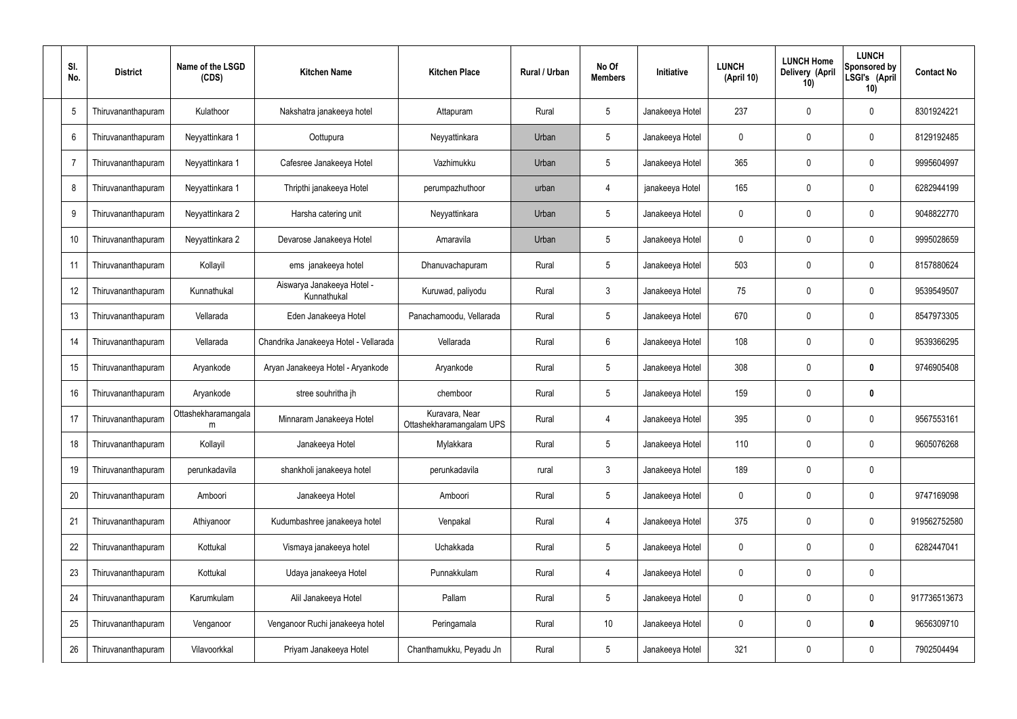| SI.<br>No. | <b>District</b>    | Name of the LSGD<br>(CDS) | <b>Kitchen Name</b>                       | <b>Kitchen Place</b>                       | Rural / Urban | No Of<br><b>Members</b> | Initiative      | <b>LUNCH</b><br>(April 10) | <b>LUNCH Home</b><br><b>Delivery (April</b><br>10) | <b>LUNCH</b><br>Sponsored by<br>LSGI's (April<br>10) | <b>Contact No</b> |
|------------|--------------------|---------------------------|-------------------------------------------|--------------------------------------------|---------------|-------------------------|-----------------|----------------------------|----------------------------------------------------|------------------------------------------------------|-------------------|
| 5          | Thiruvananthapuram | Kulathoor                 | Nakshatra janakeeya hotel                 | Attapuram                                  | Rural         | 5                       | Janakeeya Hotel | 237                        | $\mathbf 0$                                        | 0                                                    | 8301924221        |
| 6          | Thiruvananthapuram | Neyyattinkara 1           | Oottupura                                 | Neyyattinkara                              | Urban         | 5                       | Janakeeya Hotel | 0                          | $\mathbf 0$                                        | 0                                                    | 8129192485        |
| -7         | Thiruvananthapuram | Neyyattinkara 1           | Cafesree Janakeeya Hotel                  | Vazhimukku                                 | Urban         | 5                       | Janakeeya Hotel | 365                        | $\boldsymbol{0}$                                   | 0                                                    | 9995604997        |
| 8          | Thiruvananthapuram | Neyyattinkara 1           | Thripthi janakeeya Hotel                  | perumpazhuthoor                            | urban         | 4                       | janakeeya Hotel | 165                        | $\mathbf 0$                                        | 0                                                    | 6282944199        |
| 9          | Thiruvananthapuram | Neyyattinkara 2           | Harsha catering unit                      | Neyyattinkara                              | Urban         | 5                       | Janakeeya Hotel | 0                          | $\boldsymbol{0}$                                   | 0                                                    | 9048822770        |
| 10         | Thiruvananthapuram | Neyyattinkara 2           | Devarose Janakeeya Hotel                  | Amaravila                                  | Urban         | $\overline{5}$          | Janakeeya Hotel | 0                          | $\mathbf 0$                                        | 0                                                    | 9995028659        |
| 11         | Thiruvananthapuram | Kollayil                  | ems janakeeya hotel                       | Dhanuvachapuram                            | Rural         | 5                       | Janakeeya Hotel | 503                        | $\boldsymbol{0}$                                   | 0                                                    | 8157880624        |
| 12         | Thiruvananthapuram | Kunnathukal               | Aiswarya Janakeeya Hotel -<br>Kunnathukal | Kuruwad, paliyodu                          | Rural         | $\mathbf{3}$            | Janakeeya Hotel | 75                         | 0                                                  | 0                                                    | 9539549507        |
| 13         | Thiruvananthapuram | Vellarada                 | Eden Janakeeya Hotel                      | Panachamoodu, Vellarada                    | Rural         | 5                       | Janakeeya Hotel | 670                        | $\boldsymbol{0}$                                   | 0                                                    | 8547973305        |
| 14         | Thiruvananthapuram | Vellarada                 | Chandrika Janakeeya Hotel - Vellarada     | Vellarada                                  | Rural         | 6                       | Janakeeya Hotel | 108                        | $\mathbf 0$                                        | 0                                                    | 9539366295        |
| 15         | Thiruvananthapuram | Aryankode                 | Aryan Janakeeya Hotel - Aryankode         | Aryankode                                  | Rural         | 5                       | Janakeeya Hotel | 308                        | $\boldsymbol{0}$                                   | 0                                                    | 9746905408        |
| 16         | Thiruvananthapuram | Aryankode                 | stree souhritha jh                        | chemboor                                   | Rural         | 5                       | Janakeeya Hotel | 159                        | 0                                                  | 0                                                    |                   |
| 17         | Thiruvananthapuram | Ottashekharamangala<br>m  | Minnaram Janakeeya Hotel                  | Kuravara, Near<br>Ottashekharamangalam UPS | Rural         | 4                       | Janakeeya Hotel | 395                        | $\boldsymbol{0}$                                   | 0                                                    | 9567553161        |
| 18         | Thiruvananthapuram | Kollayil                  | Janakeeya Hotel                           | Mylakkara                                  | Rural         | $\overline{5}$          | Janakeeya Hotel | 110                        | $\pmb{0}$                                          | 0                                                    | 9605076268        |
| 19         | Thiruvananthapuram | perunkadavila             | shankholi janakeeya hotel                 | perunkadavila                              | rural         | $\mathbf{3}$            | Janakeeya Hotel | 189                        | $\overline{0}$                                     | $\bm{0}$                                             |                   |
| 20         | Thiruvananthapuram | Amboori                   | Janakeeya Hotel                           | Amboori                                    | Rural         | $5\phantom{.0}$         | Janakeeya Hotel | 0                          | $\pmb{0}$                                          | 0                                                    | 9747169098        |
| 21         | Thiruvananthapuram | Athiyanoor                | Kudumbashree janakeeya hotel              | Venpakal                                   | Rural         | 4                       | Janakeeya Hotel | 375                        | $\mathbf 0$                                        | 0                                                    | 919562752580      |
| 22         | Thiruvananthapuram | Kottukal                  | Vismaya janakeeya hotel                   | Uchakkada                                  | Rural         | $5\phantom{.0}$         | Janakeeya Hotel | 0                          | $\pmb{0}$                                          | 0                                                    | 6282447041        |
| 23         | Thiruvananthapuram | Kottukal                  | Udaya janakeeya Hotel                     | Punnakkulam                                | Rural         | $\overline{4}$          | Janakeeya Hotel | $\mathbf 0$                | $\overline{0}$                                     | $\pmb{0}$                                            |                   |
| 24         | Thiruvananthapuram | Karumkulam                | Alil Janakeeya Hotel                      | Pallam                                     | Rural         | $5\phantom{.0}$         | Janakeeya Hotel | 0                          | $\pmb{0}$                                          | 0                                                    | 917736513673      |
| 25         | Thiruvananthapuram | Venganoor                 | Venganoor Ruchi janakeeya hotel           | Peringamala                                | Rural         | 10 <sup>°</sup>         | Janakeeya Hotel | 0                          | $\mathbf 0$                                        | 0                                                    | 9656309710        |
| 26         | Thiruvananthapuram | Vilavoorkkal              | Priyam Janakeeya Hotel                    | Chanthamukku, Peyadu Jn                    | Rural         | $5\phantom{.0}$         | Janakeeya Hotel | 321                        | $\pmb{0}$                                          | 0                                                    | 7902504494        |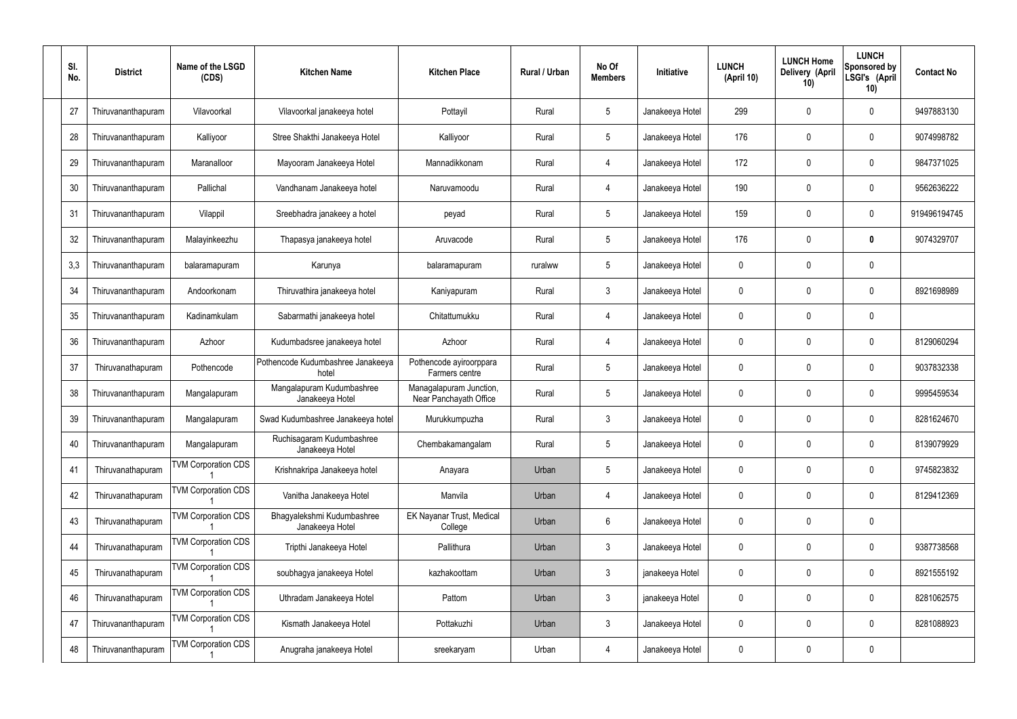| SI. | No. | <b>District</b>    | Name of the LSGD<br>(CDS)  | <b>Kitchen Name</b>                           | <b>Kitchen Place</b>                              | <b>Rural / Urban</b> | No Of<br><b>Members</b> | <b>Initiative</b> | <b>LUNCH</b><br>(April 10) | <b>LUNCH Home</b><br>Delivery (April<br>10) | <b>LUNCH</b><br><b>Sponsored by</b><br>LSGI's (April<br>10) | <b>Contact No</b> |
|-----|-----|--------------------|----------------------------|-----------------------------------------------|---------------------------------------------------|----------------------|-------------------------|-------------------|----------------------------|---------------------------------------------|-------------------------------------------------------------|-------------------|
|     | 27  | Thiruvananthapuram | Vilavoorkal                | Vilavoorkal janakeeya hotel                   | Pottayil                                          | Rural                | 5                       | Janakeeya Hotel   | 299                        | 0                                           | 0                                                           | 9497883130        |
|     | 28  | Thiruvananthapuram | Kalliyoor                  | Stree Shakthi Janakeeya Hotel                 | Kalliyoor                                         | Rural                | $5\phantom{.0}$         | Janakeeya Hotel   | 176                        | $\mathbf 0$                                 | 0                                                           | 9074998782        |
|     | 29  | Thiruvananthapuram | Maranalloor                | Mayooram Janakeeya Hotel                      | Mannadikkonam                                     | Rural                | 4                       | Janakeeya Hotel   | 172                        | 0                                           | 0                                                           | 9847371025        |
|     | 30  | Thiruvananthapuram | Pallichal                  | Vandhanam Janakeeya hotel                     | Naruvamoodu                                       | Rural                | 4                       | Janakeeya Hotel   | 190                        | 0                                           | 0                                                           | 9562636222        |
|     | 31  | Thiruvananthapuram | Vilappil                   | Sreebhadra janakeey a hotel                   | peyad                                             | Rural                | $5\phantom{.0}$         | Janakeeya Hotel   | 159                        | 0                                           | 0                                                           | 919496194745      |
|     | 32  | Thiruvananthapuram | Malayinkeezhu              | Thapasya janakeeya hotel                      | Aruvacode                                         | Rural                | $5\phantom{.0}$         | Janakeeya Hotel   | 176                        | $\mathbf 0$                                 | 0                                                           | 9074329707        |
|     | 3,3 | Thiruvananthapuram | balaramapuram              | Karunya                                       | balaramapuram                                     | ruralww              | $5\phantom{.0}$         | Janakeeya Hotel   | 0                          | 0                                           | 0                                                           |                   |
|     | 34  | Thiruvananthapuram | Andoorkonam                | Thiruvathira janakeeya hotel                  | Kaniyapuram                                       | Rural                | $\mathbf{3}$            | Janakeeya Hotel   | $\mathbf 0$                | 0                                           | 0                                                           | 8921698989        |
|     | 35  | Thiruvananthapuram | Kadinamkulam               | Sabarmathi janakeeya hotel                    | Chitattumukku                                     | Rural                | 4                       | Janakeeya Hotel   | $\mathbf 0$                | 0                                           | 0                                                           |                   |
|     | 36  | Thiruvananthapuram | Azhoor                     | Kudumbadsree janakeeya hotel                  | Azhoor                                            | Rural                | $\overline{4}$          | Janakeeya Hotel   | $\mathbf 0$                | 0                                           | 0                                                           | 8129060294        |
|     | 37  | Thiruvanathapuram  | Pothencode                 | Pothencode Kudumbashree Janakeeya<br>hotel    | Pothencode ayiroorppara<br>Farmers centre         | Rural                | 5                       | Janakeeya Hotel   | 0                          | 0                                           | 0                                                           | 9037832338        |
|     | 38  | Thiruvananthapuram | Mangalapuram               | Mangalapuram Kudumbashree<br>Janakeeya Hotel  | Managalapuram Junction,<br>Near Panchayath Office | Rural                | -5                      | Janakeeya Hotel   | $\mathbf 0$                | $\mathbf 0$                                 | 0                                                           | 9995459534        |
|     | 39  | Thiruvananthapuram | Mangalapuram               | Swad Kudumbashree Janakeeya hotel             | Murukkumpuzha                                     | Rural                | $\mathbf{3}$            | Janakeeya Hotel   | 0                          | 0                                           | 0                                                           | 8281624670        |
|     | 40  | Thiruvananthapuram | Mangalapuram               | Ruchisagaram Kudumbashree<br>Janakeeya Hotel  | Chembakamangalam                                  | Rural                | $5\phantom{.0}$         | Janakeeya Hotel   | $\overline{0}$             | $\mathbf 0$                                 | 0                                                           | 8139079929        |
|     | 41  | Thiruvanathapuram  | <b>TVM Corporation CDS</b> | Krishnakripa Janakeeya hotel                  | Anayara                                           | Urban                | $5\phantom{.0}$         | Janakeeya Hotel   | $\mathbf 0$                | $\mathbf 0$                                 | 0                                                           | 9745823832        |
|     | 42  | Thiruvanathapuram  | <b>TVM Corporation CDS</b> | Vanitha Janakeeya Hotel                       | Manvila                                           | Urban                | $\overline{4}$          | Janakeeya Hotel   | 0                          | $\mathbf 0$                                 | 0                                                           | 8129412369        |
|     | 43  | Thiruvanathapuram  | <b>TVM Corporation CDS</b> | Bhagyalekshmi Kudumbashree<br>Janakeeya Hotel | <b>EK Nayanar Trust, Medical</b><br>College       | Urban                | $6\phantom{.}6$         | Janakeeya Hotel   | $\mathbf 0$                | $\mathbf 0$                                 | 0                                                           |                   |
|     | 44  | Thiruvanathapuram  | <b>TVM Corporation CDS</b> | Tripthi Janakeeya Hotel                       | Pallithura                                        | Urban                | $\mathbf{3}$            | Janakeeya Hotel   | 0                          | $\mathbf 0$                                 | 0                                                           | 9387738568        |
|     | 45  | Thiruvanathapuram  | <b>TVM Corporation CDS</b> | soubhagya janakeeya Hotel                     | kazhakoottam                                      | Urban                | $\mathbf{3}$            | janakeeya Hotel   | $\mathbf 0$                | $\mathbf 0$                                 | 0                                                           | 8921555192        |
|     | 46  | Thiruvanathapuram  | <b>TVM Corporation CDS</b> | Uthradam Janakeeya Hotel                      | Pattom                                            | Urban                | $\mathbf{3}$            | janakeeya Hotel   | 0                          | $\mathbf 0$                                 | 0                                                           | 8281062575        |
|     | 47  | Thiruvananthapuram | <b>TVM Corporation CDS</b> | Kismath Janakeeya Hotel                       | Pottakuzhi                                        | Urban                | $\mathbf{3}$            | Janakeeya Hotel   | $\mathbf 0$                | $\mathbf 0$                                 | 0                                                           | 8281088923        |
|     | 48  | Thiruvananthapuram | <b>TVM Corporation CDS</b> | Anugraha janakeeya Hotel                      | sreekaryam                                        | Urban                | 4                       | Janakeeya Hotel   | 0                          | 0                                           | 0                                                           |                   |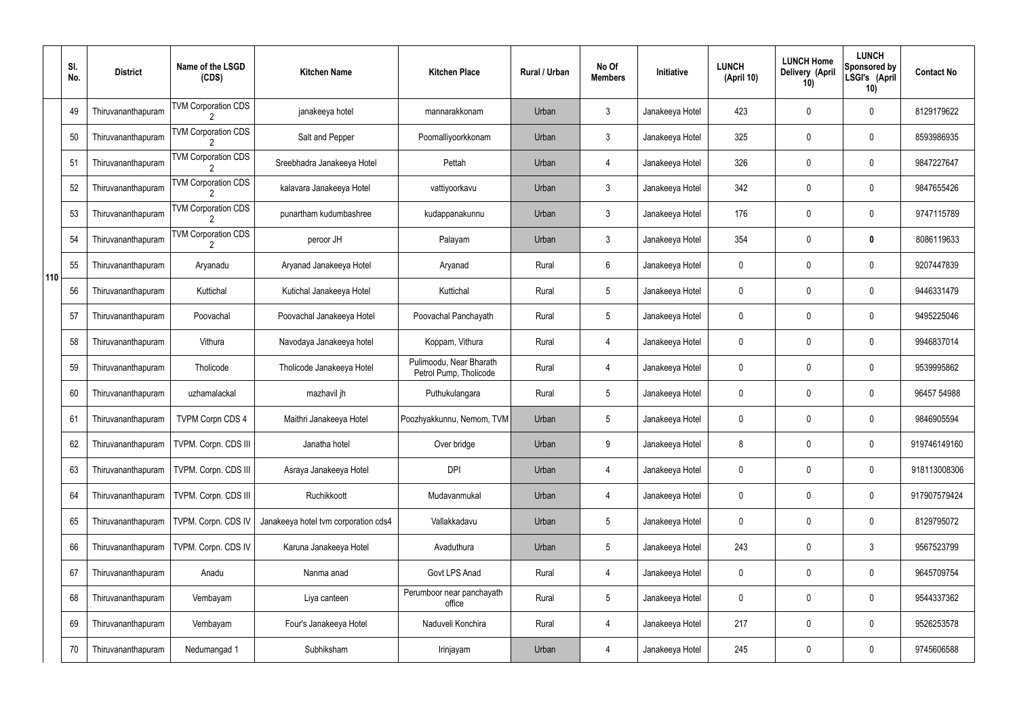|     | SI.<br>No. | <b>District</b>    | Name of the LSGD<br>(CDS)  | <b>Kitchen Name</b>                  | <b>Kitchen Place</b>                              | <b>Rural / Urban</b> | No Of<br><b>Members</b> | Initiative      | <b>LUNCH</b><br>(April 10) | <b>LUNCH Home</b><br>Delivery (April<br>10) | <b>LUNCH</b><br>Sponsored by<br>LSGI's (April<br>10) | <b>Contact No</b> |
|-----|------------|--------------------|----------------------------|--------------------------------------|---------------------------------------------------|----------------------|-------------------------|-----------------|----------------------------|---------------------------------------------|------------------------------------------------------|-------------------|
|     | 49         | Thiruvananthapuram | <b>TVM Corporation CDS</b> | janakeeya hotel                      | mannarakkonam                                     | Urban                | 3                       | Janakeeya Hotel | 423                        | 0                                           | $\mathbf 0$                                          | 8129179622        |
|     | 50         | Thiruvananthapuram | <b>TVM Corporation CDS</b> | Salt and Pepper                      | Poomalliyoorkkonam                                | Urban                | 3                       | Janakeeya Hotel | 325                        | 0                                           | $\boldsymbol{0}$                                     | 8593986935        |
|     | 51         | Thiruvananthapuram | <b>TVM Corporation CDS</b> | Sreebhadra Janakeeya Hotel           | Pettah                                            | Urban                | 4                       | Janakeeya Hotel | 326                        | 0                                           | $\mathbf 0$                                          | 9847227647        |
|     | 52         | Thiruvananthapuram | <b>TVM Corporation CDS</b> | kalavara Janakeeya Hotel             | vattiyoorkavu                                     | Urban                | 3                       | Janakeeya Hotel | 342                        | 0                                           | $\boldsymbol{0}$                                     | 9847655426        |
|     | 53         | Thiruvananthapuram | <b>TVM Corporation CDS</b> | punartham kudumbashree               | kudappanakunnu                                    | Urban                | $\mathbf{3}$            | Janakeeya Hotel | 176                        | 0                                           | $\mathbf 0$                                          | 9747115789        |
|     | 54         | Thiruvananthapuram | <b>TVM Corporation CDS</b> | peroor JH                            | Palayam                                           | Urban                | 3                       | Janakeeya Hotel | 354                        | 0                                           | $\boldsymbol{0}$                                     | 8086119633        |
| 110 | 55         | Thiruvananthapuram | Aryanadu                   | Aryanad Janakeeya Hotel              | Aryanad                                           | Rural                | 6                       | Janakeeya Hotel | 0                          | 0                                           | $\mathbf 0$                                          | 9207447839        |
|     | 56         | Thiruvananthapuram | Kuttichal                  | Kutichal Janakeeya Hotel             | Kuttichal                                         | Rural                | 5                       | Janakeeya Hotel | 0                          | 0                                           | $\pmb{0}$                                            | 9446331479        |
|     | 57         | Thiruvananthapuram | Poovachal                  | Poovachal Janakeeya Hotel            | Poovachal Panchayath                              | Rural                | $5\phantom{.0}$         | Janakeeya Hotel | 0                          | 0                                           | $\mathbf 0$                                          | 9495225046        |
|     | 58         | Thiruvananthapuram | Vithura                    | Navodaya Janakeeya hotel             | Koppam, Vithura                                   | Rural                | 4                       | Janakeeya Hotel | 0                          | 0                                           | $\pmb{0}$                                            | 9946837014        |
|     | 59         | Thiruvananthapuram | Tholicode                  | Tholicode Janakeeya Hotel            | Pulimoodu, Near Bharath<br>Petrol Pump, Tholicode | Rural                | 4                       | Janakeeya Hotel | 0                          | 0                                           | $\mathbf 0$                                          | 9539995862        |
|     | 60         | Thiruvananthapuram | uzhamalackal               | mazhavil jh                          | Puthukulangara                                    | Rural                | 5                       | Janakeeya Hotel | 0                          | 0                                           | $\pmb{0}$                                            | 96457 54988       |
|     | 61         | Thiruvananthapuram | <b>TVPM Corpn CDS 4</b>    | Maithri Janakeeya Hotel              | Poozhyakkunnu, Nemom, TVM                         | Urban                | 5                       | Janakeeya Hotel | 0                          | 0                                           | 0                                                    | 9846905594        |
|     | 62         | Thiruvananthapuram | TVPM. Corpn. CDS III       | Janatha hotel                        | Over bridge                                       | Urban                | 9                       | Janakeeya Hotel | 8                          | 0                                           | $\pmb{0}$                                            | 919746149160      |
|     | 63         | Thiruvananthapuram | TVPM. Corpn. CDS III       | Asraya Janakeeya Hotel               | <b>DPI</b>                                        | Urban                | 4                       | Janakeeya Hotel | 0                          | $\mathbf 0$                                 | $\pmb{0}$                                            | 918113008306      |
|     | 64         | Thiruvananthapuram | TVPM. Corpn. CDS III       | Ruchikkoott                          | Mudavanmukal                                      | Urban                | 4                       | Janakeeya Hotel | 0                          | 0                                           | $\pmb{0}$                                            | 917907579424      |
|     | 65         | Thiruvananthapuram | TVPM. Corpn. CDS IV        | Janakeeya hotel tvm corporation cds4 | Vallakkadavu                                      | Urban                | $5\phantom{.0}$         | Janakeeya Hotel | $\mathbf 0$                | $\mathbf 0$                                 | $\pmb{0}$                                            | 8129795072        |
|     | 66         | Thiruvananthapuram | TVPM. Corpn. CDS IV        | Karuna Janakeeya Hotel               | Avaduthura                                        | Urban                | $5\phantom{.0}$         | Janakeeya Hotel | 243                        | 0                                           | $3\phantom{.0}$                                      | 9567523799        |
|     | 67         | Thiruvananthapuram | Anadu                      | Nanma anad                           | Govt LPS Anad                                     | Rural                | 4                       | Janakeeya Hotel | $\mathbf 0$                | $\mathbf 0$                                 | $\pmb{0}$                                            | 9645709754        |
|     | 68         | Thiruvananthapuram | Vembayam                   | Liya canteen                         | Perumboor near panchayath<br>office               | Rural                | $5\phantom{.0}$         | Janakeeya Hotel | 0                          | 0                                           | $\pmb{0}$                                            | 9544337362        |
|     | 69         | Thiruvananthapuram | Vembayam                   | Four's Janakeeya Hotel               | Naduveli Konchira                                 | Rural                | 4                       | Janakeeya Hotel | 217                        | 0                                           | $\pmb{0}$                                            | 9526253578        |
|     | 70         | Thiruvananthapuram | Nedumangad 1               | Subhiksham                           | Irinjayam                                         | Urban                | 4                       | Janakeeya Hotel | 245                        | 0                                           | $\boldsymbol{0}$                                     | 9745606588        |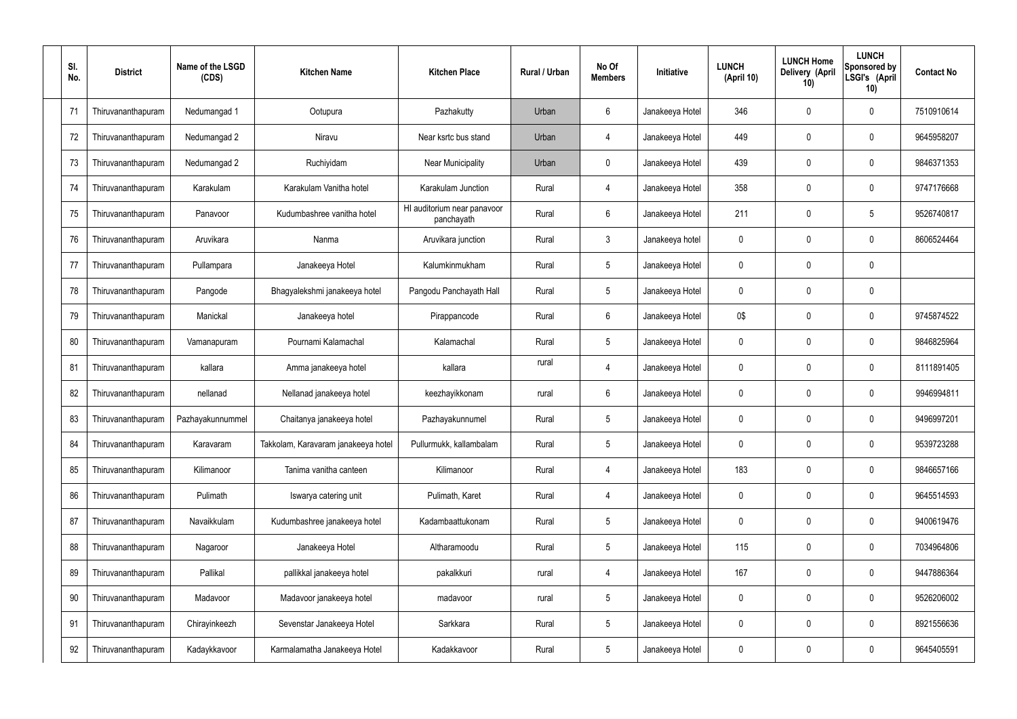| SI.<br>No. | <b>District</b>    | Name of the LSGD<br>(CDS) | <b>Kitchen Name</b>                 | <b>Kitchen Place</b>                      | Rural / Urban | No Of<br><b>Members</b> | Initiative      | <b>LUNCH</b><br>(April 10) | <b>LUNCH Home</b><br>Delivery (April<br>10) | <b>LUNCH</b><br>Sponsored by<br>LSGI's (April<br>10) | <b>Contact No</b> |
|------------|--------------------|---------------------------|-------------------------------------|-------------------------------------------|---------------|-------------------------|-----------------|----------------------------|---------------------------------------------|------------------------------------------------------|-------------------|
| 71         | Thiruvananthapuram | Nedumangad 1              | Ootupura                            | Pazhakutty                                | Urban         | 6                       | Janakeeya Hotel | 346                        | 0                                           | 0                                                    | 7510910614        |
| 72         | Thiruvananthapuram | Nedumangad 2              | Niravu                              | Near ksrtc bus stand                      | Urban         | 4                       | Janakeeya Hotel | 449                        | 0                                           | $\mathbf 0$                                          | 9645958207        |
| 73         | Thiruvananthapuram | Nedumangad 2              | Ruchiyidam                          | <b>Near Municipality</b>                  | Urban         | $\mathbf 0$             | Janakeeya Hotel | 439                        | 0                                           | $\mathbf 0$                                          | 9846371353        |
| 74         | Thiruvananthapuram | Karakulam                 | Karakulam Vanitha hotel             | Karakulam Junction                        | Rural         | $\overline{4}$          | Janakeeya Hotel | 358                        | 0                                           | $\mathbf 0$                                          | 9747176668        |
| 75         | Thiruvananthapuram | Panavoor                  | Kudumbashree vanitha hotel          | HI auditorium near panavoor<br>panchayath | Rural         | 6                       | Janakeeya Hotel | 211                        | 0                                           | 5                                                    | 9526740817        |
| 76         | Thiruvananthapuram | Aruvikara                 | Nanma                               | Aruvikara junction                        | Rural         | $\mathfrak{Z}$          | Janakeeya hotel | $\mathbf 0$                | 0                                           | $\mathbf 0$                                          | 8606524464        |
| 77         | Thiruvananthapuram | Pullampara                | Janakeeya Hotel                     | Kalumkinmukham                            | Rural         | $5\,$                   | Janakeeya Hotel | 0                          | 0                                           | $\mathbf 0$                                          |                   |
| 78         | Thiruvananthapuram | Pangode                   | Bhagyalekshmi janakeeya hotel       | Pangodu Panchayath Hall                   | Rural         | $5\phantom{.0}$         | Janakeeya Hotel | $\mathbf 0$                | 0                                           | $\mathbf 0$                                          |                   |
| 79         | Thiruvananthapuram | Manickal                  | Janakeeya hotel                     | Pirappancode                              | Rural         | $6\phantom{.}6$         | Janakeeya Hotel | 0\$                        | 0                                           | $\mathbf 0$                                          | 9745874522        |
| 80         | Thiruvananthapuram | Vamanapuram               | Pournami Kalamachal                 | Kalamachal                                | Rural         | $5\phantom{.0}$         | Janakeeya Hotel | $\mathbf 0$                | 0                                           | $\boldsymbol{0}$                                     | 9846825964        |
| 81         | Thiruvananthapuram | kallara                   | Amma janakeeya hotel                | kallara                                   | rural         | 4                       | Janakeeya Hotel | 0                          | 0                                           | $\boldsymbol{0}$                                     | 8111891405        |
| 82         | Thiruvananthapuram | nellanad                  | Nellanad janakeeya hotel            | keezhayikkonam                            | rural         | $6\,$                   | Janakeeya Hotel | $\mathbf 0$                | 0                                           | $\boldsymbol{0}$                                     | 9946994811        |
| 83         | Thiruvananthapuram | Pazhayakunnummel          | Chaitanya janakeeya hotel           | Pazhayakunnumel                           | Rural         | $5\phantom{.0}$         | Janakeeya Hotel | 0                          | 0                                           | 0                                                    | 9496997201        |
| 84         | Thiruvananthapuram | Karavaram                 | Takkolam, Karavaram janakeeya hotel | Pullurmukk, kallambalam                   | Rural         | $5\phantom{.0}$         | Janakeeya Hotel | $\mathbf 0$                | 0                                           | $\mathbf 0$                                          | 9539723288        |
| 85         | Thiruvananthapuram | Kilimanoor                | Tanima vanitha canteen              | Kilimanoor                                | Rural         | $\overline{4}$          | Janakeeya Hotel | 183                        | $\mathbf 0$                                 | $\mathbf 0$                                          | 9846657166        |
| 86         | Thiruvananthapuram | Pulimath                  | Iswarya catering unit               | Pulimath, Karet                           | Rural         | $\overline{4}$          | Janakeeya Hotel | $\mathbf 0$                | 0                                           | $\mathbf 0$                                          | 9645514593        |
| 87         | Thiruvananthapuram | Navaikkulam               | Kudumbashree janakeeya hotel        | Kadambaattukonam                          | Rural         | $5\,$                   | Janakeeya Hotel | $\mathbf 0$                | $\mathbf 0$                                 | $\mathbf 0$                                          | 9400619476        |
| 88         | Thiruvananthapuram | Nagaroor                  | Janakeeya Hotel                     | Altharamoodu                              | Rural         | $5\,$                   | Janakeeya Hotel | 115                        | 0                                           | $\mathbf 0$                                          | 7034964806        |
| 89         | Thiruvananthapuram | Pallikal                  | pallikkal janakeeya hotel           | pakalkkuri                                | rural         | 4                       | Janakeeya Hotel | 167                        | $\boldsymbol{0}$                            | $\mathbf 0$                                          | 9447886364        |
| 90         | Thiruvananthapuram | Madavoor                  | Madavoor janakeeya hotel            | madavoor                                  | rural         | $5\,$                   | Janakeeya Hotel | $\mathbf 0$                | 0                                           | $\mathbf 0$                                          | 9526206002        |
| 91         | Thiruvananthapuram | Chirayinkeezh             | Sevenstar Janakeeya Hotel           | Sarkkara                                  | Rural         | $5\,$                   | Janakeeya Hotel | $\mathbf 0$                | $\mathbf 0$                                 | $\mathbf 0$                                          | 8921556636        |
| 92         | Thiruvananthapuram | Kadaykkavoor              | Karmalamatha Janakeeya Hotel        | Kadakkavoor                               | Rural         | $\sqrt{5}$              | Janakeeya Hotel | 0                          | 0                                           | $\mathbf 0$                                          | 9645405591        |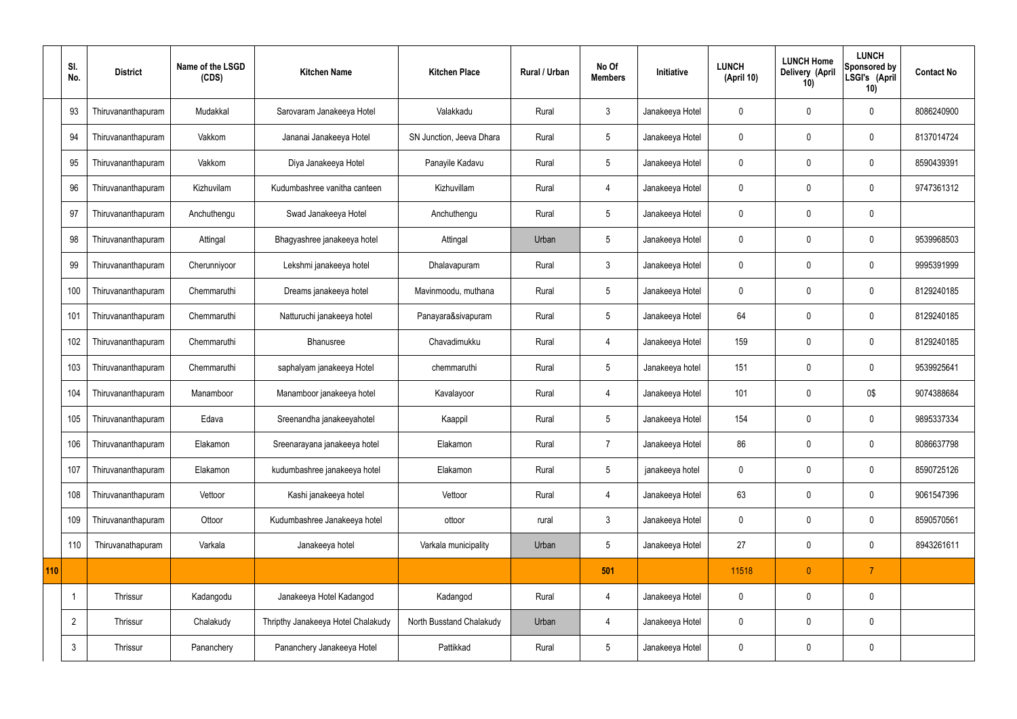|     | SI.<br>No.     | <b>District</b>    | Name of the LSGD<br>(CDS) | <b>Kitchen Name</b>                | <b>Kitchen Place</b>     | <b>Rural / Urban</b> | No Of<br><b>Members</b> | <b>Initiative</b> | <b>LUNCH</b><br>(April 10) | <b>LUNCH Home</b><br>Delivery (April<br>10) | <b>LUNCH</b><br>Sponsored by<br>LSGI's (April<br>10) | <b>Contact No</b> |
|-----|----------------|--------------------|---------------------------|------------------------------------|--------------------------|----------------------|-------------------------|-------------------|----------------------------|---------------------------------------------|------------------------------------------------------|-------------------|
|     | 93             | Thiruvananthapuram | Mudakkal                  | Sarovaram Janakeeya Hotel          | Valakkadu                | Rural                | $\mathbf{3}$            | Janakeeya Hotel   | $\Omega$                   | $\mathbf 0$                                 | $\mathbf 0$                                          | 8086240900        |
|     | 94             | Thiruvananthapuram | Vakkom                    | Jananai Janakeeya Hotel            | SN Junction, Jeeva Dhara | Rural                | $5\phantom{.0}$         | Janakeeya Hotel   | 0                          | $\mathbf 0$                                 | $\mathbf 0$                                          | 8137014724        |
|     | 95             | Thiruvananthapuram | Vakkom                    | Diya Janakeeya Hotel               | Panayile Kadavu          | Rural                | $5\phantom{.0}$         | Janakeeya Hotel   | 0                          | $\mathbf 0$                                 | $\mathbf 0$                                          | 8590439391        |
|     | 96             | Thiruvananthapuram | Kizhuvilam                | Kudumbashree vanitha canteen       | Kizhuvillam              | Rural                | $\overline{4}$          | Janakeeya Hotel   | $\mathbf 0$                | $\mathbf 0$                                 | $\mathbf 0$                                          | 9747361312        |
|     | 97             | Thiruvananthapuram | Anchuthengu               | Swad Janakeeya Hotel               | Anchuthengu              | Rural                | $5\phantom{.0}$         | Janakeeya Hotel   | 0                          | $\mathbf 0$                                 | $\mathbf 0$                                          |                   |
|     | 98             | Thiruvananthapuram | Attingal                  | Bhagyashree janakeeya hotel        | Attingal                 | Urban                | $5\phantom{.0}$         | Janakeeya Hotel   | $\mathbf 0$                | $\mathbf 0$                                 | $\mathbf 0$                                          | 9539968503        |
|     | 99             | Thiruvananthapuram | Cherunniyoor              | Lekshmi janakeeya hotel            | Dhalavapuram             | Rural                | $\mathbf{3}$            | Janakeeya Hotel   | 0                          | $\mathbf 0$                                 | $\mathbf 0$                                          | 9995391999        |
|     | 100            | Thiruvananthapuram | Chemmaruthi               | Dreams janakeeya hotel             | Mavinmoodu, muthana      | Rural                | $5\phantom{.0}$         | Janakeeya Hotel   | $\mathbf 0$                | $\mathbf 0$                                 | $\mathbf 0$                                          | 8129240185        |
|     | 101            | Thiruvananthapuram | Chemmaruthi               | Natturuchi janakeeya hotel         | Panayara&sivapuram       | Rural                | $5\phantom{.0}$         | Janakeeya Hotel   | 64                         | $\mathbf 0$                                 | $\mathbf 0$                                          | 8129240185        |
|     | 102            | Thiruvananthapuram | Chemmaruthi               | Bhanusree                          | Chavadimukku             | Rural                | $\overline{4}$          | Janakeeya Hotel   | 159                        | 0                                           | $\mathbf 0$                                          | 8129240185        |
|     | 103            | Thiruvananthapuram | Chemmaruthi               | saphalyam janakeeya Hotel          | chemmaruthi              | Rural                | $5\phantom{.0}$         | Janakeeya hotel   | 151                        | 0                                           | $\mathbf 0$                                          | 9539925641        |
|     | 104            | Thiruvananthapuram | Manamboor                 | Manamboor janakeeya hotel          | Kavalayoor               | Rural                | $\overline{4}$          | Janakeeya Hotel   | 101                        | 0                                           | 0\$                                                  | 9074388684        |
|     | 105            | Thiruvananthapuram | Edava                     | Sreenandha janakeeyahotel          | Kaappil                  | Rural                | $5\phantom{.0}$         | Janakeeya Hotel   | 154                        | 0                                           | $\mathbf 0$                                          | 9895337334        |
|     | 106            | Thiruvananthapuram | Elakamon                  | Sreenarayana janakeeya hotel       | Elakamon                 | Rural                | $\overline{7}$          | Janakeeya Hotel   | 86                         | $\mathbf 0$                                 | $\mathbf 0$                                          | 8086637798        |
|     | 107            | Thiruvananthapuram | Elakamon                  | kudumbashree janakeeya hotel       | Elakamon                 | Rural                | $5\overline{)}$         | janakeeya hotel   | $\mathbf 0$                | $\mathbf 0$                                 | $\mathbf 0$                                          | 8590725126        |
|     | 108            | Thiruvananthapuram | Vettoor                   | Kashi janakeeya hotel              | Vettoor                  | Rural                | 4                       | Janakeeya Hotel   | 63                         | $\mathbf 0$                                 | $\mathbf 0$                                          | 9061547396        |
|     | 109            | Thiruvananthapuram | Ottoor                    | Kudumbashree Janakeeya hotel       | ottoor                   | rural                | $\mathbf{3}$            | Janakeeya Hotel   | $\pmb{0}$                  | $\pmb{0}$                                   | $\pmb{0}$                                            | 8590570561        |
|     | 110            | Thiruvanathapuram  | Varkala                   | Janakeeya hotel                    | Varkala municipality     | Urban                | $5\,$                   | Janakeeya Hotel   | 27                         | $\mathbf 0$                                 | $\pmb{0}$                                            | 8943261611        |
| 110 |                |                    |                           |                                    |                          |                      | 501                     |                   | 11518                      | $\pmb{0}$                                   | $\overline{7}$                                       |                   |
|     | -1             | Thrissur           | Kadangodu                 | Janakeeya Hotel Kadangod           | Kadangod                 | Rural                | $\overline{4}$          | Janakeeya Hotel   | $\pmb{0}$                  | $\mathbf 0$                                 | $\mathbf 0$                                          |                   |
|     | $\overline{2}$ | Thrissur           | Chalakudy                 | Thripthy Janakeeya Hotel Chalakudy | North Busstand Chalakudy | Urban                | $\overline{4}$          | Janakeeya Hotel   | $\pmb{0}$                  | $\pmb{0}$                                   | $\mathbf 0$                                          |                   |
|     | $\mathbf{3}$   | Thrissur           | Pananchery                | Pananchery Janakeeya Hotel         | Pattikkad                | Rural                | $5\overline{)}$         | Janakeeya Hotel   | $\pmb{0}$                  | 0                                           | $\pmb{0}$                                            |                   |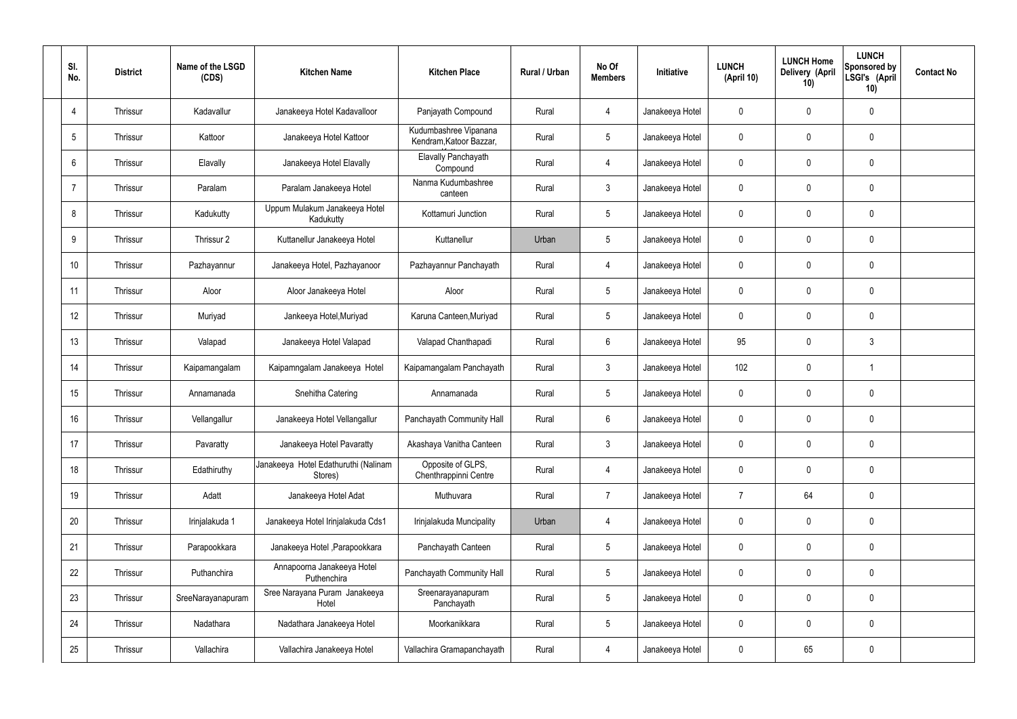| SI.<br>No.     | <b>District</b> | Name of the LSGD<br>(CDS) | <b>Kitchen Name</b>                             | <b>Kitchen Place</b>                             | Rural / Urban | No Of<br><b>Members</b> | Initiative      | <b>LUNCH</b><br>(April 10) | <b>LUNCH Home</b><br>Delivery (April<br>10) | <b>LUNCH</b><br>Sponsored by<br>LSGI's (April<br>10) | <b>Contact No</b> |
|----------------|-----------------|---------------------------|-------------------------------------------------|--------------------------------------------------|---------------|-------------------------|-----------------|----------------------------|---------------------------------------------|------------------------------------------------------|-------------------|
| $\overline{4}$ | Thrissur        | Kadavallur                | Janakeeya Hotel Kadavalloor                     | Panjayath Compound                               | Rural         | $\overline{4}$          | Janakeeya Hotel | 0                          | 0                                           | $\mathbf 0$                                          |                   |
| 5              | Thrissur        | Kattoor                   | Janakeeya Hotel Kattoor                         | Kudumbashree Vipanana<br>Kendram, Katoor Bazzar, | Rural         | $5\overline{)}$         | Janakeeya Hotel | $\mathbf 0$                | 0                                           | $\pmb{0}$                                            |                   |
| 6              | Thrissur        | Elavally                  | Janakeeya Hotel Elavally                        | Elavally Panchayath<br>Compound                  | Rural         | $\overline{4}$          | Janakeeya Hotel | $\mathbf 0$                | 0                                           | $\mathbf 0$                                          |                   |
| $\overline{7}$ | Thrissur        | Paralam                   | Paralam Janakeeya Hotel                         | Nanma Kudumbashree<br>canteen                    | Rural         | $\mathbf{3}$            | Janakeeya Hotel | $\mathbf 0$                | 0                                           | $\mathbf 0$                                          |                   |
| 8              | Thrissur        | Kadukutty                 | Uppum Mulakum Janakeeya Hotel<br>Kadukutty      | Kottamuri Junction                               | Rural         | $5\overline{)}$         | Janakeeya Hotel | $\mathbf 0$                | 0                                           | $\mathbf 0$                                          |                   |
| 9              | Thrissur        | Thrissur 2                | Kuttanellur Janakeeya Hotel                     | Kuttanellur                                      | Urban         | $5\phantom{.0}$         | Janakeeya Hotel | $\mathbf 0$                | 0                                           | $\mathbf 0$                                          |                   |
| 10             | Thrissur        | Pazhayannur               | Janakeeya Hotel, Pazhayanoor                    | Pazhayannur Panchayath                           | Rural         | $\overline{4}$          | Janakeeya Hotel | $\mathbf 0$                | 0                                           | $\mathbf 0$                                          |                   |
| 11             | Thrissur        | Aloor                     | Aloor Janakeeya Hotel                           | Aloor                                            | Rural         | $5\overline{)}$         | Janakeeya Hotel | $\mathbf 0$                | 0                                           | $\mathbf 0$                                          |                   |
| 12             | Thrissur        | Muriyad                   | Jankeeya Hotel, Muriyad                         | Karuna Canteen, Muriyad                          | Rural         | $5\phantom{.0}$         | Janakeeya Hotel | $\mathbf 0$                | 0                                           | $\mathbf 0$                                          |                   |
| 13             | Thrissur        | Valapad                   | Janakeeya Hotel Valapad                         | Valapad Chanthapadi                              | Rural         | $6\overline{6}$         | Janakeeya Hotel | 95                         | 0                                           | $\mathfrak{Z}$                                       |                   |
| 14             | Thrissur        | Kaipamangalam             | Kaipamngalam Janakeeya Hotel                    | Kaipamangalam Panchayath                         | Rural         | $\mathbf{3}$            | Janakeeya Hotel | 102                        | 0                                           | $\overline{1}$                                       |                   |
| 15             | Thrissur        | Annamanada                | Snehitha Catering                               | Annamanada                                       | Rural         | $5\phantom{.0}$         | Janakeeya Hotel | $\mathbf 0$                | 0                                           | $\mathbf 0$                                          |                   |
| 16             | Thrissur        | Vellangallur              | Janakeeya Hotel Vellangallur                    | Panchayath Community Hall                        | Rural         | $6\overline{6}$         | Janakeeya Hotel | 0                          | 0                                           | $\mathbf 0$                                          |                   |
| 17             | Thrissur        | Pavaratty                 | Janakeeya Hotel Pavaratty                       | Akashaya Vanitha Canteen                         | Rural         | $\mathbf{3}$            | Janakeeya Hotel | $\mathbf 0$                | 0                                           | $\pmb{0}$                                            |                   |
| 18             | Thrissur        | Edathiruthy               | Janakeeya Hotel Edathuruthi (Nalinam<br>Stores) | Opposite of GLPS,<br>Chenthrappinni Centre       | Rural         | $\overline{4}$          | Janakeeya Hotel | $\mathbf 0$                | 0                                           | $\mathbf 0$                                          |                   |
| 19             | Thrissur        | Adatt                     | Janakeeya Hotel Adat                            | Muthuvara                                        | Rural         | $\overline{7}$          | Janakeeya Hotel | 7                          | 64                                          | $\pmb{0}$                                            |                   |
| 20             | Thrissur        | Irinjalakuda 1            | Janakeeya Hotel Irinjalakuda Cds1               | Irinjalakuda Muncipality                         | Urban         | $\overline{4}$          | Janakeeya Hotel | $\mathbf 0$                | 0                                           | $\mathbf 0$                                          |                   |
| 21             | Thrissur        | Parapookkara              | Janakeeya Hotel , Parapookkara                  | Panchayath Canteen                               | Rural         | $5\phantom{.0}$         | Janakeeya Hotel | $\mathbf 0$                | 0                                           | $\pmb{0}$                                            |                   |
| 22             | Thrissur        | Puthanchira               | Annapoorna Janakeeya Hotel<br>Puthenchira       | Panchayath Community Hall                        | Rural         | $5\phantom{.0}$         | Janakeeya Hotel | $\mathbf 0$                | 0                                           | $\mathbf 0$                                          |                   |
| 23             | Thrissur        | SreeNarayanapuram         | Sree Narayana Puram Janakeeya<br>Hotel          | Sreenarayanapuram<br>Panchayath                  | Rural         | $5\phantom{.0}$         | Janakeeya Hotel | 0                          | 0                                           | $\pmb{0}$                                            |                   |
| 24             | Thrissur        | Nadathara                 | Nadathara Janakeeya Hotel                       | Moorkanikkara                                    | Rural         | $5\phantom{.0}$         | Janakeeya Hotel | $\mathbf 0$                | 0                                           | $\mathbf 0$                                          |                   |
| 25             | Thrissur        | Vallachira                | Vallachira Janakeeya Hotel                      | Vallachira Gramapanchayath                       | Rural         | 4                       | Janakeeya Hotel | 0                          | 65                                          | $\pmb{0}$                                            |                   |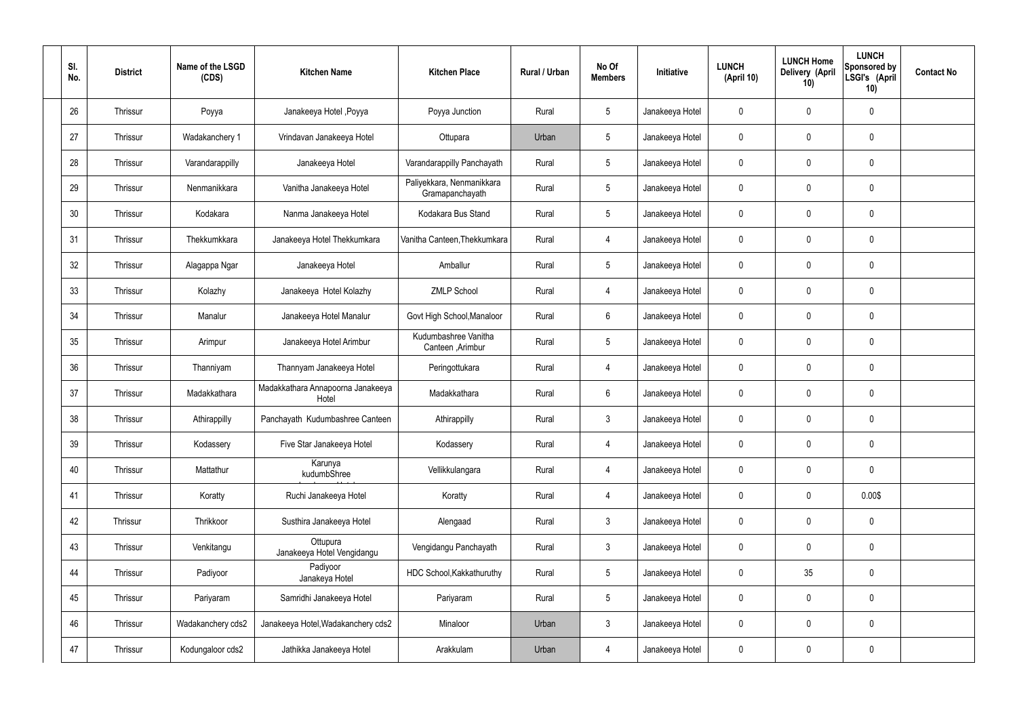| SI.<br>No. | <b>District</b> | Name of the LSGD<br>(CDS) | <b>Kitchen Name</b>                        | <b>Kitchen Place</b>                         | Rural / Urban | No Of<br><b>Members</b> | Initiative      | <b>LUNCH</b><br>(April 10) | <b>LUNCH Home</b><br>Delivery (April<br>10) | <b>LUNCH</b><br><b>Sponsored by</b><br>LSGI's (April<br>10) | <b>Contact No</b> |
|------------|-----------------|---------------------------|--------------------------------------------|----------------------------------------------|---------------|-------------------------|-----------------|----------------------------|---------------------------------------------|-------------------------------------------------------------|-------------------|
| 26         | Thrissur        | Poyya                     | Janakeeya Hotel , Poyya                    | Poyya Junction                               | Rural         | 5                       | Janakeeya Hotel | 0                          | $\mathbf 0$                                 | $\mathbf 0$                                                 |                   |
| 27         | Thrissur        | Wadakanchery 1            | Vrindavan Janakeeya Hotel                  | Ottupara                                     | Urban         | $5\phantom{.0}$         | Janakeeya Hotel | $\mathbf 0$                | $\mathbf 0$                                 | $\pmb{0}$                                                   |                   |
| 28         | Thrissur        | Varandarappilly           | Janakeeya Hotel                            | Varandarappilly Panchayath                   | Rural         | $5\phantom{.0}$         | Janakeeya Hotel | 0                          | $\mathbf 0$                                 | $\mathbf 0$                                                 |                   |
| 29         | <b>Thrissur</b> | Nenmanikkara              | Vanitha Janakeeya Hotel                    | Paliyekkara, Nenmanikkara<br>Gramapanchayath | Rural         | $5\phantom{.0}$         | Janakeeya Hotel | 0                          | $\mathbf 0$                                 | $\mathbf 0$                                                 |                   |
| 30         | Thrissur        | Kodakara                  | Nanma Janakeeya Hotel                      | Kodakara Bus Stand                           | Rural         | $5\phantom{.0}$         | Janakeeya Hotel | 0                          | $\mathbf 0$                                 | 0                                                           |                   |
| 31         | Thrissur        | Thekkumkkara              | Janakeeya Hotel Thekkumkara                | Vanitha Canteen, Thekkumkara                 | Rural         | 4                       | Janakeeya Hotel | 0                          | $\mathbf 0$                                 | $\pmb{0}$                                                   |                   |
| 32         | Thrissur        | Alagappa Ngar             | Janakeeya Hotel                            | Amballur                                     | Rural         | $5\phantom{.0}$         | Janakeeya Hotel | 0                          | $\mathbf 0$                                 | $\mathbf 0$                                                 |                   |
| 33         | Thrissur        | Kolazhy                   | Janakeeya Hotel Kolazhy                    | <b>ZMLP School</b>                           | Rural         | 4                       | Janakeeya Hotel | 0                          | $\overline{0}$                              | $\pmb{0}$                                                   |                   |
| 34         | Thrissur        | Manalur                   | Janakeeya Hotel Manalur                    | Govt High School, Manaloor                   | Rural         | 6                       | Janakeeya Hotel | 0                          | $\mathbf 0$                                 | $\mathbf 0$                                                 |                   |
| 35         | Thrissur        | Arimpur                   | Janakeeya Hotel Arimbur                    | Kudumbashree Vanitha<br>Canteen, Arimbur     | Rural         | $5\phantom{.0}$         | Janakeeya Hotel | 0                          | $\overline{0}$                              | 0                                                           |                   |
| 36         | Thrissur        | Thanniyam                 | Thannyam Janakeeya Hotel                   | Peringottukara                               | Rural         | 4                       | Janakeeya Hotel | 0                          | $\mathbf 0$                                 | 0                                                           |                   |
| 37         | Thrissur        | Madakkathara              | Madakkathara Annapoorna Janakeeya<br>Hotel | Madakkathara                                 | Rural         | 6                       | Janakeeya Hotel | 0                          | $\mathbf 0$                                 | $\mathbf 0$                                                 |                   |
| 38         | Thrissur        | Athirappilly              | Panchayath Kudumbashree Canteen            | Athirappilly                                 | Rural         | $\mathbf{3}$            | Janakeeya Hotel | 0                          | $\boldsymbol{0}$                            | 0                                                           |                   |
| 39         | Thrissur        | Kodassery                 | Five Star Janakeeya Hotel                  | Kodassery                                    | Rural         | $\overline{4}$          | Janakeeya Hotel | $\mathbf 0$                | $\mathbf 0$                                 | $\mathbf 0$                                                 |                   |
| 40         | Thrissur        | Mattathur                 | Karunya<br>kudumbShree                     | Vellikkulangara                              | Rural         | $\overline{4}$          | Janakeeya Hotel | $\mathbf 0$                | $\mathbf 0$                                 | $\pmb{0}$                                                   |                   |
| 41         | Thrissur        | Koratty                   | Ruchi Janakeeya Hotel                      | Koratty                                      | Rural         | $\overline{4}$          | Janakeeya Hotel | 0                          | $\mathbf 0$                                 | 0.00\$                                                      |                   |
| 42         | Thrissur        | Thrikkoor                 | Susthira Janakeeya Hotel                   | Alengaad                                     | Rural         | $\mathbf{3}$            | Janakeeya Hotel | $\mathbf 0$                | $\mathbf 0$                                 | $\pmb{0}$                                                   |                   |
| 43         | Thrissur        | Venkitangu                | Ottupura<br>Janakeeya Hotel Vengidangu     | Vengidangu Panchayath                        | Rural         | $\mathbf{3}$            | Janakeeya Hotel | 0                          | $\mathbf 0$                                 | $\pmb{0}$                                                   |                   |
| 44         | Thrissur        | Padiyoor                  | Padiyoor<br>Janakeya Hotel                 | HDC School, Kakkathuruthy                    | Rural         | $5\phantom{.0}$         | Janakeeya Hotel | $\mathbf 0$                | 35                                          | $\pmb{0}$                                                   |                   |
| 45         | Thrissur        | Pariyaram                 | Samridhi Janakeeya Hotel                   | Pariyaram                                    | Rural         | $5\phantom{.0}$         | Janakeeya Hotel | 0                          | $\mathbf 0$                                 | $\pmb{0}$                                                   |                   |
| 46         | Thrissur        | Wadakanchery cds2         | Janakeeya Hotel, Wadakanchery cds2         | Minaloor                                     | Urban         | $\mathbf{3}$            | Janakeeya Hotel | $\mathbf 0$                | $\mathbf 0$                                 | $\pmb{0}$                                                   |                   |
| 47         | Thrissur        | Kodungaloor cds2          | Jathikka Janakeeya Hotel                   | Arakkulam                                    | Urban         | $\overline{4}$          | Janakeeya Hotel | 0                          | $\boldsymbol{0}$                            | 0                                                           |                   |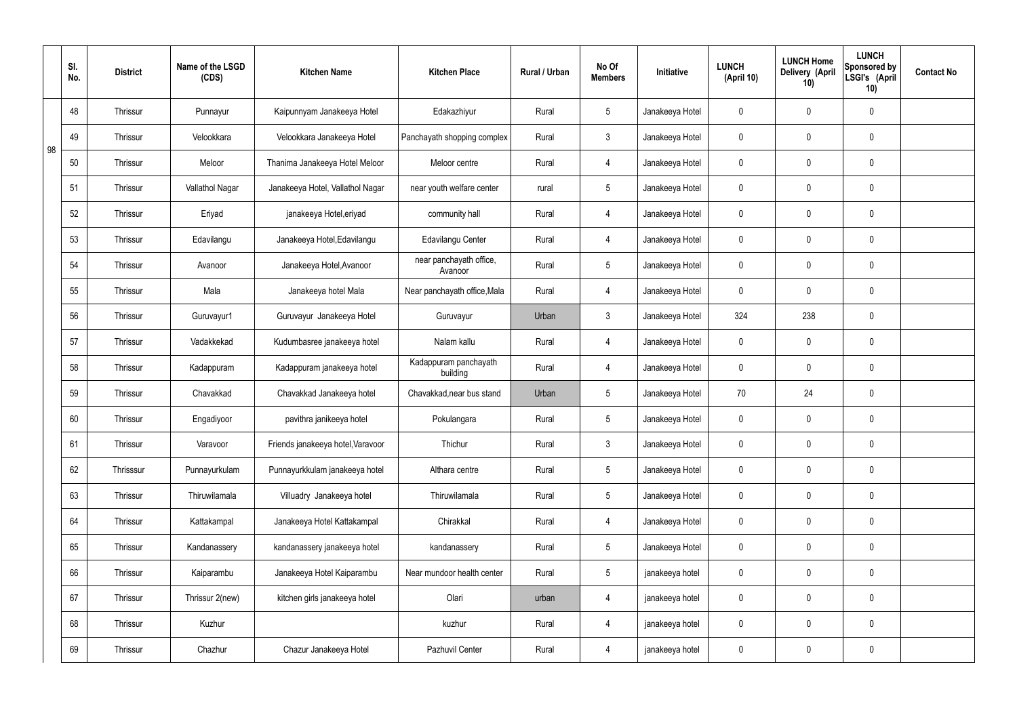|    | SI.<br>No. | <b>District</b> | Name of the LSGD<br>(CDS) | <b>Kitchen Name</b>               | <b>Kitchen Place</b>               | Rural / Urban | No Of<br><b>Members</b> | Initiative      | <b>LUNCH</b><br>(April 10) | <b>LUNCH Home</b><br>Delivery (April<br>10) | <b>LUNCH</b><br>Sponsored by<br>LSGI's (April<br>10) | <b>Contact No</b> |
|----|------------|-----------------|---------------------------|-----------------------------------|------------------------------------|---------------|-------------------------|-----------------|----------------------------|---------------------------------------------|------------------------------------------------------|-------------------|
|    | 48         | Thrissur        | Punnayur                  | Kaipunnyam Janakeeya Hotel        | Edakazhiyur                        | Rural         | $5\overline{)}$         | Janakeeya Hotel | $\mathbf 0$                | 0                                           | $\mathbf 0$                                          |                   |
| 98 | 49         | Thrissur        | Velookkara                | Velookkara Janakeeya Hotel        | Panchayath shopping complex        | Rural         | $\mathbf{3}$            | Janakeeya Hotel | $\mathbf 0$                | $\mathbf 0$                                 | $\mathbf 0$                                          |                   |
|    | 50         | Thrissur        | Meloor                    | Thanima Janakeeya Hotel Meloor    | Meloor centre                      | Rural         | $\overline{4}$          | Janakeeya Hotel | $\mathbf 0$                | 0                                           | $\mathbf 0$                                          |                   |
|    | 51         | Thrissur        | Vallathol Nagar           | Janakeeya Hotel, Vallathol Nagar  | near youth welfare center          | rural         | $5\overline{)}$         | Janakeeya Hotel | $\mathbf 0$                | $\mathbf 0$                                 | $\pmb{0}$                                            |                   |
|    | 52         | Thrissur        | Eriyad                    | janakeeya Hotel, eriyad           | community hall                     | Rural         | $\overline{4}$          | Janakeeya Hotel | $\mathbf 0$                | 0                                           | $\mathbf 0$                                          |                   |
|    | 53         | Thrissur        | Edavilangu                | Janakeeya Hotel, Edavilangu       | Edavilangu Center                  | Rural         | $\overline{4}$          | Janakeeya Hotel | $\mathbf 0$                | 0                                           | $\mathbf 0$                                          |                   |
|    | 54         | Thrissur        | Avanoor                   | Janakeeya Hotel, Avanoor          | near panchayath office,<br>Avanoor | Rural         | $5\overline{)}$         | Janakeeya Hotel | $\mathbf 0$                | 0                                           | $\mathbf 0$                                          |                   |
|    | 55         | Thrissur        | Mala                      | Janakeeya hotel Mala              | Near panchayath office, Mala       | Rural         | $\overline{4}$          | Janakeeya Hotel | $\mathbf 0$                | 0                                           | $\mathbf 0$                                          |                   |
|    | 56         | Thrissur        | Guruvayur1                | Guruvayur Janakeeya Hotel         | Guruvayur                          | Urban         | $\mathbf{3}$            | Janakeeya Hotel | 324                        | 238                                         | $\mathbf 0$                                          |                   |
|    | 57         | Thrissur        | Vadakkekad                | Kudumbasree janakeeya hotel       | Nalam kallu                        | Rural         | $\overline{4}$          | Janakeeya Hotel | $\mathbf 0$                | 0                                           | $\mathbf 0$                                          |                   |
|    | 58         | Thrissur        | Kadappuram                | Kadappuram janakeeya hotel        | Kadappuram panchayath<br>building  | Rural         | $\overline{4}$          | Janakeeya Hotel | $\mathbf 0$                | $\mathbf 0$                                 | $\mathbf 0$                                          |                   |
|    | 59         | Thrissur        | Chavakkad                 | Chavakkad Janakeeya hotel         | Chavakkad, near bus stand          | Urban         | $5\overline{)}$         | Janakeeya Hotel | 70                         | 24                                          | $\mathbf 0$                                          |                   |
|    | 60         | Thrissur        | Engadiyoor                | pavithra janikeeya hotel          | Pokulangara                        | Rural         | $5\overline{)}$         | Janakeeya Hotel | $\mathbf 0$                | $\mathbf 0$                                 | $\mathbf 0$                                          |                   |
|    | 61         | Thrissur        | Varavoor                  | Friends janakeeya hotel, Varavoor | Thichur                            | Rural         | $\mathbf{3}$            | Janakeeya Hotel | $\mathbf 0$                | $\mathsf{0}$                                | $\pmb{0}$                                            |                   |
|    | 62         | Thrisssur       | Punnayurkulam             | Punnayurkkulam janakeeya hotel    | Althara centre                     | Rural         | 5 <sub>5</sub>          | Janakeeya Hotel | $\pmb{0}$                  | 0                                           | $\mathbf 0$                                          |                   |
|    | 63         | Thrissur        | Thiruwilamala             | Villuadry Janakeeya hotel         | Thiruwilamala                      | Rural         | 5 <sub>5</sub>          | Janakeeya Hotel | $\pmb{0}$                  | 0                                           | $\pmb{0}$                                            |                   |
|    | 64         | Thrissur        | Kattakampal               | Janakeeya Hotel Kattakampal       | Chirakkal                          | Rural         | $\overline{4}$          | Janakeeya Hotel | $\mathbf 0$                | 0                                           | $\mathbf 0$                                          |                   |
|    | 65         | Thrissur        | Kandanassery              | kandanassery janakeeya hotel      | kandanassery                       | Rural         | 5 <sub>5</sub>          | Janakeeya Hotel | $\mathbf 0$                | $\mathsf{0}$                                | $\mathbf 0$                                          |                   |
|    | 66         | Thrissur        | Kaiparambu                | Janakeeya Hotel Kaiparambu        | Near mundoor health center         | Rural         | 5 <sub>5</sub>          | janakeeya hotel | $\mathbf 0$                | 0                                           | $\mathbf 0$                                          |                   |
|    | 67         | Thrissur        | Thrissur 2(new)           | kitchen girls janakeeya hotel     | Olari                              | urban         | $\overline{4}$          | janakeeya hotel | $\pmb{0}$                  | 0                                           | $\mathbf 0$                                          |                   |
|    | 68         | Thrissur        | Kuzhur                    |                                   | kuzhur                             | Rural         | $\overline{4}$          | janakeeya hotel | $\mathbf 0$                | 0                                           | $\mathbf 0$                                          |                   |
|    | 69         | Thrissur        | Chazhur                   | Chazur Janakeeya Hotel            | Pazhuvil Center                    | Rural         | $\overline{4}$          | janakeeya hotel | 0                          | 0                                           | $\pmb{0}$                                            |                   |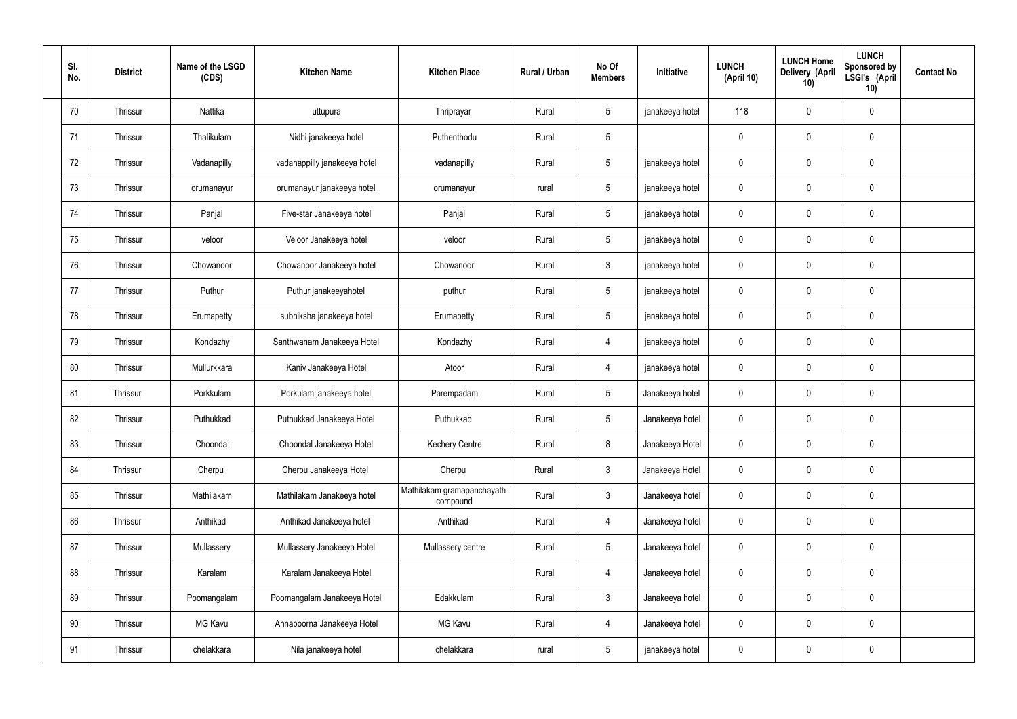| SI.<br>No. | <b>District</b> | Name of the LSGD<br>(CDS) | <b>Kitchen Name</b>          | <b>Kitchen Place</b>                   | <b>Rural / Urban</b> | No Of<br><b>Members</b> | Initiative      | <b>LUNCH</b><br>(April 10) | <b>LUNCH Home</b><br><b>Delivery (April</b><br>10) | <b>LUNCH</b><br><b>Sponsored by</b><br>LSGI's (April<br>10) | <b>Contact No</b> |
|------------|-----------------|---------------------------|------------------------------|----------------------------------------|----------------------|-------------------------|-----------------|----------------------------|----------------------------------------------------|-------------------------------------------------------------|-------------------|
| 70         | Thrissur        | Nattika                   | uttupura                     | Thriprayar                             | Rural                | $5\phantom{.0}$         | janakeeya hotel | 118                        | $\overline{0}$                                     | $\mathbf 0$                                                 |                   |
| 71         | Thrissur        | Thalikulam                | Nidhi janakeeya hotel        | Puthenthodu                            | Rural                | $5\phantom{.0}$         |                 | $\mathbf{0}$               | $\mathbf 0$                                        | $\pmb{0}$                                                   |                   |
| 72         | Thrissur        | Vadanapilly               | vadanappilly janakeeya hotel | vadanapilly                            | Rural                | $5\phantom{.0}$         | janakeeya hotel | 0                          | $\pmb{0}$                                          | $\mathbf 0$                                                 |                   |
| 73         | Thrissur        | orumanayur                | orumanayur janakeeya hotel   | orumanayur                             | rural                | $5\phantom{.0}$         | janakeeya hotel | $\mathbf 0$                | $\mathbf 0$                                        | $\pmb{0}$                                                   |                   |
| 74         | Thrissur        | Panjal                    | Five-star Janakeeya hotel    | Panjal                                 | Rural                | $5\phantom{.0}$         | janakeeya hotel | 0                          | $\pmb{0}$                                          | $\pmb{0}$                                                   |                   |
| 75         | Thrissur        | veloor                    | Veloor Janakeeya hotel       | veloor                                 | Rural                | $5\phantom{.0}$         | janakeeya hotel | $\mathbf 0$                | $\mathbf 0$                                        | $\pmb{0}$                                                   |                   |
| 76         | Thrissur        | Chowanoor                 | Chowanoor Janakeeya hotel    | Chowanoor                              | Rural                | $\mathbf{3}$            | janakeeya hotel | $\boldsymbol{0}$           | $\mathbf 0$                                        | $\mathbf 0$                                                 |                   |
| 77         | Thrissur        | Puthur                    | Puthur janakeeyahotel        | puthur                                 | Rural                | $5\phantom{.0}$         | janakeeya hotel | $\mathbf 0$                | $\mathbf 0$                                        | $\mathbf 0$                                                 |                   |
| 78         | Thrissur        | Erumapetty                | subhiksha janakeeya hotel    | Erumapetty                             | Rural                | $5\phantom{.0}$         | janakeeya hotel | $\boldsymbol{0}$           | $\mathbf 0$                                        | $\mathbf 0$                                                 |                   |
| 79         | Thrissur        | Kondazhy                  | Santhwanam Janakeeya Hotel   | Kondazhy                               | Rural                | $\overline{4}$          | janakeeya hotel | $\mathbf 0$                | $\mathbf 0$                                        | $\pmb{0}$                                                   |                   |
| 80         | Thrissur        | Mullurkkara               | Kaniv Janakeeya Hotel        | Atoor                                  | Rural                | $\overline{4}$          | janakeeya hotel | $\boldsymbol{0}$           | $\mathbf 0$                                        | 0                                                           |                   |
| 81         | Thrissur        | Porkkulam                 | Porkulam janakeeya hotel     | Parempadam                             | Rural                | $5\phantom{.0}$         | Janakeeya hotel | $\mathbf 0$                | $\mathbf 0$                                        | $\pmb{0}$                                                   |                   |
| 82         | Thrissur        | Puthukkad                 | Puthukkad Janakeeya Hotel    | Puthukkad                              | Rural                | $5\overline{)}$         | Janakeeya hotel | 0                          | $\mathbf 0$                                        | 0                                                           |                   |
| 83         | Thrissur        | Choondal                  | Choondal Janakeeya Hotel     | <b>Kechery Centre</b>                  | Rural                | 8                       | Janakeeya Hotel | $\mathbf 0$                | $\overline{0}$                                     | $\mathbf 0$                                                 |                   |
| 84         | Thrissur        | Cherpu                    | Cherpu Janakeeya Hotel       | Cherpu                                 | Rural                | $\mathbf{3}$            | Janakeeya Hotel | $\mathbf 0$                | $\overline{0}$                                     | $\pmb{0}$                                                   |                   |
| 85         | Thrissur        | Mathilakam                | Mathilakam Janakeeya hotel   | Mathilakam gramapanchayath<br>compound | Rural                | $\mathbf{3}$            | Janakeeya hotel | $\mathbf 0$                | $\mathbf 0$                                        | $\pmb{0}$                                                   |                   |
| 86         | Thrissur        | Anthikad                  | Anthikad Janakeeya hotel     | Anthikad                               | Rural                | $\overline{4}$          | Janakeeya hotel | $\mathbf 0$                | $\overline{0}$                                     | $\pmb{0}$                                                   |                   |
| 87         | Thrissur        | Mullassery                | Mullassery Janakeeya Hotel   | Mullassery centre                      | Rural                | $5\phantom{.0}$         | Janakeeya hotel | $\mathbf 0$                | $\overline{0}$                                     | $\pmb{0}$                                                   |                   |
| 88         | Thrissur        | Karalam                   | Karalam Janakeeya Hotel      |                                        | Rural                | $\overline{4}$          | Janakeeya hotel | $\mathbf 0$                | $\overline{0}$                                     | $\mathbf 0$                                                 |                   |
| 89         | Thrissur        | Poomangalam               | Poomangalam Janakeeya Hotel  | Edakkulam                              | Rural                | $\mathbf{3}$            | Janakeeya hotel | $\mathbf 0$                | $\overline{0}$                                     | $\pmb{0}$                                                   |                   |
| 90         | Thrissur        | MG Kavu                   | Annapoorna Janakeeya Hotel   | MG Kavu                                | Rural                | $\overline{4}$          | Janakeeya hotel | $\mathbf 0$                | $\mathbf 0$                                        | $\pmb{0}$                                                   |                   |
| 91         | Thrissur        | chelakkara                | Nila janakeeya hotel         | chelakkara                             | rural                | $\overline{5}$          | janakeeya hotel | 0                          | $\pmb{0}$                                          | $\pmb{0}$                                                   |                   |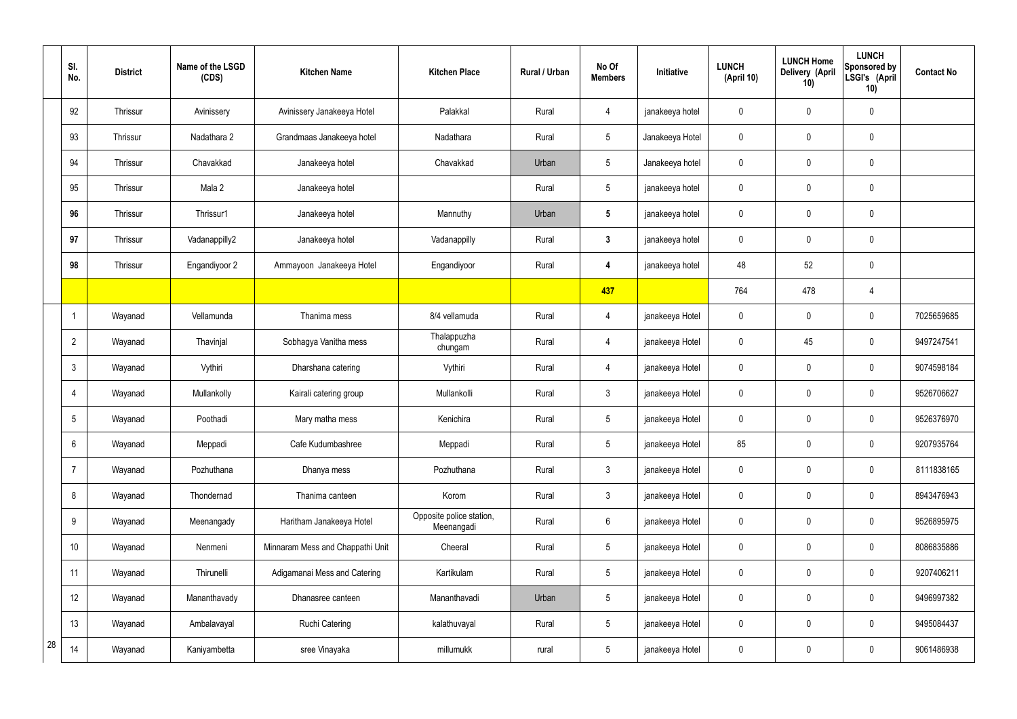|    | SI.<br>No.      | <b>District</b> | Name of the LSGD<br>(CDS) | <b>Kitchen Name</b>              | <b>Kitchen Place</b>                   | Rural / Urban | No Of<br><b>Members</b> | Initiative      | <b>LUNCH</b><br>(April 10) | <b>LUNCH Home</b><br><b>Delivery (April</b><br>10) | <b>LUNCH</b><br><b>Sponsored by</b><br>LSGI's (April<br>10) | <b>Contact No</b> |
|----|-----------------|-----------------|---------------------------|----------------------------------|----------------------------------------|---------------|-------------------------|-----------------|----------------------------|----------------------------------------------------|-------------------------------------------------------------|-------------------|
|    | 92              | Thrissur        | Avinissery                | Avinissery Janakeeya Hotel       | Palakkal                               | Rural         | 4                       | janakeeya hotel | 0                          | $\mathbf 0$                                        | $\mathbf 0$                                                 |                   |
|    | 93              | Thrissur        | Nadathara 2               | Grandmaas Janakeeya hotel        | Nadathara                              | Rural         | $5\overline{)}$         | Janakeeya Hotel | 0                          | $\mathbf 0$                                        | $\pmb{0}$                                                   |                   |
|    | 94              | Thrissur        | Chavakkad                 | Janakeeya hotel                  | Chavakkad                              | Urban         | $5\overline{)}$         | Janakeeya hotel | 0                          | $\mathbf 0$                                        | $\pmb{0}$                                                   |                   |
|    | 95              | Thrissur        | Mala 2                    | Janakeeya hotel                  |                                        | Rural         | $5\overline{)}$         | janakeeya hotel | 0                          | $\mathbf 0$                                        | $\pmb{0}$                                                   |                   |
|    | 96              | Thrissur        | Thrissur1                 | Janakeeya hotel                  | Mannuthy                               | Urban         | $5\phantom{.0}$         | janakeeya hotel | 0                          | $\mathbf 0$                                        | $\pmb{0}$                                                   |                   |
|    | 97              | Thrissur        | Vadanappilly2             | Janakeeya hotel                  | Vadanappilly                           | Rural         | $\mathbf{3}$            | janakeeya hotel | 0                          | $\mathbf 0$                                        | $\pmb{0}$                                                   |                   |
|    | 98              | Thrissur        | Engandiyoor 2             | Ammayoon Janakeeya Hotel         | Engandiyoor                            | Rural         | 4                       | janakeeya hotel | 48                         | 52                                                 | $\pmb{0}$                                                   |                   |
|    |                 |                 |                           |                                  |                                        |               | 437                     |                 | 764                        | 478                                                | 4                                                           |                   |
|    | $\mathbf{1}$    | Wayanad         | Vellamunda                | Thanima mess                     | 8/4 vellamuda                          | Rural         | 4                       | janakeeya Hotel | $\mathbf 0$                | $\boldsymbol{0}$                                   | $\pmb{0}$                                                   | 7025659685        |
|    | $\overline{2}$  | Wayanad         | Thavinjal                 | Sobhagya Vanitha mess            | Thalappuzha<br>chungam                 | Rural         | 4                       | janakeeya Hotel | $\mathbf 0$                | 45                                                 | 0                                                           | 9497247541        |
|    | $\mathbf{3}$    | Wayanad         | Vythiri                   | Dharshana catering               | Vythiri                                | Rural         | 4                       | janakeeya Hotel | 0                          | $\mathbf 0$                                        | $\mathbf 0$                                                 | 9074598184        |
|    | $\overline{4}$  | Wayanad         | Mullankolly               | Kairali catering group           | Mullankolli                            | Rural         | $\mathbf{3}$            | janakeeya Hotel | $\mathbf 0$                | $\mathbf 0$                                        | 0                                                           | 9526706627        |
|    | $5\phantom{.0}$ | Wayanad         | Poothadi                  | Mary matha mess                  | Kenichira                              | Rural         | $5\phantom{.0}$         | janakeeya Hotel | 0                          | $\mathbf 0$                                        | 0                                                           | 9526376970        |
|    | $6\overline{6}$ | Wayanad         | Meppadi                   | Cafe Kudumbashree                | Meppadi                                | Rural         | $5\phantom{.0}$         | janakeeya Hotel | 85                         | $\mathbf 0$                                        | $\mathbf 0$                                                 | 9207935764        |
|    | $\overline{7}$  | Wayanad         | Pozhuthana                | Dhanya mess                      | Pozhuthana                             | Rural         | $\mathbf{3}$            | janakeeya Hotel | 0                          | $\mathbf 0$                                        | $\pmb{0}$                                                   | 8111838165        |
|    | 8               | Wayanad         | Thondernad                | Thanima canteen                  | Korom                                  | Rural         | $\mathfrak{Z}$          | janakeeya Hotel | 0                          | $\mathbf 0$                                        | $\pmb{0}$                                                   | 8943476943        |
|    | 9               | Wayanad         | Meenangady                | Haritham Janakeeya Hotel         | Opposite police station,<br>Meenangadi | Rural         | $6\overline{6}$         | janakeeya Hotel | 0                          | $\mathbf 0$                                        | $\pmb{0}$                                                   | 9526895975        |
|    | 10              | Wayanad         | Nenmeni                   | Minnaram Mess and Chappathi Unit | Cheeral                                | Rural         | $5\phantom{.0}$         | janakeeya Hotel | 0                          | $\mathbf 0$                                        | $\pmb{0}$                                                   | 8086835886        |
|    | 11              | Wayanad         | Thirunelli                | Adigamanai Mess and Catering     | Kartikulam                             | Rural         | $5\phantom{.0}$         | janakeeya Hotel | 0                          | $\mathbf 0$                                        | $\pmb{0}$                                                   | 9207406211        |
|    | 12              | Wayanad         | Mananthavady              | Dhanasree canteen                | Mananthavadi                           | Urban         | $5\phantom{.0}$         | janakeeya Hotel | 0                          | $\mathbf 0$                                        | $\pmb{0}$                                                   | 9496997382        |
|    | 13              | Wayanad         | Ambalavayal               | Ruchi Catering                   | kalathuvayal                           | Rural         | $5\phantom{.0}$         | janakeeya Hotel | 0                          | $\mathbf 0$                                        | $\pmb{0}$                                                   | 9495084437        |
| 28 | 14              | Wayanad         | Kaniyambetta              | sree Vinayaka                    | millumukk                              | rural         | $5\phantom{.0}$         | janakeeya Hotel | 0                          | $\pmb{0}$                                          | $\pmb{0}$                                                   | 9061486938        |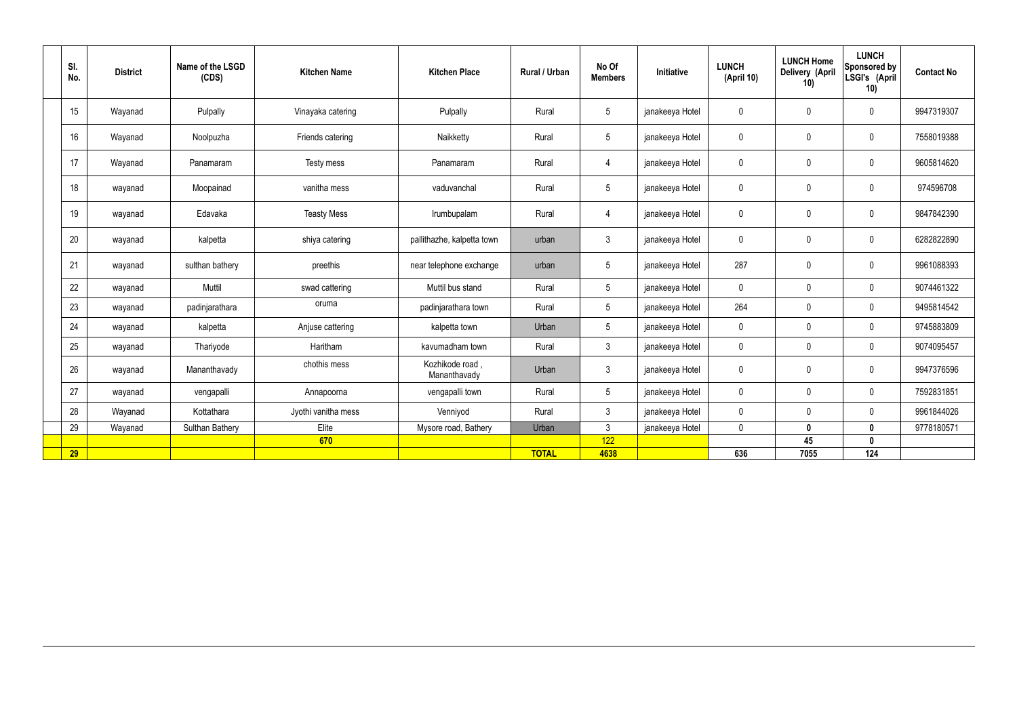| SI.<br>No. | <b>District</b> | Name of the LSGD<br>(CDS) | <b>Kitchen Name</b> | <b>Kitchen Place</b>            | Rural / Urban | No Of<br><b>Members</b> | Initiative      | <b>LUNCH</b><br>(April 10) | <b>LUNCH Home</b><br>Delivery (April<br>10) | <b>LUNCH</b><br>Sponsored by<br>LSGI's (April<br>10) | <b>Contact No</b> |
|------------|-----------------|---------------------------|---------------------|---------------------------------|---------------|-------------------------|-----------------|----------------------------|---------------------------------------------|------------------------------------------------------|-------------------|
| 15         | Wayanad         | Pulpally                  | Vinayaka catering   | Pulpally                        | Rural         | $5\phantom{.0}$         | janakeeya Hotel | $\pmb{0}$                  | $\mathbf 0$                                 | $\mathbf 0$                                          | 9947319307        |
| 16         | Wayanad         | Noolpuzha                 | Friends catering    | Naikketty                       | Rural         | $5\overline{)}$         | janakeeya Hotel | $\pmb{0}$                  | $\mathbf 0$                                 | $\mathbf 0$                                          | 7558019388        |
| 17         | Wayanad         | Panamaram                 | Testy mess          | Panamaram                       | Rural         | $\overline{4}$          | janakeeya Hotel | $\mathbf 0$                | $\mathbf 0$                                 | $\mathbf 0$                                          | 9605814620        |
| 18         | wayanad         | Moopainad                 | vanitha mess        | vaduvanchal                     | Rural         | $5\phantom{.0}$         | janakeeya Hotel | $\pmb{0}$                  | $\pmb{0}$                                   | $\mathbf 0$                                          | 974596708         |
| 19         | wayanad         | Edavaka                   | <b>Teasty Mess</b>  | Irumbupalam                     | Rural         | $\overline{4}$          | janakeeya Hotel | $\pmb{0}$                  | $\mathbf 0$                                 | $\mathbf 0$                                          | 9847842390        |
| 20         | wayanad         | kalpetta                  | shiya catering      | pallithazhe, kalpetta town      | urban         | $\mathbf{3}$            | janakeeya Hotel | $\mathbf 0$                | $\mathbf 0$                                 | $\mathbf 0$                                          | 6282822890        |
| 21         | wayanad         | sulthan bathery           | preethis            | near telephone exchange         | urban         | $5\overline{)}$         | janakeeya Hotel | 287                        | $\mathbf 0$                                 | $\mathbf 0$                                          | 9961088393        |
| 22         | wayanad         | Muttil                    | swad cattering      | Muttil bus stand                | Rural         | $5\overline{)}$         | janakeeya Hotel | $\mathbf 0$                | $\mathbf 0$                                 | $\mathbf 0$                                          | 9074461322        |
| 23         | wayanad         | padinjarathara            | oruma               | padinjarathara town             | Rural         | $5\phantom{.0}$         | janakeeya Hotel | 264                        | $\mathbf 0$                                 | $\mathbf 0$                                          | 9495814542        |
| 24         | wayanad         | kalpetta                  | Anjuse cattering    | kalpetta town                   | Urban         | $5\phantom{.0}$         | janakeeya Hotel | $\mathbf 0$                | $\mathbf 0$                                 | $\mathbf 0$                                          | 9745883809        |
| 25         | wayanad         | Thariyode                 | Haritham            | kavumadham town                 | Rural         | $\mathbf{3}$            | janakeeya Hotel | $\mathbf 0$                | $\mathbf 0$                                 | $\mathbf 0$                                          | 9074095457        |
| 26         | wayanad         | Mananthavady              | chothis mess        | Kozhikode road,<br>Mananthavady | Urban         | $\mathbf{3}$            | janakeeya Hotel | $\mathbf 0$                | $\mathbf 0$                                 | $\mathbf 0$                                          | 9947376596        |
| 27         | wayanad         | vengapalli                | Annapoorna          | vengapalli town                 | Rural         | $5\phantom{.0}$         | janakeeya Hotel | $\mathbf 0$                | $\mathbf 0$                                 | $\mathbf 0$                                          | 7592831851        |
| 28         | Wayanad         | Kottathara                | Jyothi vanitha mess | Venniyod                        | Rural         | $\mathbf{3}$            | janakeeya Hotel | $\mathbf 0$                | $\pmb{0}$                                   | $\mathbf 0$                                          | 9961844026        |
| 29         | Wayanad         | Sulthan Bathery           | Elite               | Mysore road, Bathery            | Urban         | $\mathbf{3}$            | janakeeya Hotel | $\mathbf 0$                | $\mathbf 0$                                 | $\mathbf 0$                                          | 9778180571        |
|            |                 |                           | 670                 |                                 |               | 122                     |                 |                            | 45                                          | $\mathbf 0$                                          |                   |
| 29         |                 |                           |                     |                                 | <b>TOTAL</b>  | 4638                    |                 | 636                        | 7055                                        | 124                                                  |                   |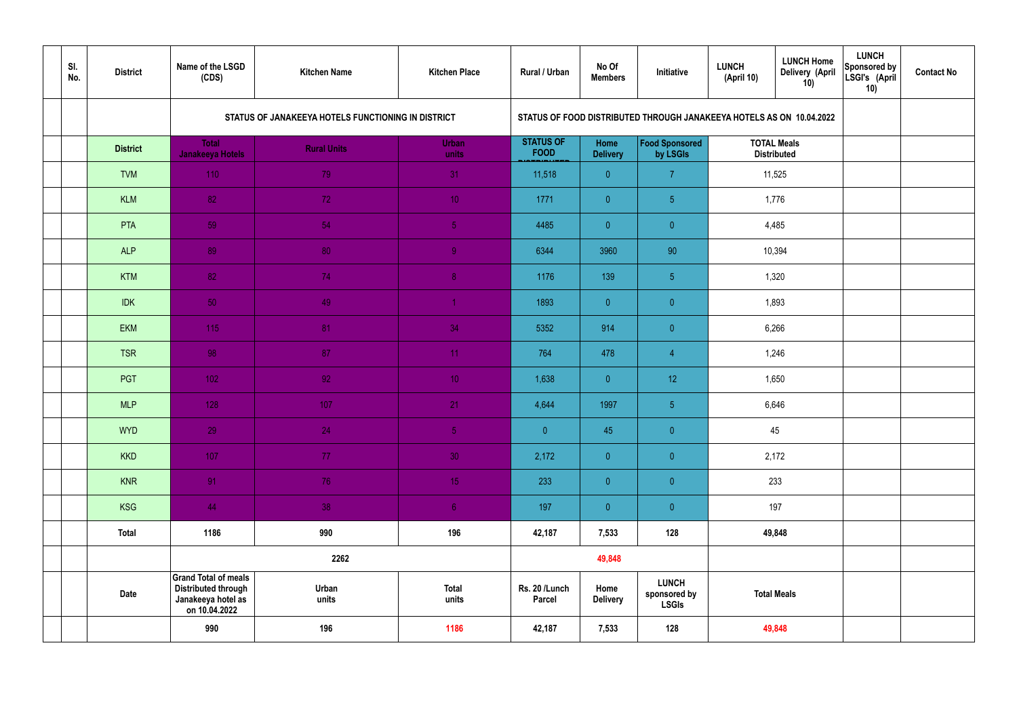| SI.<br>No. | <b>District</b> | Name of the LSGD<br>(CDS)                                                                        | <b>Kitchen Name</b>                                | <b>Kitchen Place</b>  | Rural / Urban                   | No Of<br><b>Members</b> | Initiative                                                           | <b>LUNCH</b><br>(April 10) | <b>LUNCH Home</b><br>Delivery (April<br>10) | <b>LUNCH</b><br>Sponsored by<br>LSGI's (April<br>10) | <b>Contact No</b> |
|------------|-----------------|--------------------------------------------------------------------------------------------------|----------------------------------------------------|-----------------------|---------------------------------|-------------------------|----------------------------------------------------------------------|----------------------------|---------------------------------------------|------------------------------------------------------|-------------------|
|            |                 |                                                                                                  | STATUS OF JANAKEEYA HOTELS FUNCTIONING IN DISTRICT |                       |                                 |                         | STATUS OF FOOD DISTRIBUTED THROUGH JANAKEEYA HOTELS AS ON 10.04.2022 |                            |                                             |                                                      |                   |
|            | <b>District</b> | <b>Total</b><br>Janakeeya Hotels                                                                 | <b>Rural Units</b>                                 | <b>Urban</b><br>units | <b>STATUS OF</b><br><b>FOOD</b> | Home<br><b>Delivery</b> | Food Sponsored<br>by LSGIs                                           |                            | <b>TOTAL Meals</b><br><b>Distributed</b>    |                                                      |                   |
|            | <b>TVM</b>      | 110                                                                                              | 79                                                 | 31                    | 11,518                          | $\overline{0}$          | $\overline{7}$                                                       |                            | 11,525                                      |                                                      |                   |
|            | <b>KLM</b>      | 82                                                                                               | 72                                                 | 10 <sup>°</sup>       | 1771                            | $\overline{0}$          | 5 <sub>5</sub>                                                       |                            | 1,776                                       |                                                      |                   |
|            | PTA             | 59                                                                                               | 54                                                 | $\sqrt{5}$            | 4485                            | $\overline{0}$          | $\overline{0}$                                                       |                            | 4,485                                       |                                                      |                   |
|            | <b>ALP</b>      | 89                                                                                               | 80                                                 | $\overline{9}$        | 6344                            | 3960                    | 90                                                                   |                            | 10,394                                      |                                                      |                   |
|            | <b>KTM</b>      | 82                                                                                               | 74                                                 | 8 <sup>°</sup>        | 1176                            | 139                     | $5\phantom{.0}$                                                      |                            | 1,320                                       |                                                      |                   |
|            | <b>IDK</b>      | 50 <sub>1</sub>                                                                                  | 49                                                 | $\blacktriangleleft$  | 1893                            | $\overline{0}$          | $\overline{0}$                                                       |                            | 1,893                                       |                                                      |                   |
|            | <b>EKM</b>      | 115                                                                                              | 81                                                 | 34                    | 5352                            | 914                     | $\overline{0}$                                                       |                            |                                             |                                                      |                   |
|            | <b>TSR</b>      | 98                                                                                               | 87                                                 | 11                    | 764                             | 478                     | $\overline{4}$                                                       | 6,266<br>1,246             |                                             |                                                      |                   |
|            | PGT             | $102$                                                                                            | 92                                                 | 10 <sup>°</sup>       | 1,638                           | $\overline{0}$          | 12 <sup>°</sup>                                                      |                            | 1,650                                       |                                                      |                   |
|            | <b>MLP</b>      | 128                                                                                              | 107                                                | 21                    | 4,644                           | 1997                    | $5\phantom{.0}$                                                      |                            | 6,646                                       |                                                      |                   |
|            | <b>WYD</b>      | 29                                                                                               | 24                                                 | 5 <sub>1</sub>        | $\pmb{0}^-$                     | 45                      | $\overline{0}$                                                       |                            | 45                                          |                                                      |                   |
|            | <b>KKD</b>      | 107                                                                                              | 77 <sub>1</sub>                                    | 30                    | 2,172                           | $\overline{0}$          | $\overline{0}$                                                       |                            | 2,172                                       |                                                      |                   |
|            | <b>KNR</b>      | 91                                                                                               | 76                                                 | 15 <sub>1</sub>       | 233                             | $\overline{0}$          | $\overline{0}$                                                       |                            | 233                                         |                                                      |                   |
|            | <b>KSG</b>      | 44                                                                                               | 38                                                 | 6 <sup>1</sup>        | 197                             | $\overline{0}$          | $\pmb{0}$                                                            |                            | 197                                         |                                                      |                   |
|            | <b>Total</b>    | 1186                                                                                             | 990                                                | 196                   | 42,187                          | 7,533                   | 128                                                                  |                            | 49,848                                      |                                                      |                   |
|            |                 |                                                                                                  | 2262                                               |                       |                                 | 49,848                  |                                                                      |                            |                                             |                                                      |                   |
|            | <b>Date</b>     | <b>Grand Total of meals</b><br><b>Distributed through</b><br>Janakeeya hotel as<br>on 10.04.2022 | Urban<br>units                                     | <b>Total</b><br>units | Rs. 20 /Lunch<br><b>Parcel</b>  | Home<br><b>Delivery</b> | <b>LUNCH</b><br>sponsored by<br><b>LSGIs</b>                         |                            | <b>Total Meals</b>                          |                                                      |                   |
|            |                 | 990                                                                                              | 196                                                | 1186                  | 42,187                          | 7,533                   | 128                                                                  |                            | 49,848                                      |                                                      |                   |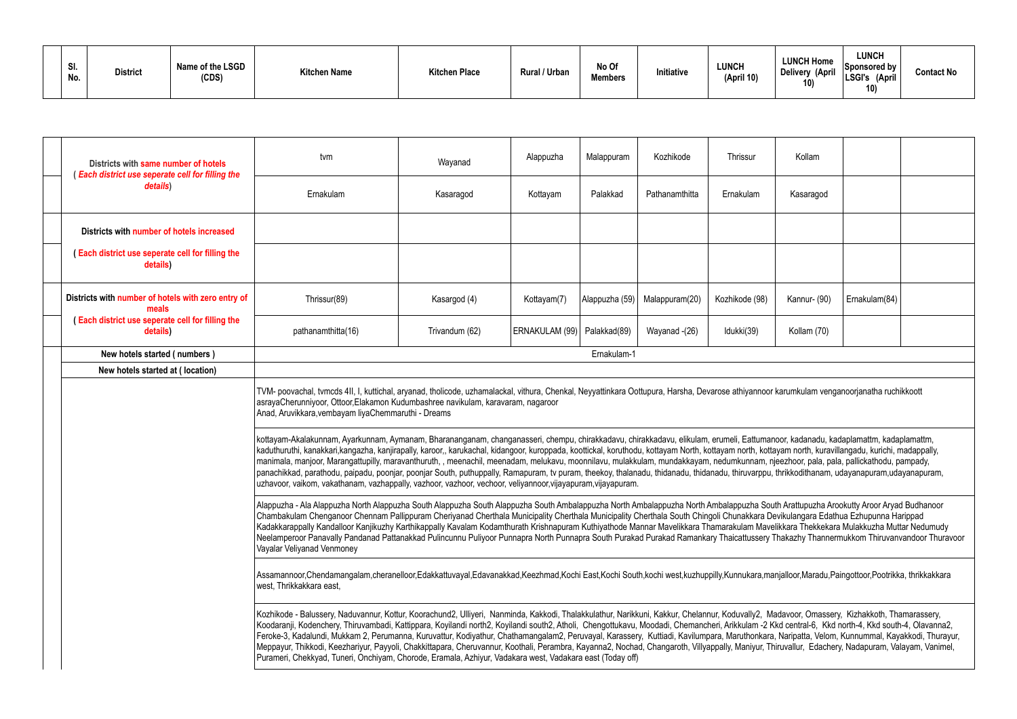| SI.<br>No. | <b>District</b> | Name of the LSGD<br>(CDS) | <b>Kitchen Name</b> | <b>Kitchen Place</b> | Rural / Urban | No Of<br><b>Members</b> | Initiative | <b>LUNCH</b><br>(April 10) | <b>LUNCH Home</b><br>Delivery (April<br>4 A V | LUNCH<br>Sponsored by $\frac{1}{2}$<br>'LSGI's<br>(April<br>10) | <b>Contact No</b> |
|------------|-----------------|---------------------------|---------------------|----------------------|---------------|-------------------------|------------|----------------------------|-----------------------------------------------|-----------------------------------------------------------------|-------------------|
|------------|-----------------|---------------------------|---------------------|----------------------|---------------|-------------------------|------------|----------------------------|-----------------------------------------------|-----------------------------------------------------------------|-------------------|

|                                                                                                                                                                                                                                                                                                                                        | Districts with same number of hotels<br>(Each district use seperate cell for filling the                                                                                                                                                                                                                                                                                                                                                                                                                                                                                                                                                                                                                                                                                                                                                                                                                                  | tvm                                                                                                                                                                                                                                                                                                                                                                                                                                                                                                                                                                                                                                                                                                                                                                                                                                                                                                   | Wayanad        | Alappuzha      | Malappuram     | Kozhikode      | Thrissur       | Kollam       |               |  |
|----------------------------------------------------------------------------------------------------------------------------------------------------------------------------------------------------------------------------------------------------------------------------------------------------------------------------------------|---------------------------------------------------------------------------------------------------------------------------------------------------------------------------------------------------------------------------------------------------------------------------------------------------------------------------------------------------------------------------------------------------------------------------------------------------------------------------------------------------------------------------------------------------------------------------------------------------------------------------------------------------------------------------------------------------------------------------------------------------------------------------------------------------------------------------------------------------------------------------------------------------------------------------|-------------------------------------------------------------------------------------------------------------------------------------------------------------------------------------------------------------------------------------------------------------------------------------------------------------------------------------------------------------------------------------------------------------------------------------------------------------------------------------------------------------------------------------------------------------------------------------------------------------------------------------------------------------------------------------------------------------------------------------------------------------------------------------------------------------------------------------------------------------------------------------------------------|----------------|----------------|----------------|----------------|----------------|--------------|---------------|--|
|                                                                                                                                                                                                                                                                                                                                        | details)                                                                                                                                                                                                                                                                                                                                                                                                                                                                                                                                                                                                                                                                                                                                                                                                                                                                                                                  | Ernakulam                                                                                                                                                                                                                                                                                                                                                                                                                                                                                                                                                                                                                                                                                                                                                                                                                                                                                             | Kasaragod      | Kottayam       | Palakkad       | Pathanamthitta | Ernakulam      | Kasaragod    |               |  |
|                                                                                                                                                                                                                                                                                                                                        | Districts with number of hotels increased                                                                                                                                                                                                                                                                                                                                                                                                                                                                                                                                                                                                                                                                                                                                                                                                                                                                                 |                                                                                                                                                                                                                                                                                                                                                                                                                                                                                                                                                                                                                                                                                                                                                                                                                                                                                                       |                |                |                |                |                |              |               |  |
|                                                                                                                                                                                                                                                                                                                                        | (Each district use seperate cell for filling the<br>details)                                                                                                                                                                                                                                                                                                                                                                                                                                                                                                                                                                                                                                                                                                                                                                                                                                                              |                                                                                                                                                                                                                                                                                                                                                                                                                                                                                                                                                                                                                                                                                                                                                                                                                                                                                                       |                |                |                |                |                |              |               |  |
|                                                                                                                                                                                                                                                                                                                                        | Districts with number of hotels with zero entry of<br>meals                                                                                                                                                                                                                                                                                                                                                                                                                                                                                                                                                                                                                                                                                                                                                                                                                                                               | Thrissur(89)                                                                                                                                                                                                                                                                                                                                                                                                                                                                                                                                                                                                                                                                                                                                                                                                                                                                                          | Kasargod (4)   | Kottayam(7)    | Alappuzha (59) | Malappuram(20) | Kozhikode (98) | Kannur- (90) | Ernakulam(84) |  |
|                                                                                                                                                                                                                                                                                                                                        | (Each district use seperate cell for filling the<br>details)                                                                                                                                                                                                                                                                                                                                                                                                                                                                                                                                                                                                                                                                                                                                                                                                                                                              | pathanamthitta(16)                                                                                                                                                                                                                                                                                                                                                                                                                                                                                                                                                                                                                                                                                                                                                                                                                                                                                    | Trivandum (62) | ERNAKULAM (99) | Palakkad(89)   | Wayanad -(26)  | Idukki(39)     | Kollam (70)  |               |  |
|                                                                                                                                                                                                                                                                                                                                        | New hotels started (numbers)                                                                                                                                                                                                                                                                                                                                                                                                                                                                                                                                                                                                                                                                                                                                                                                                                                                                                              |                                                                                                                                                                                                                                                                                                                                                                                                                                                                                                                                                                                                                                                                                                                                                                                                                                                                                                       |                |                | Ernakulam-1    |                |                |              |               |  |
|                                                                                                                                                                                                                                                                                                                                        | New hotels started at (location)                                                                                                                                                                                                                                                                                                                                                                                                                                                                                                                                                                                                                                                                                                                                                                                                                                                                                          |                                                                                                                                                                                                                                                                                                                                                                                                                                                                                                                                                                                                                                                                                                                                                                                                                                                                                                       |                |                |                |                |                |              |               |  |
| TVM- poovachal, tvmcds 4II, I, kuttichal, aryanad, tholicode, uzhamalackal, vithura, Chenkal, Neyyattinkara Oottupura, Harsha, Devarose athiyannoor karumkulam venganoorjanatha ruchikkoott<br>asrayaCherunniyoor, Ottoor, Elakamon Kudumbashree navikulam, karavaram, nagaroor<br>Anad, Aruvikkara, vembayam liyaChemmaruthi - Dreams |                                                                                                                                                                                                                                                                                                                                                                                                                                                                                                                                                                                                                                                                                                                                                                                                                                                                                                                           |                                                                                                                                                                                                                                                                                                                                                                                                                                                                                                                                                                                                                                                                                                                                                                                                                                                                                                       |                |                |                |                |                |              |               |  |
|                                                                                                                                                                                                                                                                                                                                        |                                                                                                                                                                                                                                                                                                                                                                                                                                                                                                                                                                                                                                                                                                                                                                                                                                                                                                                           | kottayam-Akalakunnam, Ayarkunnam, Aymanam, Bharananganam, changanasseri, chempu, chirakkadavu, chirakkadavu, elikulam, erumeli, Eattumanoor, kadanadu, kadaplamattm, kadaplamattm,<br>kaduthuruthi, kanakkari,kangazha, kanjirapally, karoor,, karukachal, kidangoor, kuroppada, koottickal, koruthodu, kottayam North, kottayam north, kottayam north, kuravillangadu, kurichi, madappally,<br>manimala, manjoor, Marangattupilly, maravanthuruth,, meenachil, meenadam, melukavu, moonnilavu, mulakkulam, mundakkayam, nedumkunnam, njeezhoor, pala, pala, pallickathodu, pampady,<br>panachikkad, parathodu, paipadu, poonjar, poonjar South, puthuppally, Ramapuram, tv puram, theekoy, thalanadu, thidanadu, thidanadu, thiruvarppu, thrikkodithanam, udayanapuram,udayanapuram,<br>uzhavoor, vaikom, vakathanam, vazhappally, vazhoor, vazhoor, vechoor, veliyannoor, vijayapuram, vijayapuram. |                |                |                |                |                |              |               |  |
|                                                                                                                                                                                                                                                                                                                                        |                                                                                                                                                                                                                                                                                                                                                                                                                                                                                                                                                                                                                                                                                                                                                                                                                                                                                                                           | Alappuzha - Ala Alappuzha North Alappuzha South Alappuzha South Alappuzha South Ambalappuzha North Ambalappuzha South Arattupuzha Arookutty Aroor Aryad Budhanoor<br>Chambakulam Chenganoor Chennam Pallippuram Cheriyanad Cherthala Municipality Cherthala Municipality Cherthala South Chingoli Chunakkara Devikulangara Edathua Ezhupunna Harippad<br>Kadakkarappally Kandalloor Kanjikuzhy Karthikappally Kavalam Kodamthurath Krishnapuram Kuthiyathode Mannar Mavelikkara Thamarakulam Mavelikkara Thekkekara Mulakkuzha Muttar Nedumudy<br>Neelamperoor Panavally Pandanad Pattanakkad Pulincunnu Puliyoor Punnapra North Punnapra South Purakad Purakad Ramankary Thaicattussery Thakazhy Thannermukkom Thiruvanvandoor Thuravoor<br>Vayalar Veliyanad Venmoney                                                                                                                               |                |                |                |                |                |              |               |  |
|                                                                                                                                                                                                                                                                                                                                        |                                                                                                                                                                                                                                                                                                                                                                                                                                                                                                                                                                                                                                                                                                                                                                                                                                                                                                                           | Assamannoor,Chendamangalam,cheranelloor,Edakkattuvayal,Edavanakkad,Keezhmad,Kochi East,Kochi South,kochi west,kuzhuppilly,Kunnukara,manjalloor,Maradu,Paingottoor,Pootrikka, thrikkakkara<br>west, Thrikkakkara east,                                                                                                                                                                                                                                                                                                                                                                                                                                                                                                                                                                                                                                                                                 |                |                |                |                |                |              |               |  |
|                                                                                                                                                                                                                                                                                                                                        | Kozhikode - Balussery, Naduvannur, Kottur, Koorachund2, Ulliyeri, Nanminda, Kakkodi, Thalakkulathur, Narikkuni, Kakkur, Chelannur, Koduvally2, Madavoor, Omassery, Kizhakkoth, Thamarassery,<br>Koodaranji, Kodenchery, Thiruvambadi, Kattippara, Koyilandi north2, Koyilandi south2, Atholi, Chengottukavu, Moodadi, Chemancheri, Arikkulam -2 Kkd central-6, Kkd north-4, Kkd south-4, Olavanna2,<br>Feroke-3, Kadalundi, Mukkam 2, Perumanna, Kuruvattur, Kodiyathur, Chathamangalam2, Peruvayal, Karassery, Kuttiadi, Kavilumpara, Maruthonkara, Naripatta, Velom, Kunnummal, Kayakkodi, Thurayur,<br>Meppayur, Thikkodi, Keezhariyur, Payyoli, Chakkittapara, Cheruvannur, Koothali, Perambra, Kayanna2, Nochad, Changaroth, Villyappally, Maniyur, Thiruvallur, Edachery, Nadapuram, Valayam, Vanimel,<br>Purameri, Chekkyad, Tuneri, Onchiyam, Chorode, Eramala, Azhiyur, Vadakara west, Vadakara east (Today off) |                                                                                                                                                                                                                                                                                                                                                                                                                                                                                                                                                                                                                                                                                                                                                                                                                                                                                                       |                |                |                |                |                |              |               |  |